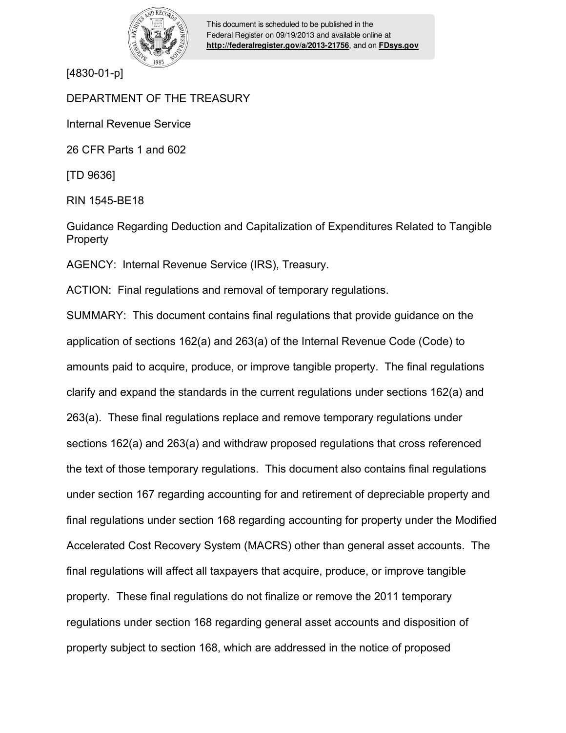

This document is scheduled to be published in the Federal Register on 09/19/2013 and available online at **<http://federalregister.gov/a/2013-21756>**, and on **[FDsys.gov](http://federalregister.gov/a/2013-21756.pdf)**

[4830-01-p]

# DEPARTMENT OF THE TREASURY

Internal Revenue Service

26 CFR Parts 1 and 602

[TD 9636]

RIN 1545-BE18

Guidance Regarding Deduction and Capitalization of Expenditures Related to Tangible Property

AGENCY: Internal Revenue Service (IRS), Treasury.

ACTION: Final regulations and removal of temporary regulations.

SUMMARY: This document contains final regulations that provide guidance on the application of sections 162(a) and 263(a) of the Internal Revenue Code (Code) to amounts paid to acquire, produce, or improve tangible property. The final regulations clarify and expand the standards in the current regulations under sections 162(a) and 263(a). These final regulations replace and remove temporary regulations under sections 162(a) and 263(a) and withdraw proposed regulations that cross referenced the text of those temporary regulations. This document also contains final regulations under section 167 regarding accounting for and retirement of depreciable property and final regulations under section 168 regarding accounting for property under the Modified Accelerated Cost Recovery System (MACRS) other than general asset accounts. The final regulations will affect all taxpayers that acquire, produce, or improve tangible property. These final regulations do not finalize or remove the 2011 temporary regulations under section 168 regarding general asset accounts and disposition of property subject to section 168, which are addressed in the notice of proposed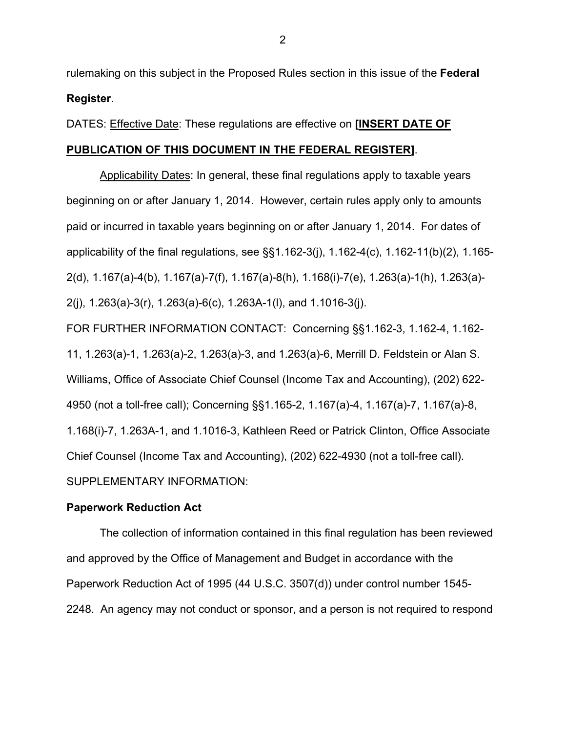rulemaking on this subject in the Proposed Rules section in this issue of the **Federal Register**.

# DATES: Effective Date: These regulations are effective on **[INSERT DATE OF**

# **PUBLICATION OF THIS DOCUMENT IN THE FEDERAL REGISTER]**.

Applicability Dates: In general, these final regulations apply to taxable years beginning on or after January 1, 2014. However, certain rules apply only to amounts paid or incurred in taxable years beginning on or after January 1, 2014. For dates of applicability of the final regulations, see §§1.162-3(j), 1.162-4(c), 1.162-11(b)(2), 1.165- 2(d), 1.167(a)-4(b), 1.167(a)-7(f), 1.167(a)-8(h), 1.168(i)-7(e), 1.263(a)-1(h), 1.263(a)- 2(j), 1.263(a)-3(r), 1.263(a)-6(c), 1.263A-1(l), and 1.1016-3(j).

FOR FURTHER INFORMATION CONTACT: Concerning §§1.162-3, 1.162-4, 1.162- 11, 1.263(a)-1, 1.263(a)-2, 1.263(a)-3, and 1.263(a)-6, Merrill D. Feldstein or Alan S. Williams, Office of Associate Chief Counsel (Income Tax and Accounting), (202) 622- 4950 (not a toll-free call); Concerning §§1.165-2, 1.167(a)-4, 1.167(a)-7, 1.167(a)-8, 1.168(i)-7, 1.263A-1, and 1.1016-3, Kathleen Reed or Patrick Clinton, Office Associate Chief Counsel (Income Tax and Accounting), (202) 622-4930 (not a toll-free call). SUPPLEMENTARY INFORMATION:

# **Paperwork Reduction Act**

 The collection of information contained in this final regulation has been reviewed and approved by the Office of Management and Budget in accordance with the Paperwork Reduction Act of 1995 (44 U.S.C. 3507(d)) under control number 1545- 2248. An agency may not conduct or sponsor, and a person is not required to respond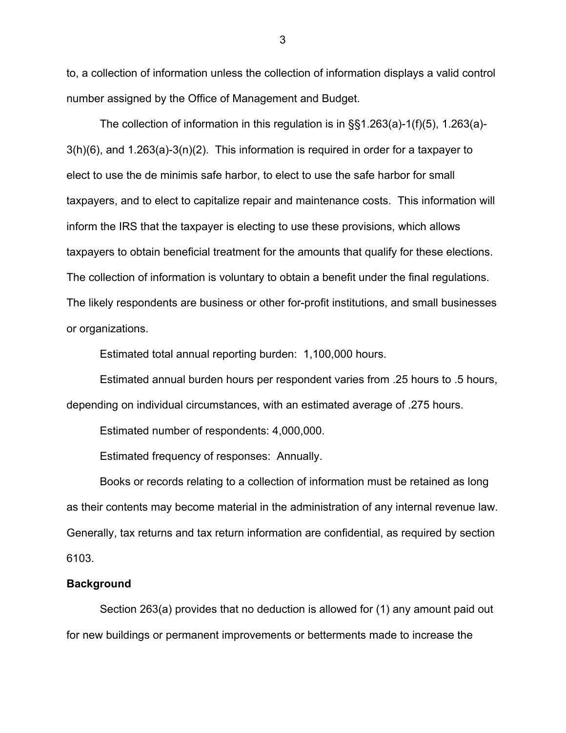to, a collection of information unless the collection of information displays a valid control number assigned by the Office of Management and Budget.

 The collection of information in this regulation is in §§1.263(a)-1(f)(5), 1.263(a)- 3(h)(6), and 1.263(a)-3(n)(2). This information is required in order for a taxpayer to elect to use the de minimis safe harbor, to elect to use the safe harbor for small taxpayers, and to elect to capitalize repair and maintenance costs. This information will inform the IRS that the taxpayer is electing to use these provisions, which allows taxpayers to obtain beneficial treatment for the amounts that qualify for these elections. The collection of information is voluntary to obtain a benefit under the final regulations. The likely respondents are business or other for-profit institutions, and small businesses or organizations.

Estimated total annual reporting burden: 1,100,000 hours.

 Estimated annual burden hours per respondent varies from .25 hours to .5 hours, depending on individual circumstances, with an estimated average of .275 hours.

Estimated number of respondents: 4,000,000.

Estimated frequency of responses: Annually.

 Books or records relating to a collection of information must be retained as long as their contents may become material in the administration of any internal revenue law. Generally, tax returns and tax return information are confidential, as required by section 6103.

# **Background**

Section 263(a) provides that no deduction is allowed for (1) any amount paid out for new buildings or permanent improvements or betterments made to increase the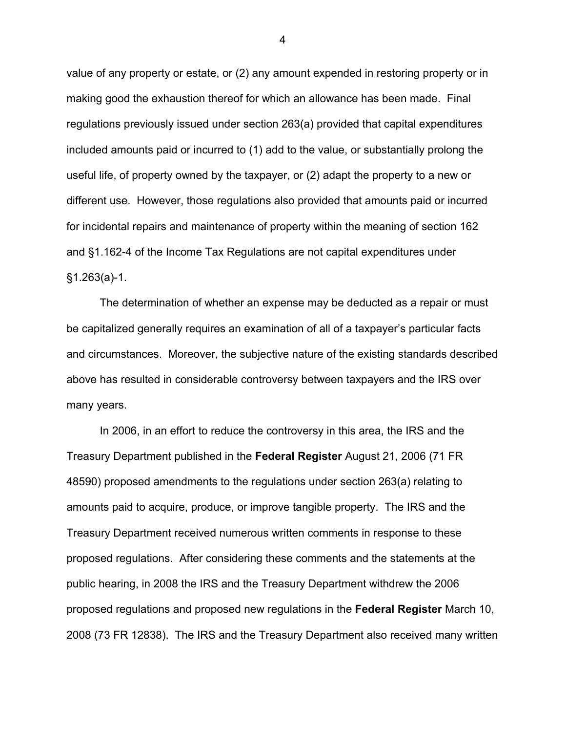value of any property or estate, or (2) any amount expended in restoring property or in making good the exhaustion thereof for which an allowance has been made. Final regulations previously issued under section 263(a) provided that capital expenditures included amounts paid or incurred to (1) add to the value, or substantially prolong the useful life, of property owned by the taxpayer, or (2) adapt the property to a new or different use. However, those regulations also provided that amounts paid or incurred for incidental repairs and maintenance of property within the meaning of section 162 and §1.162-4 of the Income Tax Regulations are not capital expenditures under §1.263(a)-1.

The determination of whether an expense may be deducted as a repair or must be capitalized generally requires an examination of all of a taxpayer's particular facts and circumstances. Moreover, the subjective nature of the existing standards described above has resulted in considerable controversy between taxpayers and the IRS over many years.

In 2006, in an effort to reduce the controversy in this area, the IRS and the Treasury Department published in the **Federal Register** August 21, 2006 (71 FR 48590) proposed amendments to the regulations under section 263(a) relating to amounts paid to acquire, produce, or improve tangible property. The IRS and the Treasury Department received numerous written comments in response to these proposed regulations. After considering these comments and the statements at the public hearing, in 2008 the IRS and the Treasury Department withdrew the 2006 proposed regulations and proposed new regulations in the **Federal Register** March 10, 2008 (73 FR 12838). The IRS and the Treasury Department also received many written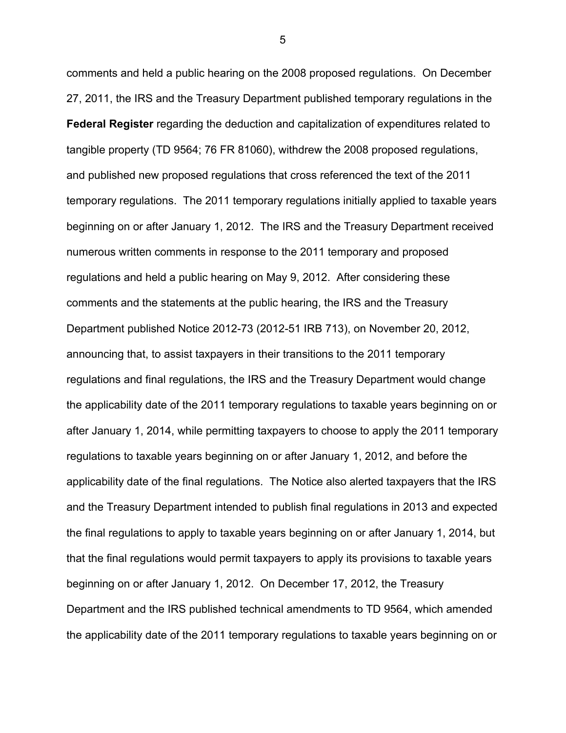comments and held a public hearing on the 2008 proposed regulations. On December 27, 2011, the IRS and the Treasury Department published temporary regulations in the **Federal Register** regarding the deduction and capitalization of expenditures related to tangible property (TD 9564; 76 FR 81060), withdrew the 2008 proposed regulations, and published new proposed regulations that cross referenced the text of the 2011 temporary regulations. The 2011 temporary regulations initially applied to taxable years beginning on or after January 1, 2012. The IRS and the Treasury Department received numerous written comments in response to the 2011 temporary and proposed regulations and held a public hearing on May 9, 2012. After considering these comments and the statements at the public hearing, the IRS and the Treasury Department published Notice 2012-73 (2012-51 IRB 713), on November 20, 2012, announcing that, to assist taxpayers in their transitions to the 2011 temporary regulations and final regulations, the IRS and the Treasury Department would change the applicability date of the 2011 temporary regulations to taxable years beginning on or after January 1, 2014, while permitting taxpayers to choose to apply the 2011 temporary regulations to taxable years beginning on or after January 1, 2012, and before the applicability date of the final regulations. The Notice also alerted taxpayers that the IRS and the Treasury Department intended to publish final regulations in 2013 and expected the final regulations to apply to taxable years beginning on or after January 1, 2014, but that the final regulations would permit taxpayers to apply its provisions to taxable years beginning on or after January 1, 2012. On December 17, 2012, the Treasury Department and the IRS published technical amendments to TD 9564, which amended the applicability date of the 2011 temporary regulations to taxable years beginning on or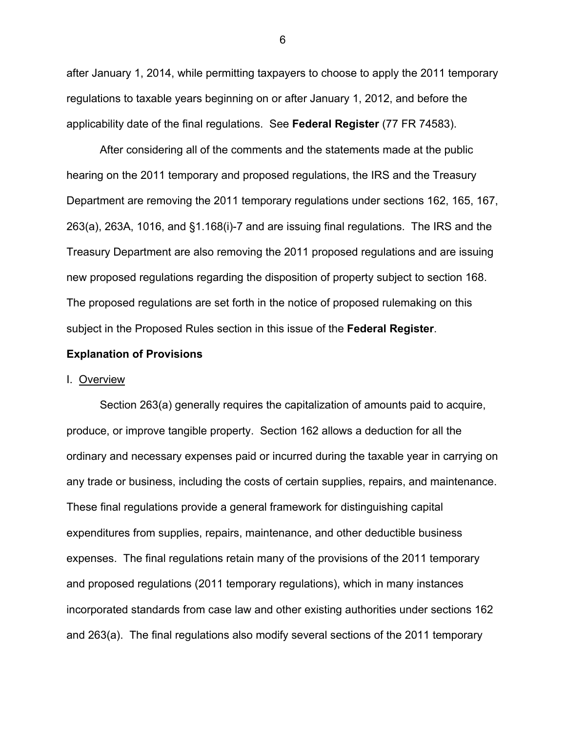after January 1, 2014, while permitting taxpayers to choose to apply the 2011 temporary regulations to taxable years beginning on or after January 1, 2012, and before the applicability date of the final regulations. See **Federal Register** (77 FR 74583).

After considering all of the comments and the statements made at the public hearing on the 2011 temporary and proposed regulations, the IRS and the Treasury Department are removing the 2011 temporary regulations under sections 162, 165, 167, 263(a), 263A, 1016, and §1.168(i)-7 and are issuing final regulations. The IRS and the Treasury Department are also removing the 2011 proposed regulations and are issuing new proposed regulations regarding the disposition of property subject to section 168. The proposed regulations are set forth in the notice of proposed rulemaking on this subject in the Proposed Rules section in this issue of the **Federal Register**.

# **Explanation of Provisions**

### I. Overview

Section 263(a) generally requires the capitalization of amounts paid to acquire, produce, or improve tangible property. Section 162 allows a deduction for all the ordinary and necessary expenses paid or incurred during the taxable year in carrying on any trade or business, including the costs of certain supplies, repairs, and maintenance. These final regulations provide a general framework for distinguishing capital expenditures from supplies, repairs, maintenance, and other deductible business expenses. The final regulations retain many of the provisions of the 2011 temporary and proposed regulations (2011 temporary regulations), which in many instances incorporated standards from case law and other existing authorities under sections 162 and 263(a). The final regulations also modify several sections of the 2011 temporary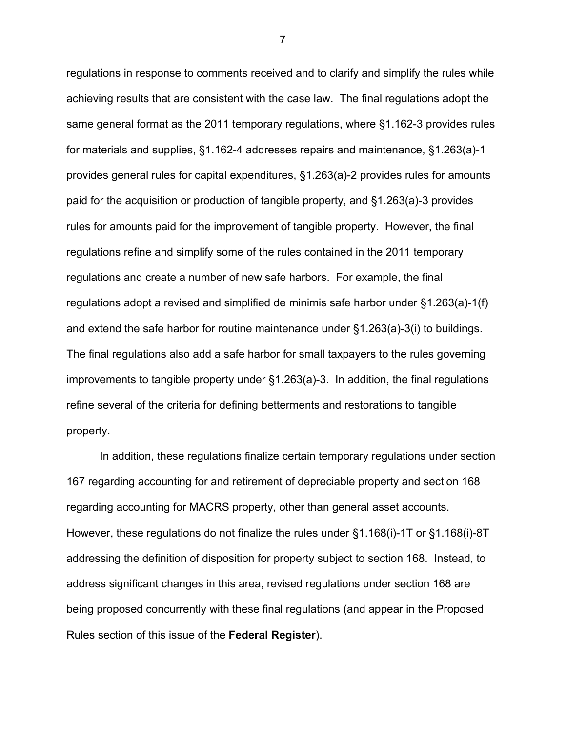regulations in response to comments received and to clarify and simplify the rules while achieving results that are consistent with the case law. The final regulations adopt the same general format as the 2011 temporary regulations, where §1.162-3 provides rules for materials and supplies, §1.162-4 addresses repairs and maintenance, §1.263(a)-1 provides general rules for capital expenditures, §1.263(a)-2 provides rules for amounts paid for the acquisition or production of tangible property, and §1.263(a)-3 provides rules for amounts paid for the improvement of tangible property. However, the final regulations refine and simplify some of the rules contained in the 2011 temporary regulations and create a number of new safe harbors. For example, the final regulations adopt a revised and simplified de minimis safe harbor under §1.263(a)-1(f) and extend the safe harbor for routine maintenance under §1.263(a)-3(i) to buildings. The final regulations also add a safe harbor for small taxpayers to the rules governing improvements to tangible property under §1.263(a)-3. In addition, the final regulations refine several of the criteria for defining betterments and restorations to tangible property.

In addition, these regulations finalize certain temporary regulations under section 167 regarding accounting for and retirement of depreciable property and section 168 regarding accounting for MACRS property, other than general asset accounts. However, these regulations do not finalize the rules under §1.168(i)-1T or §1.168(i)-8T addressing the definition of disposition for property subject to section 168. Instead, to address significant changes in this area, revised regulations under section 168 are being proposed concurrently with these final regulations (and appear in the Proposed Rules section of this issue of the **Federal Register**).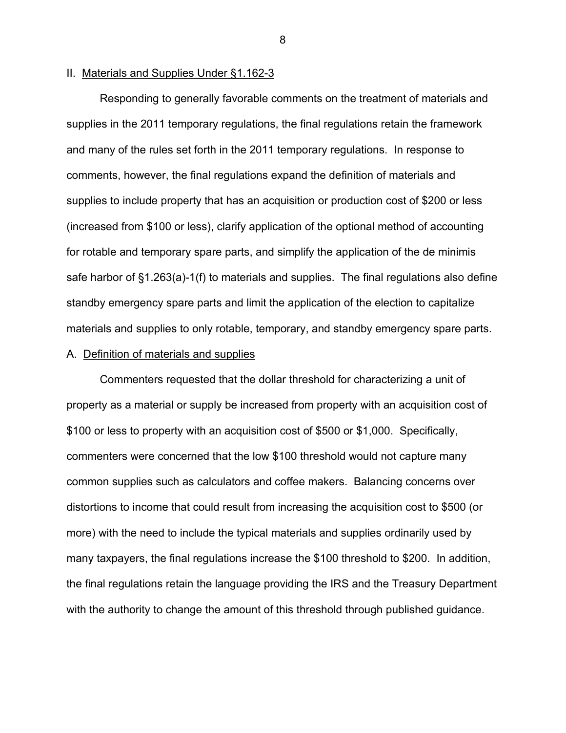# II. Materials and Supplies Under §1.162-3

Responding to generally favorable comments on the treatment of materials and supplies in the 2011 temporary regulations, the final regulations retain the framework and many of the rules set forth in the 2011 temporary regulations. In response to comments, however, the final regulations expand the definition of materials and supplies to include property that has an acquisition or production cost of \$200 or less (increased from \$100 or less), clarify application of the optional method of accounting for rotable and temporary spare parts, and simplify the application of the de minimis safe harbor of §1.263(a)-1(f) to materials and supplies. The final regulations also define standby emergency spare parts and limit the application of the election to capitalize materials and supplies to only rotable, temporary, and standby emergency spare parts.

# A. Definition of materials and supplies

Commenters requested that the dollar threshold for characterizing a unit of property as a material or supply be increased from property with an acquisition cost of \$100 or less to property with an acquisition cost of \$500 or \$1,000. Specifically, commenters were concerned that the low \$100 threshold would not capture many common supplies such as calculators and coffee makers. Balancing concerns over distortions to income that could result from increasing the acquisition cost to \$500 (or more) with the need to include the typical materials and supplies ordinarily used by many taxpayers, the final regulations increase the \$100 threshold to \$200. In addition, the final regulations retain the language providing the IRS and the Treasury Department with the authority to change the amount of this threshold through published guidance.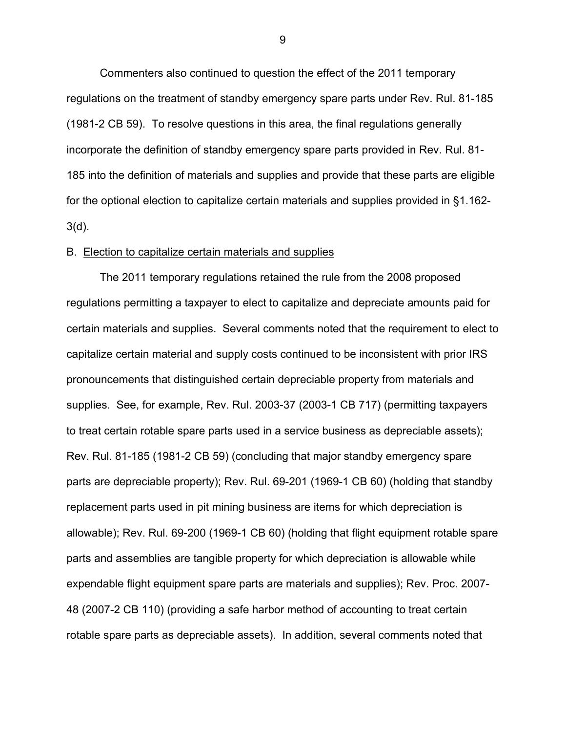Commenters also continued to question the effect of the 2011 temporary regulations on the treatment of standby emergency spare parts under Rev. Rul. 81-185 (1981-2 CB 59). To resolve questions in this area, the final regulations generally incorporate the definition of standby emergency spare parts provided in Rev. Rul. 81- 185 into the definition of materials and supplies and provide that these parts are eligible for the optional election to capitalize certain materials and supplies provided in §1.162- 3(d).

### B. Election to capitalize certain materials and supplies

The 2011 temporary regulations retained the rule from the 2008 proposed regulations permitting a taxpayer to elect to capitalize and depreciate amounts paid for certain materials and supplies. Several comments noted that the requirement to elect to capitalize certain material and supply costs continued to be inconsistent with prior IRS pronouncements that distinguished certain depreciable property from materials and supplies. See, for example, Rev. Rul. 2003-37 (2003-1 CB 717) (permitting taxpayers to treat certain rotable spare parts used in a service business as depreciable assets); Rev. Rul. 81-185 (1981-2 CB 59) (concluding that major standby emergency spare parts are depreciable property); Rev. Rul. 69-201 (1969-1 CB 60) (holding that standby replacement parts used in pit mining business are items for which depreciation is allowable); Rev. Rul. 69-200 (1969-1 CB 60) (holding that flight equipment rotable spare parts and assemblies are tangible property for which depreciation is allowable while expendable flight equipment spare parts are materials and supplies); Rev. Proc. 2007- 48 (2007-2 CB 110) (providing a safe harbor method of accounting to treat certain rotable spare parts as depreciable assets). In addition, several comments noted that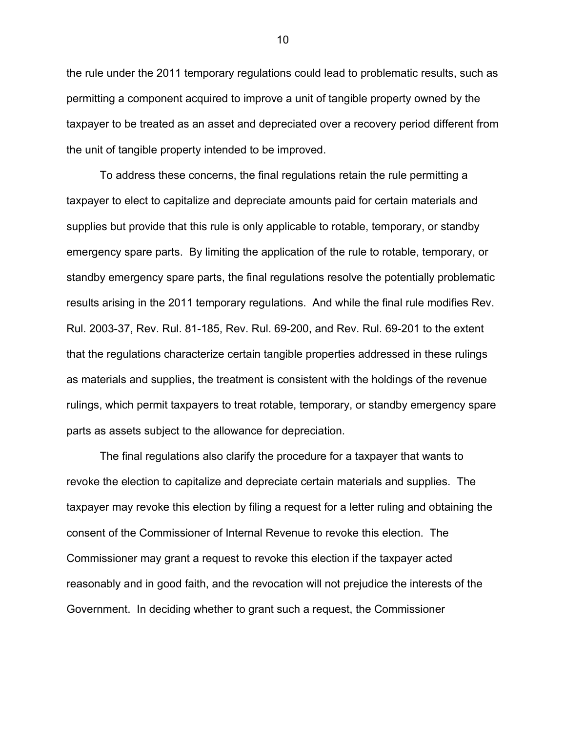the rule under the 2011 temporary regulations could lead to problematic results, such as permitting a component acquired to improve a unit of tangible property owned by the taxpayer to be treated as an asset and depreciated over a recovery period different from the unit of tangible property intended to be improved.

To address these concerns, the final regulations retain the rule permitting a taxpayer to elect to capitalize and depreciate amounts paid for certain materials and supplies but provide that this rule is only applicable to rotable, temporary, or standby emergency spare parts. By limiting the application of the rule to rotable, temporary, or standby emergency spare parts, the final regulations resolve the potentially problematic results arising in the 2011 temporary regulations. And while the final rule modifies Rev. Rul. 2003-37, Rev. Rul. 81-185, Rev. Rul. 69-200, and Rev. Rul. 69-201 to the extent that the regulations characterize certain tangible properties addressed in these rulings as materials and supplies, the treatment is consistent with the holdings of the revenue rulings, which permit taxpayers to treat rotable, temporary, or standby emergency spare parts as assets subject to the allowance for depreciation.

The final regulations also clarify the procedure for a taxpayer that wants to revoke the election to capitalize and depreciate certain materials and supplies. The taxpayer may revoke this election by filing a request for a letter ruling and obtaining the consent of the Commissioner of Internal Revenue to revoke this election. The Commissioner may grant a request to revoke this election if the taxpayer acted reasonably and in good faith, and the revocation will not prejudice the interests of the Government. In deciding whether to grant such a request, the Commissioner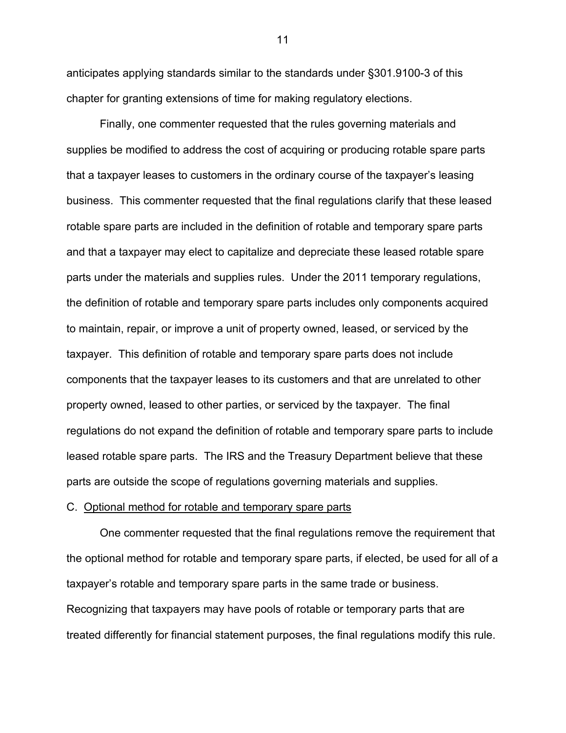anticipates applying standards similar to the standards under §301.9100-3 of this chapter for granting extensions of time for making regulatory elections.

Finally, one commenter requested that the rules governing materials and supplies be modified to address the cost of acquiring or producing rotable spare parts that a taxpayer leases to customers in the ordinary course of the taxpayer's leasing business. This commenter requested that the final regulations clarify that these leased rotable spare parts are included in the definition of rotable and temporary spare parts and that a taxpayer may elect to capitalize and depreciate these leased rotable spare parts under the materials and supplies rules. Under the 2011 temporary regulations, the definition of rotable and temporary spare parts includes only components acquired to maintain, repair, or improve a unit of property owned, leased, or serviced by the taxpayer. This definition of rotable and temporary spare parts does not include components that the taxpayer leases to its customers and that are unrelated to other property owned, leased to other parties, or serviced by the taxpayer. The final regulations do not expand the definition of rotable and temporary spare parts to include leased rotable spare parts. The IRS and the Treasury Department believe that these parts are outside the scope of regulations governing materials and supplies.

### C. Optional method for rotable and temporary spare parts

One commenter requested that the final regulations remove the requirement that the optional method for rotable and temporary spare parts, if elected, be used for all of a taxpayer's rotable and temporary spare parts in the same trade or business. Recognizing that taxpayers may have pools of rotable or temporary parts that are treated differently for financial statement purposes, the final regulations modify this rule.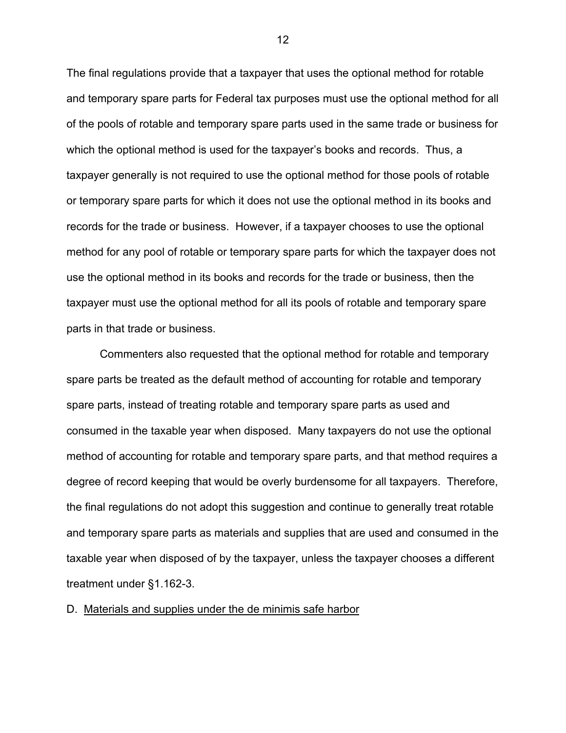The final regulations provide that a taxpayer that uses the optional method for rotable and temporary spare parts for Federal tax purposes must use the optional method for all of the pools of rotable and temporary spare parts used in the same trade or business for which the optional method is used for the taxpayer's books and records. Thus, a taxpayer generally is not required to use the optional method for those pools of rotable or temporary spare parts for which it does not use the optional method in its books and records for the trade or business. However, if a taxpayer chooses to use the optional method for any pool of rotable or temporary spare parts for which the taxpayer does not use the optional method in its books and records for the trade or business, then the taxpayer must use the optional method for all its pools of rotable and temporary spare parts in that trade or business.

Commenters also requested that the optional method for rotable and temporary spare parts be treated as the default method of accounting for rotable and temporary spare parts, instead of treating rotable and temporary spare parts as used and consumed in the taxable year when disposed. Many taxpayers do not use the optional method of accounting for rotable and temporary spare parts, and that method requires a degree of record keeping that would be overly burdensome for all taxpayers. Therefore, the final regulations do not adopt this suggestion and continue to generally treat rotable and temporary spare parts as materials and supplies that are used and consumed in the taxable year when disposed of by the taxpayer, unless the taxpayer chooses a different treatment under §1.162-3.

D. Materials and supplies under the de minimis safe harbor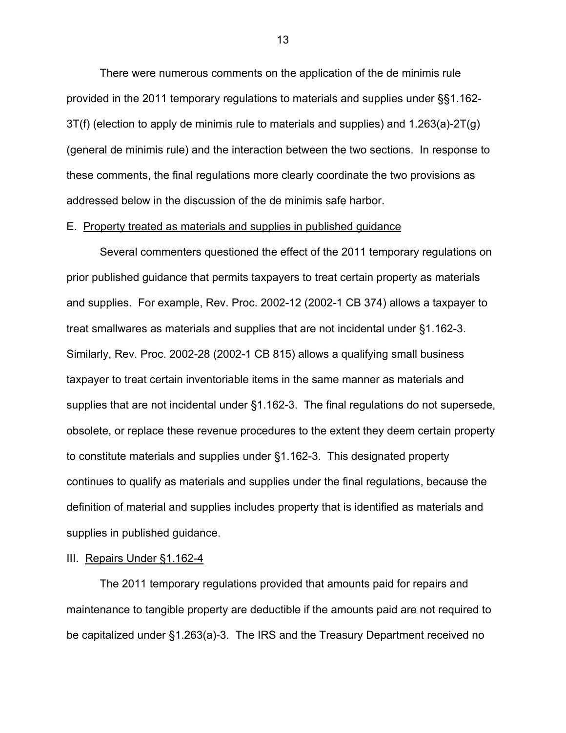There were numerous comments on the application of the de minimis rule provided in the 2011 temporary regulations to materials and supplies under §§1.162- 3T(f) (election to apply de minimis rule to materials and supplies) and 1.263(a)-2T(g) (general de minimis rule) and the interaction between the two sections. In response to these comments, the final regulations more clearly coordinate the two provisions as addressed below in the discussion of the de minimis safe harbor.

### E. Property treated as materials and supplies in published guidance

Several commenters questioned the effect of the 2011 temporary regulations on prior published guidance that permits taxpayers to treat certain property as materials and supplies. For example, Rev. Proc. 2002-12 (2002-1 CB 374) allows a taxpayer to treat smallwares as materials and supplies that are not incidental under §1.162-3. Similarly, Rev. Proc. 2002-28 (2002-1 CB 815) allows a qualifying small business taxpayer to treat certain inventoriable items in the same manner as materials and supplies that are not incidental under §1.162-3. The final regulations do not supersede, obsolete, or replace these revenue procedures to the extent they deem certain property to constitute materials and supplies under §1.162-3. This designated property continues to qualify as materials and supplies under the final regulations, because the definition of material and supplies includes property that is identified as materials and supplies in published guidance.

# III. Repairs Under §1.162-4

The 2011 temporary regulations provided that amounts paid for repairs and maintenance to tangible property are deductible if the amounts paid are not required to be capitalized under §1.263(a)-3. The IRS and the Treasury Department received no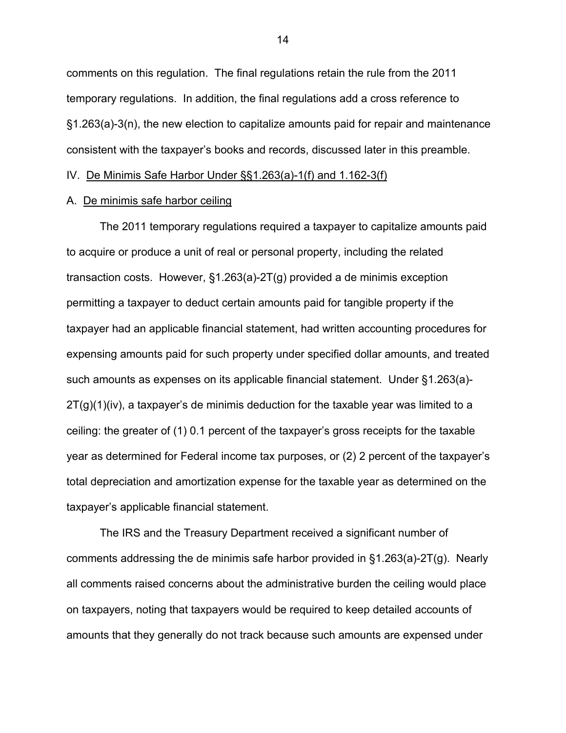comments on this regulation. The final regulations retain the rule from the 2011 temporary regulations. In addition, the final regulations add a cross reference to §1.263(a)-3(n), the new election to capitalize amounts paid for repair and maintenance consistent with the taxpayer's books and records, discussed later in this preamble.

IV. De Minimis Safe Harbor Under §§1.263(a)-1(f) and 1.162-3(f)

### A. De minimis safe harbor ceiling

The 2011 temporary regulations required a taxpayer to capitalize amounts paid to acquire or produce a unit of real or personal property, including the related transaction costs. However, §1.263(a)-2T(g) provided a de minimis exception permitting a taxpayer to deduct certain amounts paid for tangible property if the taxpayer had an applicable financial statement, had written accounting procedures for expensing amounts paid for such property under specified dollar amounts, and treated such amounts as expenses on its applicable financial statement. Under §1.263(a)-  $2T(g)(1)(iv)$ , a taxpayer's de minimis deduction for the taxable year was limited to a ceiling: the greater of (1) 0.1 percent of the taxpayer's gross receipts for the taxable year as determined for Federal income tax purposes, or (2) 2 percent of the taxpayer's total depreciation and amortization expense for the taxable year as determined on the taxpayer's applicable financial statement.

The IRS and the Treasury Department received a significant number of comments addressing the de minimis safe harbor provided in §1.263(a)-2T(g). Nearly all comments raised concerns about the administrative burden the ceiling would place on taxpayers, noting that taxpayers would be required to keep detailed accounts of amounts that they generally do not track because such amounts are expensed under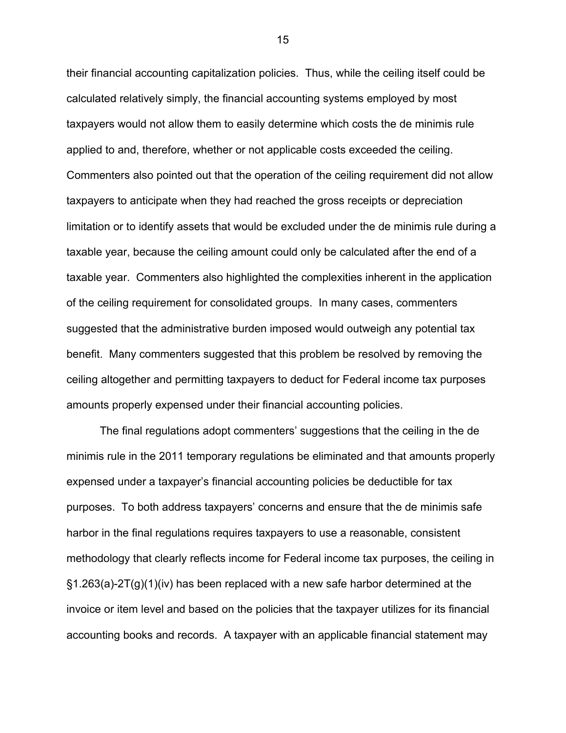their financial accounting capitalization policies. Thus, while the ceiling itself could be calculated relatively simply, the financial accounting systems employed by most taxpayers would not allow them to easily determine which costs the de minimis rule applied to and, therefore, whether or not applicable costs exceeded the ceiling. Commenters also pointed out that the operation of the ceiling requirement did not allow taxpayers to anticipate when they had reached the gross receipts or depreciation limitation or to identify assets that would be excluded under the de minimis rule during a taxable year, because the ceiling amount could only be calculated after the end of a taxable year. Commenters also highlighted the complexities inherent in the application of the ceiling requirement for consolidated groups. In many cases, commenters suggested that the administrative burden imposed would outweigh any potential tax benefit. Many commenters suggested that this problem be resolved by removing the ceiling altogether and permitting taxpayers to deduct for Federal income tax purposes amounts properly expensed under their financial accounting policies.

The final regulations adopt commenters' suggestions that the ceiling in the de minimis rule in the 2011 temporary regulations be eliminated and that amounts properly expensed under a taxpayer's financial accounting policies be deductible for tax purposes. To both address taxpayers' concerns and ensure that the de minimis safe harbor in the final regulations requires taxpayers to use a reasonable, consistent methodology that clearly reflects income for Federal income tax purposes, the ceiling in §1.263(a)-2T(g)(1)(iv) has been replaced with a new safe harbor determined at the invoice or item level and based on the policies that the taxpayer utilizes for its financial accounting books and records. A taxpayer with an applicable financial statement may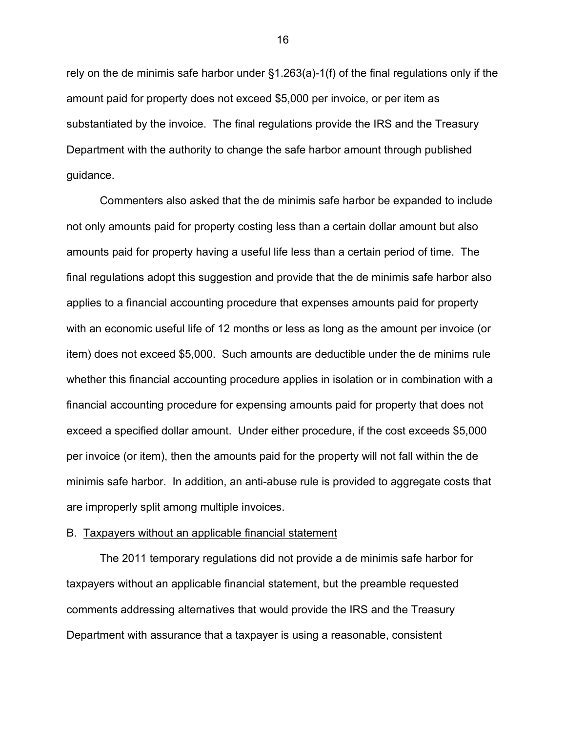rely on the de minimis safe harbor under §1.263(a)-1(f) of the final regulations only if the amount paid for property does not exceed \$5,000 per invoice, or per item as substantiated by the invoice. The final regulations provide the IRS and the Treasury Department with the authority to change the safe harbor amount through published guidance.

Commenters also asked that the de minimis safe harbor be expanded to include not only amounts paid for property costing less than a certain dollar amount but also amounts paid for property having a useful life less than a certain period of time. The final regulations adopt this suggestion and provide that the de minimis safe harbor also applies to a financial accounting procedure that expenses amounts paid for property with an economic useful life of 12 months or less as long as the amount per invoice (or item) does not exceed \$5,000. Such amounts are deductible under the de minims rule whether this financial accounting procedure applies in isolation or in combination with a financial accounting procedure for expensing amounts paid for property that does not exceed a specified dollar amount. Under either procedure, if the cost exceeds \$5,000 per invoice (or item), then the amounts paid for the property will not fall within the de minimis safe harbor. In addition, an anti-abuse rule is provided to aggregate costs that are improperly split among multiple invoices.

# B. Taxpayers without an applicable financial statement

The 2011 temporary regulations did not provide a de minimis safe harbor for taxpayers without an applicable financial statement, but the preamble requested comments addressing alternatives that would provide the IRS and the Treasury Department with assurance that a taxpayer is using a reasonable, consistent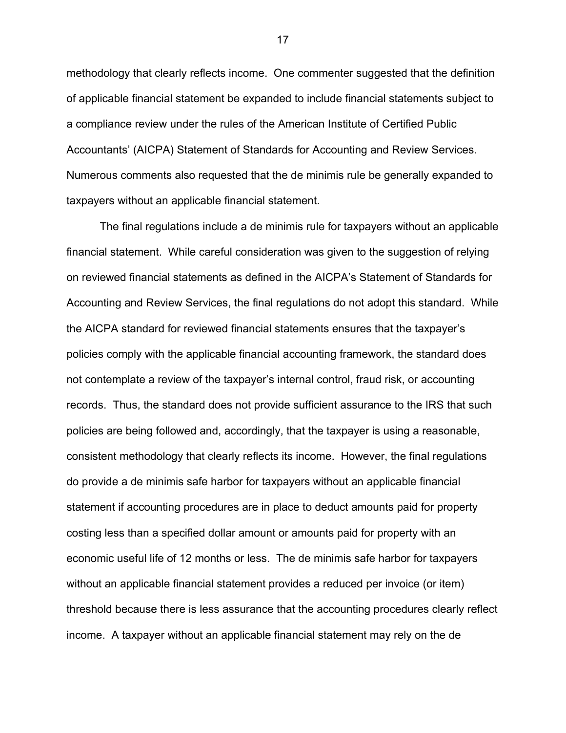methodology that clearly reflects income. One commenter suggested that the definition of applicable financial statement be expanded to include financial statements subject to a compliance review under the rules of the American Institute of Certified Public Accountants' (AICPA) Statement of Standards for Accounting and Review Services. Numerous comments also requested that the de minimis rule be generally expanded to taxpayers without an applicable financial statement.

The final regulations include a de minimis rule for taxpayers without an applicable financial statement. While careful consideration was given to the suggestion of relying on reviewed financial statements as defined in the AICPA's Statement of Standards for Accounting and Review Services, the final regulations do not adopt this standard. While the AICPA standard for reviewed financial statements ensures that the taxpayer's policies comply with the applicable financial accounting framework, the standard does not contemplate a review of the taxpayer's internal control, fraud risk, or accounting records. Thus, the standard does not provide sufficient assurance to the IRS that such policies are being followed and, accordingly, that the taxpayer is using a reasonable, consistent methodology that clearly reflects its income. However, the final regulations do provide a de minimis safe harbor for taxpayers without an applicable financial statement if accounting procedures are in place to deduct amounts paid for property costing less than a specified dollar amount or amounts paid for property with an economic useful life of 12 months or less. The de minimis safe harbor for taxpayers without an applicable financial statement provides a reduced per invoice (or item) threshold because there is less assurance that the accounting procedures clearly reflect income. A taxpayer without an applicable financial statement may rely on the de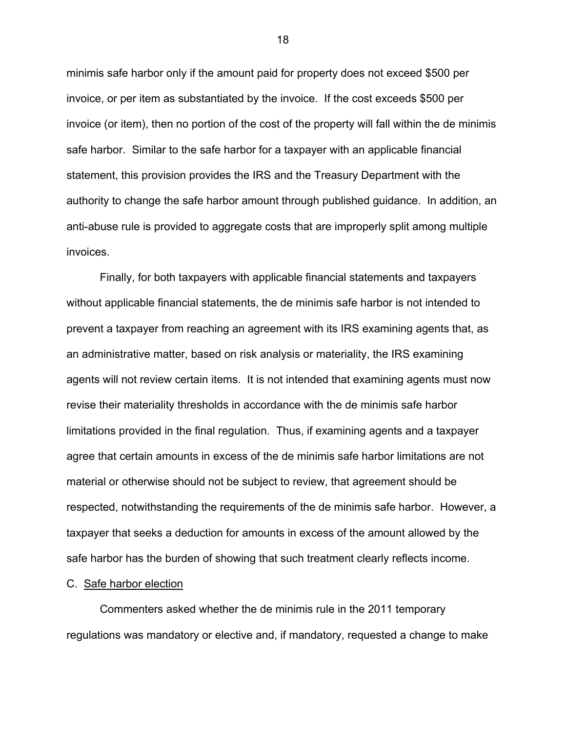minimis safe harbor only if the amount paid for property does not exceed \$500 per invoice, or per item as substantiated by the invoice. If the cost exceeds \$500 per invoice (or item), then no portion of the cost of the property will fall within the de minimis safe harbor. Similar to the safe harbor for a taxpayer with an applicable financial statement, this provision provides the IRS and the Treasury Department with the authority to change the safe harbor amount through published guidance. In addition, an anti-abuse rule is provided to aggregate costs that are improperly split among multiple invoices.

Finally, for both taxpayers with applicable financial statements and taxpayers without applicable financial statements, the de minimis safe harbor is not intended to prevent a taxpayer from reaching an agreement with its IRS examining agents that, as an administrative matter, based on risk analysis or materiality, the IRS examining agents will not review certain items. It is not intended that examining agents must now revise their materiality thresholds in accordance with the de minimis safe harbor limitations provided in the final regulation. Thus, if examining agents and a taxpayer agree that certain amounts in excess of the de minimis safe harbor limitations are not material or otherwise should not be subject to review, that agreement should be respected, notwithstanding the requirements of the de minimis safe harbor. However, a taxpayer that seeks a deduction for amounts in excess of the amount allowed by the safe harbor has the burden of showing that such treatment clearly reflects income.

# C. Safe harbor election

 Commenters asked whether the de minimis rule in the 2011 temporary regulations was mandatory or elective and, if mandatory, requested a change to make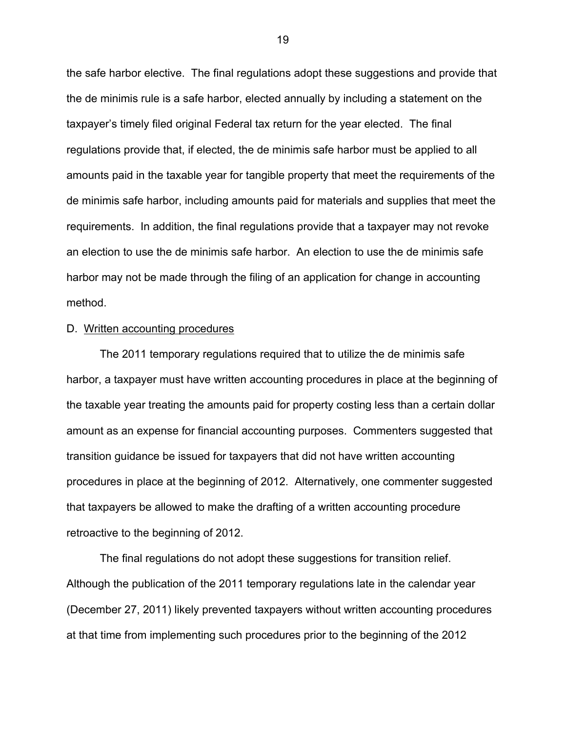the safe harbor elective. The final regulations adopt these suggestions and provide that the de minimis rule is a safe harbor, elected annually by including a statement on the taxpayer's timely filed original Federal tax return for the year elected. The final regulations provide that, if elected, the de minimis safe harbor must be applied to all amounts paid in the taxable year for tangible property that meet the requirements of the de minimis safe harbor, including amounts paid for materials and supplies that meet the requirements. In addition, the final regulations provide that a taxpayer may not revoke an election to use the de minimis safe harbor. An election to use the de minimis safe harbor may not be made through the filing of an application for change in accounting method.

#### D. Written accounting procedures

The 2011 temporary regulations required that to utilize the de minimis safe harbor, a taxpayer must have written accounting procedures in place at the beginning of the taxable year treating the amounts paid for property costing less than a certain dollar amount as an expense for financial accounting purposes. Commenters suggested that transition guidance be issued for taxpayers that did not have written accounting procedures in place at the beginning of 2012. Alternatively, one commenter suggested that taxpayers be allowed to make the drafting of a written accounting procedure retroactive to the beginning of 2012.

The final regulations do not adopt these suggestions for transition relief. Although the publication of the 2011 temporary regulations late in the calendar year (December 27, 2011) likely prevented taxpayers without written accounting procedures at that time from implementing such procedures prior to the beginning of the 2012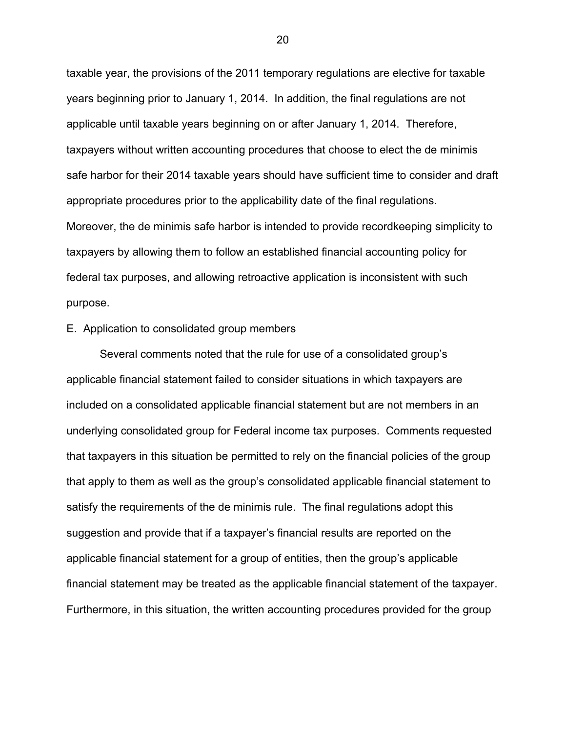taxable year, the provisions of the 2011 temporary regulations are elective for taxable years beginning prior to January 1, 2014. In addition, the final regulations are not applicable until taxable years beginning on or after January 1, 2014. Therefore, taxpayers without written accounting procedures that choose to elect the de minimis safe harbor for their 2014 taxable years should have sufficient time to consider and draft appropriate procedures prior to the applicability date of the final regulations. Moreover, the de minimis safe harbor is intended to provide recordkeeping simplicity to taxpayers by allowing them to follow an established financial accounting policy for federal tax purposes, and allowing retroactive application is inconsistent with such purpose.

### E. Application to consolidated group members

Several comments noted that the rule for use of a consolidated group's applicable financial statement failed to consider situations in which taxpayers are included on a consolidated applicable financial statement but are not members in an underlying consolidated group for Federal income tax purposes. Comments requested that taxpayers in this situation be permitted to rely on the financial policies of the group that apply to them as well as the group's consolidated applicable financial statement to satisfy the requirements of the de minimis rule. The final regulations adopt this suggestion and provide that if a taxpayer's financial results are reported on the applicable financial statement for a group of entities, then the group's applicable financial statement may be treated as the applicable financial statement of the taxpayer. Furthermore, in this situation, the written accounting procedures provided for the group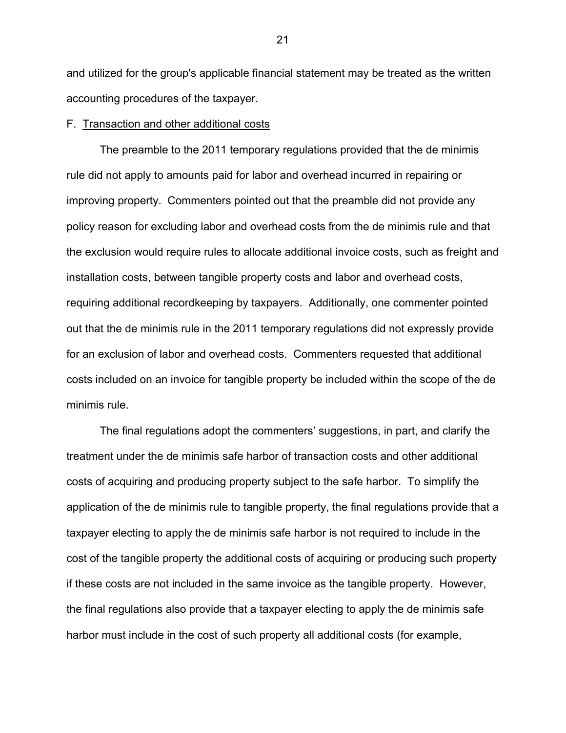and utilized for the group's applicable financial statement may be treated as the written accounting procedures of the taxpayer.

# F. Transaction and other additional costs

The preamble to the 2011 temporary regulations provided that the de minimis rule did not apply to amounts paid for labor and overhead incurred in repairing or improving property. Commenters pointed out that the preamble did not provide any policy reason for excluding labor and overhead costs from the de minimis rule and that the exclusion would require rules to allocate additional invoice costs, such as freight and installation costs, between tangible property costs and labor and overhead costs, requiring additional recordkeeping by taxpayers. Additionally, one commenter pointed out that the de minimis rule in the 2011 temporary regulations did not expressly provide for an exclusion of labor and overhead costs. Commenters requested that additional costs included on an invoice for tangible property be included within the scope of the de minimis rule.

The final regulations adopt the commenters' suggestions, in part, and clarify the treatment under the de minimis safe harbor of transaction costs and other additional costs of acquiring and producing property subject to the safe harbor. To simplify the application of the de minimis rule to tangible property, the final regulations provide that a taxpayer electing to apply the de minimis safe harbor is not required to include in the cost of the tangible property the additional costs of acquiring or producing such property if these costs are not included in the same invoice as the tangible property. However, the final regulations also provide that a taxpayer electing to apply the de minimis safe harbor must include in the cost of such property all additional costs (for example,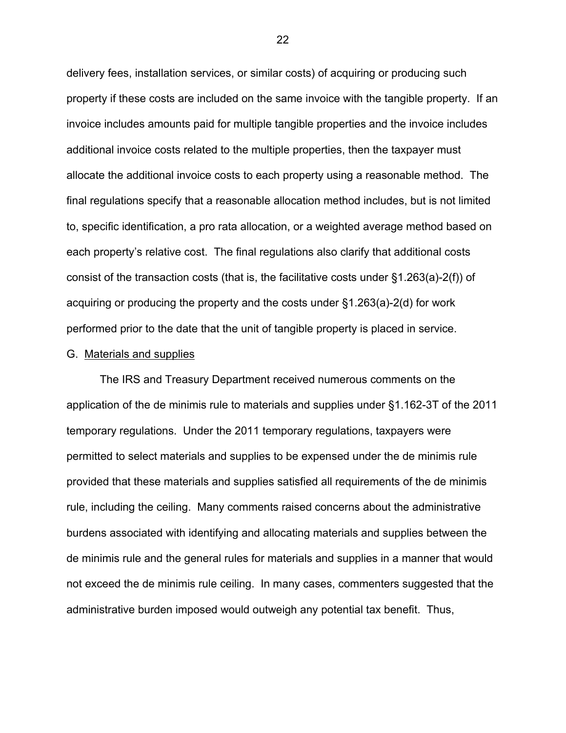delivery fees, installation services, or similar costs) of acquiring or producing such property if these costs are included on the same invoice with the tangible property. If an invoice includes amounts paid for multiple tangible properties and the invoice includes additional invoice costs related to the multiple properties, then the taxpayer must allocate the additional invoice costs to each property using a reasonable method. The final regulations specify that a reasonable allocation method includes, but is not limited to, specific identification, a pro rata allocation, or a weighted average method based on each property's relative cost. The final regulations also clarify that additional costs consist of the transaction costs (that is, the facilitative costs under §1.263(a)-2(f)) of acquiring or producing the property and the costs under §1.263(a)-2(d) for work performed prior to the date that the unit of tangible property is placed in service.

# G. Materials and supplies

The IRS and Treasury Department received numerous comments on the application of the de minimis rule to materials and supplies under §1.162-3T of the 2011 temporary regulations. Under the 2011 temporary regulations, taxpayers were permitted to select materials and supplies to be expensed under the de minimis rule provided that these materials and supplies satisfied all requirements of the de minimis rule, including the ceiling. Many comments raised concerns about the administrative burdens associated with identifying and allocating materials and supplies between the de minimis rule and the general rules for materials and supplies in a manner that would not exceed the de minimis rule ceiling. In many cases, commenters suggested that the administrative burden imposed would outweigh any potential tax benefit. Thus,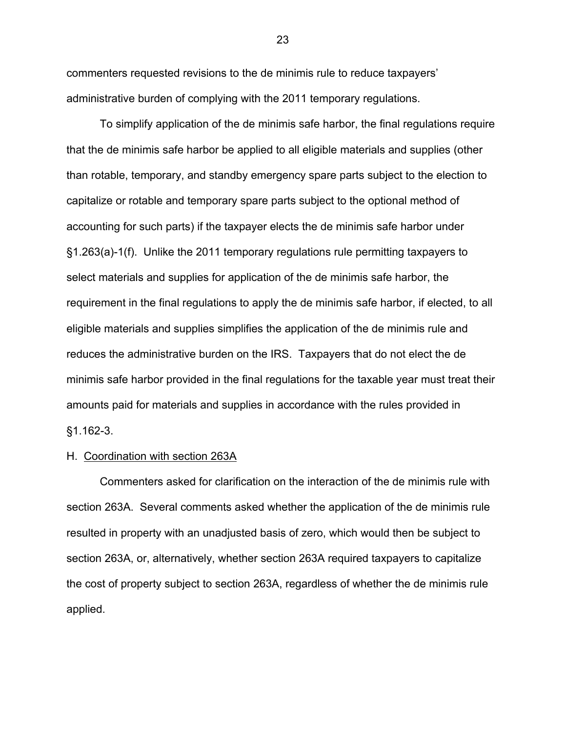commenters requested revisions to the de minimis rule to reduce taxpayers' administrative burden of complying with the 2011 temporary regulations.

To simplify application of the de minimis safe harbor, the final regulations require that the de minimis safe harbor be applied to all eligible materials and supplies (other than rotable, temporary, and standby emergency spare parts subject to the election to capitalize or rotable and temporary spare parts subject to the optional method of accounting for such parts) if the taxpayer elects the de minimis safe harbor under §1.263(a)-1(f). Unlike the 2011 temporary regulations rule permitting taxpayers to select materials and supplies for application of the de minimis safe harbor, the requirement in the final regulations to apply the de minimis safe harbor, if elected, to all eligible materials and supplies simplifies the application of the de minimis rule and reduces the administrative burden on the IRS. Taxpayers that do not elect the de minimis safe harbor provided in the final regulations for the taxable year must treat their amounts paid for materials and supplies in accordance with the rules provided in §1.162-3.

### H. Coordination with section 263A

Commenters asked for clarification on the interaction of the de minimis rule with section 263A. Several comments asked whether the application of the de minimis rule resulted in property with an unadjusted basis of zero, which would then be subject to section 263A, or, alternatively, whether section 263A required taxpayers to capitalize the cost of property subject to section 263A, regardless of whether the de minimis rule applied.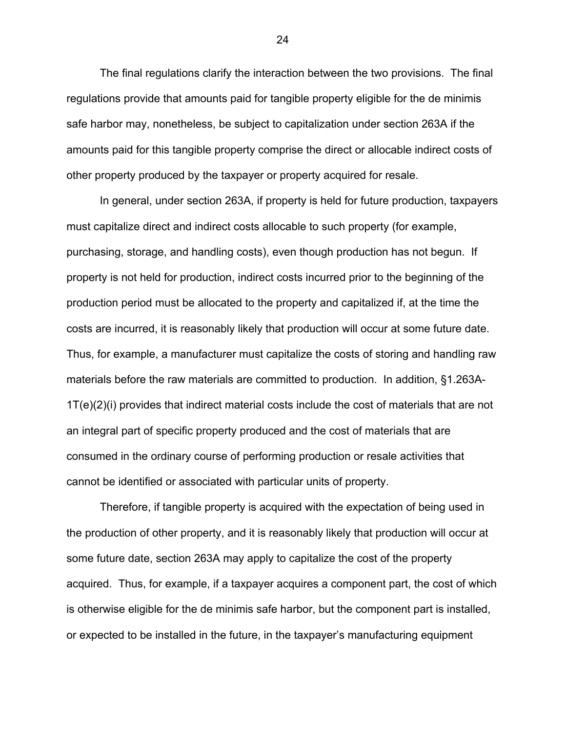The final regulations clarify the interaction between the two provisions. The final regulations provide that amounts paid for tangible property eligible for the de minimis safe harbor may, nonetheless, be subject to capitalization under section 263A if the amounts paid for this tangible property comprise the direct or allocable indirect costs of other property produced by the taxpayer or property acquired for resale.

In general, under section 263A, if property is held for future production, taxpayers must capitalize direct and indirect costs allocable to such property (for example, purchasing, storage, and handling costs), even though production has not begun. If property is not held for production, indirect costs incurred prior to the beginning of the production period must be allocated to the property and capitalized if, at the time the costs are incurred, it is reasonably likely that production will occur at some future date. Thus, for example, a manufacturer must capitalize the costs of storing and handling raw materials before the raw materials are committed to production. In addition, §1.263A-1T(e)(2)(i) provides that indirect material costs include the cost of materials that are not an integral part of specific property produced and the cost of materials that are consumed in the ordinary course of performing production or resale activities that cannot be identified or associated with particular units of property.

Therefore, if tangible property is acquired with the expectation of being used in the production of other property, and it is reasonably likely that production will occur at some future date, section 263A may apply to capitalize the cost of the property acquired. Thus, for example, if a taxpayer acquires a component part, the cost of which is otherwise eligible for the de minimis safe harbor, but the component part is installed, or expected to be installed in the future, in the taxpayer's manufacturing equipment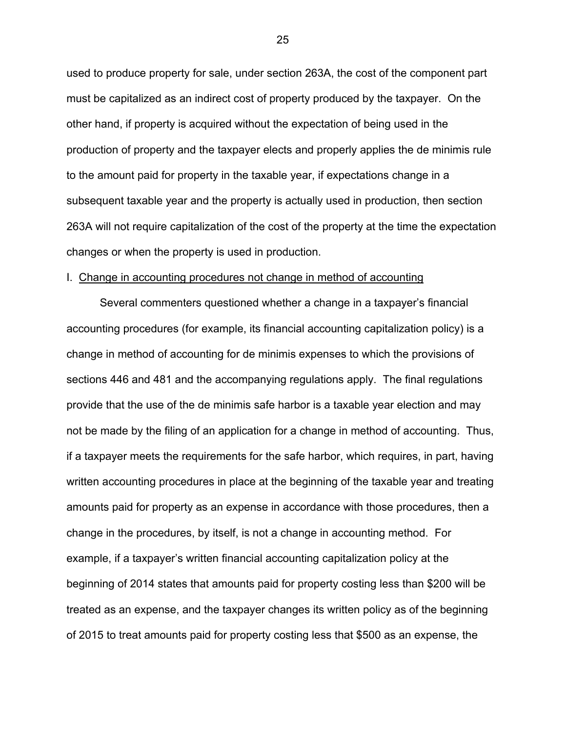used to produce property for sale, under section 263A, the cost of the component part must be capitalized as an indirect cost of property produced by the taxpayer. On the other hand, if property is acquired without the expectation of being used in the production of property and the taxpayer elects and properly applies the de minimis rule to the amount paid for property in the taxable year, if expectations change in a subsequent taxable year and the property is actually used in production, then section 263A will not require capitalization of the cost of the property at the time the expectation changes or when the property is used in production.

### I. Change in accounting procedures not change in method of accounting

Several commenters questioned whether a change in a taxpayer's financial accounting procedures (for example, its financial accounting capitalization policy) is a change in method of accounting for de minimis expenses to which the provisions of sections 446 and 481 and the accompanying regulations apply. The final regulations provide that the use of the de minimis safe harbor is a taxable year election and may not be made by the filing of an application for a change in method of accounting. Thus, if a taxpayer meets the requirements for the safe harbor, which requires, in part, having written accounting procedures in place at the beginning of the taxable year and treating amounts paid for property as an expense in accordance with those procedures, then a change in the procedures, by itself, is not a change in accounting method. For example, if a taxpayer's written financial accounting capitalization policy at the beginning of 2014 states that amounts paid for property costing less than \$200 will be treated as an expense, and the taxpayer changes its written policy as of the beginning of 2015 to treat amounts paid for property costing less that \$500 as an expense, the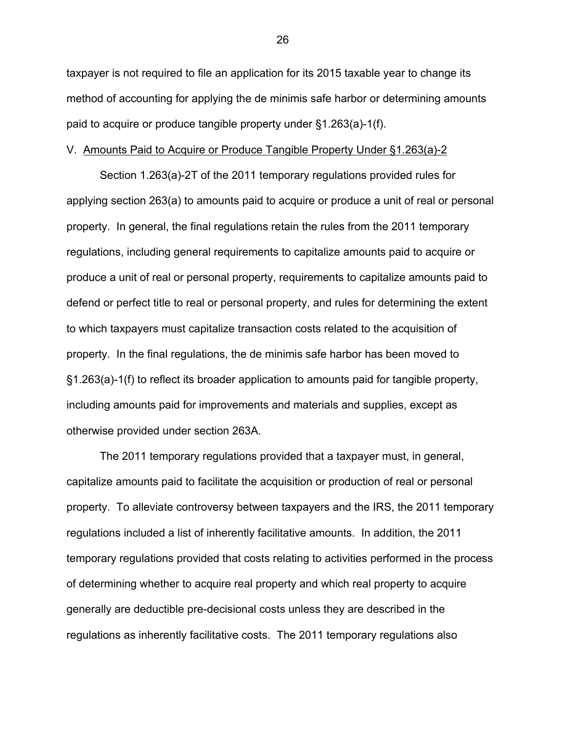taxpayer is not required to file an application for its 2015 taxable year to change its method of accounting for applying the de minimis safe harbor or determining amounts paid to acquire or produce tangible property under §1.263(a)-1(f).

### V. Amounts Paid to Acquire or Produce Tangible Property Under §1.263(a)-2

Section 1.263(a)-2T of the 2011 temporary regulations provided rules for applying section 263(a) to amounts paid to acquire or produce a unit of real or personal property. In general, the final regulations retain the rules from the 2011 temporary regulations, including general requirements to capitalize amounts paid to acquire or produce a unit of real or personal property, requirements to capitalize amounts paid to defend or perfect title to real or personal property, and rules for determining the extent to which taxpayers must capitalize transaction costs related to the acquisition of property. In the final regulations, the de minimis safe harbor has been moved to §1.263(a)-1(f) to reflect its broader application to amounts paid for tangible property, including amounts paid for improvements and materials and supplies, except as otherwise provided under section 263A.

The 2011 temporary regulations provided that a taxpayer must, in general, capitalize amounts paid to facilitate the acquisition or production of real or personal property. To alleviate controversy between taxpayers and the IRS, the 2011 temporary regulations included a list of inherently facilitative amounts. In addition, the 2011 temporary regulations provided that costs relating to activities performed in the process of determining whether to acquire real property and which real property to acquire generally are deductible pre-decisional costs unless they are described in the regulations as inherently facilitative costs. The 2011 temporary regulations also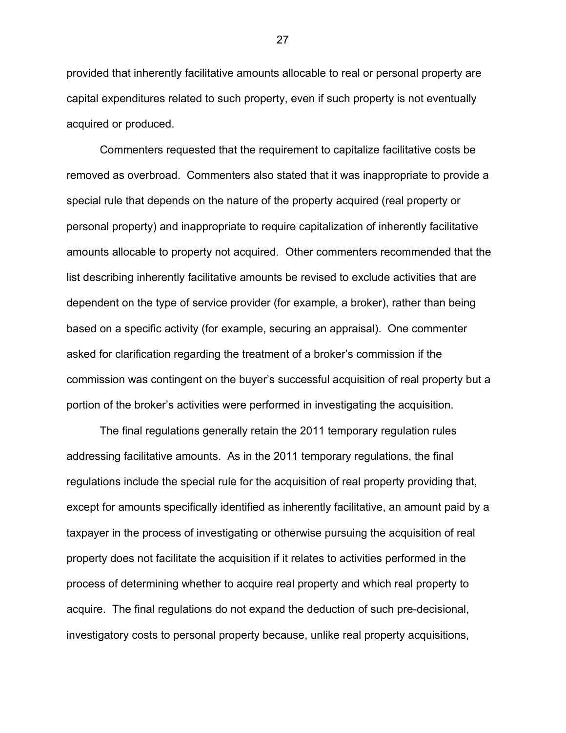provided that inherently facilitative amounts allocable to real or personal property are capital expenditures related to such property, even if such property is not eventually acquired or produced.

Commenters requested that the requirement to capitalize facilitative costs be removed as overbroad. Commenters also stated that it was inappropriate to provide a special rule that depends on the nature of the property acquired (real property or personal property) and inappropriate to require capitalization of inherently facilitative amounts allocable to property not acquired. Other commenters recommended that the list describing inherently facilitative amounts be revised to exclude activities that are dependent on the type of service provider (for example, a broker), rather than being based on a specific activity (for example, securing an appraisal). One commenter asked for clarification regarding the treatment of a broker's commission if the commission was contingent on the buyer's successful acquisition of real property but a portion of the broker's activities were performed in investigating the acquisition.

The final regulations generally retain the 2011 temporary regulation rules addressing facilitative amounts. As in the 2011 temporary regulations, the final regulations include the special rule for the acquisition of real property providing that, except for amounts specifically identified as inherently facilitative, an amount paid by a taxpayer in the process of investigating or otherwise pursuing the acquisition of real property does not facilitate the acquisition if it relates to activities performed in the process of determining whether to acquire real property and which real property to acquire. The final regulations do not expand the deduction of such pre-decisional, investigatory costs to personal property because, unlike real property acquisitions,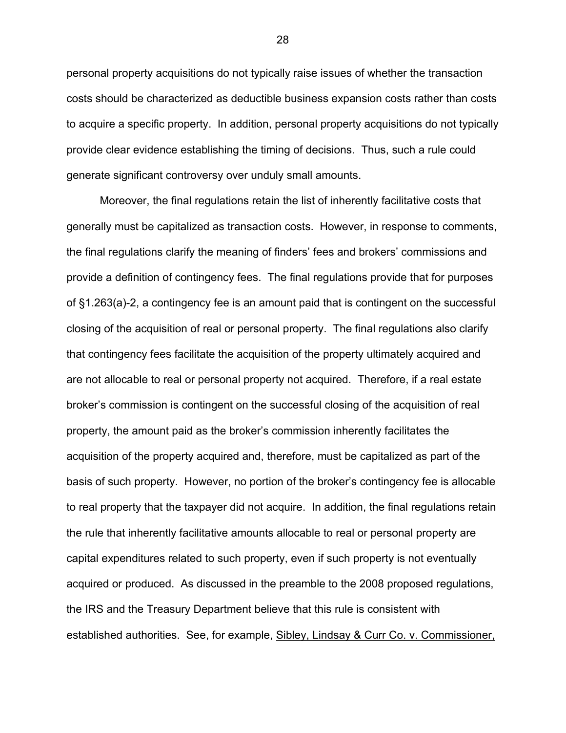personal property acquisitions do not typically raise issues of whether the transaction costs should be characterized as deductible business expansion costs rather than costs to acquire a specific property. In addition, personal property acquisitions do not typically provide clear evidence establishing the timing of decisions. Thus, such a rule could generate significant controversy over unduly small amounts.

Moreover, the final regulations retain the list of inherently facilitative costs that generally must be capitalized as transaction costs. However, in response to comments, the final regulations clarify the meaning of finders' fees and brokers' commissions and provide a definition of contingency fees. The final regulations provide that for purposes of §1.263(a)-2, a contingency fee is an amount paid that is contingent on the successful closing of the acquisition of real or personal property. The final regulations also clarify that contingency fees facilitate the acquisition of the property ultimately acquired and are not allocable to real or personal property not acquired. Therefore, if a real estate broker's commission is contingent on the successful closing of the acquisition of real property, the amount paid as the broker's commission inherently facilitates the acquisition of the property acquired and, therefore, must be capitalized as part of the basis of such property. However, no portion of the broker's contingency fee is allocable to real property that the taxpayer did not acquire. In addition, the final regulations retain the rule that inherently facilitative amounts allocable to real or personal property are capital expenditures related to such property, even if such property is not eventually acquired or produced. As discussed in the preamble to the 2008 proposed regulations, the IRS and the Treasury Department believe that this rule is consistent with established authorities. See, for example, Sibley, Lindsay & Curr Co. v. Commissioner,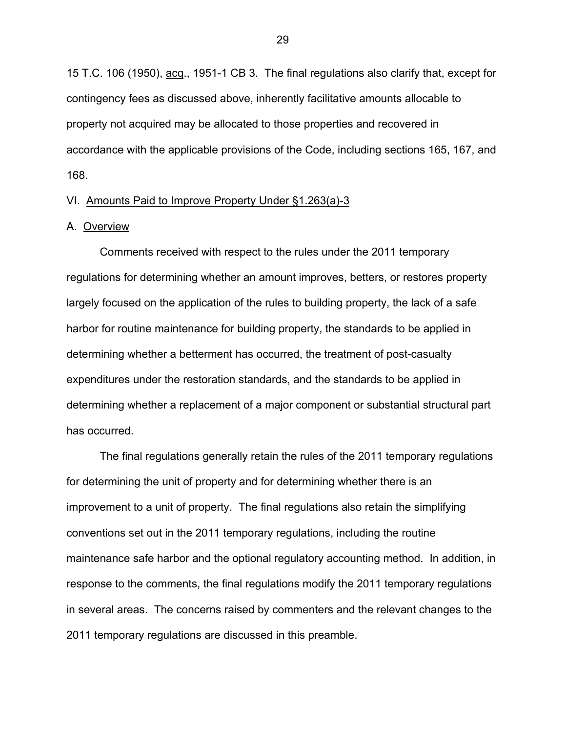15 T.C. 106 (1950), acq., 1951-1 CB 3. The final regulations also clarify that, except for contingency fees as discussed above, inherently facilitative amounts allocable to property not acquired may be allocated to those properties and recovered in accordance with the applicable provisions of the Code, including sections 165, 167, and 168.

### VI. Amounts Paid to Improve Property Under §1.263(a)-3

### A. Overview

Comments received with respect to the rules under the 2011 temporary regulations for determining whether an amount improves, betters, or restores property largely focused on the application of the rules to building property, the lack of a safe harbor for routine maintenance for building property, the standards to be applied in determining whether a betterment has occurred, the treatment of post-casualty expenditures under the restoration standards, and the standards to be applied in determining whether a replacement of a major component or substantial structural part has occurred.

The final regulations generally retain the rules of the 2011 temporary regulations for determining the unit of property and for determining whether there is an improvement to a unit of property. The final regulations also retain the simplifying conventions set out in the 2011 temporary regulations, including the routine maintenance safe harbor and the optional regulatory accounting method. In addition, in response to the comments, the final regulations modify the 2011 temporary regulations in several areas. The concerns raised by commenters and the relevant changes to the 2011 temporary regulations are discussed in this preamble.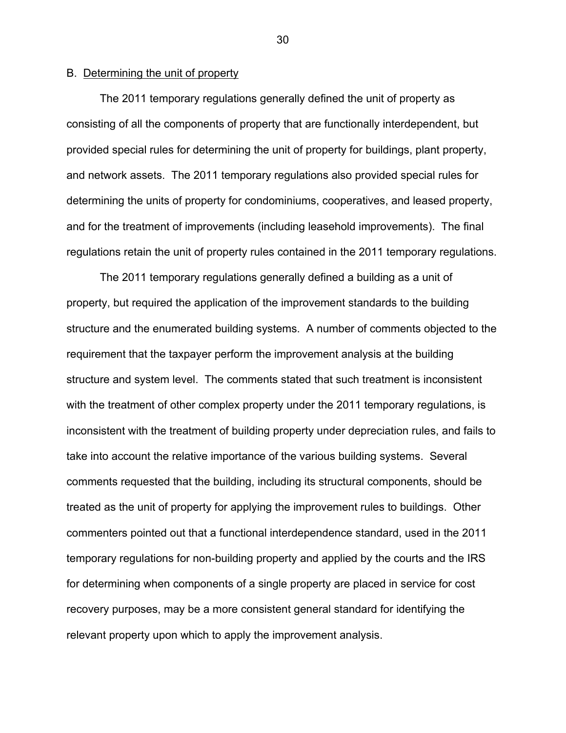# B. Determining the unit of property

The 2011 temporary regulations generally defined the unit of property as consisting of all the components of property that are functionally interdependent, but provided special rules for determining the unit of property for buildings, plant property, and network assets. The 2011 temporary regulations also provided special rules for determining the units of property for condominiums, cooperatives, and leased property, and for the treatment of improvements (including leasehold improvements). The final regulations retain the unit of property rules contained in the 2011 temporary regulations.

The 2011 temporary regulations generally defined a building as a unit of property, but required the application of the improvement standards to the building structure and the enumerated building systems. A number of comments objected to the requirement that the taxpayer perform the improvement analysis at the building structure and system level. The comments stated that such treatment is inconsistent with the treatment of other complex property under the 2011 temporary regulations, is inconsistent with the treatment of building property under depreciation rules, and fails to take into account the relative importance of the various building systems. Several comments requested that the building, including its structural components, should be treated as the unit of property for applying the improvement rules to buildings. Other commenters pointed out that a functional interdependence standard, used in the 2011 temporary regulations for non-building property and applied by the courts and the IRS for determining when components of a single property are placed in service for cost recovery purposes, may be a more consistent general standard for identifying the relevant property upon which to apply the improvement analysis.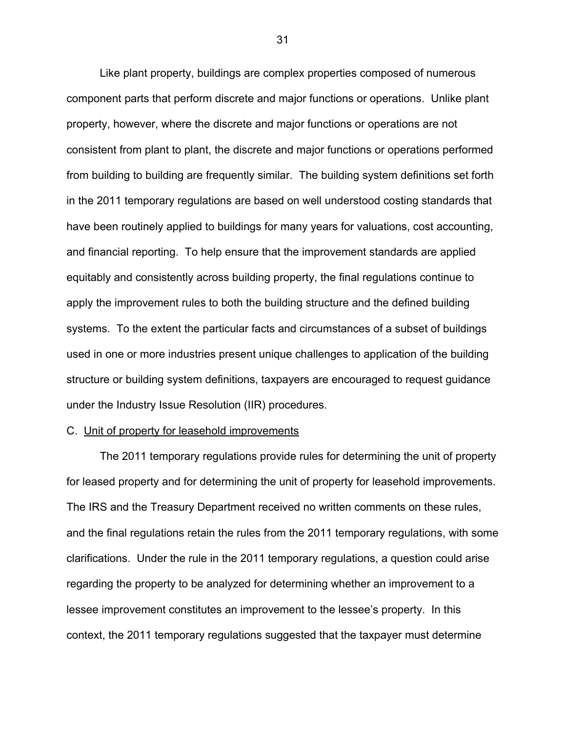Like plant property, buildings are complex properties composed of numerous component parts that perform discrete and major functions or operations. Unlike plant property, however, where the discrete and major functions or operations are not consistent from plant to plant, the discrete and major functions or operations performed from building to building are frequently similar. The building system definitions set forth in the 2011 temporary regulations are based on well understood costing standards that have been routinely applied to buildings for many years for valuations, cost accounting, and financial reporting. To help ensure that the improvement standards are applied equitably and consistently across building property, the final regulations continue to apply the improvement rules to both the building structure and the defined building systems. To the extent the particular facts and circumstances of a subset of buildings used in one or more industries present unique challenges to application of the building structure or building system definitions, taxpayers are encouraged to request guidance under the Industry Issue Resolution (IIR) procedures.

### C. Unit of property for leasehold improvements

The 2011 temporary regulations provide rules for determining the unit of property for leased property and for determining the unit of property for leasehold improvements. The IRS and the Treasury Department received no written comments on these rules, and the final regulations retain the rules from the 2011 temporary regulations, with some clarifications. Under the rule in the 2011 temporary regulations, a question could arise regarding the property to be analyzed for determining whether an improvement to a lessee improvement constitutes an improvement to the lessee's property. In this context, the 2011 temporary regulations suggested that the taxpayer must determine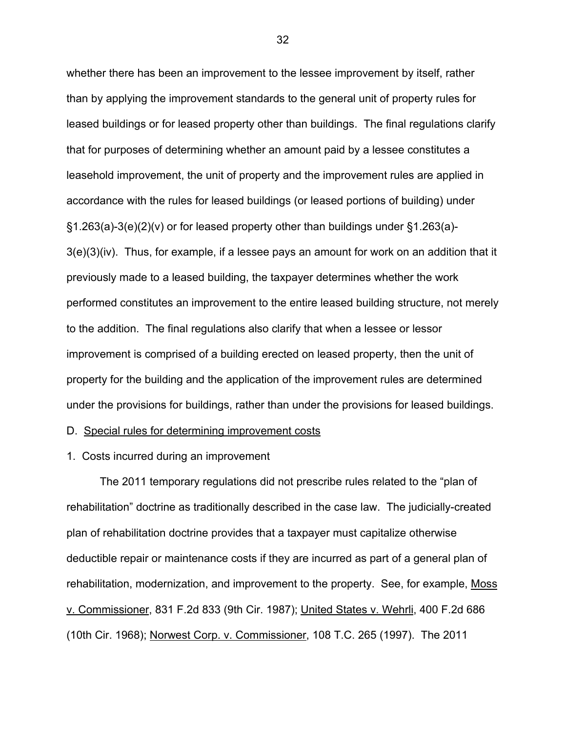whether there has been an improvement to the lessee improvement by itself, rather than by applying the improvement standards to the general unit of property rules for leased buildings or for leased property other than buildings. The final regulations clarify that for purposes of determining whether an amount paid by a lessee constitutes a leasehold improvement, the unit of property and the improvement rules are applied in accordance with the rules for leased buildings (or leased portions of building) under §1.263(a)-3(e)(2)(v) or for leased property other than buildings under §1.263(a)- 3(e)(3)(iv). Thus, for example, if a lessee pays an amount for work on an addition that it previously made to a leased building, the taxpayer determines whether the work performed constitutes an improvement to the entire leased building structure, not merely to the addition. The final regulations also clarify that when a lessee or lessor improvement is comprised of a building erected on leased property, then the unit of property for the building and the application of the improvement rules are determined under the provisions for buildings, rather than under the provisions for leased buildings.

D. Special rules for determining improvement costs

1. Costs incurred during an improvement

The 2011 temporary regulations did not prescribe rules related to the "plan of rehabilitation" doctrine as traditionally described in the case law. The judicially-created plan of rehabilitation doctrine provides that a taxpayer must capitalize otherwise deductible repair or maintenance costs if they are incurred as part of a general plan of rehabilitation, modernization, and improvement to the property. See, for example, Moss v. Commissioner, 831 F.2d 833 (9th Cir. 1987); United States v. Wehrli, 400 F.2d 686 (10th Cir. 1968); Norwest Corp. v. Commissioner, 108 T.C. 265 (1997). The 2011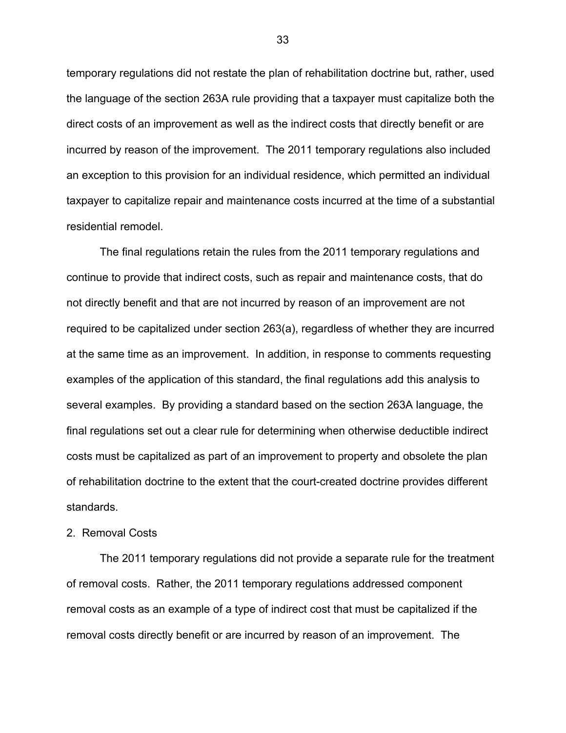temporary regulations did not restate the plan of rehabilitation doctrine but, rather, used the language of the section 263A rule providing that a taxpayer must capitalize both the direct costs of an improvement as well as the indirect costs that directly benefit or are incurred by reason of the improvement. The 2011 temporary regulations also included an exception to this provision for an individual residence, which permitted an individual taxpayer to capitalize repair and maintenance costs incurred at the time of a substantial residential remodel.

The final regulations retain the rules from the 2011 temporary regulations and continue to provide that indirect costs, such as repair and maintenance costs, that do not directly benefit and that are not incurred by reason of an improvement are not required to be capitalized under section 263(a), regardless of whether they are incurred at the same time as an improvement. In addition, in response to comments requesting examples of the application of this standard, the final regulations add this analysis to several examples. By providing a standard based on the section 263A language, the final regulations set out a clear rule for determining when otherwise deductible indirect costs must be capitalized as part of an improvement to property and obsolete the plan of rehabilitation doctrine to the extent that the court-created doctrine provides different standards.

### 2. Removal Costs

The 2011 temporary regulations did not provide a separate rule for the treatment of removal costs. Rather, the 2011 temporary regulations addressed component removal costs as an example of a type of indirect cost that must be capitalized if the removal costs directly benefit or are incurred by reason of an improvement. The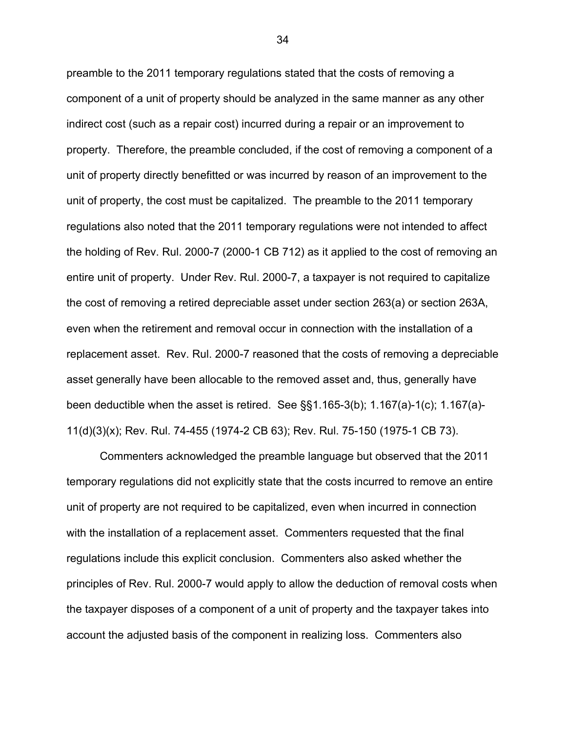preamble to the 2011 temporary regulations stated that the costs of removing a component of a unit of property should be analyzed in the same manner as any other indirect cost (such as a repair cost) incurred during a repair or an improvement to property. Therefore, the preamble concluded, if the cost of removing a component of a unit of property directly benefitted or was incurred by reason of an improvement to the unit of property, the cost must be capitalized. The preamble to the 2011 temporary regulations also noted that the 2011 temporary regulations were not intended to affect the holding of Rev. Rul. 2000-7 (2000-1 CB 712) as it applied to the cost of removing an entire unit of property. Under Rev. Rul. 2000-7, a taxpayer is not required to capitalize the cost of removing a retired depreciable asset under section 263(a) or section 263A, even when the retirement and removal occur in connection with the installation of a replacement asset. Rev. Rul. 2000-7 reasoned that the costs of removing a depreciable asset generally have been allocable to the removed asset and, thus, generally have been deductible when the asset is retired. See §§1.165-3(b); 1.167(a)-1(c); 1.167(a)- 11(d)(3)(x); Rev. Rul. 74-455 (1974-2 CB 63); Rev. Rul. 75-150 (1975-1 CB 73).

Commenters acknowledged the preamble language but observed that the 2011 temporary regulations did not explicitly state that the costs incurred to remove an entire unit of property are not required to be capitalized, even when incurred in connection with the installation of a replacement asset. Commenters requested that the final regulations include this explicit conclusion. Commenters also asked whether the principles of Rev. Rul. 2000-7 would apply to allow the deduction of removal costs when the taxpayer disposes of a component of a unit of property and the taxpayer takes into account the adjusted basis of the component in realizing loss. Commenters also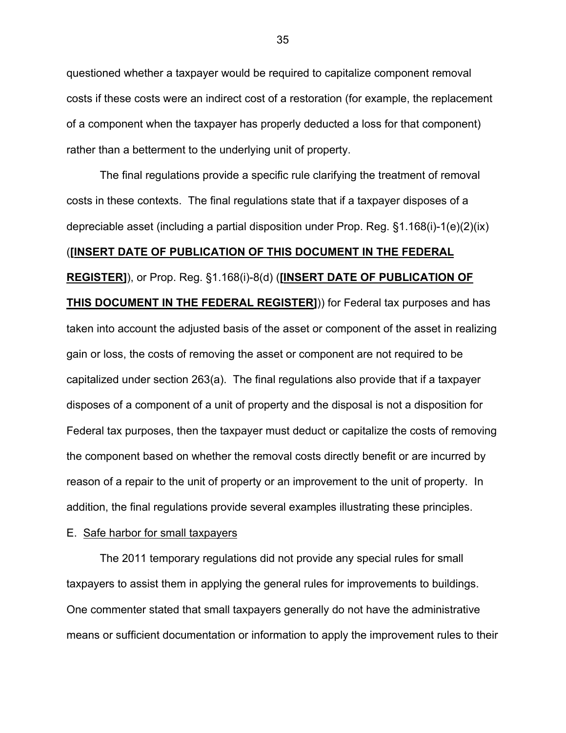questioned whether a taxpayer would be required to capitalize component removal costs if these costs were an indirect cost of a restoration (for example, the replacement of a component when the taxpayer has properly deducted a loss for that component) rather than a betterment to the underlying unit of property.

The final regulations provide a specific rule clarifying the treatment of removal costs in these contexts. The final regulations state that if a taxpayer disposes of a depreciable asset (including a partial disposition under Prop. Reg. §1.168(i)-1(e)(2)(ix) (**[INSERT DATE OF PUBLICATION OF THIS DOCUMENT IN THE FEDERAL REGISTER]**), or Prop. Reg. §1.168(i)-8(d) (**[INSERT DATE OF PUBLICATION OF THIS DOCUMENT IN THE FEDERAL REGISTER]**)) for Federal tax purposes and has taken into account the adjusted basis of the asset or component of the asset in realizing gain or loss, the costs of removing the asset or component are not required to be capitalized under section 263(a). The final regulations also provide that if a taxpayer disposes of a component of a unit of property and the disposal is not a disposition for Federal tax purposes, then the taxpayer must deduct or capitalize the costs of removing the component based on whether the removal costs directly benefit or are incurred by reason of a repair to the unit of property or an improvement to the unit of property. In addition, the final regulations provide several examples illustrating these principles.

### E. Safe harbor for small taxpayers

The 2011 temporary regulations did not provide any special rules for small taxpayers to assist them in applying the general rules for improvements to buildings. One commenter stated that small taxpayers generally do not have the administrative means or sufficient documentation or information to apply the improvement rules to their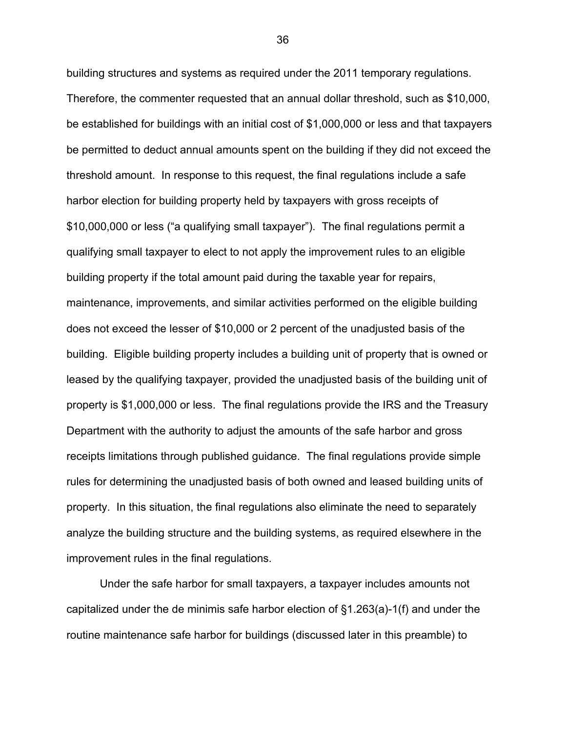building structures and systems as required under the 2011 temporary regulations. Therefore, the commenter requested that an annual dollar threshold, such as \$10,000, be established for buildings with an initial cost of \$1,000,000 or less and that taxpayers be permitted to deduct annual amounts spent on the building if they did not exceed the threshold amount. In response to this request, the final regulations include a safe harbor election for building property held by taxpayers with gross receipts of \$10,000,000 or less ("a qualifying small taxpayer"). The final regulations permit a qualifying small taxpayer to elect to not apply the improvement rules to an eligible building property if the total amount paid during the taxable year for repairs, maintenance, improvements, and similar activities performed on the eligible building does not exceed the lesser of \$10,000 or 2 percent of the unadjusted basis of the building. Eligible building property includes a building unit of property that is owned or leased by the qualifying taxpayer, provided the unadjusted basis of the building unit of property is \$1,000,000 or less. The final regulations provide the IRS and the Treasury Department with the authority to adjust the amounts of the safe harbor and gross receipts limitations through published guidance. The final regulations provide simple rules for determining the unadjusted basis of both owned and leased building units of property. In this situation, the final regulations also eliminate the need to separately analyze the building structure and the building systems, as required elsewhere in the improvement rules in the final regulations.

Under the safe harbor for small taxpayers, a taxpayer includes amounts not capitalized under the de minimis safe harbor election of §1.263(a)-1(f) and under the routine maintenance safe harbor for buildings (discussed later in this preamble) to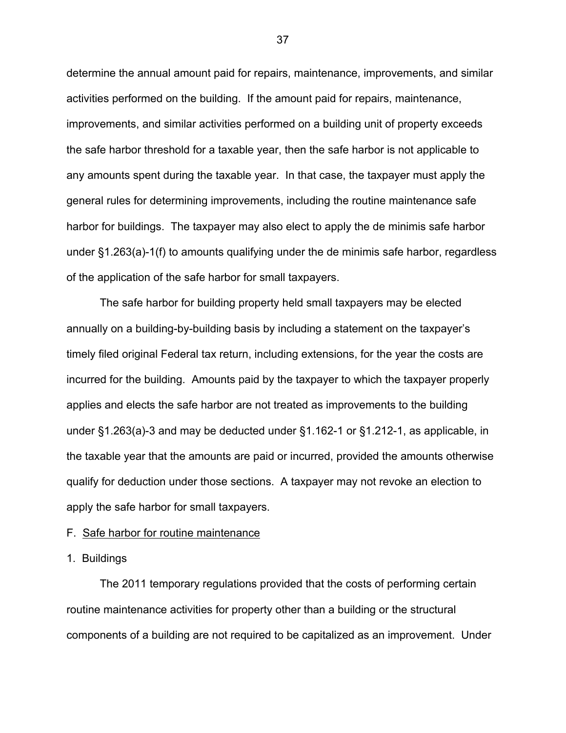determine the annual amount paid for repairs, maintenance, improvements, and similar activities performed on the building. If the amount paid for repairs, maintenance, improvements, and similar activities performed on a building unit of property exceeds the safe harbor threshold for a taxable year, then the safe harbor is not applicable to any amounts spent during the taxable year. In that case, the taxpayer must apply the general rules for determining improvements, including the routine maintenance safe harbor for buildings. The taxpayer may also elect to apply the de minimis safe harbor under §1.263(a)-1(f) to amounts qualifying under the de minimis safe harbor, regardless of the application of the safe harbor for small taxpayers.

The safe harbor for building property held small taxpayers may be elected annually on a building-by-building basis by including a statement on the taxpayer's timely filed original Federal tax return, including extensions, for the year the costs are incurred for the building. Amounts paid by the taxpayer to which the taxpayer properly applies and elects the safe harbor are not treated as improvements to the building under §1.263(a)-3 and may be deducted under §1.162-1 or §1.212-1, as applicable, in the taxable year that the amounts are paid or incurred, provided the amounts otherwise qualify for deduction under those sections. A taxpayer may not revoke an election to apply the safe harbor for small taxpayers.

### F. Safe harbor for routine maintenance

1. Buildings

The 2011 temporary regulations provided that the costs of performing certain routine maintenance activities for property other than a building or the structural components of a building are not required to be capitalized as an improvement. Under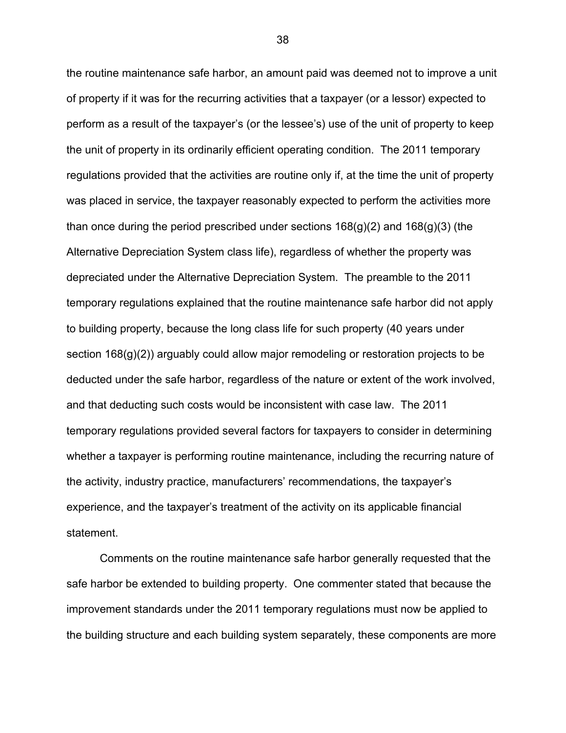the routine maintenance safe harbor, an amount paid was deemed not to improve a unit of property if it was for the recurring activities that a taxpayer (or a lessor) expected to perform as a result of the taxpayer's (or the lessee's) use of the unit of property to keep the unit of property in its ordinarily efficient operating condition. The 2011 temporary regulations provided that the activities are routine only if, at the time the unit of property was placed in service, the taxpayer reasonably expected to perform the activities more than once during the period prescribed under sections  $168(q)(2)$  and  $168(q)(3)$  (the Alternative Depreciation System class life), regardless of whether the property was depreciated under the Alternative Depreciation System. The preamble to the 2011 temporary regulations explained that the routine maintenance safe harbor did not apply to building property, because the long class life for such property (40 years under section 168(g)(2)) arguably could allow major remodeling or restoration projects to be deducted under the safe harbor, regardless of the nature or extent of the work involved, and that deducting such costs would be inconsistent with case law. The 2011 temporary regulations provided several factors for taxpayers to consider in determining whether a taxpayer is performing routine maintenance, including the recurring nature of the activity, industry practice, manufacturers' recommendations, the taxpayer's experience, and the taxpayer's treatment of the activity on its applicable financial statement.

Comments on the routine maintenance safe harbor generally requested that the safe harbor be extended to building property. One commenter stated that because the improvement standards under the 2011 temporary regulations must now be applied to the building structure and each building system separately, these components are more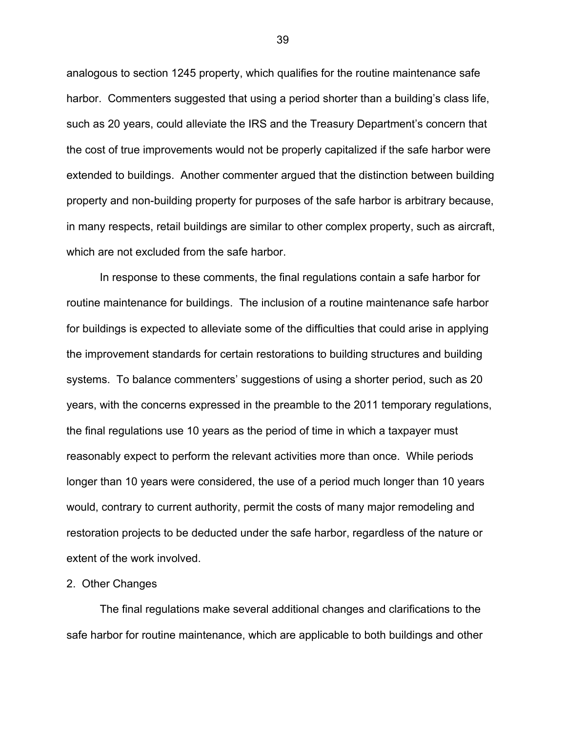analogous to section 1245 property, which qualifies for the routine maintenance safe harbor. Commenters suggested that using a period shorter than a building's class life, such as 20 years, could alleviate the IRS and the Treasury Department's concern that the cost of true improvements would not be properly capitalized if the safe harbor were extended to buildings. Another commenter argued that the distinction between building property and non-building property for purposes of the safe harbor is arbitrary because, in many respects, retail buildings are similar to other complex property, such as aircraft, which are not excluded from the safe harbor.

In response to these comments, the final regulations contain a safe harbor for routine maintenance for buildings. The inclusion of a routine maintenance safe harbor for buildings is expected to alleviate some of the difficulties that could arise in applying the improvement standards for certain restorations to building structures and building systems. To balance commenters' suggestions of using a shorter period, such as 20 years, with the concerns expressed in the preamble to the 2011 temporary regulations, the final regulations use 10 years as the period of time in which a taxpayer must reasonably expect to perform the relevant activities more than once. While periods longer than 10 years were considered, the use of a period much longer than 10 years would, contrary to current authority, permit the costs of many major remodeling and restoration projects to be deducted under the safe harbor, regardless of the nature or extent of the work involved.

### 2. Other Changes

The final regulations make several additional changes and clarifications to the safe harbor for routine maintenance, which are applicable to both buildings and other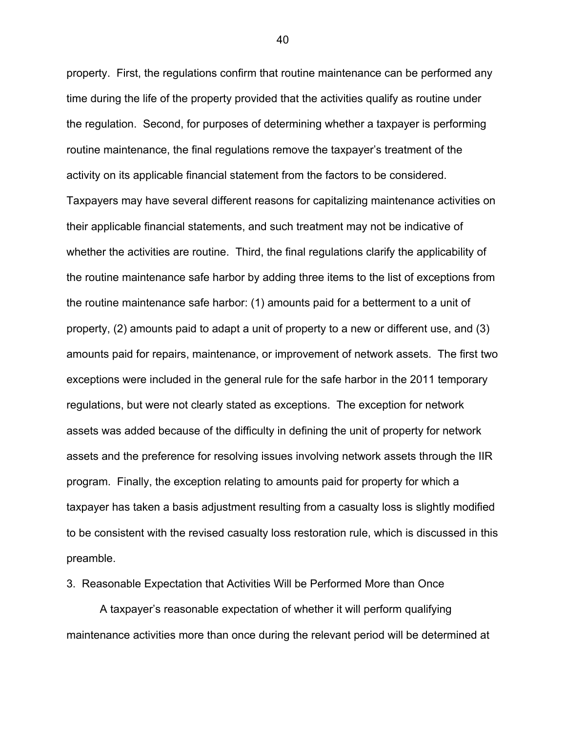property. First, the regulations confirm that routine maintenance can be performed any time during the life of the property provided that the activities qualify as routine under the regulation. Second, for purposes of determining whether a taxpayer is performing routine maintenance, the final regulations remove the taxpayer's treatment of the activity on its applicable financial statement from the factors to be considered. Taxpayers may have several different reasons for capitalizing maintenance activities on their applicable financial statements, and such treatment may not be indicative of whether the activities are routine. Third, the final regulations clarify the applicability of the routine maintenance safe harbor by adding three items to the list of exceptions from the routine maintenance safe harbor: (1) amounts paid for a betterment to a unit of property, (2) amounts paid to adapt a unit of property to a new or different use, and (3) amounts paid for repairs, maintenance, or improvement of network assets. The first two exceptions were included in the general rule for the safe harbor in the 2011 temporary regulations, but were not clearly stated as exceptions. The exception for network assets was added because of the difficulty in defining the unit of property for network assets and the preference for resolving issues involving network assets through the IIR program. Finally, the exception relating to amounts paid for property for which a taxpayer has taken a basis adjustment resulting from a casualty loss is slightly modified to be consistent with the revised casualty loss restoration rule, which is discussed in this preamble.

3. Reasonable Expectation that Activities Will be Performed More than Once

A taxpayer's reasonable expectation of whether it will perform qualifying maintenance activities more than once during the relevant period will be determined at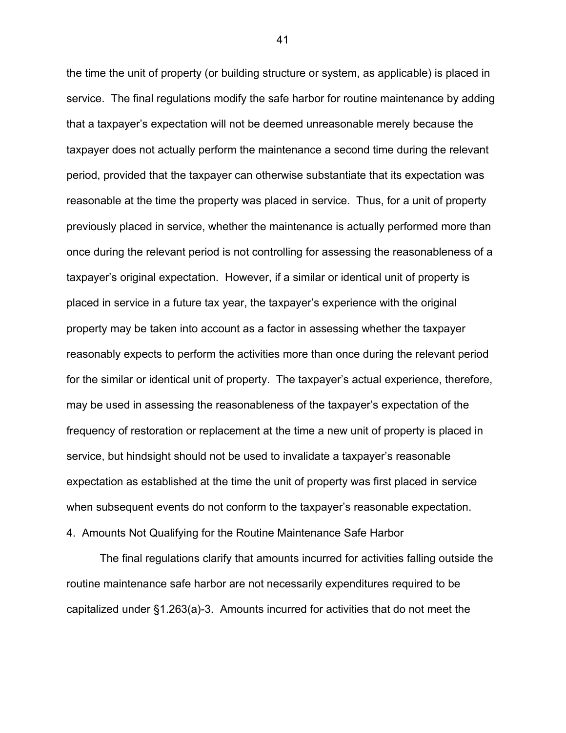the time the unit of property (or building structure or system, as applicable) is placed in service. The final regulations modify the safe harbor for routine maintenance by adding that a taxpayer's expectation will not be deemed unreasonable merely because the taxpayer does not actually perform the maintenance a second time during the relevant period, provided that the taxpayer can otherwise substantiate that its expectation was reasonable at the time the property was placed in service. Thus, for a unit of property previously placed in service, whether the maintenance is actually performed more than once during the relevant period is not controlling for assessing the reasonableness of a taxpayer's original expectation. However, if a similar or identical unit of property is placed in service in a future tax year, the taxpayer's experience with the original property may be taken into account as a factor in assessing whether the taxpayer reasonably expects to perform the activities more than once during the relevant period for the similar or identical unit of property. The taxpayer's actual experience, therefore, may be used in assessing the reasonableness of the taxpayer's expectation of the frequency of restoration or replacement at the time a new unit of property is placed in service, but hindsight should not be used to invalidate a taxpayer's reasonable expectation as established at the time the unit of property was first placed in service when subsequent events do not conform to the taxpayer's reasonable expectation.

4. Amounts Not Qualifying for the Routine Maintenance Safe Harbor

The final regulations clarify that amounts incurred for activities falling outside the routine maintenance safe harbor are not necessarily expenditures required to be capitalized under §1.263(a)-3. Amounts incurred for activities that do not meet the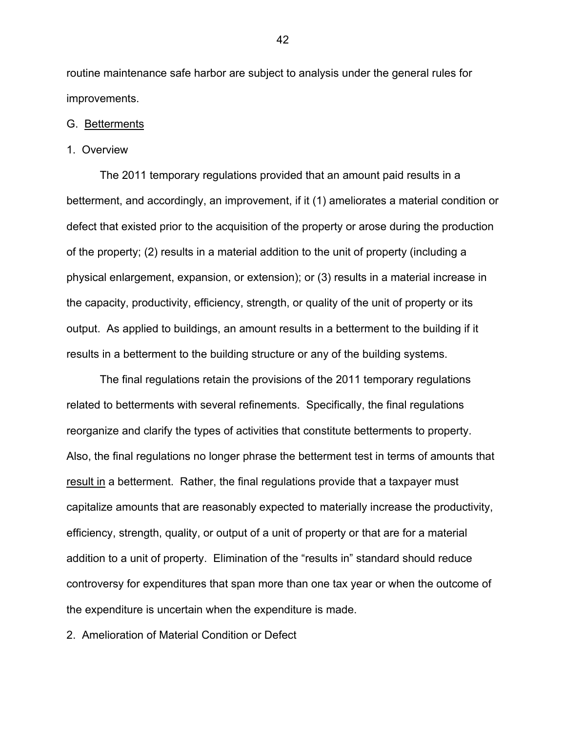routine maintenance safe harbor are subject to analysis under the general rules for improvements.

#### G. Betterments

#### 1. Overview

The 2011 temporary regulations provided that an amount paid results in a betterment, and accordingly, an improvement, if it (1) ameliorates a material condition or defect that existed prior to the acquisition of the property or arose during the production of the property; (2) results in a material addition to the unit of property (including a physical enlargement, expansion, or extension); or (3) results in a material increase in the capacity, productivity, efficiency, strength, or quality of the unit of property or its output. As applied to buildings, an amount results in a betterment to the building if it results in a betterment to the building structure or any of the building systems.

The final regulations retain the provisions of the 2011 temporary regulations related to betterments with several refinements. Specifically, the final regulations reorganize and clarify the types of activities that constitute betterments to property. Also, the final regulations no longer phrase the betterment test in terms of amounts that result in a betterment. Rather, the final regulations provide that a taxpayer must capitalize amounts that are reasonably expected to materially increase the productivity, efficiency, strength, quality, or output of a unit of property or that are for a material addition to a unit of property. Elimination of the "results in" standard should reduce controversy for expenditures that span more than one tax year or when the outcome of the expenditure is uncertain when the expenditure is made.

2. Amelioration of Material Condition or Defect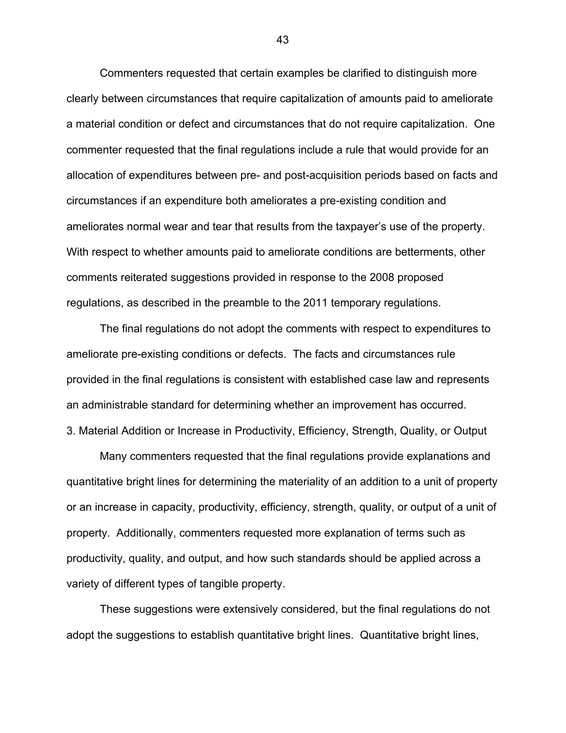Commenters requested that certain examples be clarified to distinguish more clearly between circumstances that require capitalization of amounts paid to ameliorate a material condition or defect and circumstances that do not require capitalization. One commenter requested that the final regulations include a rule that would provide for an allocation of expenditures between pre- and post-acquisition periods based on facts and circumstances if an expenditure both ameliorates a pre-existing condition and ameliorates normal wear and tear that results from the taxpayer's use of the property. With respect to whether amounts paid to ameliorate conditions are betterments, other comments reiterated suggestions provided in response to the 2008 proposed regulations, as described in the preamble to the 2011 temporary regulations.

The final regulations do not adopt the comments with respect to expenditures to ameliorate pre-existing conditions or defects. The facts and circumstances rule provided in the final regulations is consistent with established case law and represents an administrable standard for determining whether an improvement has occurred. 3. Material Addition or Increase in Productivity, Efficiency, Strength, Quality, or Output

Many commenters requested that the final regulations provide explanations and quantitative bright lines for determining the materiality of an addition to a unit of property or an increase in capacity, productivity, efficiency, strength, quality, or output of a unit of property. Additionally, commenters requested more explanation of terms such as productivity, quality, and output, and how such standards should be applied across a variety of different types of tangible property.

These suggestions were extensively considered, but the final regulations do not adopt the suggestions to establish quantitative bright lines. Quantitative bright lines,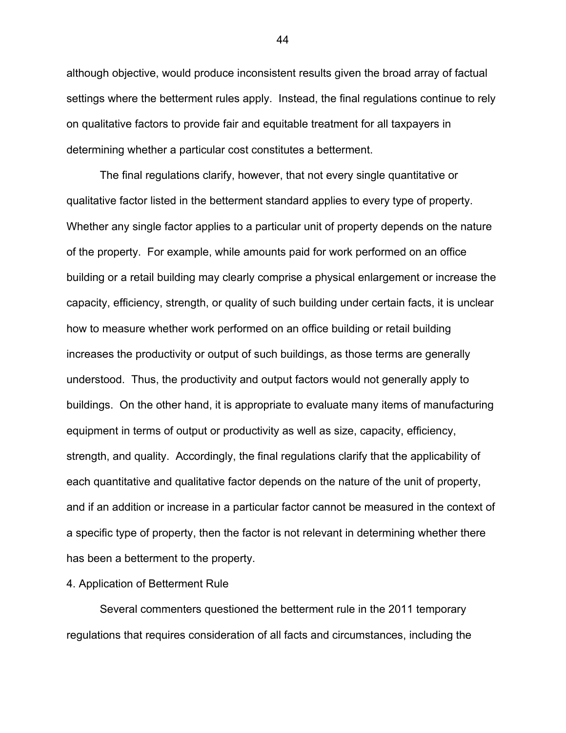although objective, would produce inconsistent results given the broad array of factual settings where the betterment rules apply. Instead, the final regulations continue to rely on qualitative factors to provide fair and equitable treatment for all taxpayers in determining whether a particular cost constitutes a betterment.

The final regulations clarify, however, that not every single quantitative or qualitative factor listed in the betterment standard applies to every type of property. Whether any single factor applies to a particular unit of property depends on the nature of the property. For example, while amounts paid for work performed on an office building or a retail building may clearly comprise a physical enlargement or increase the capacity, efficiency, strength, or quality of such building under certain facts, it is unclear how to measure whether work performed on an office building or retail building increases the productivity or output of such buildings, as those terms are generally understood. Thus, the productivity and output factors would not generally apply to buildings. On the other hand, it is appropriate to evaluate many items of manufacturing equipment in terms of output or productivity as well as size, capacity, efficiency, strength, and quality. Accordingly, the final regulations clarify that the applicability of each quantitative and qualitative factor depends on the nature of the unit of property, and if an addition or increase in a particular factor cannot be measured in the context of a specific type of property, then the factor is not relevant in determining whether there has been a betterment to the property.

# 4. Application of Betterment Rule

Several commenters questioned the betterment rule in the 2011 temporary regulations that requires consideration of all facts and circumstances, including the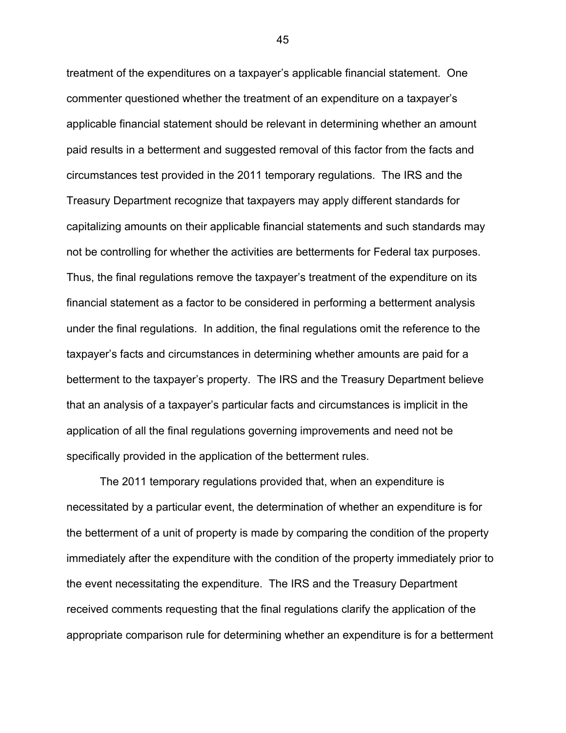treatment of the expenditures on a taxpayer's applicable financial statement. One commenter questioned whether the treatment of an expenditure on a taxpayer's applicable financial statement should be relevant in determining whether an amount paid results in a betterment and suggested removal of this factor from the facts and circumstances test provided in the 2011 temporary regulations. The IRS and the Treasury Department recognize that taxpayers may apply different standards for capitalizing amounts on their applicable financial statements and such standards may not be controlling for whether the activities are betterments for Federal tax purposes. Thus, the final regulations remove the taxpayer's treatment of the expenditure on its financial statement as a factor to be considered in performing a betterment analysis under the final regulations. In addition, the final regulations omit the reference to the taxpayer's facts and circumstances in determining whether amounts are paid for a betterment to the taxpayer's property. The IRS and the Treasury Department believe that an analysis of a taxpayer's particular facts and circumstances is implicit in the application of all the final regulations governing improvements and need not be specifically provided in the application of the betterment rules.

The 2011 temporary regulations provided that, when an expenditure is necessitated by a particular event, the determination of whether an expenditure is for the betterment of a unit of property is made by comparing the condition of the property immediately after the expenditure with the condition of the property immediately prior to the event necessitating the expenditure. The IRS and the Treasury Department received comments requesting that the final regulations clarify the application of the appropriate comparison rule for determining whether an expenditure is for a betterment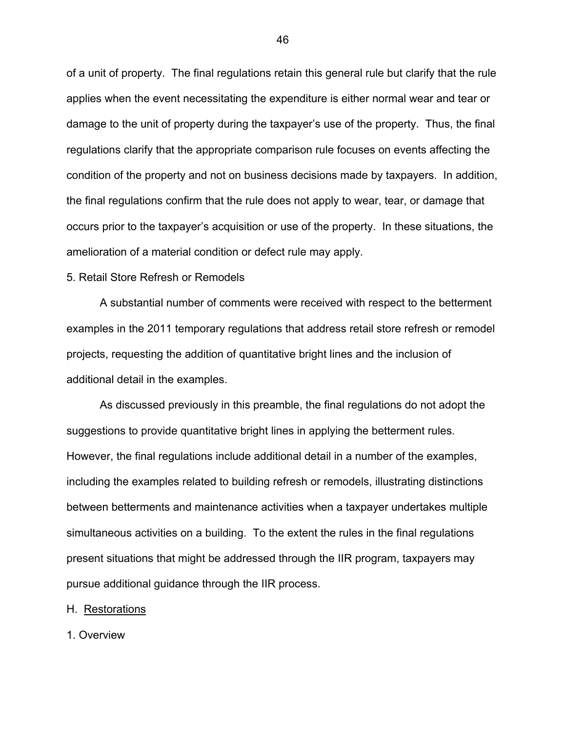of a unit of property. The final regulations retain this general rule but clarify that the rule applies when the event necessitating the expenditure is either normal wear and tear or damage to the unit of property during the taxpayer's use of the property. Thus, the final regulations clarify that the appropriate comparison rule focuses on events affecting the condition of the property and not on business decisions made by taxpayers. In addition, the final regulations confirm that the rule does not apply to wear, tear, or damage that occurs prior to the taxpayer's acquisition or use of the property. In these situations, the amelioration of a material condition or defect rule may apply.

## 5. Retail Store Refresh or Remodels

A substantial number of comments were received with respect to the betterment examples in the 2011 temporary regulations that address retail store refresh or remodel projects, requesting the addition of quantitative bright lines and the inclusion of additional detail in the examples.

As discussed previously in this preamble, the final regulations do not adopt the suggestions to provide quantitative bright lines in applying the betterment rules. However, the final regulations include additional detail in a number of the examples, including the examples related to building refresh or remodels, illustrating distinctions between betterments and maintenance activities when a taxpayer undertakes multiple simultaneous activities on a building. To the extent the rules in the final regulations present situations that might be addressed through the IIR program, taxpayers may pursue additional guidance through the IIR process.

### H. Restorations

1. Overview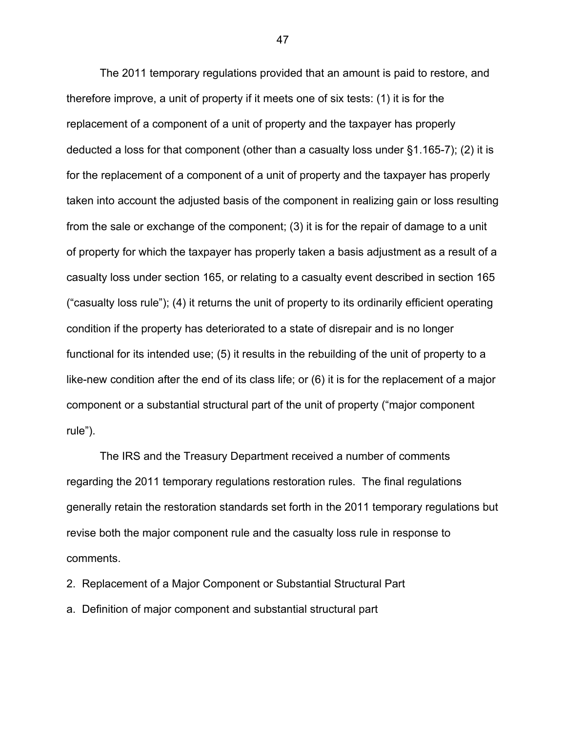The 2011 temporary regulations provided that an amount is paid to restore, and therefore improve, a unit of property if it meets one of six tests: (1) it is for the replacement of a component of a unit of property and the taxpayer has properly deducted a loss for that component (other than a casualty loss under §1.165-7); (2) it is for the replacement of a component of a unit of property and the taxpayer has properly taken into account the adjusted basis of the component in realizing gain or loss resulting from the sale or exchange of the component; (3) it is for the repair of damage to a unit of property for which the taxpayer has properly taken a basis adjustment as a result of a casualty loss under section 165, or relating to a casualty event described in section 165 ("casualty loss rule"); (4) it returns the unit of property to its ordinarily efficient operating condition if the property has deteriorated to a state of disrepair and is no longer functional for its intended use; (5) it results in the rebuilding of the unit of property to a like-new condition after the end of its class life; or (6) it is for the replacement of a major component or a substantial structural part of the unit of property ("major component rule").

The IRS and the Treasury Department received a number of comments regarding the 2011 temporary regulations restoration rules. The final regulations generally retain the restoration standards set forth in the 2011 temporary regulations but revise both the major component rule and the casualty loss rule in response to comments.

- 2. Replacement of a Major Component or Substantial Structural Part
- a. Definition of major component and substantial structural part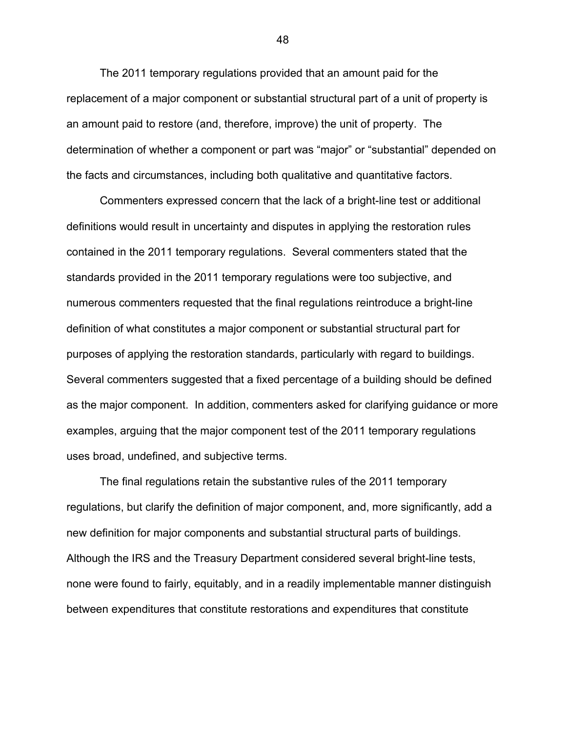The 2011 temporary regulations provided that an amount paid for the replacement of a major component or substantial structural part of a unit of property is an amount paid to restore (and, therefore, improve) the unit of property. The determination of whether a component or part was "major" or "substantial" depended on the facts and circumstances, including both qualitative and quantitative factors.

Commenters expressed concern that the lack of a bright-line test or additional definitions would result in uncertainty and disputes in applying the restoration rules contained in the 2011 temporary regulations. Several commenters stated that the standards provided in the 2011 temporary regulations were too subjective, and numerous commenters requested that the final regulations reintroduce a bright-line definition of what constitutes a major component or substantial structural part for purposes of applying the restoration standards, particularly with regard to buildings. Several commenters suggested that a fixed percentage of a building should be defined as the major component. In addition, commenters asked for clarifying guidance or more examples, arguing that the major component test of the 2011 temporary regulations uses broad, undefined, and subjective terms.

The final regulations retain the substantive rules of the 2011 temporary regulations, but clarify the definition of major component, and, more significantly, add a new definition for major components and substantial structural parts of buildings. Although the IRS and the Treasury Department considered several bright-line tests, none were found to fairly, equitably, and in a readily implementable manner distinguish between expenditures that constitute restorations and expenditures that constitute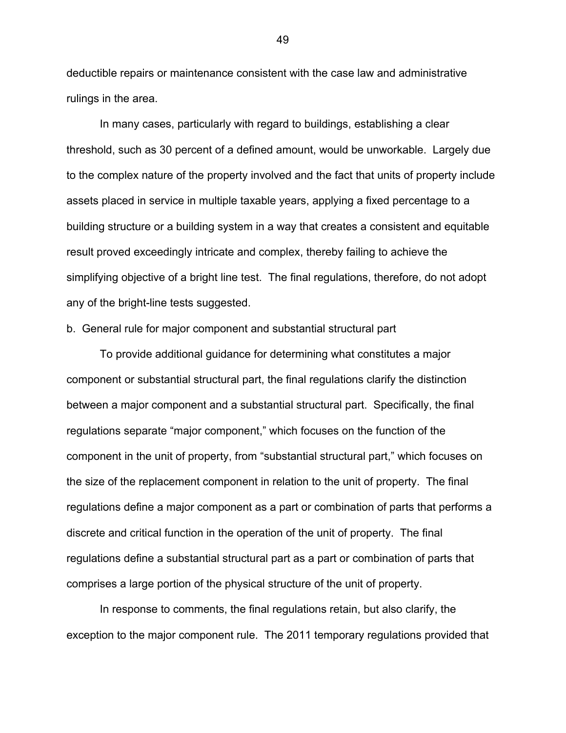deductible repairs or maintenance consistent with the case law and administrative rulings in the area.

In many cases, particularly with regard to buildings, establishing a clear threshold, such as 30 percent of a defined amount, would be unworkable. Largely due to the complex nature of the property involved and the fact that units of property include assets placed in service in multiple taxable years, applying a fixed percentage to a building structure or a building system in a way that creates a consistent and equitable result proved exceedingly intricate and complex, thereby failing to achieve the simplifying objective of a bright line test. The final regulations, therefore, do not adopt any of the bright-line tests suggested.

b. General rule for major component and substantial structural part

To provide additional guidance for determining what constitutes a major component or substantial structural part, the final regulations clarify the distinction between a major component and a substantial structural part. Specifically, the final regulations separate "major component," which focuses on the function of the component in the unit of property, from "substantial structural part," which focuses on the size of the replacement component in relation to the unit of property. The final regulations define a major component as a part or combination of parts that performs a discrete and critical function in the operation of the unit of property. The final regulations define a substantial structural part as a part or combination of parts that comprises a large portion of the physical structure of the unit of property.

In response to comments, the final regulations retain, but also clarify, the exception to the major component rule. The 2011 temporary regulations provided that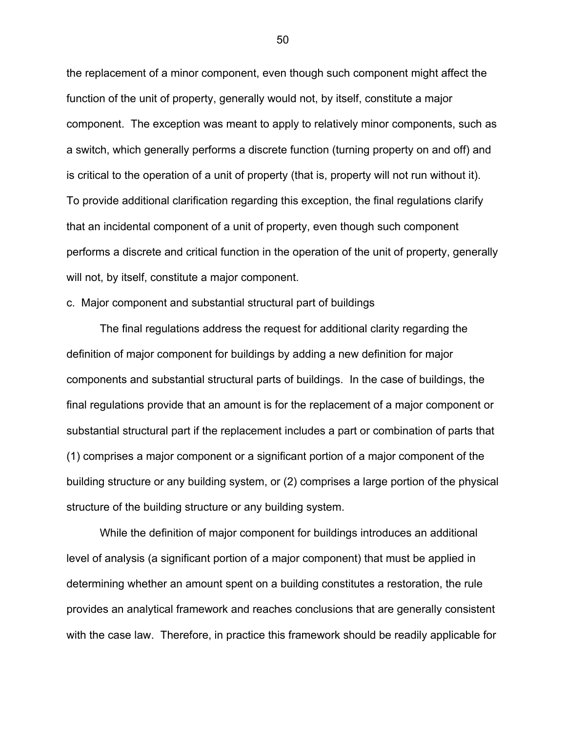the replacement of a minor component, even though such component might affect the function of the unit of property, generally would not, by itself, constitute a major component. The exception was meant to apply to relatively minor components, such as a switch, which generally performs a discrete function (turning property on and off) and is critical to the operation of a unit of property (that is, property will not run without it). To provide additional clarification regarding this exception, the final regulations clarify that an incidental component of a unit of property, even though such component performs a discrete and critical function in the operation of the unit of property, generally will not, by itself, constitute a major component.

# c. Major component and substantial structural part of buildings

The final regulations address the request for additional clarity regarding the definition of major component for buildings by adding a new definition for major components and substantial structural parts of buildings. In the case of buildings, the final regulations provide that an amount is for the replacement of a major component or substantial structural part if the replacement includes a part or combination of parts that (1) comprises a major component or a significant portion of a major component of the building structure or any building system, or (2) comprises a large portion of the physical structure of the building structure or any building system.

While the definition of major component for buildings introduces an additional level of analysis (a significant portion of a major component) that must be applied in determining whether an amount spent on a building constitutes a restoration, the rule provides an analytical framework and reaches conclusions that are generally consistent with the case law. Therefore, in practice this framework should be readily applicable for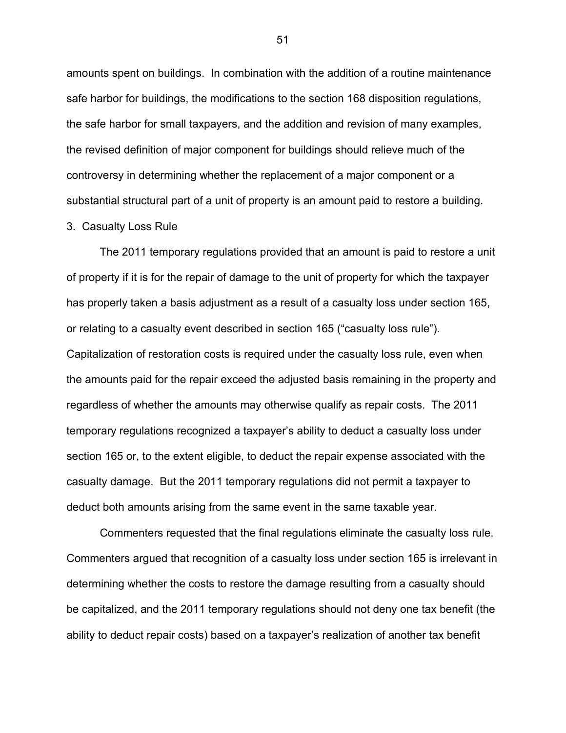amounts spent on buildings. In combination with the addition of a routine maintenance safe harbor for buildings, the modifications to the section 168 disposition regulations, the safe harbor for small taxpayers, and the addition and revision of many examples, the revised definition of major component for buildings should relieve much of the controversy in determining whether the replacement of a major component or a substantial structural part of a unit of property is an amount paid to restore a building.

# 3. Casualty Loss Rule

The 2011 temporary regulations provided that an amount is paid to restore a unit of property if it is for the repair of damage to the unit of property for which the taxpayer has properly taken a basis adjustment as a result of a casualty loss under section 165, or relating to a casualty event described in section 165 ("casualty loss rule"). Capitalization of restoration costs is required under the casualty loss rule, even when the amounts paid for the repair exceed the adjusted basis remaining in the property and regardless of whether the amounts may otherwise qualify as repair costs. The 2011 temporary regulations recognized a taxpayer's ability to deduct a casualty loss under section 165 or, to the extent eligible, to deduct the repair expense associated with the casualty damage. But the 2011 temporary regulations did not permit a taxpayer to deduct both amounts arising from the same event in the same taxable year.

Commenters requested that the final regulations eliminate the casualty loss rule. Commenters argued that recognition of a casualty loss under section 165 is irrelevant in determining whether the costs to restore the damage resulting from a casualty should be capitalized, and the 2011 temporary regulations should not deny one tax benefit (the ability to deduct repair costs) based on a taxpayer's realization of another tax benefit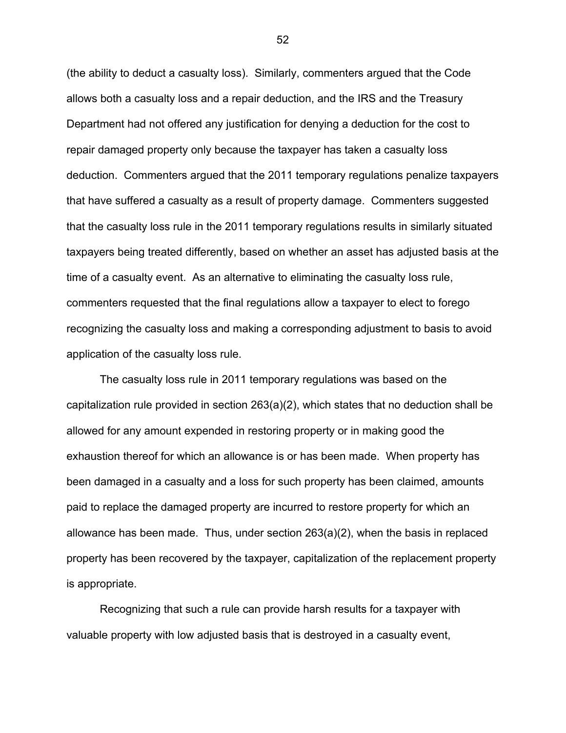(the ability to deduct a casualty loss). Similarly, commenters argued that the Code allows both a casualty loss and a repair deduction, and the IRS and the Treasury Department had not offered any justification for denying a deduction for the cost to repair damaged property only because the taxpayer has taken a casualty loss deduction. Commenters argued that the 2011 temporary regulations penalize taxpayers that have suffered a casualty as a result of property damage. Commenters suggested that the casualty loss rule in the 2011 temporary regulations results in similarly situated taxpayers being treated differently, based on whether an asset has adjusted basis at the time of a casualty event. As an alternative to eliminating the casualty loss rule, commenters requested that the final regulations allow a taxpayer to elect to forego recognizing the casualty loss and making a corresponding adjustment to basis to avoid application of the casualty loss rule.

The casualty loss rule in 2011 temporary regulations was based on the capitalization rule provided in section 263(a)(2), which states that no deduction shall be allowed for any amount expended in restoring property or in making good the exhaustion thereof for which an allowance is or has been made. When property has been damaged in a casualty and a loss for such property has been claimed, amounts paid to replace the damaged property are incurred to restore property for which an allowance has been made. Thus, under section 263(a)(2), when the basis in replaced property has been recovered by the taxpayer, capitalization of the replacement property is appropriate.

Recognizing that such a rule can provide harsh results for a taxpayer with valuable property with low adjusted basis that is destroyed in a casualty event,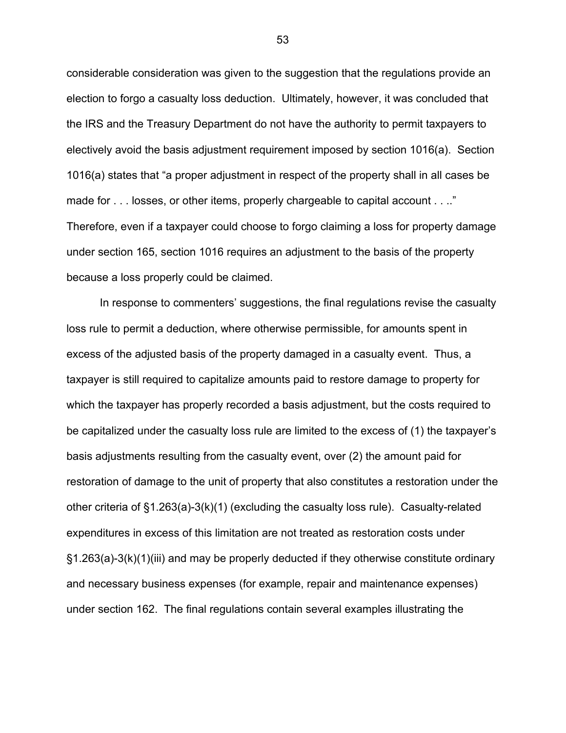considerable consideration was given to the suggestion that the regulations provide an election to forgo a casualty loss deduction. Ultimately, however, it was concluded that the IRS and the Treasury Department do not have the authority to permit taxpayers to electively avoid the basis adjustment requirement imposed by section 1016(a). Section 1016(a) states that "a proper adjustment in respect of the property shall in all cases be made for . . . losses, or other items, properly chargeable to capital account . . .." Therefore, even if a taxpayer could choose to forgo claiming a loss for property damage under section 165, section 1016 requires an adjustment to the basis of the property because a loss properly could be claimed.

In response to commenters' suggestions, the final regulations revise the casualty loss rule to permit a deduction, where otherwise permissible, for amounts spent in excess of the adjusted basis of the property damaged in a casualty event. Thus, a taxpayer is still required to capitalize amounts paid to restore damage to property for which the taxpayer has properly recorded a basis adjustment, but the costs required to be capitalized under the casualty loss rule are limited to the excess of (1) the taxpayer's basis adjustments resulting from the casualty event, over (2) the amount paid for restoration of damage to the unit of property that also constitutes a restoration under the other criteria of §1.263(a)-3(k)(1) (excluding the casualty loss rule). Casualty-related expenditures in excess of this limitation are not treated as restoration costs under §1.263(a)-3(k)(1)(iii) and may be properly deducted if they otherwise constitute ordinary and necessary business expenses (for example, repair and maintenance expenses) under section 162. The final regulations contain several examples illustrating the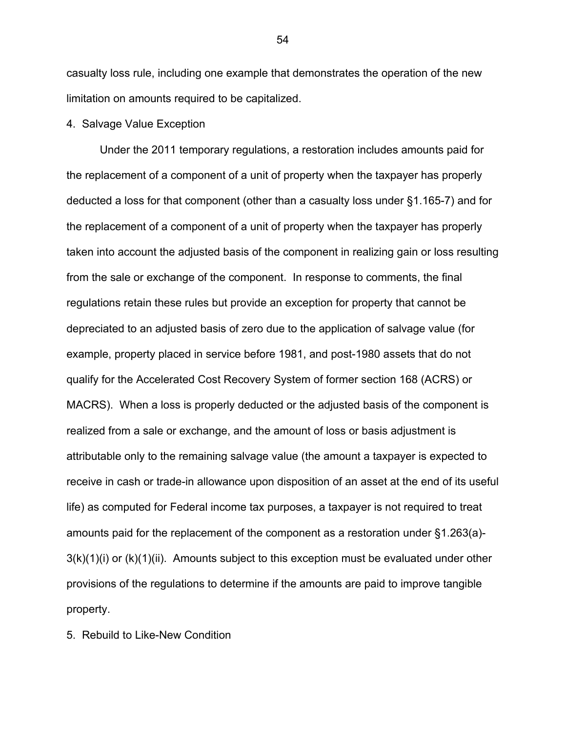casualty loss rule, including one example that demonstrates the operation of the new limitation on amounts required to be capitalized.

## 4. Salvage Value Exception

Under the 2011 temporary regulations, a restoration includes amounts paid for the replacement of a component of a unit of property when the taxpayer has properly deducted a loss for that component (other than a casualty loss under §1.165-7) and for the replacement of a component of a unit of property when the taxpayer has properly taken into account the adjusted basis of the component in realizing gain or loss resulting from the sale or exchange of the component. In response to comments, the final regulations retain these rules but provide an exception for property that cannot be depreciated to an adjusted basis of zero due to the application of salvage value (for example, property placed in service before 1981, and post-1980 assets that do not qualify for the Accelerated Cost Recovery System of former section 168 (ACRS) or MACRS). When a loss is properly deducted or the adjusted basis of the component is realized from a sale or exchange, and the amount of loss or basis adjustment is attributable only to the remaining salvage value (the amount a taxpayer is expected to receive in cash or trade-in allowance upon disposition of an asset at the end of its useful life) as computed for Federal income tax purposes, a taxpayer is not required to treat amounts paid for the replacement of the component as a restoration under §1.263(a)-  $3(k)(1)(i)$  or  $(k)(1)(ii)$ . Amounts subject to this exception must be evaluated under other provisions of the regulations to determine if the amounts are paid to improve tangible property.

5. Rebuild to Like-New Condition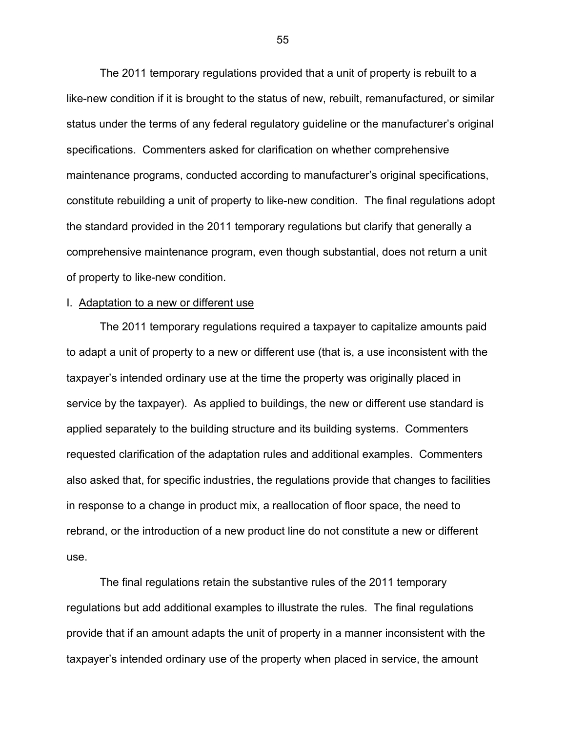The 2011 temporary regulations provided that a unit of property is rebuilt to a like-new condition if it is brought to the status of new, rebuilt, remanufactured, or similar status under the terms of any federal regulatory guideline or the manufacturer's original specifications. Commenters asked for clarification on whether comprehensive maintenance programs, conducted according to manufacturer's original specifications, constitute rebuilding a unit of property to like-new condition. The final regulations adopt the standard provided in the 2011 temporary regulations but clarify that generally a comprehensive maintenance program, even though substantial, does not return a unit of property to like-new condition.

### I. Adaptation to a new or different use

The 2011 temporary regulations required a taxpayer to capitalize amounts paid to adapt a unit of property to a new or different use (that is, a use inconsistent with the taxpayer's intended ordinary use at the time the property was originally placed in service by the taxpayer). As applied to buildings, the new or different use standard is applied separately to the building structure and its building systems. Commenters requested clarification of the adaptation rules and additional examples. Commenters also asked that, for specific industries, the regulations provide that changes to facilities in response to a change in product mix, a reallocation of floor space, the need to rebrand, or the introduction of a new product line do not constitute a new or different use.

The final regulations retain the substantive rules of the 2011 temporary regulations but add additional examples to illustrate the rules. The final regulations provide that if an amount adapts the unit of property in a manner inconsistent with the taxpayer's intended ordinary use of the property when placed in service, the amount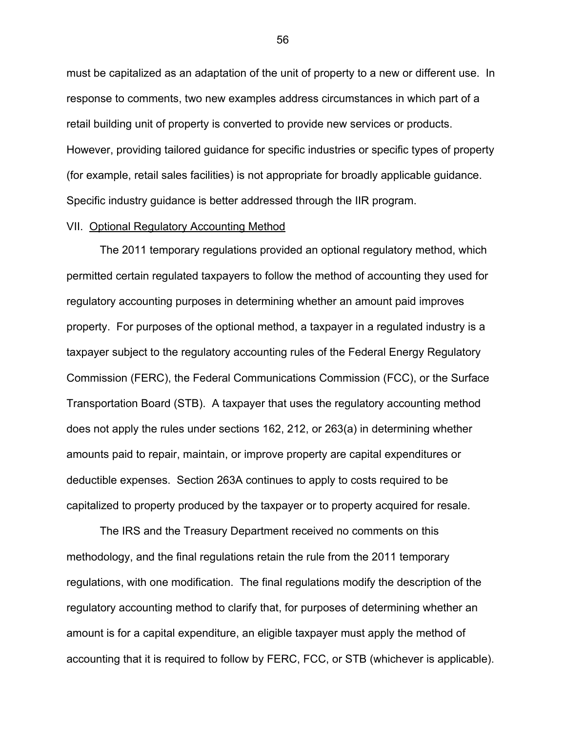must be capitalized as an adaptation of the unit of property to a new or different use. In response to comments, two new examples address circumstances in which part of a retail building unit of property is converted to provide new services or products. However, providing tailored guidance for specific industries or specific types of property (for example, retail sales facilities) is not appropriate for broadly applicable guidance. Specific industry guidance is better addressed through the IIR program.

## VII. Optional Regulatory Accounting Method

The 2011 temporary regulations provided an optional regulatory method, which permitted certain regulated taxpayers to follow the method of accounting they used for regulatory accounting purposes in determining whether an amount paid improves property. For purposes of the optional method, a taxpayer in a regulated industry is a taxpayer subject to the regulatory accounting rules of the Federal Energy Regulatory Commission (FERC), the Federal Communications Commission (FCC), or the Surface Transportation Board (STB). A taxpayer that uses the regulatory accounting method does not apply the rules under sections 162, 212, or 263(a) in determining whether amounts paid to repair, maintain, or improve property are capital expenditures or deductible expenses. Section 263A continues to apply to costs required to be capitalized to property produced by the taxpayer or to property acquired for resale.

The IRS and the Treasury Department received no comments on this methodology, and the final regulations retain the rule from the 2011 temporary regulations, with one modification. The final regulations modify the description of the regulatory accounting method to clarify that, for purposes of determining whether an amount is for a capital expenditure, an eligible taxpayer must apply the method of accounting that it is required to follow by FERC, FCC, or STB (whichever is applicable).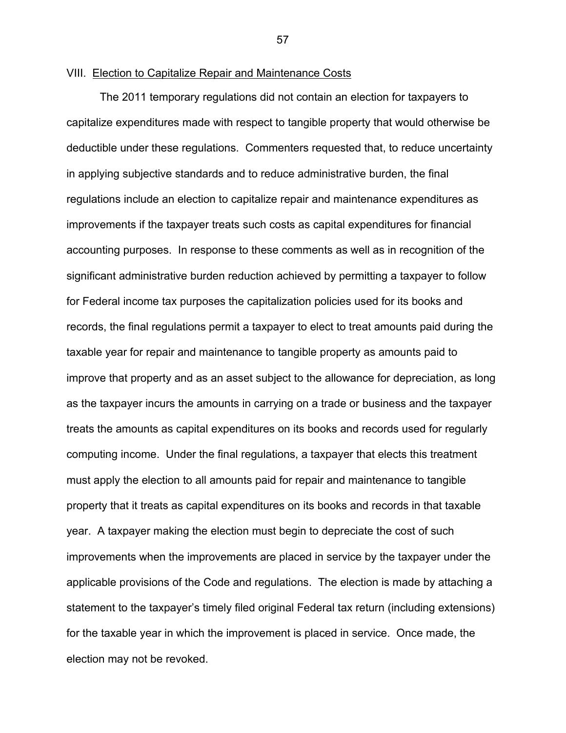# VIII. Election to Capitalize Repair and Maintenance Costs

The 2011 temporary regulations did not contain an election for taxpayers to capitalize expenditures made with respect to tangible property that would otherwise be deductible under these regulations. Commenters requested that, to reduce uncertainty in applying subjective standards and to reduce administrative burden, the final regulations include an election to capitalize repair and maintenance expenditures as improvements if the taxpayer treats such costs as capital expenditures for financial accounting purposes. In response to these comments as well as in recognition of the significant administrative burden reduction achieved by permitting a taxpayer to follow for Federal income tax purposes the capitalization policies used for its books and records, the final regulations permit a taxpayer to elect to treat amounts paid during the taxable year for repair and maintenance to tangible property as amounts paid to improve that property and as an asset subject to the allowance for depreciation, as long as the taxpayer incurs the amounts in carrying on a trade or business and the taxpayer treats the amounts as capital expenditures on its books and records used for regularly computing income. Under the final regulations, a taxpayer that elects this treatment must apply the election to all amounts paid for repair and maintenance to tangible property that it treats as capital expenditures on its books and records in that taxable year. A taxpayer making the election must begin to depreciate the cost of such improvements when the improvements are placed in service by the taxpayer under the applicable provisions of the Code and regulations. The election is made by attaching a statement to the taxpayer's timely filed original Federal tax return (including extensions) for the taxable year in which the improvement is placed in service. Once made, the election may not be revoked.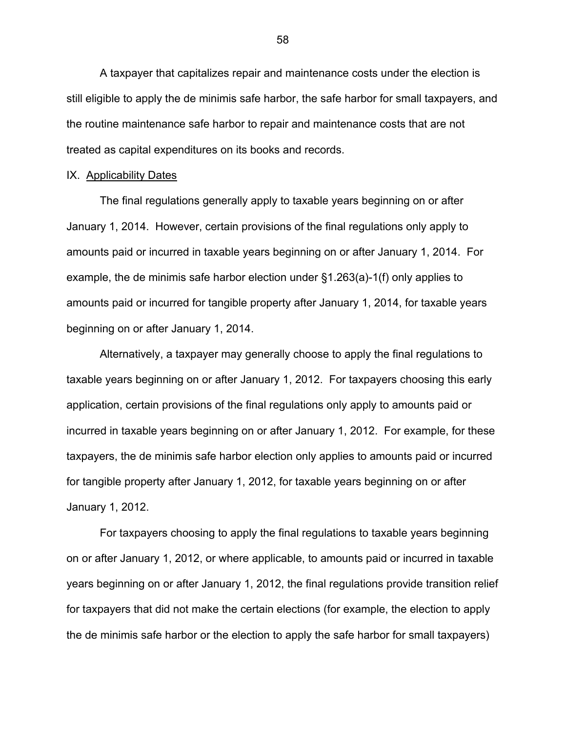A taxpayer that capitalizes repair and maintenance costs under the election is still eligible to apply the de minimis safe harbor, the safe harbor for small taxpayers, and the routine maintenance safe harbor to repair and maintenance costs that are not treated as capital expenditures on its books and records.

### IX. Applicability Dates

The final regulations generally apply to taxable years beginning on or after January 1, 2014. However, certain provisions of the final regulations only apply to amounts paid or incurred in taxable years beginning on or after January 1, 2014. For example, the de minimis safe harbor election under §1.263(a)-1(f) only applies to amounts paid or incurred for tangible property after January 1, 2014, for taxable years beginning on or after January 1, 2014.

Alternatively, a taxpayer may generally choose to apply the final regulations to taxable years beginning on or after January 1, 2012. For taxpayers choosing this early application, certain provisions of the final regulations only apply to amounts paid or incurred in taxable years beginning on or after January 1, 2012. For example, for these taxpayers, the de minimis safe harbor election only applies to amounts paid or incurred for tangible property after January 1, 2012, for taxable years beginning on or after January 1, 2012.

For taxpayers choosing to apply the final regulations to taxable years beginning on or after January 1, 2012, or where applicable, to amounts paid or incurred in taxable years beginning on or after January 1, 2012, the final regulations provide transition relief for taxpayers that did not make the certain elections (for example, the election to apply the de minimis safe harbor or the election to apply the safe harbor for small taxpayers)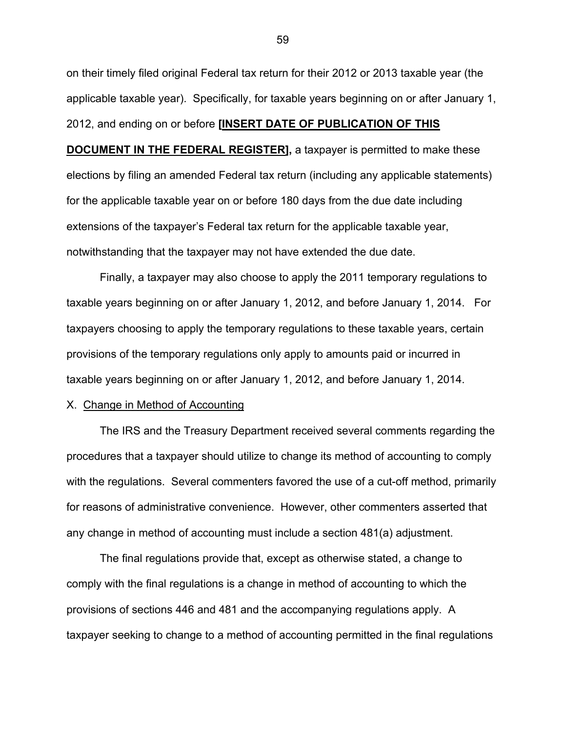on their timely filed original Federal tax return for their 2012 or 2013 taxable year (the applicable taxable year). Specifically, for taxable years beginning on or after January 1, 2012, and ending on or before **[INSERT DATE OF PUBLICATION OF THIS** 

**DOCUMENT IN THE FEDERAL REGISTER]**, a taxpayer is permitted to make these elections by filing an amended Federal tax return (including any applicable statements) for the applicable taxable year on or before 180 days from the due date including extensions of the taxpayer's Federal tax return for the applicable taxable year, notwithstanding that the taxpayer may not have extended the due date.

Finally, a taxpayer may also choose to apply the 2011 temporary regulations to taxable years beginning on or after January 1, 2012, and before January 1, 2014. For taxpayers choosing to apply the temporary regulations to these taxable years, certain provisions of the temporary regulations only apply to amounts paid or incurred in taxable years beginning on or after January 1, 2012, and before January 1, 2014.

### X. Change in Method of Accounting

The IRS and the Treasury Department received several comments regarding the procedures that a taxpayer should utilize to change its method of accounting to comply with the regulations. Several commenters favored the use of a cut-off method, primarily for reasons of administrative convenience. However, other commenters asserted that any change in method of accounting must include a section 481(a) adjustment.

The final regulations provide that, except as otherwise stated, a change to comply with the final regulations is a change in method of accounting to which the provisions of sections 446 and 481 and the accompanying regulations apply. A taxpayer seeking to change to a method of accounting permitted in the final regulations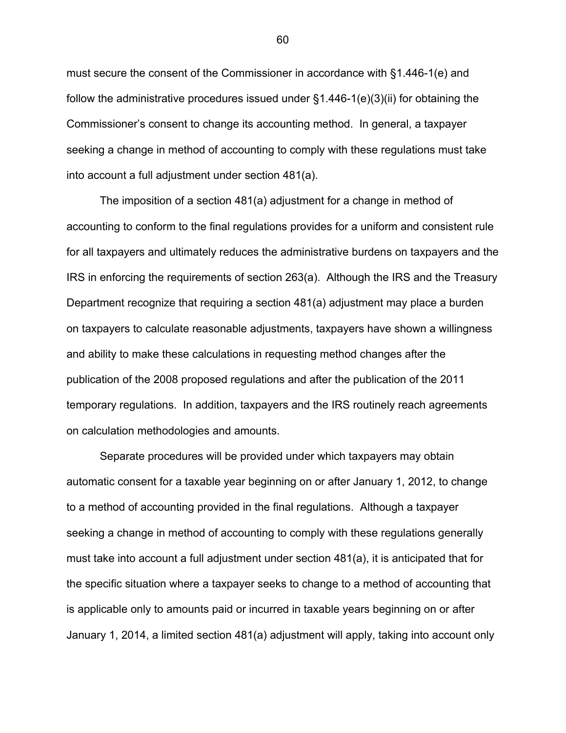must secure the consent of the Commissioner in accordance with §1.446-1(e) and follow the administrative procedures issued under §1.446-1(e)(3)(ii) for obtaining the Commissioner's consent to change its accounting method. In general, a taxpayer seeking a change in method of accounting to comply with these regulations must take into account a full adjustment under section 481(a).

The imposition of a section 481(a) adjustment for a change in method of accounting to conform to the final regulations provides for a uniform and consistent rule for all taxpayers and ultimately reduces the administrative burdens on taxpayers and the IRS in enforcing the requirements of section 263(a). Although the IRS and the Treasury Department recognize that requiring a section 481(a) adjustment may place a burden on taxpayers to calculate reasonable adjustments, taxpayers have shown a willingness and ability to make these calculations in requesting method changes after the publication of the 2008 proposed regulations and after the publication of the 2011 temporary regulations. In addition, taxpayers and the IRS routinely reach agreements on calculation methodologies and amounts.

Separate procedures will be provided under which taxpayers may obtain automatic consent for a taxable year beginning on or after January 1, 2012, to change to a method of accounting provided in the final regulations. Although a taxpayer seeking a change in method of accounting to comply with these regulations generally must take into account a full adjustment under section 481(a), it is anticipated that for the specific situation where a taxpayer seeks to change to a method of accounting that is applicable only to amounts paid or incurred in taxable years beginning on or after January 1, 2014, a limited section 481(a) adjustment will apply, taking into account only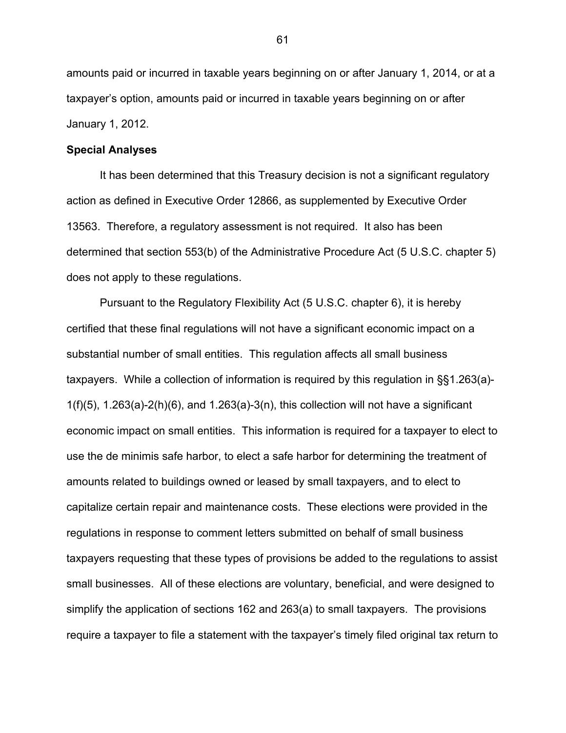amounts paid or incurred in taxable years beginning on or after January 1, 2014, or at a taxpayer's option, amounts paid or incurred in taxable years beginning on or after January 1, 2012.

## **Special Analyses**

It has been determined that this Treasury decision is not a significant regulatory action as defined in Executive Order 12866, as supplemented by Executive Order 13563. Therefore, a regulatory assessment is not required. It also has been determined that section 553(b) of the Administrative Procedure Act (5 U.S.C. chapter 5) does not apply to these regulations.

Pursuant to the Regulatory Flexibility Act (5 U.S.C. chapter 6), it is hereby certified that these final regulations will not have a significant economic impact on a substantial number of small entities. This regulation affects all small business taxpayers. While a collection of information is required by this regulation in §§1.263(a)-  $1(f)(5)$ , 1.263(a)-2(h)(6), and 1.263(a)-3(n), this collection will not have a significant economic impact on small entities. This information is required for a taxpayer to elect to use the de minimis safe harbor, to elect a safe harbor for determining the treatment of amounts related to buildings owned or leased by small taxpayers, and to elect to capitalize certain repair and maintenance costs. These elections were provided in the regulations in response to comment letters submitted on behalf of small business taxpayers requesting that these types of provisions be added to the regulations to assist small businesses. All of these elections are voluntary, beneficial, and were designed to simplify the application of sections 162 and 263(a) to small taxpayers. The provisions require a taxpayer to file a statement with the taxpayer's timely filed original tax return to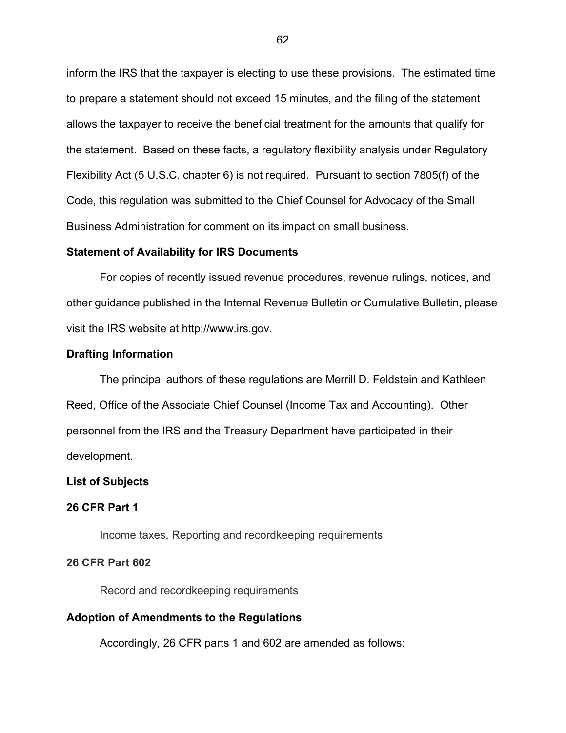inform the IRS that the taxpayer is electing to use these provisions. The estimated time to prepare a statement should not exceed 15 minutes, and the filing of the statement allows the taxpayer to receive the beneficial treatment for the amounts that qualify for the statement. Based on these facts, a regulatory flexibility analysis under Regulatory Flexibility Act (5 U.S.C. chapter 6) is not required. Pursuant to section 7805(f) of the Code, this regulation was submitted to the Chief Counsel for Advocacy of the Small Business Administration for comment on its impact on small business.

### **Statement of Availability for IRS Documents**

 For copies of recently issued revenue procedures, revenue rulings, notices, and other guidance published in the Internal Revenue Bulletin or Cumulative Bulletin, please visit the IRS website at http://www.irs.gov.

## **Drafting Information**

The principal authors of these regulations are Merrill D. Feldstein and Kathleen Reed, Office of the Associate Chief Counsel (Income Tax and Accounting). Other personnel from the IRS and the Treasury Department have participated in their development.

## **List of Subjects**

# **26 CFR Part 1**

Income taxes, Reporting and recordkeeping requirements

## **26 CFR Part 602**

Record and recordkeeping requirements

# **Adoption of Amendments to the Regulations**

Accordingly, 26 CFR parts 1 and 602 are amended as follows: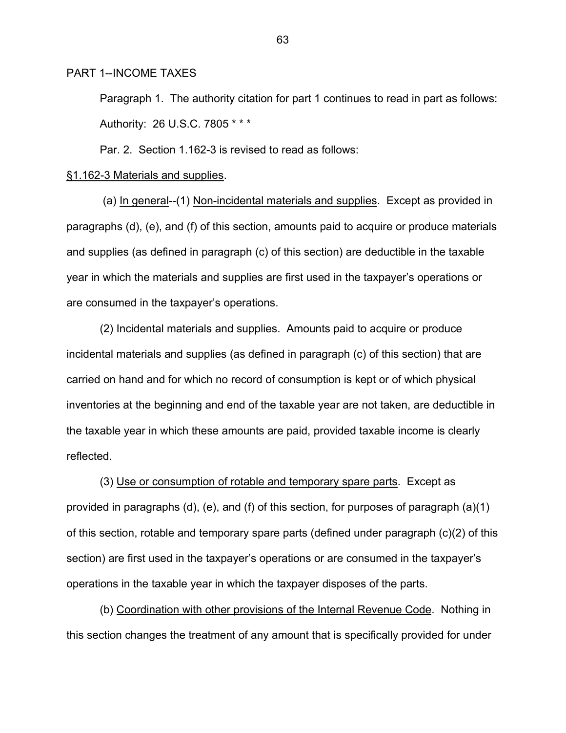PART 1--INCOME TAXES

Paragraph 1. The authority citation for part 1 continues to read in part as follows: Authority: 26 U.S.C. 7805 \* \* \*

Par. 2. Section 1.162-3 is revised to read as follows:

#### §1.162-3 Materials and supplies.

 (a) In general--(1) Non-incidental materials and supplies. Except as provided in paragraphs (d), (e), and (f) of this section, amounts paid to acquire or produce materials and supplies (as defined in paragraph (c) of this section) are deductible in the taxable year in which the materials and supplies are first used in the taxpayer's operations or are consumed in the taxpayer's operations.

 (2) Incidental materials and supplies. Amounts paid to acquire or produce incidental materials and supplies (as defined in paragraph (c) of this section) that are carried on hand and for which no record of consumption is kept or of which physical inventories at the beginning and end of the taxable year are not taken, are deductible in the taxable year in which these amounts are paid, provided taxable income is clearly reflected.

 (3) Use or consumption of rotable and temporary spare parts. Except as provided in paragraphs (d), (e), and (f) of this section, for purposes of paragraph (a)(1) of this section, rotable and temporary spare parts (defined under paragraph (c)(2) of this section) are first used in the taxpayer's operations or are consumed in the taxpayer's operations in the taxable year in which the taxpayer disposes of the parts.

 (b) Coordination with other provisions of the Internal Revenue Code. Nothing in this section changes the treatment of any amount that is specifically provided for under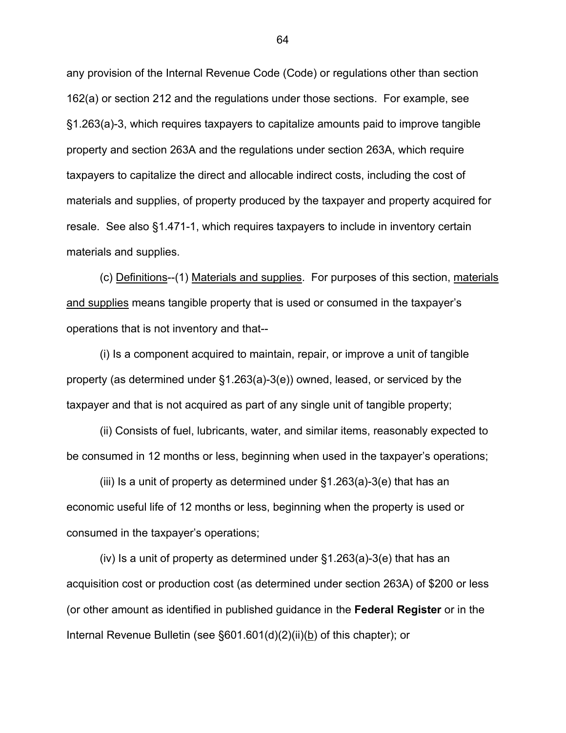any provision of the Internal Revenue Code (Code) or regulations other than section 162(a) or section 212 and the regulations under those sections. For example, see §1.263(a)-3, which requires taxpayers to capitalize amounts paid to improve tangible property and section 263A and the regulations under section 263A, which require taxpayers to capitalize the direct and allocable indirect costs, including the cost of materials and supplies, of property produced by the taxpayer and property acquired for resale. See also §1.471-1, which requires taxpayers to include in inventory certain materials and supplies.

(c) Definitions--(1) Materials and supplies. For purposes of this section, materials and supplies means tangible property that is used or consumed in the taxpayer's operations that is not inventory and that--

(i) Is a component acquired to maintain, repair, or improve a unit of tangible property (as determined under §1.263(a)-3(e)) owned, leased, or serviced by the taxpayer and that is not acquired as part of any single unit of tangible property;

(ii) Consists of fuel, lubricants, water, and similar items, reasonably expected to be consumed in 12 months or less, beginning when used in the taxpayer's operations;

(iii) Is a unit of property as determined under §1.263(a)-3(e) that has an economic useful life of 12 months or less, beginning when the property is used or consumed in the taxpayer's operations;

(iv) Is a unit of property as determined under §1.263(a)-3(e) that has an acquisition cost or production cost (as determined under section 263A) of \$200 or less (or other amount as identified in published guidance in the **Federal Register** or in the Internal Revenue Bulletin (see §601.601(d)(2)(ii)(b) of this chapter); or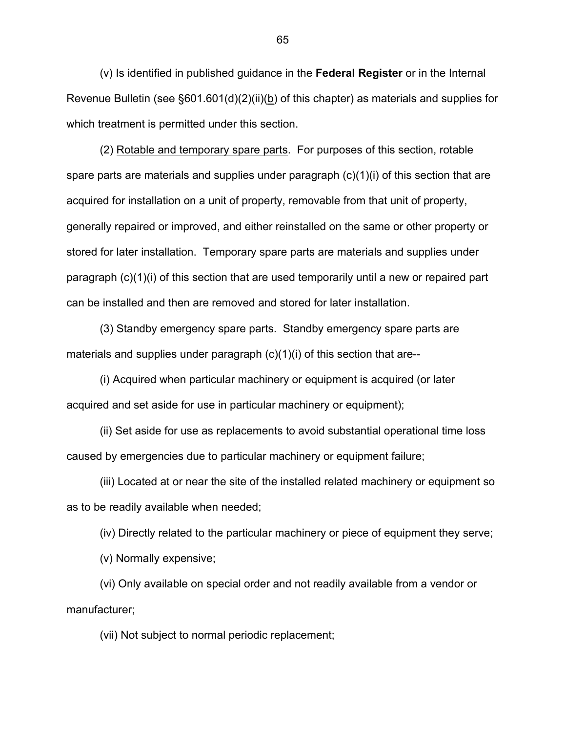(v) Is identified in published guidance in the **Federal Register** or in the Internal Revenue Bulletin (see §601.601(d)(2)(ii)(b) of this chapter) as materials and supplies for which treatment is permitted under this section.

 (2) Rotable and temporary spare parts. For purposes of this section, rotable spare parts are materials and supplies under paragraph  $(c)(1)(i)$  of this section that are acquired for installation on a unit of property, removable from that unit of property, generally repaired or improved, and either reinstalled on the same or other property or stored for later installation. Temporary spare parts are materials and supplies under paragraph (c)(1)(i) of this section that are used temporarily until a new or repaired part can be installed and then are removed and stored for later installation.

 (3) Standby emergency spare parts. Standby emergency spare parts are materials and supplies under paragraph  $(c)(1)(i)$  of this section that are--

 (i) Acquired when particular machinery or equipment is acquired (or later acquired and set aside for use in particular machinery or equipment);

 (ii) Set aside for use as replacements to avoid substantial operational time loss caused by emergencies due to particular machinery or equipment failure;

 (iii) Located at or near the site of the installed related machinery or equipment so as to be readily available when needed;

(iv) Directly related to the particular machinery or piece of equipment they serve;

(v) Normally expensive;

 (vi) Only available on special order and not readily available from a vendor or manufacturer;

(vii) Not subject to normal periodic replacement;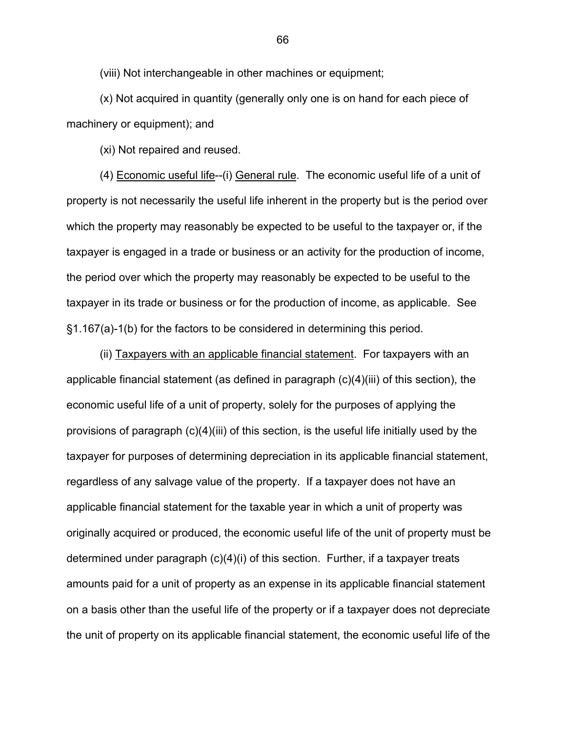(viii) Not interchangeable in other machines or equipment;

 (x) Not acquired in quantity (generally only one is on hand for each piece of machinery or equipment); and

(xi) Not repaired and reused.

(4) Economic useful life--(i) General rule. The economic useful life of a unit of property is not necessarily the useful life inherent in the property but is the period over which the property may reasonably be expected to be useful to the taxpayer or, if the taxpayer is engaged in a trade or business or an activity for the production of income, the period over which the property may reasonably be expected to be useful to the taxpayer in its trade or business or for the production of income, as applicable. See §1.167(a)-1(b) for the factors to be considered in determining this period.

(ii) Taxpayers with an applicable financial statement. For taxpayers with an applicable financial statement (as defined in paragraph (c)(4)(iii) of this section), the economic useful life of a unit of property, solely for the purposes of applying the provisions of paragraph (c)(4)(iii) of this section, is the useful life initially used by the taxpayer for purposes of determining depreciation in its applicable financial statement, regardless of any salvage value of the property. If a taxpayer does not have an applicable financial statement for the taxable year in which a unit of property was originally acquired or produced, the economic useful life of the unit of property must be determined under paragraph (c)(4)(i) of this section. Further, if a taxpayer treats amounts paid for a unit of property as an expense in its applicable financial statement on a basis other than the useful life of the property or if a taxpayer does not depreciate the unit of property on its applicable financial statement, the economic useful life of the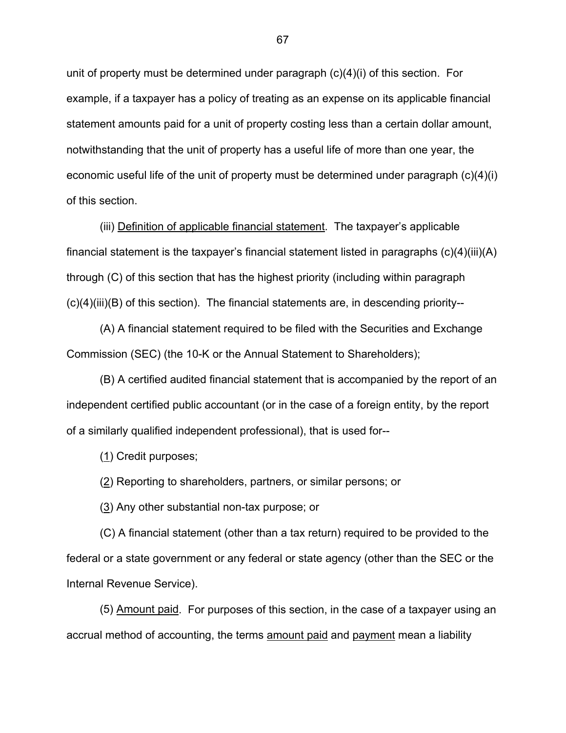unit of property must be determined under paragraph (c)(4)(i) of this section. For example, if a taxpayer has a policy of treating as an expense on its applicable financial statement amounts paid for a unit of property costing less than a certain dollar amount, notwithstanding that the unit of property has a useful life of more than one year, the economic useful life of the unit of property must be determined under paragraph (c)(4)(i) of this section.

 (iii) Definition of applicable financial statement.The taxpayer's applicable financial statement is the taxpayer's financial statement listed in paragraphs (c)(4)(iii)(A) through (C) of this section that has the highest priority (including within paragraph  $(c)(4)(iii)(B)$  of this section). The financial statements are, in descending priority--

 (A) A financial statement required to be filed with the Securities and Exchange Commission (SEC) (the 10-K or the Annual Statement to Shareholders);

 (B) A certified audited financial statement that is accompanied by the report of an independent certified public accountant (or in the case of a foreign entity, by the report of a similarly qualified independent professional), that is used for--

(1) Credit purposes;

(2) Reporting to shareholders, partners, or similar persons; or

(3) Any other substantial non-tax purpose; or

 (C) A financial statement (other than a tax return) required to be provided to the federal or a state government or any federal or state agency (other than the SEC or the Internal Revenue Service).

 (5) Amount paid. For purposes of this section, in the case of a taxpayer using an accrual method of accounting, the terms amount paid and payment mean a liability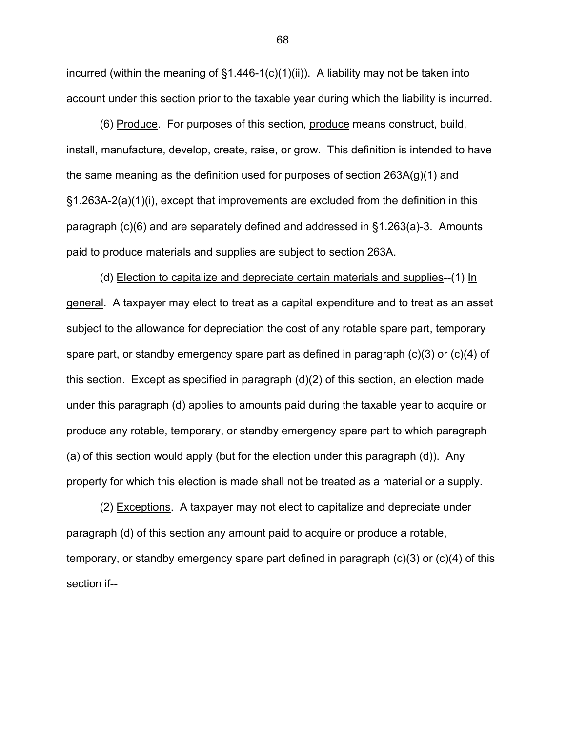incurred (within the meaning of  $\S1.446-1(c)(1)(ii)$ ). A liability may not be taken into account under this section prior to the taxable year during which the liability is incurred.

 (6) Produce. For purposes of this section, produce means construct, build, install, manufacture, develop, create, raise, or grow. This definition is intended to have the same meaning as the definition used for purposes of section 263A(g)(1) and §1.263A-2(a)(1)(i), except that improvements are excluded from the definition in this paragraph (c)(6) and are separately defined and addressed in §1.263(a)-3. Amounts paid to produce materials and supplies are subject to section 263A.

(d) Election to capitalize and depreciate certain materials and supplies--(1) In general. A taxpayer may elect to treat as a capital expenditure and to treat as an asset subject to the allowance for depreciation the cost of any rotable spare part, temporary spare part, or standby emergency spare part as defined in paragraph (c)(3) or (c)(4) of this section. Except as specified in paragraph (d)(2) of this section, an election made under this paragraph (d) applies to amounts paid during the taxable year to acquire or produce any rotable, temporary, or standby emergency spare part to which paragraph (a) of this section would apply (but for the election under this paragraph (d)). Any property for which this election is made shall not be treated as a material or a supply.

(2) Exceptions. A taxpayer may not elect to capitalize and depreciate under paragraph (d) of this section any amount paid to acquire or produce a rotable, temporary, or standby emergency spare part defined in paragraph (c)(3) or (c)(4) of this section if--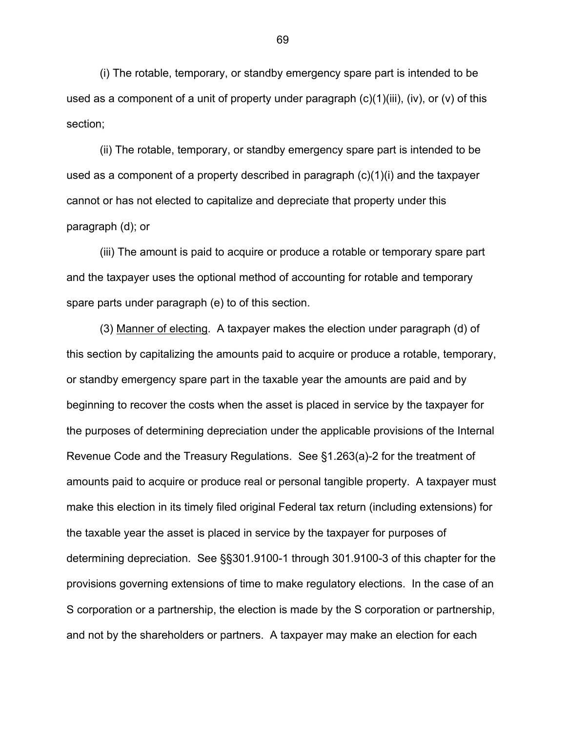(i) The rotable, temporary, or standby emergency spare part is intended to be used as a component of a unit of property under paragraph  $(c)(1)(iii)$ ,  $(iv)$ , or  $(v)$  of this section;

(ii) The rotable, temporary, or standby emergency spare part is intended to be used as a component of a property described in paragraph  $(c)(1)(i)$  and the taxpayer cannot or has not elected to capitalize and depreciate that property under this paragraph (d); or

(iii) The amount is paid to acquire or produce a rotable or temporary spare part and the taxpayer uses the optional method of accounting for rotable and temporary spare parts under paragraph (e) to of this section.

(3) Manner of electing. A taxpayer makes the election under paragraph (d) of this section by capitalizing the amounts paid to acquire or produce a rotable, temporary, or standby emergency spare part in the taxable year the amounts are paid and by beginning to recover the costs when the asset is placed in service by the taxpayer for the purposes of determining depreciation under the applicable provisions of the Internal Revenue Code and the Treasury Regulations. See §1.263(a)-2 for the treatment of amounts paid to acquire or produce real or personal tangible property. A taxpayer must make this election in its timely filed original Federal tax return (including extensions) for the taxable year the asset is placed in service by the taxpayer for purposes of determining depreciation. See §§301.9100-1 through 301.9100-3 of this chapter for the provisions governing extensions of time to make regulatory elections. In the case of an S corporation or a partnership, the election is made by the S corporation or partnership, and not by the shareholders or partners. A taxpayer may make an election for each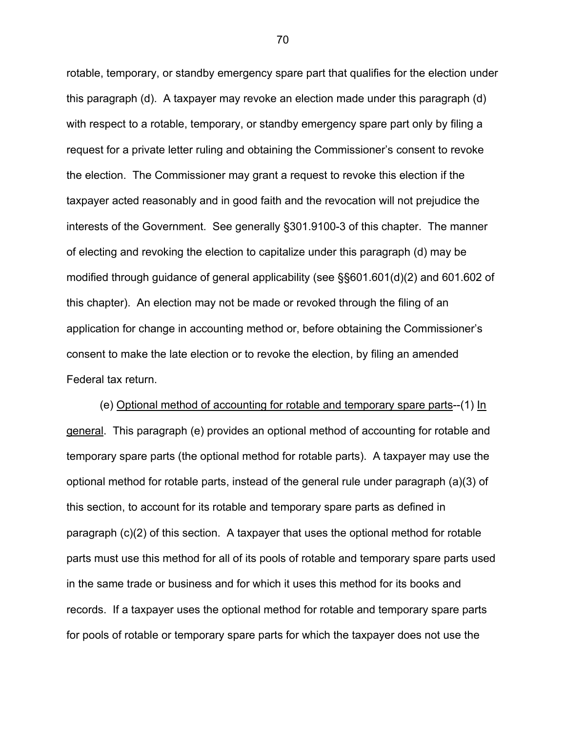rotable, temporary, or standby emergency spare part that qualifies for the election under this paragraph (d). A taxpayer may revoke an election made under this paragraph (d) with respect to a rotable, temporary, or standby emergency spare part only by filing a request for a private letter ruling and obtaining the Commissioner's consent to revoke the election. The Commissioner may grant a request to revoke this election if the taxpayer acted reasonably and in good faith and the revocation will not prejudice the interests of the Government. See generally §301.9100-3 of this chapter. The manner of electing and revoking the election to capitalize under this paragraph (d) may be modified through guidance of general applicability (see §§601.601(d)(2) and 601.602 of this chapter). An election may not be made or revoked through the filing of an application for change in accounting method or, before obtaining the Commissioner's consent to make the late election or to revoke the election, by filing an amended Federal tax return.

 (e) Optional method of accounting for rotable and temporary spare parts--(1) In general. This paragraph (e) provides an optional method of accounting for rotable and temporary spare parts (the optional method for rotable parts). A taxpayer may use the optional method for rotable parts, instead of the general rule under paragraph (a)(3) of this section, to account for its rotable and temporary spare parts as defined in paragraph (c)(2) of this section. A taxpayer that uses the optional method for rotable parts must use this method for all of its pools of rotable and temporary spare parts used in the same trade or business and for which it uses this method for its books and records. If a taxpayer uses the optional method for rotable and temporary spare parts for pools of rotable or temporary spare parts for which the taxpayer does not use the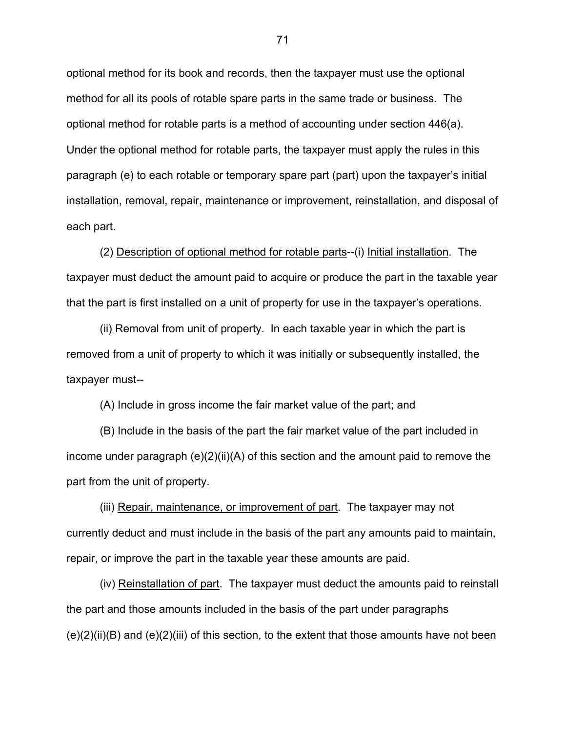optional method for its book and records, then the taxpayer must use the optional method for all its pools of rotable spare parts in the same trade or business. The optional method for rotable parts is a method of accounting under section 446(a). Under the optional method for rotable parts, the taxpayer must apply the rules in this paragraph (e) to each rotable or temporary spare part (part) upon the taxpayer's initial installation, removal, repair, maintenance or improvement, reinstallation, and disposal of each part.

 (2) Description of optional method for rotable parts--(i) Initial installation. The taxpayer must deduct the amount paid to acquire or produce the part in the taxable year that the part is first installed on a unit of property for use in the taxpayer's operations.

 (ii) Removal from unit of property. In each taxable year in which the part is removed from a unit of property to which it was initially or subsequently installed, the taxpayer must--

(A) Include in gross income the fair market value of the part; and

 (B) Include in the basis of the part the fair market value of the part included in income under paragraph  $(e)(2)(ii)(A)$  of this section and the amount paid to remove the part from the unit of property.

 (iii) Repair, maintenance, or improvement of part. The taxpayer may not currently deduct and must include in the basis of the part any amounts paid to maintain, repair, or improve the part in the taxable year these amounts are paid.

 (iv) Reinstallation of part. The taxpayer must deduct the amounts paid to reinstall the part and those amounts included in the basis of the part under paragraphs  $(e)(2)(ii)(B)$  and  $(e)(2)(iii)$  of this section, to the extent that those amounts have not been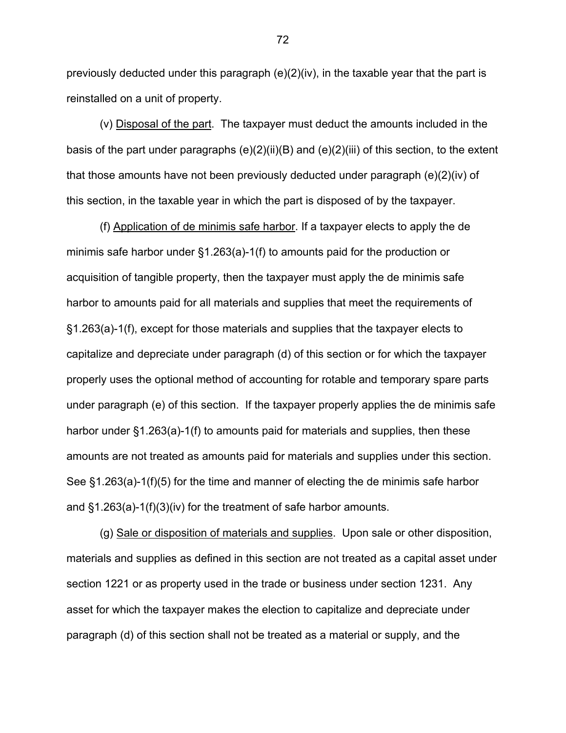previously deducted under this paragraph (e)(2)(iv), in the taxable year that the part is reinstalled on a unit of property.

(v) Disposal of the part. The taxpayer must deduct the amounts included in the basis of the part under paragraphs (e)(2)(ii)(B) and (e)(2)(iii) of this section, to the extent that those amounts have not been previously deducted under paragraph (e)(2)(iv) of this section, in the taxable year in which the part is disposed of by the taxpayer.

(f) Application of de minimis safe harbor. If a taxpayer elects to apply the de minimis safe harbor under §1.263(a)-1(f) to amounts paid for the production or acquisition of tangible property, then the taxpayer must apply the de minimis safe harbor to amounts paid for all materials and supplies that meet the requirements of §1.263(a)-1(f), except for those materials and supplies that the taxpayer elects to capitalize and depreciate under paragraph (d) of this section or for which the taxpayer properly uses the optional method of accounting for rotable and temporary spare parts under paragraph (e) of this section. If the taxpayer properly applies the de minimis safe harbor under §1.263(a)-1(f) to amounts paid for materials and supplies, then these amounts are not treated as amounts paid for materials and supplies under this section. See §1.263(a)-1(f)(5) for the time and manner of electing the de minimis safe harbor and §1.263(a)-1(f)(3)(iv) for the treatment of safe harbor amounts.

(g) Sale or disposition of materials and supplies. Upon sale or other disposition, materials and supplies as defined in this section are not treated as a capital asset under section 1221 or as property used in the trade or business under section 1231. Any asset for which the taxpayer makes the election to capitalize and depreciate under paragraph (d) of this section shall not be treated as a material or supply, and the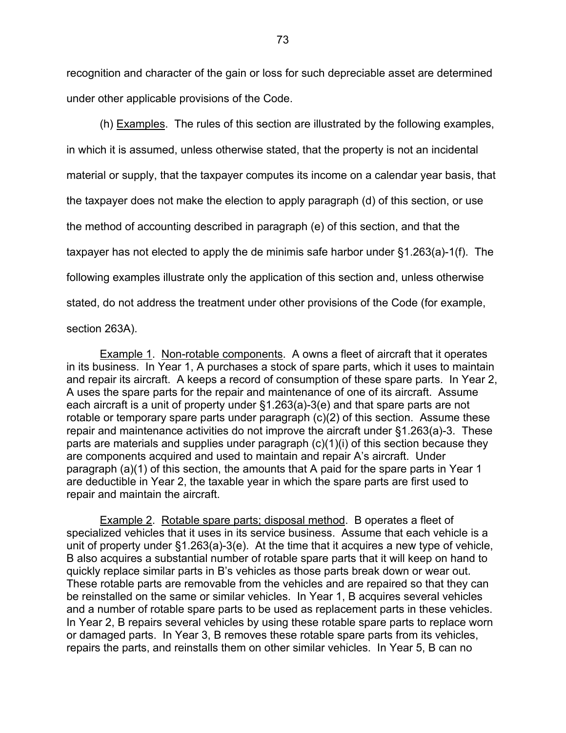recognition and character of the gain or loss for such depreciable asset are determined under other applicable provisions of the Code.

(h) Examples. The rules of this section are illustrated by the following examples, in which it is assumed, unless otherwise stated, that the property is not an incidental material or supply, that the taxpayer computes its income on a calendar year basis, that the taxpayer does not make the election to apply paragraph (d) of this section, or use the method of accounting described in paragraph (e) of this section, and that the taxpayer has not elected to apply the de minimis safe harbor under §1.263(a)-1(f). The following examples illustrate only the application of this section and, unless otherwise stated, do not address the treatment under other provisions of the Code (for example, section 263A).

**Example 1. Non-rotable components.** A owns a fleet of aircraft that it operates in its business. In Year 1, A purchases a stock of spare parts, which it uses to maintain and repair its aircraft. A keeps a record of consumption of these spare parts. In Year 2, A uses the spare parts for the repair and maintenance of one of its aircraft. Assume each aircraft is a unit of property under §1.263(a)-3(e) and that spare parts are not rotable or temporary spare parts under paragraph (c)(2) of this section. Assume these repair and maintenance activities do not improve the aircraft under §1.263(a)-3. These parts are materials and supplies under paragraph (c)(1)(i) of this section because they are components acquired and used to maintain and repair A's aircraft. Under paragraph (a)(1) of this section, the amounts that A paid for the spare parts in Year 1 are deductible in Year 2, the taxable year in which the spare parts are first used to repair and maintain the aircraft.

Example 2. Rotable spare parts; disposal method. B operates a fleet of specialized vehicles that it uses in its service business. Assume that each vehicle is a unit of property under §1.263(a)-3(e). At the time that it acquires a new type of vehicle, B also acquires a substantial number of rotable spare parts that it will keep on hand to quickly replace similar parts in B's vehicles as those parts break down or wear out. These rotable parts are removable from the vehicles and are repaired so that they can be reinstalled on the same or similar vehicles. In Year 1, B acquires several vehicles and a number of rotable spare parts to be used as replacement parts in these vehicles. In Year 2, B repairs several vehicles by using these rotable spare parts to replace worn or damaged parts. In Year 3, B removes these rotable spare parts from its vehicles, repairs the parts, and reinstalls them on other similar vehicles. In Year 5, B can no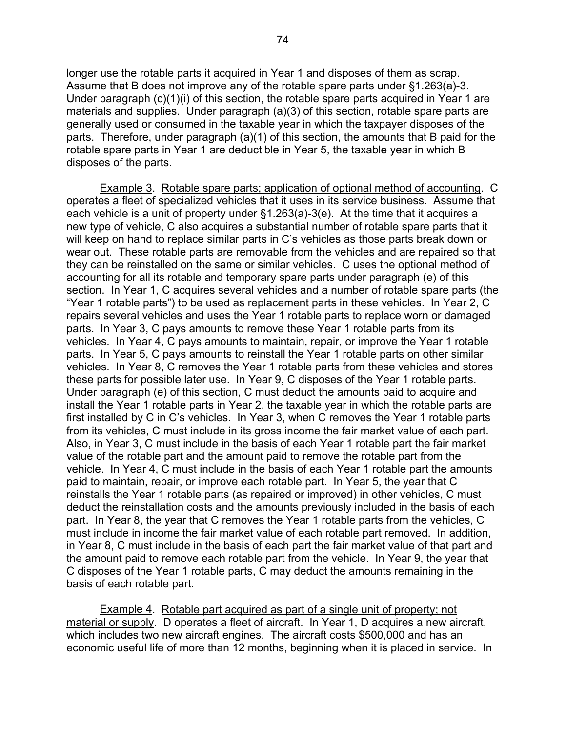longer use the rotable parts it acquired in Year 1 and disposes of them as scrap. Assume that B does not improve any of the rotable spare parts under §1.263(a)-3. Under paragraph (c)(1)(i) of this section, the rotable spare parts acquired in Year 1 are materials and supplies. Under paragraph (a)(3) of this section, rotable spare parts are generally used or consumed in the taxable year in which the taxpayer disposes of the parts. Therefore, under paragraph (a)(1) of this section, the amounts that B paid for the rotable spare parts in Year 1 are deductible in Year 5, the taxable year in which B disposes of the parts.

Example 3. Rotable spare parts; application of optional method of accounting. C operates a fleet of specialized vehicles that it uses in its service business. Assume that each vehicle is a unit of property under §1.263(a)-3(e). At the time that it acquires a new type of vehicle, C also acquires a substantial number of rotable spare parts that it will keep on hand to replace similar parts in C's vehicles as those parts break down or wear out. These rotable parts are removable from the vehicles and are repaired so that they can be reinstalled on the same or similar vehicles. C uses the optional method of accounting for all its rotable and temporary spare parts under paragraph (e) of this section. In Year 1, C acquires several vehicles and a number of rotable spare parts (the "Year 1 rotable parts") to be used as replacement parts in these vehicles. In Year 2, C repairs several vehicles and uses the Year 1 rotable parts to replace worn or damaged parts. In Year 3, C pays amounts to remove these Year 1 rotable parts from its vehicles. In Year 4, C pays amounts to maintain, repair, or improve the Year 1 rotable parts. In Year 5, C pays amounts to reinstall the Year 1 rotable parts on other similar vehicles. In Year 8, C removes the Year 1 rotable parts from these vehicles and stores these parts for possible later use. In Year 9, C disposes of the Year 1 rotable parts. Under paragraph (e) of this section, C must deduct the amounts paid to acquire and install the Year 1 rotable parts in Year 2, the taxable year in which the rotable parts are first installed by C in C's vehicles. In Year 3, when C removes the Year 1 rotable parts from its vehicles, C must include in its gross income the fair market value of each part. Also, in Year 3, C must include in the basis of each Year 1 rotable part the fair market value of the rotable part and the amount paid to remove the rotable part from the vehicle. In Year 4, C must include in the basis of each Year 1 rotable part the amounts paid to maintain, repair, or improve each rotable part. In Year 5, the year that C reinstalls the Year 1 rotable parts (as repaired or improved) in other vehicles, C must deduct the reinstallation costs and the amounts previously included in the basis of each part. In Year 8, the year that C removes the Year 1 rotable parts from the vehicles, C must include in income the fair market value of each rotable part removed. In addition, in Year 8, C must include in the basis of each part the fair market value of that part and the amount paid to remove each rotable part from the vehicle. In Year 9, the year that C disposes of the Year 1 rotable parts, C may deduct the amounts remaining in the basis of each rotable part.

Example 4. Rotable part acquired as part of a single unit of property; not material or supply. D operates a fleet of aircraft. In Year 1, D acquires a new aircraft, which includes two new aircraft engines. The aircraft costs \$500,000 and has an economic useful life of more than 12 months, beginning when it is placed in service. In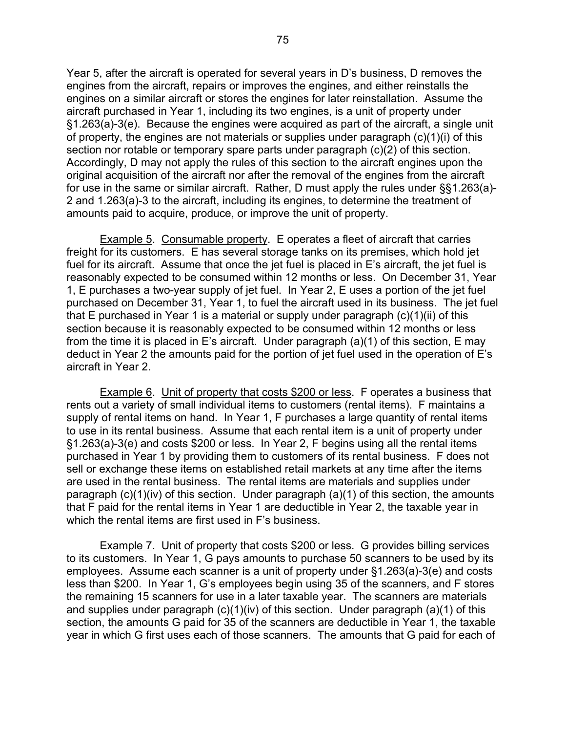Year 5, after the aircraft is operated for several years in D's business, D removes the engines from the aircraft, repairs or improves the engines, and either reinstalls the engines on a similar aircraft or stores the engines for later reinstallation. Assume the aircraft purchased in Year 1, including its two engines, is a unit of property under §1.263(a)-3(e). Because the engines were acquired as part of the aircraft, a single unit of property, the engines are not materials or supplies under paragraph (c)(1)(i) of this section nor rotable or temporary spare parts under paragraph (c)(2) of this section. Accordingly, D may not apply the rules of this section to the aircraft engines upon the original acquisition of the aircraft nor after the removal of the engines from the aircraft for use in the same or similar aircraft. Rather, D must apply the rules under §§1.263(a)- 2 and 1.263(a)-3 to the aircraft, including its engines, to determine the treatment of amounts paid to acquire, produce, or improve the unit of property.

Example 5. Consumable property. E operates a fleet of aircraft that carries freight for its customers. E has several storage tanks on its premises, which hold jet fuel for its aircraft. Assume that once the jet fuel is placed in E's aircraft, the jet fuel is reasonably expected to be consumed within 12 months or less. On December 31, Year 1, E purchases a two-year supply of jet fuel. In Year 2, E uses a portion of the jet fuel purchased on December 31, Year 1, to fuel the aircraft used in its business. The jet fuel that E purchased in Year 1 is a material or supply under paragraph  $(c)(1)(ii)$  of this section because it is reasonably expected to be consumed within 12 months or less from the time it is placed in E's aircraft. Under paragraph (a)(1) of this section, E may deduct in Year 2 the amounts paid for the portion of jet fuel used in the operation of E's aircraft in Year 2.

Example 6. Unit of property that costs \$200 or less. F operates a business that rents out a variety of small individual items to customers (rental items). F maintains a supply of rental items on hand. In Year 1, F purchases a large quantity of rental items to use in its rental business. Assume that each rental item is a unit of property under §1.263(a)-3(e) and costs \$200 or less. In Year 2, F begins using all the rental items purchased in Year 1 by providing them to customers of its rental business. F does not sell or exchange these items on established retail markets at any time after the items are used in the rental business. The rental items are materials and supplies under paragraph (c)(1)(iv) of this section. Under paragraph (a)(1) of this section, the amounts that F paid for the rental items in Year 1 are deductible in Year 2, the taxable year in which the rental items are first used in F's business.

 Example 7. Unit of property that costs \$200 or less. G provides billing services to its customers. In Year 1, G pays amounts to purchase 50 scanners to be used by its employees. Assume each scanner is a unit of property under §1.263(a)-3(e) and costs less than \$200. In Year 1, G's employees begin using 35 of the scanners, and F stores the remaining 15 scanners for use in a later taxable year. The scanners are materials and supplies under paragraph (c)(1)(iv) of this section. Under paragraph (a)(1) of this section, the amounts G paid for 35 of the scanners are deductible in Year 1, the taxable year in which G first uses each of those scanners. The amounts that G paid for each of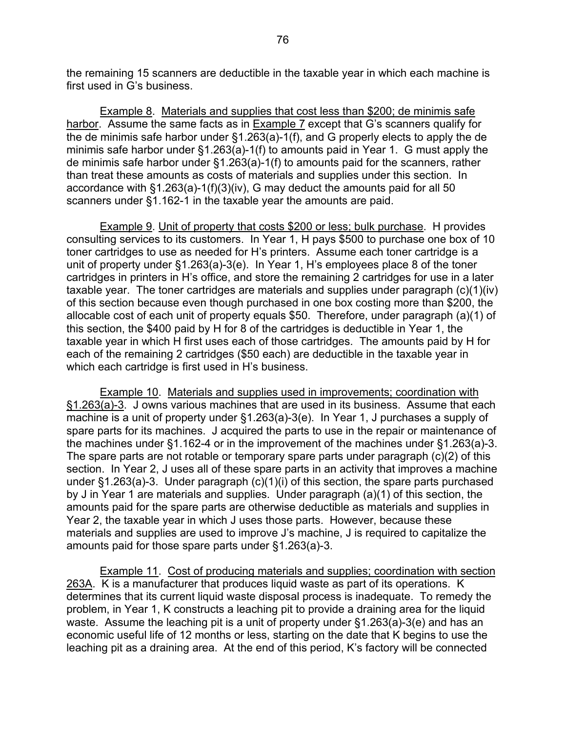the remaining 15 scanners are deductible in the taxable year in which each machine is first used in G's business.

 Example 8. Materials and supplies that cost less than \$200; de minimis safe harbor. Assume the same facts as in Example 7 except that G's scanners qualify for the de minimis safe harbor under  $\S1.263(a)$ -1(f), and G properly elects to apply the de minimis safe harbor under §1.263(a)-1(f) to amounts paid in Year 1. G must apply the de minimis safe harbor under §1.263(a)-1(f) to amounts paid for the scanners, rather than treat these amounts as costs of materials and supplies under this section. In accordance with §1.263(a)-1(f)(3)(iv), G may deduct the amounts paid for all 50 scanners under §1.162-1 in the taxable year the amounts are paid.

 Example 9. Unit of property that costs \$200 or less; bulk purchase. H provides consulting services to its customers. In Year 1, H pays \$500 to purchase one box of 10 toner cartridges to use as needed for H's printers. Assume each toner cartridge is a unit of property under §1.263(a)-3(e). In Year 1, H's employees place 8 of the toner cartridges in printers in H's office, and store the remaining 2 cartridges for use in a later taxable year. The toner cartridges are materials and supplies under paragraph (c)(1)(iv) of this section because even though purchased in one box costing more than \$200, the allocable cost of each unit of property equals \$50. Therefore, under paragraph (a)(1) of this section, the \$400 paid by H for 8 of the cartridges is deductible in Year 1, the taxable year in which H first uses each of those cartridges. The amounts paid by H for each of the remaining 2 cartridges (\$50 each) are deductible in the taxable year in which each cartridge is first used in H's business.

Example 10. Materials and supplies used in improvements; coordination with §1.263(a)-3. J owns various machines that are used in its business. Assume that each machine is a unit of property under §1.263(a)-3(e). In Year 1, J purchases a supply of spare parts for its machines. J acquired the parts to use in the repair or maintenance of the machines under §1.162-4 or in the improvement of the machines under §1.263(a)-3. The spare parts are not rotable or temporary spare parts under paragraph (c)(2) of this section. In Year 2, J uses all of these spare parts in an activity that improves a machine under §1.263(a)-3. Under paragraph (c)(1)(i) of this section, the spare parts purchased by J in Year 1 are materials and supplies. Under paragraph (a)(1) of this section, the amounts paid for the spare parts are otherwise deductible as materials and supplies in Year 2, the taxable year in which J uses those parts. However, because these materials and supplies are used to improve J's machine, J is required to capitalize the amounts paid for those spare parts under §1.263(a)-3.

Example 11. Cost of producing materials and supplies; coordination with section 263A. K is a manufacturer that produces liquid waste as part of its operations. K determines that its current liquid waste disposal process is inadequate. To remedy the problem, in Year 1, K constructs a leaching pit to provide a draining area for the liquid waste. Assume the leaching pit is a unit of property under §1.263(a)-3(e) and has an economic useful life of 12 months or less, starting on the date that K begins to use the leaching pit as a draining area. At the end of this period, K's factory will be connected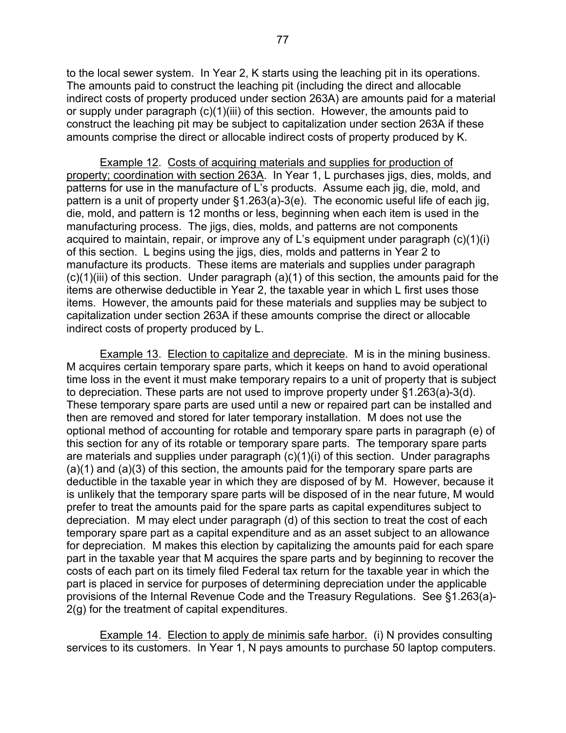to the local sewer system. In Year 2, K starts using the leaching pit in its operations. The amounts paid to construct the leaching pit (including the direct and allocable indirect costs of property produced under section 263A) are amounts paid for a material or supply under paragraph (c)(1)(iii) of this section. However, the amounts paid to construct the leaching pit may be subject to capitalization under section 263A if these amounts comprise the direct or allocable indirect costs of property produced by K.

 Example 12. Costs of acquiring materials and supplies for production of property; coordination with section 263A. In Year 1, L purchases jigs, dies, molds, and patterns for use in the manufacture of L's products. Assume each jig, die, mold, and pattern is a unit of property under §1.263(a)-3(e). The economic useful life of each jig, die, mold, and pattern is 12 months or less, beginning when each item is used in the manufacturing process. The jigs, dies, molds, and patterns are not components acquired to maintain, repair, or improve any of L's equipment under paragraph (c)(1)(i) of this section. L begins using the jigs, dies, molds and patterns in Year 2 to manufacture its products. These items are materials and supplies under paragraph  $(c)(1)(iii)$  of this section. Under paragraph  $(a)(1)$  of this section, the amounts paid for the items are otherwise deductible in Year 2, the taxable year in which L first uses those items. However, the amounts paid for these materials and supplies may be subject to capitalization under section 263A if these amounts comprise the direct or allocable indirect costs of property produced by L.

Example 13. Election to capitalize and depreciate. M is in the mining business. M acquires certain temporary spare parts, which it keeps on hand to avoid operational time loss in the event it must make temporary repairs to a unit of property that is subject to depreciation. These parts are not used to improve property under §1.263(a)-3(d). These temporary spare parts are used until a new or repaired part can be installed and then are removed and stored for later temporary installation. M does not use the optional method of accounting for rotable and temporary spare parts in paragraph (e) of this section for any of its rotable or temporary spare parts. The temporary spare parts are materials and supplies under paragraph (c)(1)(i) of this section. Under paragraphs (a)(1) and (a)(3) of this section, the amounts paid for the temporary spare parts are deductible in the taxable year in which they are disposed of by M. However, because it is unlikely that the temporary spare parts will be disposed of in the near future, M would prefer to treat the amounts paid for the spare parts as capital expenditures subject to depreciation. M may elect under paragraph (d) of this section to treat the cost of each temporary spare part as a capital expenditure and as an asset subject to an allowance for depreciation. M makes this election by capitalizing the amounts paid for each spare part in the taxable year that M acquires the spare parts and by beginning to recover the costs of each part on its timely filed Federal tax return for the taxable year in which the part is placed in service for purposes of determining depreciation under the applicable provisions of the Internal Revenue Code and the Treasury Regulations. See §1.263(a)- 2(g) for the treatment of capital expenditures.

Example 14. Election to apply de minimis safe harbor. (i) N provides consulting services to its customers. In Year 1, N pays amounts to purchase 50 laptop computers.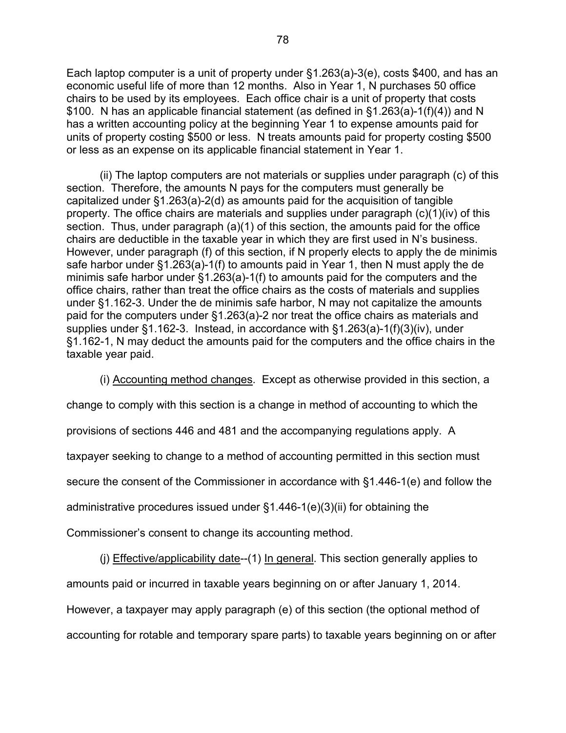Each laptop computer is a unit of property under §1.263(a)-3(e), costs \$400, and has an economic useful life of more than 12 months. Also in Year 1, N purchases 50 office chairs to be used by its employees. Each office chair is a unit of property that costs \$100. N has an applicable financial statement (as defined in §1.263(a)-1(f)(4)) and N has a written accounting policy at the beginning Year 1 to expense amounts paid for units of property costing \$500 or less. N treats amounts paid for property costing \$500 or less as an expense on its applicable financial statement in Year 1.

(ii) The laptop computers are not materials or supplies under paragraph (c) of this section. Therefore, the amounts N pays for the computers must generally be capitalized under §1.263(a)-2(d) as amounts paid for the acquisition of tangible property. The office chairs are materials and supplies under paragraph (c)(1)(iv) of this section. Thus, under paragraph (a)(1) of this section, the amounts paid for the office chairs are deductible in the taxable year in which they are first used in N's business. However, under paragraph (f) of this section, if N properly elects to apply the de minimis safe harbor under §1.263(a)-1(f) to amounts paid in Year 1, then N must apply the de minimis safe harbor under §1.263(a)-1(f) to amounts paid for the computers and the office chairs, rather than treat the office chairs as the costs of materials and supplies under §1.162-3. Under the de minimis safe harbor, N may not capitalize the amounts paid for the computers under §1.263(a)-2 nor treat the office chairs as materials and supplies under §1.162-3. Instead, in accordance with §1.263(a)-1(f)(3)(iv), under §1.162-1, N may deduct the amounts paid for the computers and the office chairs in the taxable year paid.

(i) Accounting method changes. Except as otherwise provided in this section, a

change to comply with this section is a change in method of accounting to which the

provisions of sections 446 and 481 and the accompanying regulations apply. A

taxpayer seeking to change to a method of accounting permitted in this section must

secure the consent of the Commissioner in accordance with §1.446-1(e) and follow the

administrative procedures issued under §1.446-1(e)(3)(ii) for obtaining the

Commissioner's consent to change its accounting method.

(i) Effective/applicability date--(1) In general. This section generally applies to

amounts paid or incurred in taxable years beginning on or after January 1, 2014.

However, a taxpayer may apply paragraph (e) of this section (the optional method of accounting for rotable and temporary spare parts) to taxable years beginning on or after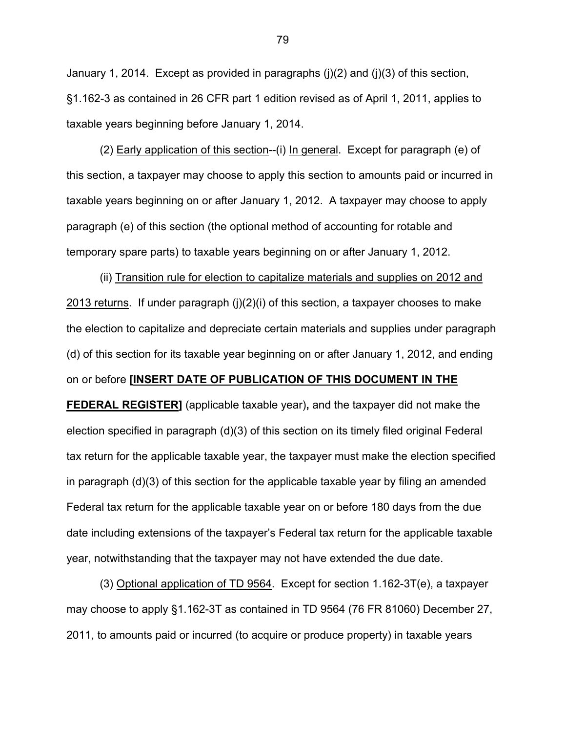January 1, 2014. Except as provided in paragraphs  $(i)(2)$  and  $(i)(3)$  of this section, §1.162-3 as contained in 26 CFR part 1 edition revised as of April 1, 2011, applies to taxable years beginning before January 1, 2014.

(2) Early application of this section--(i) In general. Except for paragraph (e) of this section, a taxpayer may choose to apply this section to amounts paid or incurred in taxable years beginning on or after January 1, 2012. A taxpayer may choose to apply paragraph (e) of this section (the optional method of accounting for rotable and temporary spare parts) to taxable years beginning on or after January 1, 2012.

(ii) Transition rule for election to capitalize materials and supplies on 2012 and 2013 returns. If under paragraph  $(i)(2)(i)$  of this section, a taxpayer chooses to make the election to capitalize and depreciate certain materials and supplies under paragraph (d) of this section for its taxable year beginning on or after January 1, 2012, and ending on or before **[INSERT DATE OF PUBLICATION OF THIS DOCUMENT IN THE FEDERAL REGISTER]** (applicable taxable year)**,** and the taxpayer did not make the election specified in paragraph (d)(3) of this section on its timely filed original Federal tax return for the applicable taxable year, the taxpayer must make the election specified in paragraph (d)(3) of this section for the applicable taxable year by filing an amended Federal tax return for the applicable taxable year on or before 180 days from the due date including extensions of the taxpayer's Federal tax return for the applicable taxable year, notwithstanding that the taxpayer may not have extended the due date.

(3) Optional application of TD 9564. Except for section 1.162-3T(e), a taxpayer may choose to apply §1.162-3T as contained in TD 9564 (76 FR 81060) December 27, 2011, to amounts paid or incurred (to acquire or produce property) in taxable years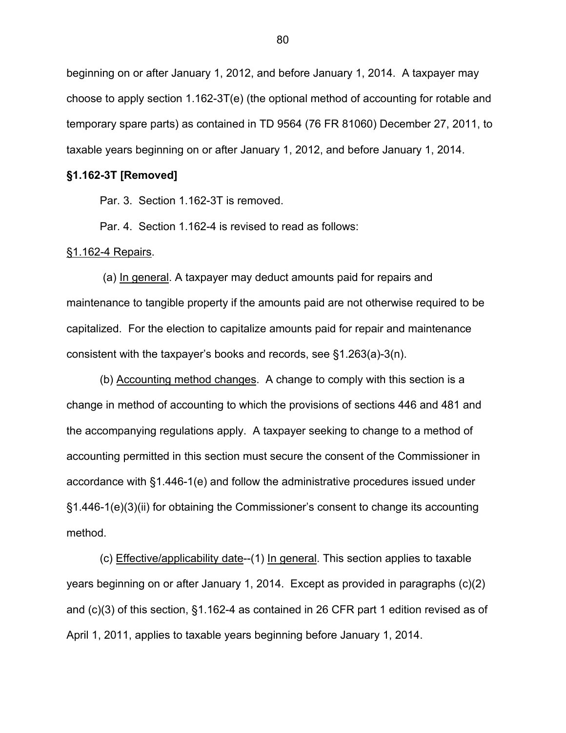beginning on or after January 1, 2012, and before January 1, 2014. A taxpayer may choose to apply section 1.162-3T(e) (the optional method of accounting for rotable and temporary spare parts) as contained in TD 9564 (76 FR 81060) December 27, 2011, to taxable years beginning on or after January 1, 2012, and before January 1, 2014.

#### **§1.162-3T [Removed]**

Par. 3. Section 1.162-3T is removed.

Par. 4. Section 1.162-4 is revised to read as follows:

# §1.162-4 Repairs.

 (a) In general. A taxpayer may deduct amounts paid for repairs and maintenance to tangible property if the amounts paid are not otherwise required to be capitalized. For the election to capitalize amounts paid for repair and maintenance consistent with the taxpayer's books and records, see §1.263(a)-3(n).

 (b) Accounting method changes. A change to comply with this section is a change in method of accounting to which the provisions of sections 446 and 481 and the accompanying regulations apply. A taxpayer seeking to change to a method of accounting permitted in this section must secure the consent of the Commissioner in accordance with §1.446-1(e) and follow the administrative procedures issued under §1.446-1(e)(3)(ii) for obtaining the Commissioner's consent to change its accounting method.

(c) Effective/applicability date--(1) In general. This section applies to taxable years beginning on or after January 1, 2014. Except as provided in paragraphs (c)(2) and (c)(3) of this section, §1.162-4 as contained in 26 CFR part 1 edition revised as of April 1, 2011, applies to taxable years beginning before January 1, 2014.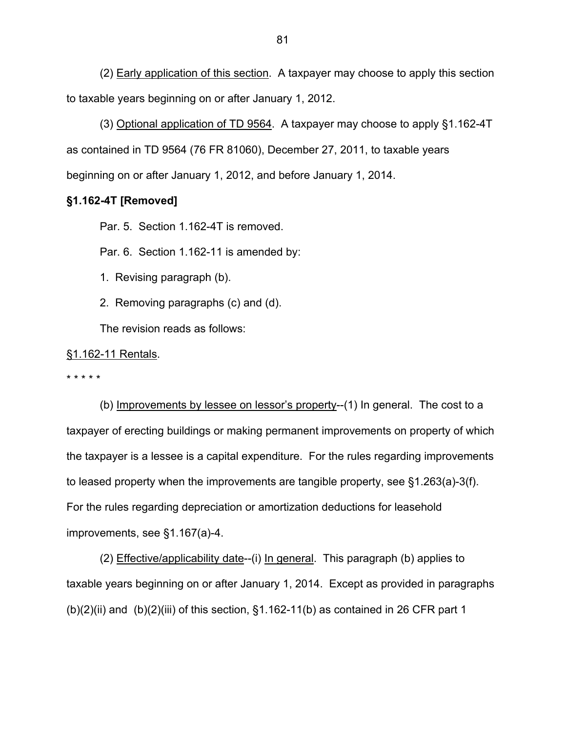(2) Early application of this section. A taxpayer may choose to apply this section to taxable years beginning on or after January 1, 2012.

(3) Optional application of TD 9564. A taxpayer may choose to apply §1.162-4T as contained in TD 9564 (76 FR 81060), December 27, 2011, to taxable years beginning on or after January 1, 2012, and before January 1, 2014.

### **§1.162-4T [Removed]**

Par. 5. Section 1.162-4T is removed.

Par. 6. Section 1.162-11 is amended by:

- 1. Revising paragraph (b).
- 2. Removing paragraphs (c) and (d).

The revision reads as follows:

#### §1.162-11 Rentals.

\* \* \* \* \*

 (b) Improvements by lessee on lessor's property--(1) In general. The cost to a taxpayer of erecting buildings or making permanent improvements on property of which the taxpayer is a lessee is a capital expenditure. For the rules regarding improvements to leased property when the improvements are tangible property, see §1.263(a)-3(f). For the rules regarding depreciation or amortization deductions for leasehold improvements, see §1.167(a)-4.

(2) Effective/applicability date--(i) In general. This paragraph (b) applies to taxable years beginning on or after January 1, 2014. Except as provided in paragraphs  $(b)(2)(ii)$  and  $(b)(2)(iii)$  of this section,  $§1.162-11(b)$  as contained in 26 CFR part 1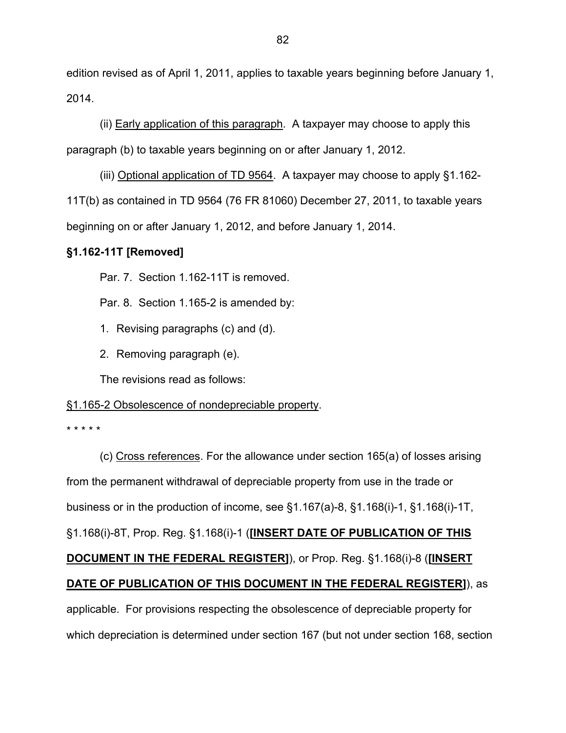edition revised as of April 1, 2011, applies to taxable years beginning before January 1, 2014.

(ii) Early application of this paragraph. A taxpayer may choose to apply this paragraph (b) to taxable years beginning on or after January 1, 2012.

(iii) Optional application of TD 9564. A taxpayer may choose to apply §1.162- 11T(b) as contained in TD 9564 (76 FR 81060) December 27, 2011, to taxable years beginning on or after January 1, 2012, and before January 1, 2014.

# **§1.162-11T [Removed]**

Par. 7. Section 1.162-11T is removed.

Par. 8. Section 1.165-2 is amended by:

- 1. Revising paragraphs (c) and (d).
- 2. Removing paragraph (e).

The revisions read as follows:

# §1.165-2 Obsolescence of nondepreciable property.

\* \* \* \* \*

(c) Cross references. For the allowance under section 165(a) of losses arising from the permanent withdrawal of depreciable property from use in the trade or business or in the production of income, see §1.167(a)-8, §1.168(i)-1, §1.168(i)-1T, §1.168(i)-8T, Prop. Reg. §1.168(i)-1 (**[INSERT DATE OF PUBLICATION OF THIS DOCUMENT IN THE FEDERAL REGISTER]**), or Prop. Reg. §1.168(i)-8 (**[INSERT DATE OF PUBLICATION OF THIS DOCUMENT IN THE FEDERAL REGISTER]**), as applicable. For provisions respecting the obsolescence of depreciable property for which depreciation is determined under section 167 (but not under section 168, section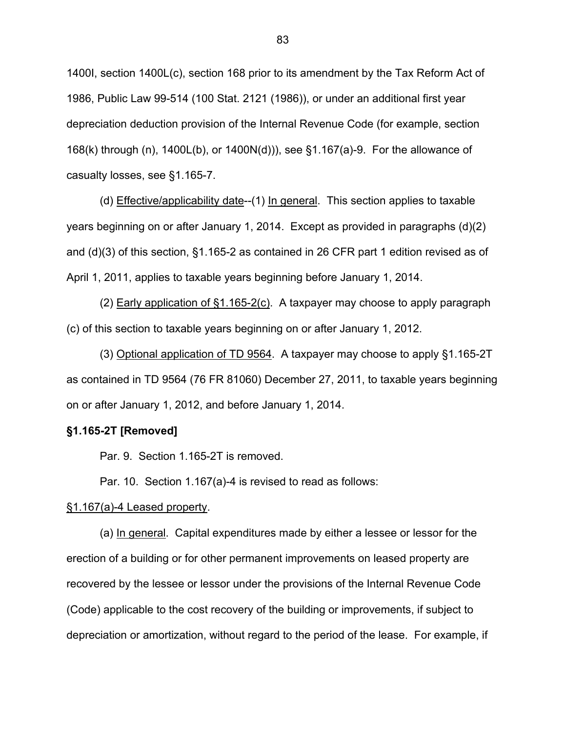1400I, section 1400L(c), section 168 prior to its amendment by the Tax Reform Act of 1986, Public Law 99-514 (100 Stat. 2121 (1986)), or under an additional first year depreciation deduction provision of the Internal Revenue Code (for example, section 168(k) through (n), 1400L(b), or 1400N(d))), see §1.167(a)-9. For the allowance of casualty losses, see §1.165-7.

(d) Effective/applicability date--(1) In general. This section applies to taxable years beginning on or after January 1, 2014. Except as provided in paragraphs (d)(2) and (d)(3) of this section, §1.165-2 as contained in 26 CFR part 1 edition revised as of April 1, 2011, applies to taxable years beginning before January 1, 2014.

(2) Early application of §1.165-2(c). A taxpayer may choose to apply paragraph (c) of this section to taxable years beginning on or after January 1, 2012.

(3) Optional application of TD 9564. A taxpayer may choose to apply §1.165-2T as contained in TD 9564 (76 FR 81060) December 27, 2011, to taxable years beginning on or after January 1, 2012, and before January 1, 2014.

#### **§1.165-2T [Removed]**

Par. 9. Section 1.165-2T is removed.

Par. 10. Section 1.167(a)-4 is revised to read as follows:

#### §1.167(a)-4 Leased property.

 (a) In general. Capital expenditures made by either a lessee or lessor for the erection of a building or for other permanent improvements on leased property are recovered by the lessee or lessor under the provisions of the Internal Revenue Code (Code) applicable to the cost recovery of the building or improvements, if subject to depreciation or amortization, without regard to the period of the lease. For example, if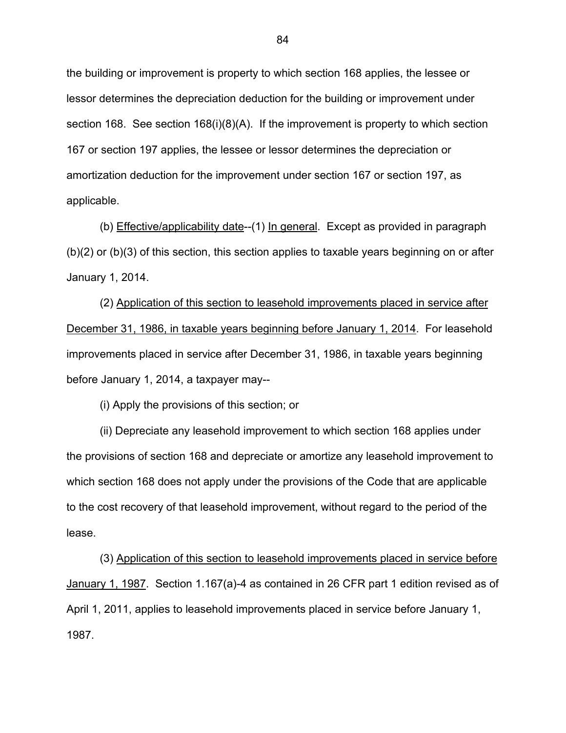the building or improvement is property to which section 168 applies, the lessee or lessor determines the depreciation deduction for the building or improvement under section 168. See section 168(i)(8)(A). If the improvement is property to which section 167 or section 197 applies, the lessee or lessor determines the depreciation or amortization deduction for the improvement under section 167 or section 197, as applicable.

(b) Effective/applicability date--(1) In general. Except as provided in paragraph (b)(2) or (b)(3) of this section, this section applies to taxable years beginning on or after January 1, 2014.

 (2) Application of this section to leasehold improvements placed in service after December 31, 1986, in taxable years beginning before January 1, 2014. For leasehold improvements placed in service after December 31, 1986, in taxable years beginning before January 1, 2014, a taxpayer may--

(i) Apply the provisions of this section; or

 (ii) Depreciate any leasehold improvement to which section 168 applies under the provisions of section 168 and depreciate or amortize any leasehold improvement to which section 168 does not apply under the provisions of the Code that are applicable to the cost recovery of that leasehold improvement, without regard to the period of the lease.

 (3) Application of this section to leasehold improvements placed in service before January 1, 1987. Section 1.167(a)-4 as contained in 26 CFR part 1 edition revised as of April 1, 2011, applies to leasehold improvements placed in service before January 1, 1987.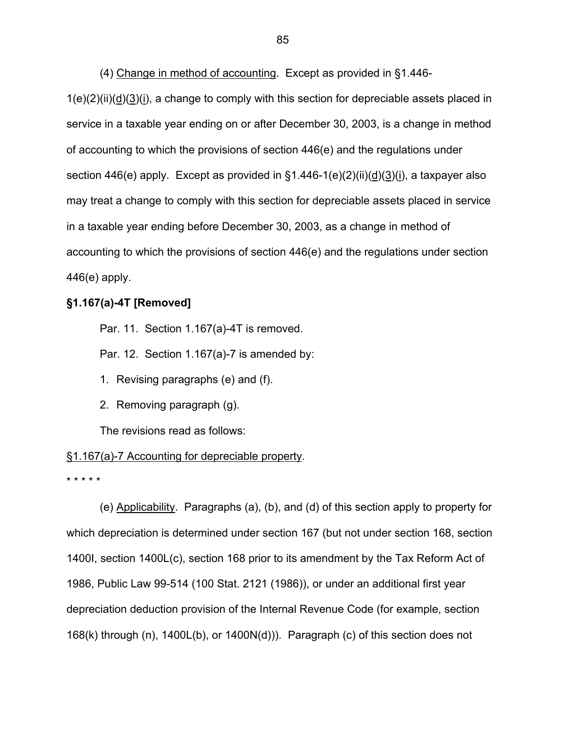(4) Change in method of accounting. Except as provided in §1.446-  $1(e)(2)(ii)(d)(3)(i)$ , a change to comply with this section for depreciable assets placed in service in a taxable year ending on or after December 30, 2003, is a change in method of accounting to which the provisions of section 446(e) and the regulations under section 446(e) apply. Except as provided in  $\S1.446-1(e)(2)(ii)(d)(3)(i)$ , a taxpayer also may treat a change to comply with this section for depreciable assets placed in service in a taxable year ending before December 30, 2003, as a change in method of accounting to which the provisions of section 446(e) and the regulations under section 446(e) apply.

# **§1.167(a)-4T [Removed]**

Par. 11. Section 1.167(a)-4T is removed.

Par. 12. Section 1.167(a)-7 is amended by:

1. Revising paragraphs (e) and (f).

2. Removing paragraph (g).

The revisions read as follows:

#### §1.167(a)-7 Accounting for depreciable property.

\* \* \* \* \*

 (e) Applicability. Paragraphs (a), (b), and (d) of this section apply to property for which depreciation is determined under section 167 (but not under section 168, section 1400I, section 1400L(c), section 168 prior to its amendment by the Tax Reform Act of 1986, Public Law 99-514 (100 Stat. 2121 (1986)), or under an additional first year depreciation deduction provision of the Internal Revenue Code (for example, section 168(k) through (n), 1400L(b), or 1400N(d))). Paragraph (c) of this section does not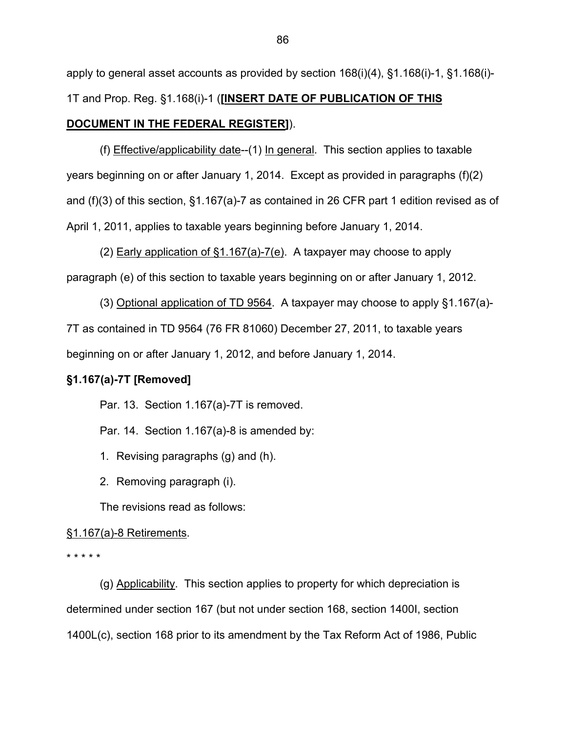apply to general asset accounts as provided by section  $168(i)(4)$ , §1.168 $(i)$ -1, §1.168 $(i)$ -1T and Prop. Reg. §1.168(i)-1 (**[INSERT DATE OF PUBLICATION OF THIS DOCUMENT IN THE FEDERAL REGISTER]**).

(f) Effective/applicability date--(1) In general. This section applies to taxable years beginning on or after January 1, 2014. Except as provided in paragraphs (f)(2) and (f)(3) of this section, §1.167(a)-7 as contained in 26 CFR part 1 edition revised as of April 1, 2011, applies to taxable years beginning before January 1, 2014.

(2) Early application of §1.167(a)-7(e). A taxpayer may choose to apply paragraph (e) of this section to taxable years beginning on or after January 1, 2012.

(3) Optional application of TD 9564. A taxpayer may choose to apply §1.167(a)- 7T as contained in TD 9564 (76 FR 81060) December 27, 2011, to taxable years beginning on or after January 1, 2012, and before January 1, 2014.

# **§1.167(a)-7T [Removed]**

Par. 13. Section 1.167(a)-7T is removed.

Par. 14. Section 1.167(a)-8 is amended by:

1. Revising paragraphs (g) and (h).

2. Removing paragraph (i).

The revisions read as follows:

# §1.167(a)-8 Retirements.

\* \* \* \* \*

(g) Applicability. This section applies to property for which depreciation is determined under section 167 (but not under section 168, section 1400I, section 1400L(c), section 168 prior to its amendment by the Tax Reform Act of 1986, Public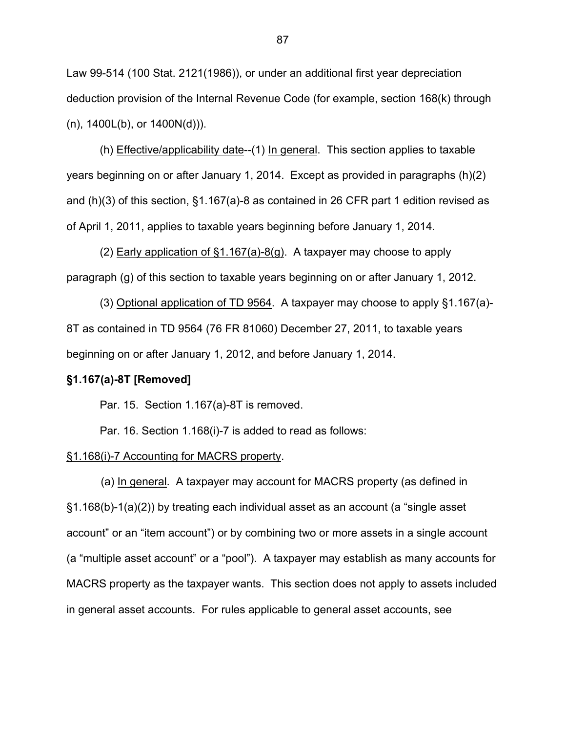Law 99-514 (100 Stat. 2121(1986)), or under an additional first year depreciation deduction provision of the Internal Revenue Code (for example, section 168(k) through (n), 1400L(b), or 1400N(d))).

(h) Effective/applicability date--(1) In general. This section applies to taxable years beginning on or after January 1, 2014. Except as provided in paragraphs (h)(2) and (h)(3) of this section, §1.167(a)-8 as contained in 26 CFR part 1 edition revised as of April 1, 2011, applies to taxable years beginning before January 1, 2014.

(2) Early application of §1.167(a)-8(g). A taxpayer may choose to apply paragraph (g) of this section to taxable years beginning on or after January 1, 2012.

(3) Optional application of TD 9564. A taxpayer may choose to apply §1.167(a)- 8T as contained in TD 9564 (76 FR 81060) December 27, 2011, to taxable years beginning on or after January 1, 2012, and before January 1, 2014.

#### **§1.167(a)-8T [Removed]**

Par. 15. Section 1.167(a)-8T is removed.

Par. 16. Section 1.168(i)-7 is added to read as follows:

#### §1.168(i)-7 Accounting for MACRS property.

(a) In general. A taxpayer may account for MACRS property (as defined in §1.168(b)-1(a)(2)) by treating each individual asset as an account (a "single asset account" or an "item account") or by combining two or more assets in a single account (a "multiple asset account" or a "pool"). A taxpayer may establish as many accounts for MACRS property as the taxpayer wants. This section does not apply to assets included in general asset accounts. For rules applicable to general asset accounts, see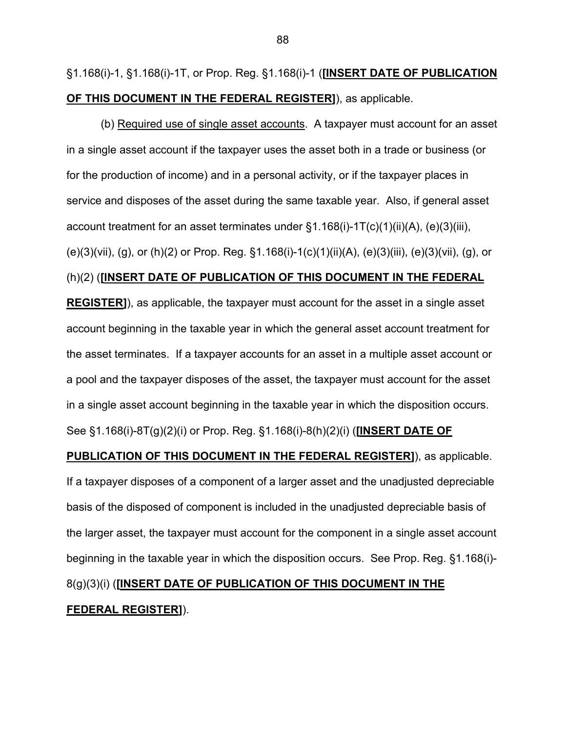§1.168(i)-1, §1.168(i)-1T, or Prop. Reg. §1.168(i)-1 (**[INSERT DATE OF PUBLICATION OF THIS DOCUMENT IN THE FEDERAL REGISTER]**), as applicable.

(b) Required use of single asset accounts. A taxpayer must account for an asset in a single asset account if the taxpayer uses the asset both in a trade or business (or for the production of income) and in a personal activity, or if the taxpayer places in service and disposes of the asset during the same taxable year. Also, if general asset account treatment for an asset terminates under  $\S1.168(i)$ -1T(c)(1)(ii)(A), (e)(3)(iii), (e)(3)(vii), (g), or (h)(2) or Prop. Reg. §1.168(i)-1(c)(1)(ii)(A), (e)(3)(iii), (e)(3)(vii), (g), or (h)(2) (**[INSERT DATE OF PUBLICATION OF THIS DOCUMENT IN THE FEDERAL REGISTER]**), as applicable, the taxpayer must account for the asset in a single asset account beginning in the taxable year in which the general asset account treatment for the asset terminates. If a taxpayer accounts for an asset in a multiple asset account or a pool and the taxpayer disposes of the asset, the taxpayer must account for the asset in a single asset account beginning in the taxable year in which the disposition occurs. See §1.168(i)-8T(g)(2)(i) or Prop. Reg. §1.168(i)-8(h)(2)(i) (**[INSERT DATE OF PUBLICATION OF THIS DOCUMENT IN THE FEDERAL REGISTER]**), as applicable.

If a taxpayer disposes of a component of a larger asset and the unadjusted depreciable basis of the disposed of component is included in the unadjusted depreciable basis of the larger asset, the taxpayer must account for the component in a single asset account beginning in the taxable year in which the disposition occurs. See Prop. Reg. §1.168(i)-

# 8(g)(3)(i) (**[INSERT DATE OF PUBLICATION OF THIS DOCUMENT IN THE FEDERAL REGISTER]**).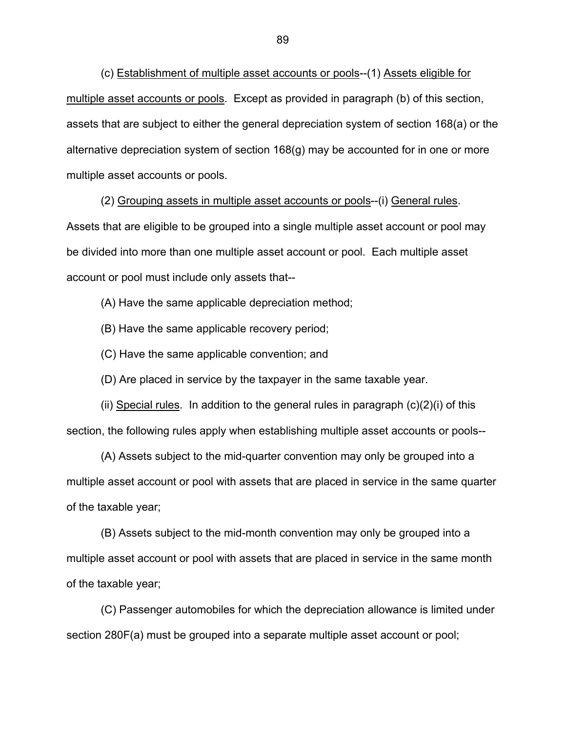(c) Establishment of multiple asset accounts or pools--(1) Assets eligible for multiple asset accounts or pools. Except as provided in paragraph (b) of this section, assets that are subject to either the general depreciation system of section 168(a) or the alternative depreciation system of section 168(g) may be accounted for in one or more multiple asset accounts or pools.

(2) Grouping assets in multiple asset accounts or pools--(i) General rules. Assets that are eligible to be grouped into a single multiple asset account or pool may be divided into more than one multiple asset account or pool. Each multiple asset account or pool must include only assets that--

(A) Have the same applicable depreciation method;

(B) Have the same applicable recovery period;

(C) Have the same applicable convention; and

(D) Are placed in service by the taxpayer in the same taxable year.

(ii) Special rules. In addition to the general rules in paragraph  $(c)(2)(i)$  of this section, the following rules apply when establishing multiple asset accounts or pools--

(A) Assets subject to the mid-quarter convention may only be grouped into a multiple asset account or pool with assets that are placed in service in the same quarter of the taxable year;

(B) Assets subject to the mid-month convention may only be grouped into a multiple asset account or pool with assets that are placed in service in the same month of the taxable year;

(C) Passenger automobiles for which the depreciation allowance is limited under section 280F(a) must be grouped into a separate multiple asset account or pool;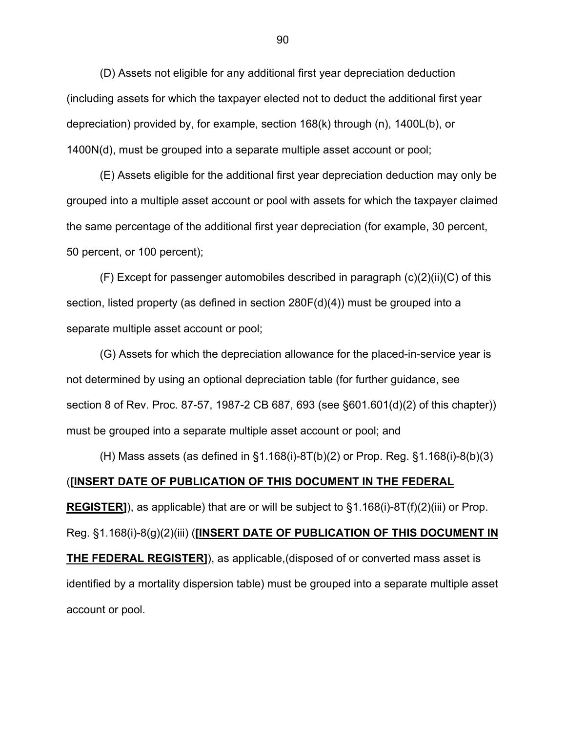(D) Assets not eligible for any additional first year depreciation deduction (including assets for which the taxpayer elected not to deduct the additional first year depreciation) provided by, for example, section 168(k) through (n), 1400L(b), or 1400N(d), must be grouped into a separate multiple asset account or pool;

(E) Assets eligible for the additional first year depreciation deduction may only be grouped into a multiple asset account or pool with assets for which the taxpayer claimed the same percentage of the additional first year depreciation (for example, 30 percent, 50 percent, or 100 percent);

 $(F)$  Except for passenger automobiles described in paragraph  $(c)(2)(ii)(C)$  of this section, listed property (as defined in section  $280F(d)(4)$ ) must be grouped into a separate multiple asset account or pool;

(G) Assets for which the depreciation allowance for the placed-in-service year is not determined by using an optional depreciation table (for further guidance, see section 8 of Rev. Proc. 87-57, 1987-2 CB 687, 693 (see §601.601(d)(2) of this chapter)) must be grouped into a separate multiple asset account or pool; and

(H) Mass assets (as defined in §1.168(i)-8T(b)(2) or Prop. Reg. §1.168(i)-8(b)(3) (**[INSERT DATE OF PUBLICATION OF THIS DOCUMENT IN THE FEDERAL REGISTER]**), as applicable) that are or will be subject to §1.168(i)-8T(f)(2)(iii) or Prop. Reg. §1.168(i)-8(g)(2)(iii) (**[INSERT DATE OF PUBLICATION OF THIS DOCUMENT IN THE FEDERAL REGISTER]**), as applicable,(disposed of or converted mass asset is identified by a mortality dispersion table) must be grouped into a separate multiple asset account or pool.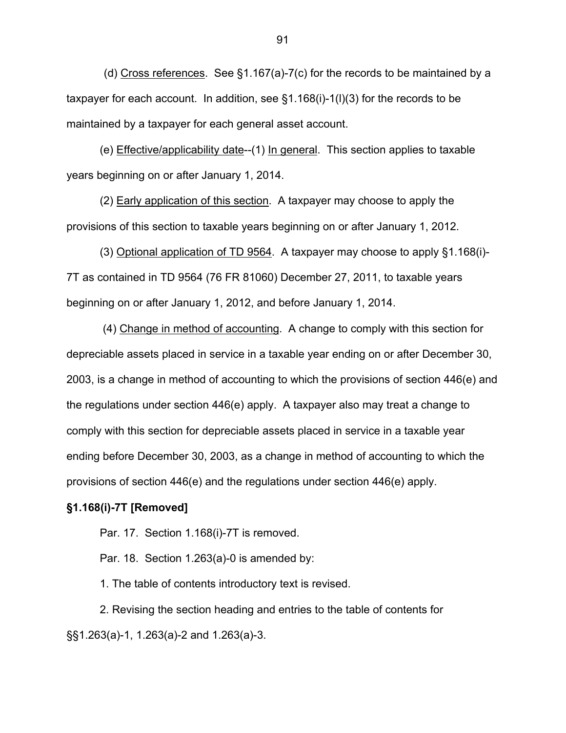(d) Cross references. See §1.167(a)-7(c) for the records to be maintained by a taxpayer for each account. In addition, see §1.168(i)-1(l)(3) for the records to be maintained by a taxpayer for each general asset account.

(e) Effective/applicability date--(1) In general. This section applies to taxable years beginning on or after January 1, 2014.

(2) Early application of this section. A taxpayer may choose to apply the provisions of this section to taxable years beginning on or after January 1, 2012.

(3) Optional application of TD 9564. A taxpayer may choose to apply §1.168(i)- 7T as contained in TD 9564 (76 FR 81060) December 27, 2011, to taxable years beginning on or after January 1, 2012, and before January 1, 2014.

 (4) Change in method of accounting. A change to comply with this section for depreciable assets placed in service in a taxable year ending on or after December 30, 2003, is a change in method of accounting to which the provisions of section 446(e) and the regulations under section 446(e) apply. A taxpayer also may treat a change to comply with this section for depreciable assets placed in service in a taxable year ending before December 30, 2003, as a change in method of accounting to which the provisions of section 446(e) and the regulations under section 446(e) apply.

### **§1.168(i)-7T [Removed]**

Par. 17. Section 1.168(i)-7T is removed.

Par. 18. Section 1.263(a)-0 is amended by:

1. The table of contents introductory text is revised.

 2. Revising the section heading and entries to the table of contents for §§1.263(a)-1, 1.263(a)-2 and 1.263(a)-3.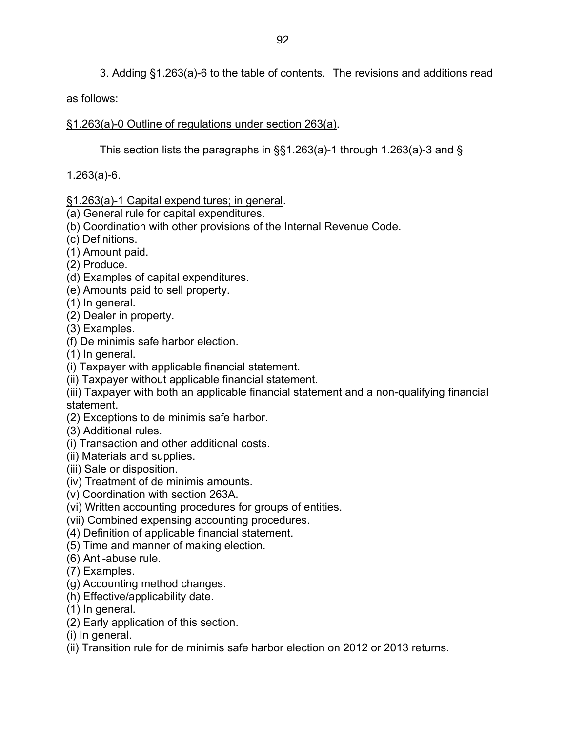3. Adding §1.263(a)-6 to the table of contents. The revisions and additions read

as follows:

# §1.263(a)-0 Outline of regulations under section 263(a).

This section lists the paragraphs in §§1.263(a)-1 through 1.263(a)-3 and §

1.263(a)-6.

# §1.263(a)-1 Capital expenditures; in general.

- (a) General rule for capital expenditures.
- (b) Coordination with other provisions of the Internal Revenue Code.
- (c) Definitions.
- (1) Amount paid.
- (2) Produce.
- (d) Examples of capital expenditures.
- (e) Amounts paid to sell property.
- (1) In general.
- (2) Dealer in property.
- (3) Examples.
- (f) De minimis safe harbor election.
- (1) In general.
- (i) Taxpayer with applicable financial statement.
- (ii) Taxpayer without applicable financial statement.

(iii) Taxpayer with both an applicable financial statement and a non-qualifying financial statement.

- (2) Exceptions to de minimis safe harbor.
- (3) Additional rules.
- (i) Transaction and other additional costs.
- (ii) Materials and supplies.
- (iii) Sale or disposition.
- (iv) Treatment of de minimis amounts.
- (v) Coordination with section 263A.
- (vi) Written accounting procedures for groups of entities.
- (vii) Combined expensing accounting procedures.
- (4) Definition of applicable financial statement.
- (5) Time and manner of making election.
- (6) Anti-abuse rule.
- (7) Examples.
- (g) Accounting method changes.
- (h) Effective/applicability date.
- (1) In general.
- (2) Early application of this section.
- (i) In general.
- (ii) Transition rule for de minimis safe harbor election on 2012 or 2013 returns.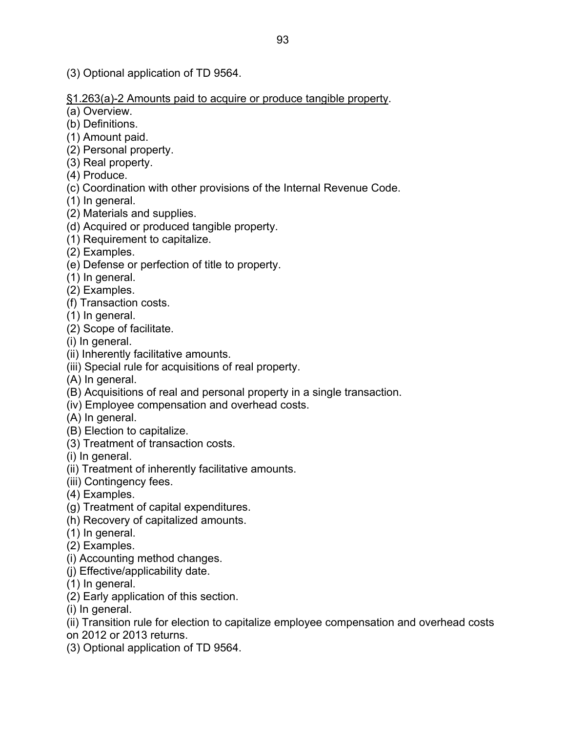(3) Optional application of TD 9564.

§1.263(a)-2 Amounts paid to acquire or produce tangible property.

(a) Overview.

- (b) Definitions.
- (1) Amount paid.
- (2) Personal property.
- (3) Real property.
- (4) Produce.
- (c) Coordination with other provisions of the Internal Revenue Code.
- (1) In general.
- (2) Materials and supplies.
- (d) Acquired or produced tangible property.
- (1) Requirement to capitalize.
- (2) Examples.
- (e) Defense or perfection of title to property.
- (1) In general.
- (2) Examples.
- (f) Transaction costs.
- (1) In general.
- (2) Scope of facilitate.
- (i) In general.
- (ii) Inherently facilitative amounts.
- (iii) Special rule for acquisitions of real property.
- (A) In general.
- (B) Acquisitions of real and personal property in a single transaction.
- (iv) Employee compensation and overhead costs.
- (A) In general.
- (B) Election to capitalize.
- (3) Treatment of transaction costs.
- (i) In general.
- (ii) Treatment of inherently facilitative amounts.
- (iii) Contingency fees.
- (4) Examples.
- (g) Treatment of capital expenditures.
- (h) Recovery of capitalized amounts.
- (1) In general.
- (2) Examples.
- (i) Accounting method changes.
- (j) Effective/applicability date.
- (1) In general.
- (2) Early application of this section.
- (i) In general.
- (ii) Transition rule for election to capitalize employee compensation and overhead costs
- on 2012 or 2013 returns.
- (3) Optional application of TD 9564.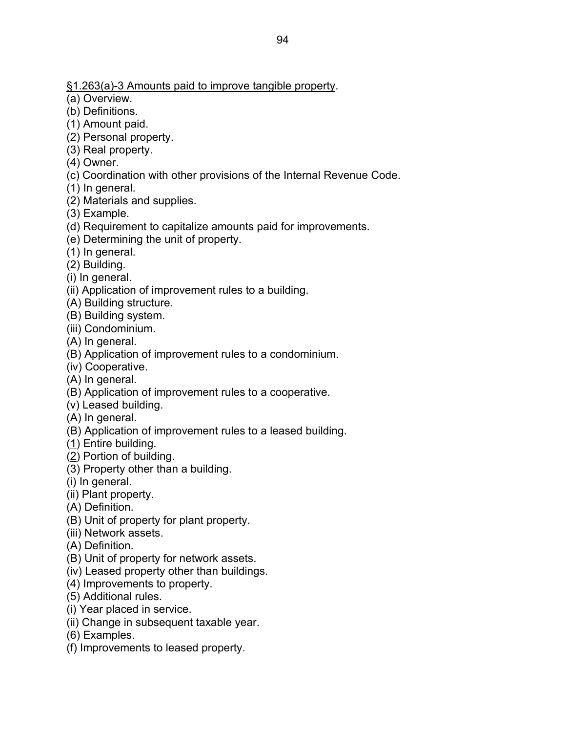§1.263(a)-3 Amounts paid to improve tangible property.

(a) Overview.

- (b) Definitions.
- (1) Amount paid.
- (2) Personal property.
- (3) Real property.
- (4) Owner.
- (c) Coordination with other provisions of the Internal Revenue Code.
- (1) In general.
- (2) Materials and supplies.
- (3) Example.
- (d) Requirement to capitalize amounts paid for improvements.
- (e) Determining the unit of property.
- (1) In general.
- (2) Building.
- (i) In general.
- (ii) Application of improvement rules to a building.
- (A) Building structure.
- (B) Building system.
- (iii) Condominium.
- (A) In general.
- (B) Application of improvement rules to a condominium.
- (iv) Cooperative.
- (A) In general.
- (B) Application of improvement rules to a cooperative.
- (v) Leased building.
- (A) In general.
- (B) Application of improvement rules to a leased building.
- (1) Entire building.
- (2) Portion of building.
- (3) Property other than a building.
- (i) In general.
- (ii) Plant property.
- (A) Definition.
- (B) Unit of property for plant property.
- (iii) Network assets.
- (A) Definition.
- (B) Unit of property for network assets.
- (iv) Leased property other than buildings.
- (4) Improvements to property.
- (5) Additional rules.
- (i) Year placed in service.
- (ii) Change in subsequent taxable year.
- (6) Examples.
- (f) Improvements to leased property.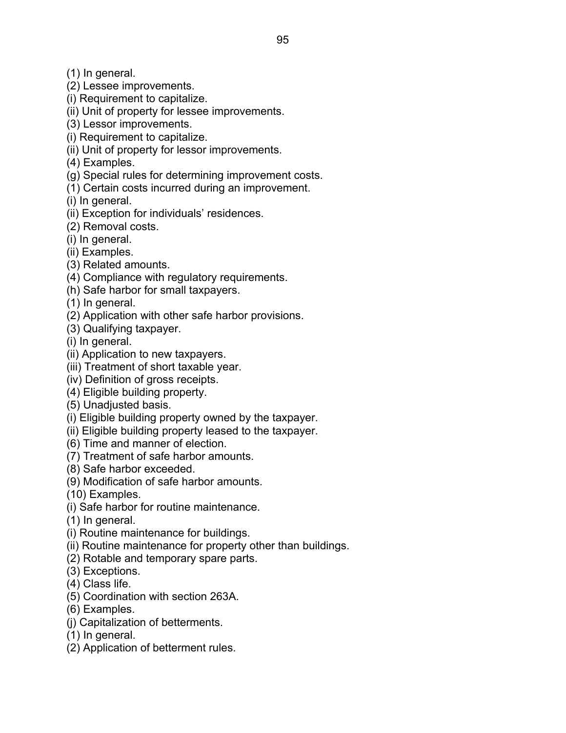- (2) Lessee improvements.
- (i) Requirement to capitalize.
- (ii) Unit of property for lessee improvements.
- (3) Lessor improvements.
- (i) Requirement to capitalize.
- (ii) Unit of property for lessor improvements.
- (4) Examples.
- (g) Special rules for determining improvement costs.
- (1) Certain costs incurred during an improvement.
- (i) In general.
- (ii) Exception for individuals' residences.
- (2) Removal costs.
- (i) In general.
- (ii) Examples.
- (3) Related amounts.
- (4) Compliance with regulatory requirements.
- (h) Safe harbor for small taxpayers.
- (1) In general.
- (2) Application with other safe harbor provisions.
- (3) Qualifying taxpayer.
- (i) In general.
- (ii) Application to new taxpayers.
- (iii) Treatment of short taxable year.
- (iv) Definition of gross receipts.
- (4) Eligible building property.
- (5) Unadjusted basis.
- (i) Eligible building property owned by the taxpayer.
- (ii) Eligible building property leased to the taxpayer.
- (6) Time and manner of election.
- (7) Treatment of safe harbor amounts.
- (8) Safe harbor exceeded.
- (9) Modification of safe harbor amounts.
- (10) Examples.
- (i) Safe harbor for routine maintenance.
- (1) In general.
- (i) Routine maintenance for buildings.
- (ii) Routine maintenance for property other than buildings.
- (2) Rotable and temporary spare parts.
- (3) Exceptions.
- (4) Class life.
- (5) Coordination with section 263A.
- (6) Examples.
- (j) Capitalization of betterments.
- (1) In general.
- (2) Application of betterment rules.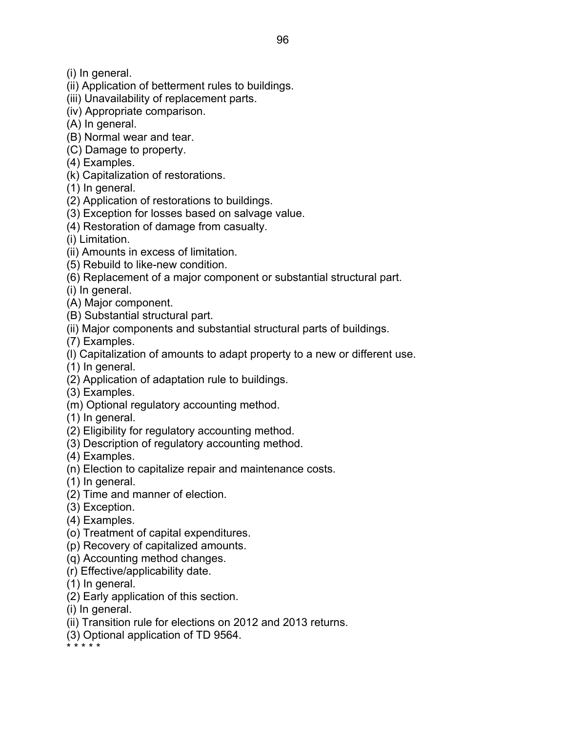- (i) In general.
- (ii) Application of betterment rules to buildings.
- (iii) Unavailability of replacement parts.
- (iv) Appropriate comparison.
- (A) In general.
- (B) Normal wear and tear.
- (C) Damage to property.
- (4) Examples.
- (k) Capitalization of restorations.
- (1) In general.
- (2) Application of restorations to buildings.
- (3) Exception for losses based on salvage value.
- (4) Restoration of damage from casualty.
- (i) Limitation.
- (ii) Amounts in excess of limitation.
- (5) Rebuild to like-new condition.
- (6) Replacement of a major component or substantial structural part.
- (i) In general.
- (A) Major component.
- (B) Substantial structural part.
- (ii) Major components and substantial structural parts of buildings.
- (7) Examples.
- (l) Capitalization of amounts to adapt property to a new or different use.
- (1) In general.
- (2) Application of adaptation rule to buildings.
- (3) Examples.
- (m) Optional regulatory accounting method.
- (1) In general.
- (2) Eligibility for regulatory accounting method.
- (3) Description of regulatory accounting method.
- (4) Examples.
- (n) Election to capitalize repair and maintenance costs.
- (1) In general.
- (2) Time and manner of election.
- (3) Exception.
- (4) Examples.
- (o) Treatment of capital expenditures.
- (p) Recovery of capitalized amounts.
- (q) Accounting method changes.
- (r) Effective/applicability date.
- (1) In general.
- (2) Early application of this section.
- (i) In general.
- (ii) Transition rule for elections on 2012 and 2013 returns.
- (3) Optional application of TD 9564.

\* \* \* \* \*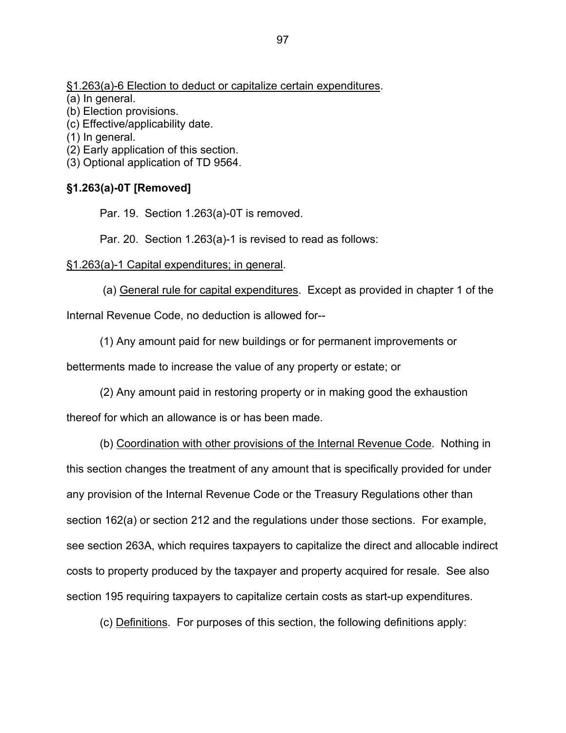§1.263(a)-6 Election to deduct or capitalize certain expenditures.

(a) In general.

(b) Election provisions.

(c) Effective/applicability date.

(1) In general.

(2) Early application of this section.

(3) Optional application of TD 9564.

# **§1.263(a)-0T [Removed]**

Par. 19. Section 1.263(a)-0T is removed.

Par. 20. Section 1.263(a)-1 is revised to read as follows:

# §1.263(a)-1 Capital expenditures; in general.

 (a) General rule for capital expenditures. Except as provided in chapter 1 of the Internal Revenue Code, no deduction is allowed for--

(1) Any amount paid for new buildings or for permanent improvements or

betterments made to increase the value of any property or estate; or

 (2) Any amount paid in restoring property or in making good the exhaustion thereof for which an allowance is or has been made.

 (b) Coordination with other provisions of the Internal Revenue Code. Nothing in this section changes the treatment of any amount that is specifically provided for under any provision of the Internal Revenue Code or the Treasury Regulations other than section 162(a) or section 212 and the regulations under those sections. For example, see section 263A, which requires taxpayers to capitalize the direct and allocable indirect costs to property produced by the taxpayer and property acquired for resale. See also section 195 requiring taxpayers to capitalize certain costs as start-up expenditures.

(c) Definitions. For purposes of this section, the following definitions apply: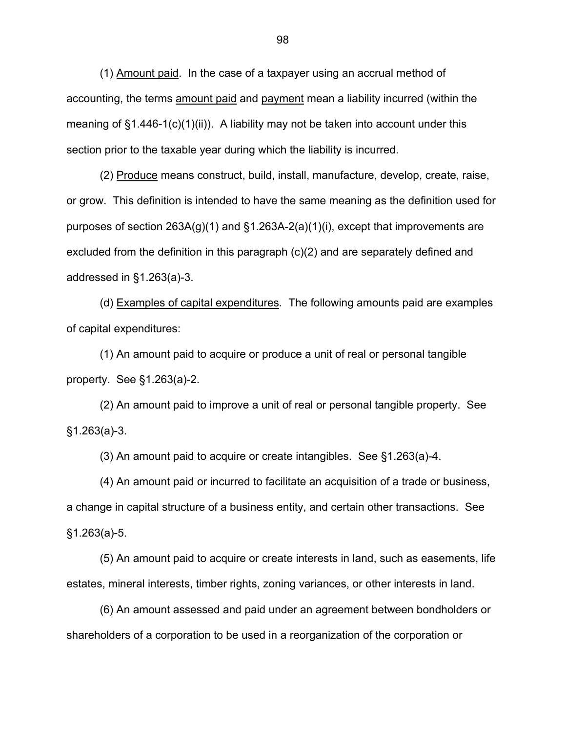(1) Amount paid. In the case of a taxpayer using an accrual method of accounting, the terms amount paid and payment mean a liability incurred (within the meaning of  $\S1.446-1(c)(1)(ii)$ . A liability may not be taken into account under this section prior to the taxable year during which the liability is incurred.

 (2) Produce means construct, build, install, manufacture, develop, create, raise, or grow. This definition is intended to have the same meaning as the definition used for purposes of section 263A(g)(1) and §1.263A-2(a)(1)(i), except that improvements are excluded from the definition in this paragraph (c)(2) and are separately defined and addressed in §1.263(a)-3.

 (d) Examples of capital expenditures*.* The following amounts paid are examples of capital expenditures:

 (1) An amount paid to acquire or produce a unit of real or personal tangible property. See §1.263(a)-2.

 (2) An amount paid to improve a unit of real or personal tangible property. See §1.263(a)-3.

(3) An amount paid to acquire or create intangibles. See §1.263(a)-4.

 (4) An amount paid or incurred to facilitate an acquisition of a trade or business, a change in capital structure of a business entity, and certain other transactions. See §1.263(a)-5.

 (5) An amount paid to acquire or create interests in land, such as easements, life estates, mineral interests, timber rights, zoning variances, or other interests in land.

 (6) An amount assessed and paid under an agreement between bondholders or shareholders of a corporation to be used in a reorganization of the corporation or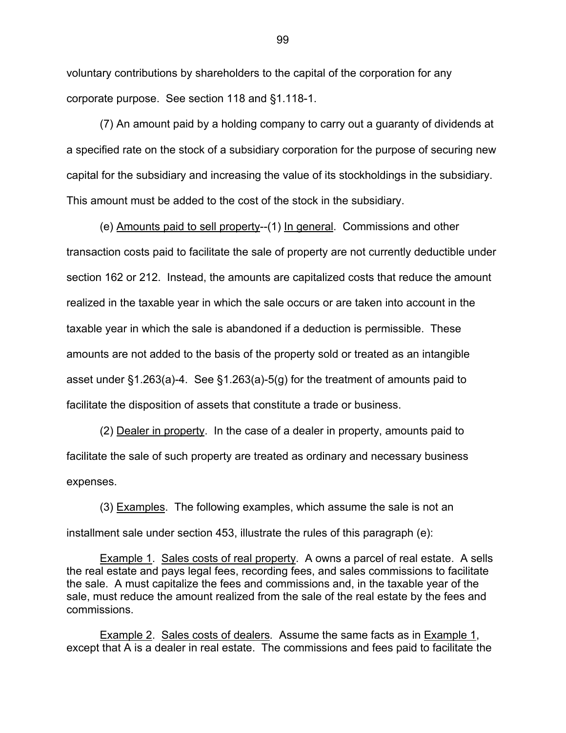voluntary contributions by shareholders to the capital of the corporation for any corporate purpose. See section 118 and §1.118-1.

 (7) An amount paid by a holding company to carry out a guaranty of dividends at a specified rate on the stock of a subsidiary corporation for the purpose of securing new capital for the subsidiary and increasing the value of its stockholdings in the subsidiary. This amount must be added to the cost of the stock in the subsidiary.

 (e) Amounts paid to sell property--(1) In general.Commissions and other transaction costs paid to facilitate the sale of property are not currently deductible under section 162 or 212. Instead, the amounts are capitalized costs that reduce the amount realized in the taxable year in which the sale occurs or are taken into account in the taxable year in which the sale is abandoned if a deduction is permissible. These amounts are not added to the basis of the property sold or treated as an intangible asset under §1.263(a)-4. See §1.263(a)-5(g) for the treatment of amounts paid to facilitate the disposition of assets that constitute a trade or business.

 (2) Dealer in property. In the case of a dealer in property, amounts paid to facilitate the sale of such property are treated as ordinary and necessary business expenses.

 (3) Examples. The following examples, which assume the sale is not an installment sale under section 453, illustrate the rules of this paragraph (e):

 Example 1. Sales costs of real property. A owns a parcel of real estate. A sells the real estate and pays legal fees, recording fees, and sales commissions to facilitate the sale. A must capitalize the fees and commissions and, in the taxable year of the sale, must reduce the amount realized from the sale of the real estate by the fees and commissions.

 Example 2. Sales costs of dealers*.* Assume the same facts as in Example 1, except that A is a dealer in real estate. The commissions and fees paid to facilitate the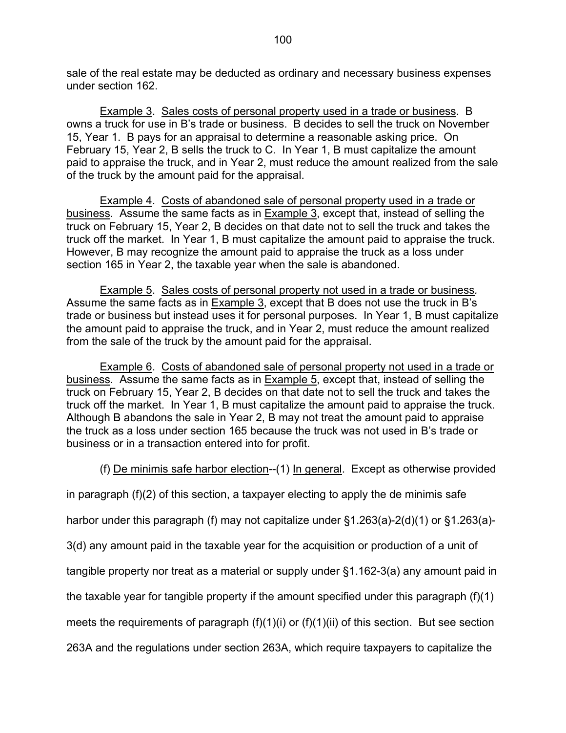sale of the real estate may be deducted as ordinary and necessary business expenses under section 162.

 Example 3. Sales costs of personal property used in a trade or business. B owns a truck for use in B's trade or business. B decides to sell the truck on November 15, Year 1. B pays for an appraisal to determine a reasonable asking price. On February 15, Year 2, B sells the truck to C. In Year 1, B must capitalize the amount paid to appraise the truck, and in Year 2, must reduce the amount realized from the sale of the truck by the amount paid for the appraisal.

 Example 4. Costs of abandoned sale of personal property used in a trade or business*.* Assume the same facts as in Example 3, except that, instead of selling the truck on February 15, Year 2, B decides on that date not to sell the truck and takes the truck off the market. In Year 1, B must capitalize the amount paid to appraise the truck. However, B may recognize the amount paid to appraise the truck as a loss under section 165 in Year 2, the taxable year when the sale is abandoned.

 Example 5. Sales costs of personal property not used in a trade or business*.* Assume the same facts as in Example 3, except that B does not use the truck in B's trade or business but instead uses it for personal purposes. In Year 1, B must capitalize the amount paid to appraise the truck, and in Year 2, must reduce the amount realized from the sale of the truck by the amount paid for the appraisal.

 Example 6. Costs of abandoned sale of personal property not used in a trade or business*.* Assume the same facts as in Example 5, except that, instead of selling the truck on February 15, Year 2, B decides on that date not to sell the truck and takes the truck off the market. In Year 1, B must capitalize the amount paid to appraise the truck. Although B abandons the sale in Year 2, B may not treat the amount paid to appraise the truck as a loss under section 165 because the truck was not used in B's trade or business or in a transaction entered into for profit.

(f) De minimis safe harbor election--(1) In general. Except as otherwise provided

in paragraph (f)(2) of this section, a taxpayer electing to apply the de minimis safe

harbor under this paragraph (f) may not capitalize under §1.263(a)-2(d)(1) or §1.263(a)-

3(d) any amount paid in the taxable year for the acquisition or production of a unit of

tangible property nor treat as a material or supply under §1.162-3(a) any amount paid in

the taxable year for tangible property if the amount specified under this paragraph (f)(1)

meets the requirements of paragraph  $(f)(1)(i)$  or  $(f)(1)(ii)$  of this section. But see section

263A and the regulations under section 263A, which require taxpayers to capitalize the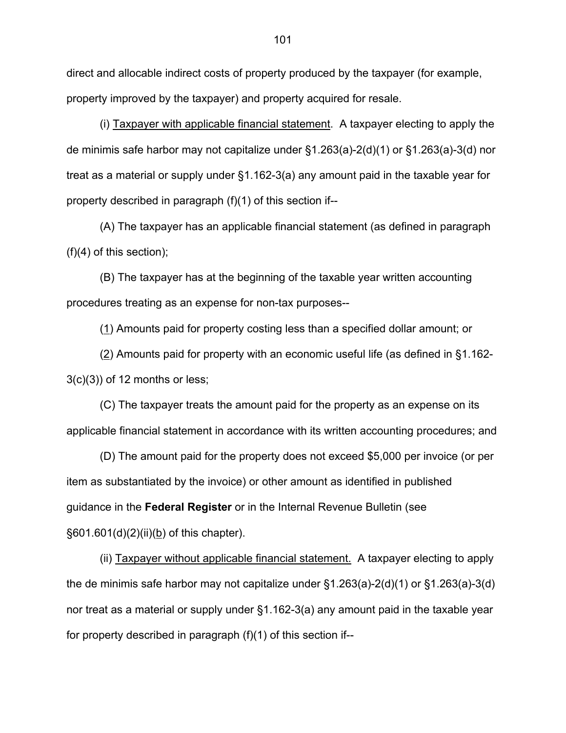direct and allocable indirect costs of property produced by the taxpayer (for example, property improved by the taxpayer) and property acquired for resale.

 (i) Taxpayer with applicable financial statement. A taxpayer electing to apply the de minimis safe harbor may not capitalize under §1.263(a)-2(d)(1) or §1.263(a)-3(d) nor treat as a material or supply under §1.162-3(a) any amount paid in the taxable year for property described in paragraph (f)(1) of this section if--

 (A) The taxpayer has an applicable financial statement (as defined in paragraph (f)(4) of this section);

(B) The taxpayer has at the beginning of the taxable year written accounting procedures treating as an expense for non-tax purposes--

(1) Amounts paid for property costing less than a specified dollar amount; or

(2) Amounts paid for property with an economic useful life (as defined in §1.162-  $3(c)(3)$ ) of 12 months or less;

(C) The taxpayer treats the amount paid for the property as an expense on its applicable financial statement in accordance with its written accounting procedures; and

 (D) The amount paid for the property does not exceed \$5,000 per invoice (or per item as substantiated by the invoice) or other amount as identified in published guidance in the **Federal Register** or in the Internal Revenue Bulletin (see  $§601.601(d)(2)(ii)(b)$  of this chapter).

 (ii) Taxpayer without applicable financial statement. A taxpayer electing to apply the de minimis safe harbor may not capitalize under §1.263(a)-2(d)(1) or §1.263(a)-3(d) nor treat as a material or supply under §1.162-3(a) any amount paid in the taxable year for property described in paragraph (f)(1) of this section if--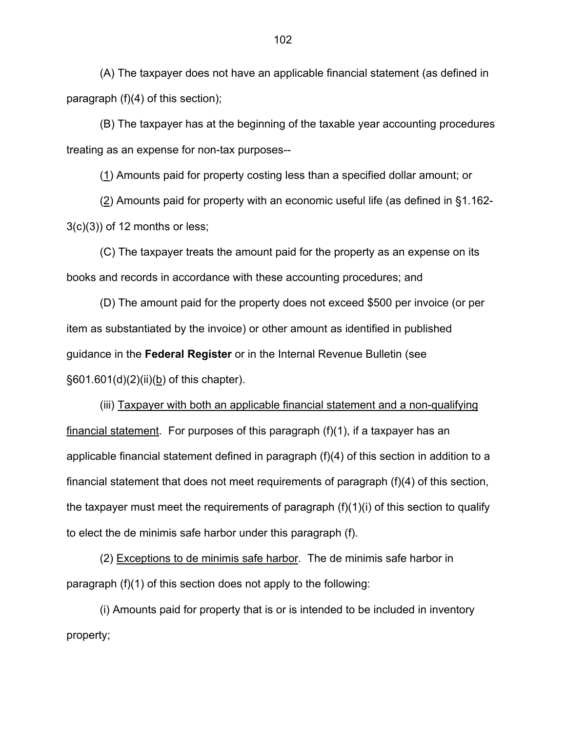(A) The taxpayer does not have an applicable financial statement (as defined in paragraph (f)(4) of this section);

(B) The taxpayer has at the beginning of the taxable year accounting procedures treating as an expense for non-tax purposes--

(1) Amounts paid for property costing less than a specified dollar amount; or

(2) Amounts paid for property with an economic useful life (as defined in §1.162-  $3(c)(3)$ ) of 12 months or less;

(C) The taxpayer treats the amount paid for the property as an expense on its books and records in accordance with these accounting procedures; and

 (D) The amount paid for the property does not exceed \$500 per invoice (or per item as substantiated by the invoice) or other amount as identified in published guidance in the **Federal Register** or in the Internal Revenue Bulletin (see §601.601(d)(2)(ii)(b) of this chapter).

 (iii) Taxpayer with both an applicable financial statement and a non-qualifying financial statement. For purposes of this paragraph (f)(1), if a taxpayer has an applicable financial statement defined in paragraph (f)(4) of this section in addition to a financial statement that does not meet requirements of paragraph (f)(4) of this section, the taxpayer must meet the requirements of paragraph (f)(1)(i) of this section to qualify to elect the de minimis safe harbor under this paragraph (f).

 (2) Exceptions to de minimis safe harbor*.* The de minimis safe harbor in paragraph (f)(1) of this section does not apply to the following:

 (i) Amounts paid for property that is or is intended to be included in inventory property;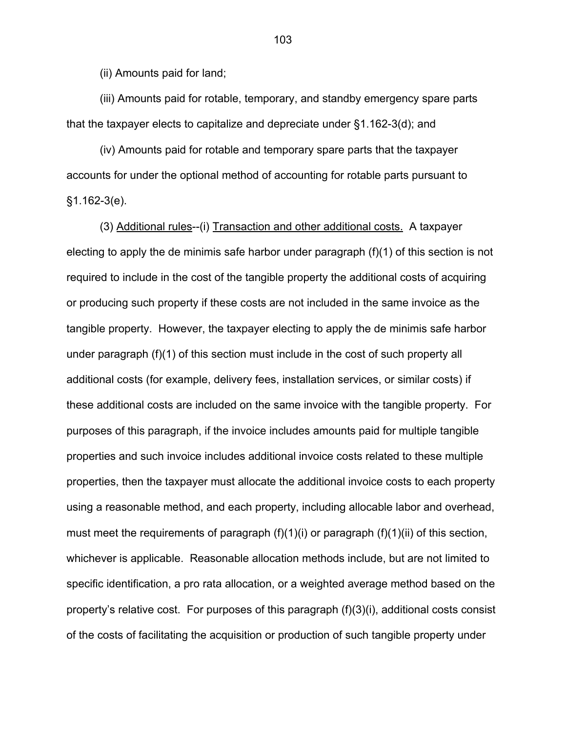(ii) Amounts paid for land;

 (iii) Amounts paid for rotable, temporary, and standby emergency spare parts that the taxpayer elects to capitalize and depreciate under §1.162-3(d); and

 (iv) Amounts paid for rotable and temporary spare parts that the taxpayer accounts for under the optional method of accounting for rotable parts pursuant to §1.162-3(e).

(3) Additional rules--(i) Transaction and other additional costs. A taxpayer electing to apply the de minimis safe harbor under paragraph (f)(1) of this section is not required to include in the cost of the tangible property the additional costs of acquiring or producing such property if these costs are not included in the same invoice as the tangible property. However, the taxpayer electing to apply the de minimis safe harbor under paragraph (f)(1) of this section must include in the cost of such property all additional costs (for example, delivery fees, installation services, or similar costs) if these additional costs are included on the same invoice with the tangible property. For purposes of this paragraph, if the invoice includes amounts paid for multiple tangible properties and such invoice includes additional invoice costs related to these multiple properties, then the taxpayer must allocate the additional invoice costs to each property using a reasonable method, and each property, including allocable labor and overhead, must meet the requirements of paragraph (f)(1)(i) or paragraph (f)(1)(ii) of this section, whichever is applicable. Reasonable allocation methods include, but are not limited to specific identification, a pro rata allocation, or a weighted average method based on the property's relative cost. For purposes of this paragraph (f)(3)(i), additional costs consist of the costs of facilitating the acquisition or production of such tangible property under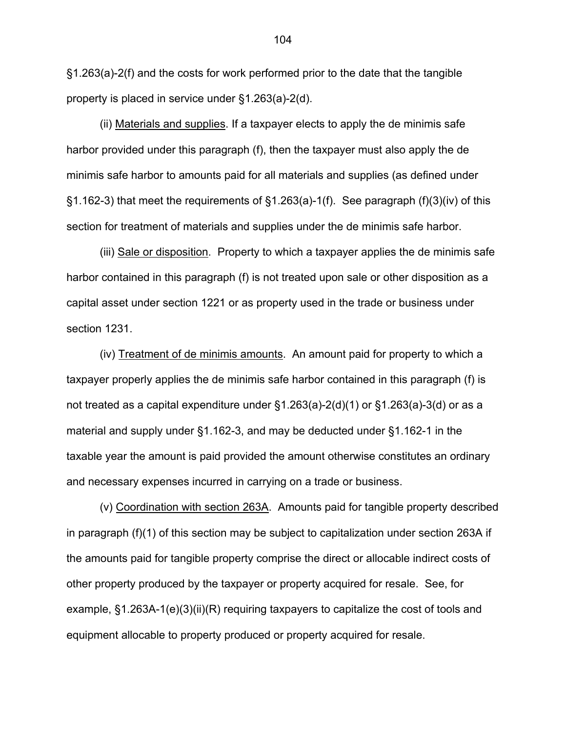§1.263(a)-2(f) and the costs for work performed prior to the date that the tangible property is placed in service under §1.263(a)-2(d).

(ii) Materials and supplies. If a taxpayer elects to apply the de minimis safe harbor provided under this paragraph (f), then the taxpayer must also apply the de minimis safe harbor to amounts paid for all materials and supplies (as defined under §1.162-3) that meet the requirements of §1.263(a)-1(f). See paragraph (f)(3)(iv) of this section for treatment of materials and supplies under the de minimis safe harbor.

(iii) Sale or disposition. Property to which a taxpayer applies the de minimis safe harbor contained in this paragraph (f) is not treated upon sale or other disposition as a capital asset under section 1221 or as property used in the trade or business under section 1231.

(iv) Treatment of de minimis amounts. An amount paid for property to which a taxpayer properly applies the de minimis safe harbor contained in this paragraph (f) is not treated as a capital expenditure under §1.263(a)-2(d)(1) or §1.263(a)-3(d) or as a material and supply under §1.162-3, and may be deducted under §1.162-1 in the taxable year the amount is paid provided the amount otherwise constitutes an ordinary and necessary expenses incurred in carrying on a trade or business.

(v) Coordination with section 263A. Amounts paid for tangible property described in paragraph (f)(1) of this section may be subject to capitalization under section 263A if the amounts paid for tangible property comprise the direct or allocable indirect costs of other property produced by the taxpayer or property acquired for resale. See, for example, §1.263A-1(e)(3)(ii)(R) requiring taxpayers to capitalize the cost of tools and equipment allocable to property produced or property acquired for resale.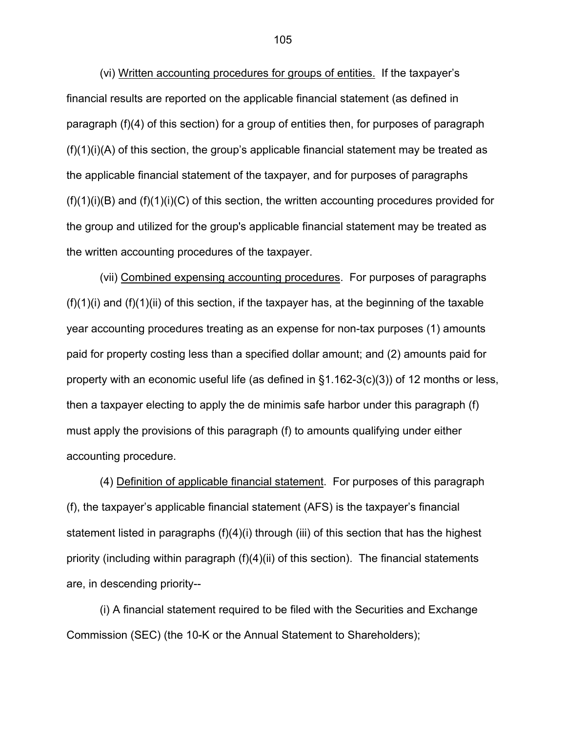(vi) Written accounting procedures for groups of entities. If the taxpayer's financial results are reported on the applicable financial statement (as defined in paragraph (f)(4) of this section) for a group of entities then, for purposes of paragraph  $(f)(1)(i)(A)$  of this section, the group's applicable financial statement may be treated as the applicable financial statement of the taxpayer, and for purposes of paragraphs  $(f)(1)(i)(B)$  and  $(f)(1)(i)(C)$  of this section, the written accounting procedures provided for the group and utilized for the group's applicable financial statement may be treated as the written accounting procedures of the taxpayer.

(vii) Combined expensing accounting procedures. For purposes of paragraphs  $(f)(1)(i)$  and  $(f)(1)(ii)$  of this section, if the taxpayer has, at the beginning of the taxable year accounting procedures treating as an expense for non-tax purposes (1) amounts paid for property costing less than a specified dollar amount; and (2) amounts paid for property with an economic useful life (as defined in §1.162-3(c)(3)) of 12 months or less, then a taxpayer electing to apply the de minimis safe harbor under this paragraph (f) must apply the provisions of this paragraph (f) to amounts qualifying under either accounting procedure.

 (4) Definition of applicable financial statement. For purposes of this paragraph (f), the taxpayer's applicable financial statement (AFS) is the taxpayer's financial statement listed in paragraphs (f)(4)(i) through (iii) of this section that has the highest priority (including within paragraph (f)(4)(ii) of this section). The financial statements are, in descending priority--

 (i) A financial statement required to be filed with the Securities and Exchange Commission (SEC) (the 10-K or the Annual Statement to Shareholders);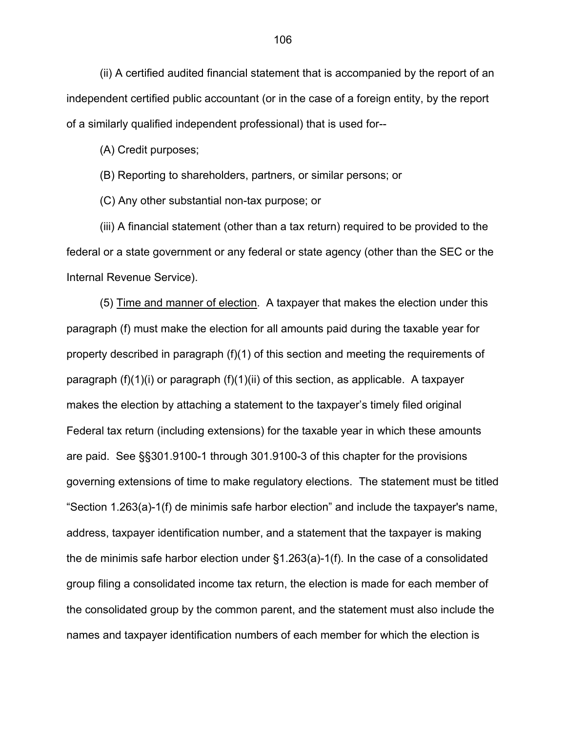(ii) A certified audited financial statement that is accompanied by the report of an independent certified public accountant (or in the case of a foreign entity, by the report of a similarly qualified independent professional) that is used for--

(A) Credit purposes;

(B) Reporting to shareholders, partners, or similar persons; or

(C) Any other substantial non-tax purpose; or

 (iii) A financial statement (other than a tax return) required to be provided to the federal or a state government or any federal or state agency (other than the SEC or the Internal Revenue Service).

(5) Time and manner of election. A taxpayer that makes the election under this paragraph (f) must make the election for all amounts paid during the taxable year for property described in paragraph (f)(1) of this section and meeting the requirements of paragraph (f)(1)(i) or paragraph (f)(1)(ii) of this section, as applicable. A taxpayer makes the election by attaching a statement to the taxpayer's timely filed original Federal tax return (including extensions) for the taxable year in which these amounts are paid. See §§301.9100-1 through 301.9100-3 of this chapter for the provisions governing extensions of time to make regulatory elections. The statement must be titled "Section 1.263(a)-1(f) de minimis safe harbor election" and include the taxpayer's name, address, taxpayer identification number, and a statement that the taxpayer is making the de minimis safe harbor election under §1.263(a)-1(f). In the case of a consolidated group filing a consolidated income tax return, the election is made for each member of the consolidated group by the common parent, and the statement must also include the names and taxpayer identification numbers of each member for which the election is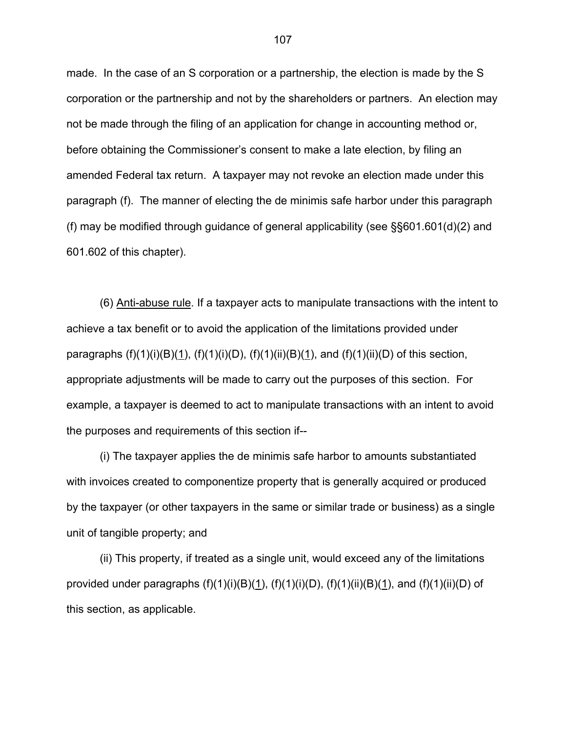made. In the case of an S corporation or a partnership, the election is made by the S corporation or the partnership and not by the shareholders or partners. An election may not be made through the filing of an application for change in accounting method or, before obtaining the Commissioner's consent to make a late election, by filing an amended Federal tax return. A taxpayer may not revoke an election made under this paragraph (f). The manner of electing the de minimis safe harbor under this paragraph (f) may be modified through guidance of general applicability (see §§601.601(d)(2) and 601.602 of this chapter).

 (6) Anti-abuse rule. If a taxpayer acts to manipulate transactions with the intent to achieve a tax benefit or to avoid the application of the limitations provided under paragraphs  $(f)(1)(i)(B)(1)$ ,  $(f)(1)(i)(D)$ ,  $(f)(1)(ii)(B)(1)$ , and  $(f)(1)(ii)(D)$  of this section, appropriate adjustments will be made to carry out the purposes of this section. For example, a taxpayer is deemed to act to manipulate transactions with an intent to avoid the purposes and requirements of this section if--

 (i) The taxpayer applies the de minimis safe harbor to amounts substantiated with invoices created to componentize property that is generally acquired or produced by the taxpayer (or other taxpayers in the same or similar trade or business) as a single unit of tangible property; and

 (ii) This property, if treated as a single unit, would exceed any of the limitations provided under paragraphs  $(f)(1)(i)(B)(1)$ ,  $(f)(1)(i)(D)$ ,  $(f)(1)(ii)(B)(1)$ , and  $(f)(1)(ii)(D)$  of this section, as applicable.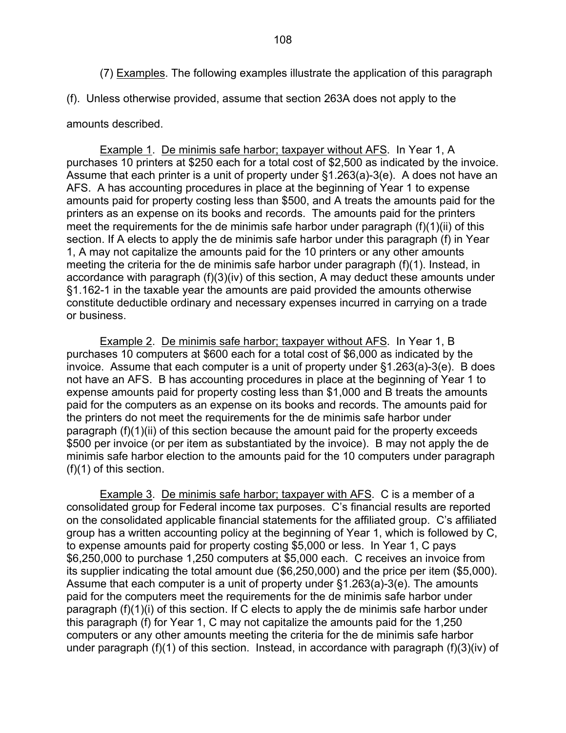(7) Examples. The following examples illustrate the application of this paragraph

(f). Unless otherwise provided, assume that section 263A does not apply to the

## amounts described.

 Example 1. De minimis safe harbor; taxpayer without AFS. In Year 1, A purchases 10 printers at \$250 each for a total cost of \$2,500 as indicated by the invoice. Assume that each printer is a unit of property under §1.263(a)-3(e). A does not have an AFS. A has accounting procedures in place at the beginning of Year 1 to expense amounts paid for property costing less than \$500, and A treats the amounts paid for the printers as an expense on its books and records. The amounts paid for the printers meet the requirements for the de minimis safe harbor under paragraph (f)(1)(ii) of this section. If A elects to apply the de minimis safe harbor under this paragraph (f) in Year 1, A may not capitalize the amounts paid for the 10 printers or any other amounts meeting the criteria for the de minimis safe harbor under paragraph (f)(1). Instead, in accordance with paragraph (f)(3)(iv) of this section, A may deduct these amounts under §1.162-1 in the taxable year the amounts are paid provided the amounts otherwise constitute deductible ordinary and necessary expenses incurred in carrying on a trade or business.

 Example 2. De minimis safe harbor; taxpayer without AFS. In Year 1, B purchases 10 computers at \$600 each for a total cost of \$6,000 as indicated by the invoice. Assume that each computer is a unit of property under §1.263(a)-3(e). B does not have an AFS. B has accounting procedures in place at the beginning of Year 1 to expense amounts paid for property costing less than \$1,000 and B treats the amounts paid for the computers as an expense on its books and records. The amounts paid for the printers do not meet the requirements for the de minimis safe harbor under paragraph (f)(1)(ii) of this section because the amount paid for the property exceeds \$500 per invoice (or per item as substantiated by the invoice). B may not apply the de minimis safe harbor election to the amounts paid for the 10 computers under paragraph (f)(1) of this section.

 Example 3. De minimis safe harbor; taxpayer with AFS. C is a member of a consolidated group for Federal income tax purposes. C's financial results are reported on the consolidated applicable financial statements for the affiliated group. C's affiliated group has a written accounting policy at the beginning of Year 1, which is followed by C, to expense amounts paid for property costing \$5,000 or less. In Year 1, C pays \$6,250,000 to purchase 1,250 computers at \$5,000 each. C receives an invoice from its supplier indicating the total amount due (\$6,250,000) and the price per item (\$5,000). Assume that each computer is a unit of property under §1.263(a)-3(e). The amounts paid for the computers meet the requirements for the de minimis safe harbor under paragraph (f)(1)(i) of this section. If C elects to apply the de minimis safe harbor under this paragraph (f) for Year 1, C may not capitalize the amounts paid for the 1,250 computers or any other amounts meeting the criteria for the de minimis safe harbor under paragraph (f)(1) of this section. Instead, in accordance with paragraph (f)(3)(iv) of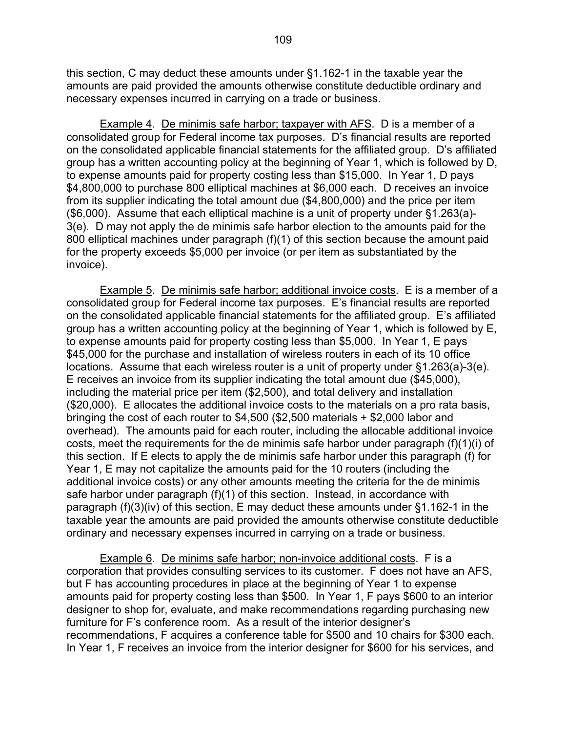this section, C may deduct these amounts under §1.162-1 in the taxable year the amounts are paid provided the amounts otherwise constitute deductible ordinary and necessary expenses incurred in carrying on a trade or business.

 Example 4. De minimis safe harbor; taxpayer with AFS. D is a member of a consolidated group for Federal income tax purposes. D's financial results are reported on the consolidated applicable financial statements for the affiliated group. D's affiliated group has a written accounting policy at the beginning of Year 1, which is followed by D, to expense amounts paid for property costing less than \$15,000. In Year 1, D pays \$4,800,000 to purchase 800 elliptical machines at \$6,000 each. D receives an invoice from its supplier indicating the total amount due (\$4,800,000) and the price per item (\$6,000). Assume that each elliptical machine is a unit of property under §1.263(a)- 3(e). D may not apply the de minimis safe harbor election to the amounts paid for the 800 elliptical machines under paragraph (f)(1) of this section because the amount paid for the property exceeds \$5,000 per invoice (or per item as substantiated by the invoice).

 Example 5. De minimis safe harbor; additional invoice costs. E is a member of a consolidated group for Federal income tax purposes. E's financial results are reported on the consolidated applicable financial statements for the affiliated group. E's affiliated group has a written accounting policy at the beginning of Year 1, which is followed by E, to expense amounts paid for property costing less than \$5,000. In Year 1, E pays \$45,000 for the purchase and installation of wireless routers in each of its 10 office locations. Assume that each wireless router is a unit of property under §1.263(a)-3(e). E receives an invoice from its supplier indicating the total amount due (\$45,000), including the material price per item (\$2,500), and total delivery and installation (\$20,000). E allocates the additional invoice costs to the materials on a pro rata basis, bringing the cost of each router to \$4,500 (\$2,500 materials + \$2,000 labor and overhead). The amounts paid for each router, including the allocable additional invoice costs, meet the requirements for the de minimis safe harbor under paragraph (f)(1)(i) of this section. If E elects to apply the de minimis safe harbor under this paragraph (f) for Year 1, E may not capitalize the amounts paid for the 10 routers (including the additional invoice costs) or any other amounts meeting the criteria for the de minimis safe harbor under paragraph (f)(1) of this section. Instead, in accordance with paragraph (f)(3)(iv) of this section, E may deduct these amounts under §1.162-1 in the taxable year the amounts are paid provided the amounts otherwise constitute deductible ordinary and necessary expenses incurred in carrying on a trade or business.

 Example 6. De minims safe harbor; non-invoice additional costs. F is a corporation that provides consulting services to its customer. F does not have an AFS, but F has accounting procedures in place at the beginning of Year 1 to expense amounts paid for property costing less than \$500. In Year 1, F pays \$600 to an interior designer to shop for, evaluate, and make recommendations regarding purchasing new furniture for F's conference room. As a result of the interior designer's recommendations, F acquires a conference table for \$500 and 10 chairs for \$300 each. In Year 1, F receives an invoice from the interior designer for \$600 for his services, and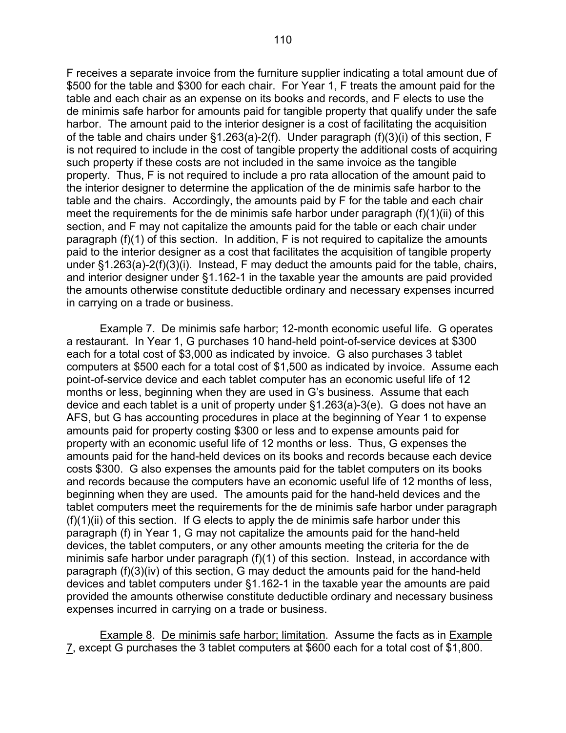F receives a separate invoice from the furniture supplier indicating a total amount due of \$500 for the table and \$300 for each chair. For Year 1, F treats the amount paid for the table and each chair as an expense on its books and records, and F elects to use the de minimis safe harbor for amounts paid for tangible property that qualify under the safe harbor. The amount paid to the interior designer is a cost of facilitating the acquisition of the table and chairs under §1.263(a)-2(f). Under paragraph (f)(3)(i) of this section, F is not required to include in the cost of tangible property the additional costs of acquiring such property if these costs are not included in the same invoice as the tangible property. Thus, F is not required to include a pro rata allocation of the amount paid to the interior designer to determine the application of the de minimis safe harbor to the table and the chairs. Accordingly, the amounts paid by F for the table and each chair meet the requirements for the de minimis safe harbor under paragraph (f)(1)(ii) of this section, and F may not capitalize the amounts paid for the table or each chair under paragraph (f)(1) of this section. In addition, F is not required to capitalize the amounts paid to the interior designer as a cost that facilitates the acquisition of tangible property under §1.263(a)-2(f)(3)(i). Instead, F may deduct the amounts paid for the table, chairs, and interior designer under §1.162-1 in the taxable year the amounts are paid provided the amounts otherwise constitute deductible ordinary and necessary expenses incurred

in carrying on a trade or business.

 Example 7. De minimis safe harbor; 12-month economic useful life. G operates a restaurant. In Year 1, G purchases 10 hand-held point-of-service devices at \$300 each for a total cost of \$3,000 as indicated by invoice. G also purchases 3 tablet computers at \$500 each for a total cost of \$1,500 as indicated by invoice. Assume each point-of-service device and each tablet computer has an economic useful life of 12 months or less, beginning when they are used in G's business. Assume that each device and each tablet is a unit of property under §1.263(a)-3(e). G does not have an AFS, but G has accounting procedures in place at the beginning of Year 1 to expense amounts paid for property costing \$300 or less and to expense amounts paid for property with an economic useful life of 12 months or less. Thus, G expenses the amounts paid for the hand-held devices on its books and records because each device costs \$300. G also expenses the amounts paid for the tablet computers on its books and records because the computers have an economic useful life of 12 months of less, beginning when they are used. The amounts paid for the hand-held devices and the tablet computers meet the requirements for the de minimis safe harbor under paragraph  $(f)(1)(ii)$  of this section. If G elects to apply the de minimis safe harbor under this paragraph (f) in Year 1, G may not capitalize the amounts paid for the hand-held devices, the tablet computers, or any other amounts meeting the criteria for the de minimis safe harbor under paragraph (f)(1) of this section. Instead, in accordance with paragraph (f)(3)(iv) of this section, G may deduct the amounts paid for the hand-held devices and tablet computers under §1.162-1 in the taxable year the amounts are paid provided the amounts otherwise constitute deductible ordinary and necessary business expenses incurred in carrying on a trade or business.

 Example 8. De minimis safe harbor; limitation. Assume the facts as in Example 7, except G purchases the 3 tablet computers at \$600 each for a total cost of \$1,800.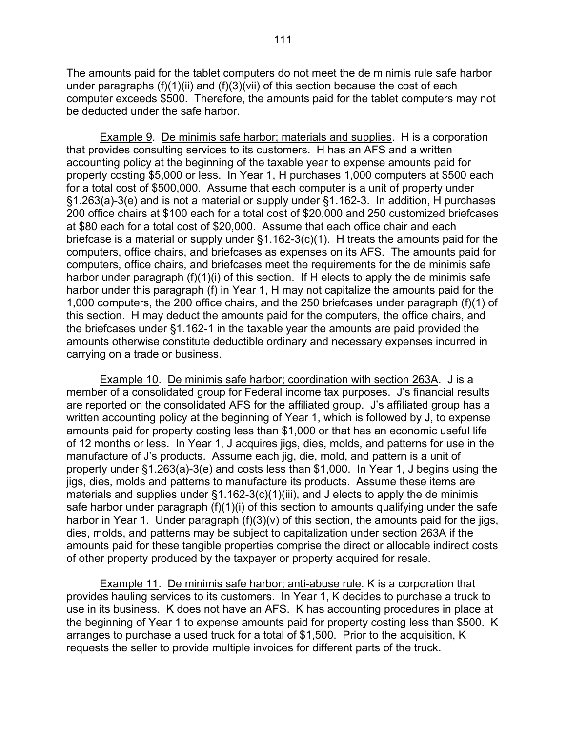The amounts paid for the tablet computers do not meet the de minimis rule safe harbor under paragraphs  $(f)(1)(ii)$  and  $(f)(3)(vii)$  of this section because the cost of each computer exceeds \$500. Therefore, the amounts paid for the tablet computers may not be deducted under the safe harbor.

 Example 9. De minimis safe harbor; materials and supplies. H is a corporation that provides consulting services to its customers. H has an AFS and a written accounting policy at the beginning of the taxable year to expense amounts paid for property costing \$5,000 or less. In Year 1, H purchases 1,000 computers at \$500 each for a total cost of \$500,000. Assume that each computer is a unit of property under §1.263(a)-3(e) and is not a material or supply under §1.162-3. In addition, H purchases 200 office chairs at \$100 each for a total cost of \$20,000 and 250 customized briefcases at \$80 each for a total cost of \$20,000. Assume that each office chair and each briefcase is a material or supply under §1.162-3(c)(1). H treats the amounts paid for the computers, office chairs, and briefcases as expenses on its AFS. The amounts paid for computers, office chairs, and briefcases meet the requirements for the de minimis safe harbor under paragraph (f)(1)(i) of this section. If H elects to apply the de minimis safe harbor under this paragraph (f) in Year 1, H may not capitalize the amounts paid for the 1,000 computers, the 200 office chairs, and the 250 briefcases under paragraph (f)(1) of this section. H may deduct the amounts paid for the computers, the office chairs, and the briefcases under §1.162-1 in the taxable year the amounts are paid provided the amounts otherwise constitute deductible ordinary and necessary expenses incurred in carrying on a trade or business.

 Example 10. De minimis safe harbor; coordination with section 263A. J is a member of a consolidated group for Federal income tax purposes. J's financial results are reported on the consolidated AFS for the affiliated group. J's affiliated group has a written accounting policy at the beginning of Year 1, which is followed by J, to expense amounts paid for property costing less than \$1,000 or that has an economic useful life of 12 months or less. In Year 1, J acquires jigs, dies, molds, and patterns for use in the manufacture of J's products. Assume each jig, die, mold, and pattern is a unit of property under §1.263(a)-3(e) and costs less than \$1,000. In Year 1, J begins using the jigs, dies, molds and patterns to manufacture its products. Assume these items are materials and supplies under  $\S1.162-3(c)(1)(iii)$ , and J elects to apply the de minimis safe harbor under paragraph (f)(1)(i) of this section to amounts qualifying under the safe harbor in Year 1. Under paragraph  $(f)(3)(v)$  of this section, the amounts paid for the jigs, dies, molds, and patterns may be subject to capitalization under section 263A if the amounts paid for these tangible properties comprise the direct or allocable indirect costs of other property produced by the taxpayer or property acquired for resale.

Example 11. De minimis safe harbor; anti-abuse rule. K is a corporation that provides hauling services to its customers. In Year 1, K decides to purchase a truck to use in its business. K does not have an AFS. K has accounting procedures in place at the beginning of Year 1 to expense amounts paid for property costing less than \$500. K arranges to purchase a used truck for a total of \$1,500. Prior to the acquisition, K requests the seller to provide multiple invoices for different parts of the truck.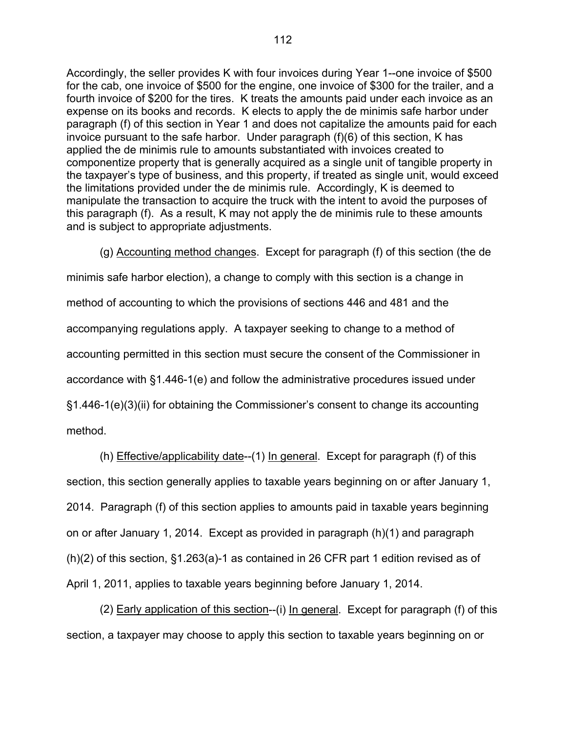Accordingly, the seller provides K with four invoices during Year 1--one invoice of \$500 for the cab, one invoice of \$500 for the engine, one invoice of \$300 for the trailer, and a fourth invoice of \$200 for the tires. K treats the amounts paid under each invoice as an expense on its books and records. K elects to apply the de minimis safe harbor under paragraph (f) of this section in Year 1 and does not capitalize the amounts paid for each invoice pursuant to the safe harbor. Under paragraph (f)(6) of this section, K has applied the de minimis rule to amounts substantiated with invoices created to componentize property that is generally acquired as a single unit of tangible property in the taxpayer's type of business, and this property, if treated as single unit, would exceed the limitations provided under the de minimis rule. Accordingly, K is deemed to manipulate the transaction to acquire the truck with the intent to avoid the purposes of this paragraph (f). As a result, K may not apply the de minimis rule to these amounts and is subject to appropriate adjustments.

 (g) Accounting method changes. Except for paragraph (f) of this section (the de minimis safe harbor election), a change to comply with this section is a change in method of accounting to which the provisions of sections 446 and 481 and the accompanying regulations apply. A taxpayer seeking to change to a method of accounting permitted in this section must secure the consent of the Commissioner in accordance with §1.446-1(e) and follow the administrative procedures issued under §1.446-1(e)(3)(ii) for obtaining the Commissioner's consent to change its accounting method.

(h) Effective/applicability date--(1) In general. Except for paragraph (f) of this section, this section generally applies to taxable years beginning on or after January 1, 2014. Paragraph (f) of this section applies to amounts paid in taxable years beginning on or after January 1, 2014. Except as provided in paragraph (h)(1) and paragraph (h)(2) of this section, §1.263(a)-1 as contained in 26 CFR part 1 edition revised as of April 1, 2011, applies to taxable years beginning before January 1, 2014.

(2) Early application of this section--(i) In general. Except for paragraph (f) of this section, a taxpayer may choose to apply this section to taxable years beginning on or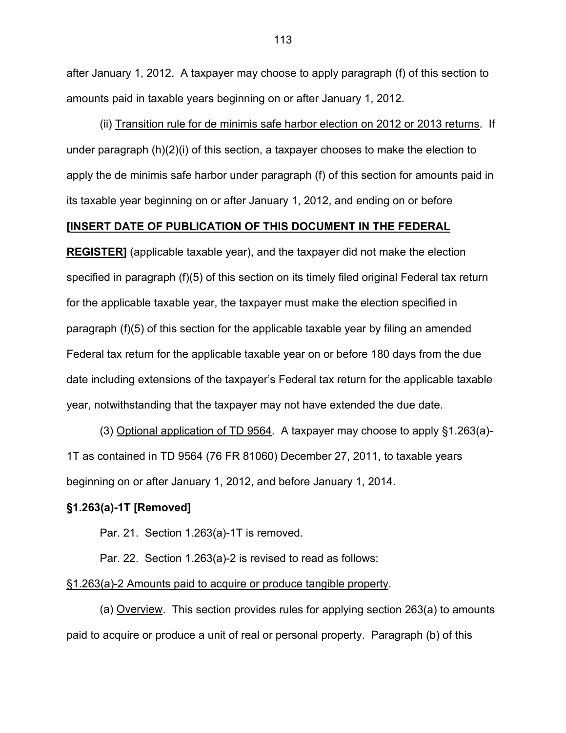after January 1, 2012. A taxpayer may choose to apply paragraph (f) of this section to amounts paid in taxable years beginning on or after January 1, 2012.

(ii) Transition rule for de minimis safe harbor election on 2012 or 2013 returns. If under paragraph (h)(2)(i) of this section, a taxpayer chooses to make the election to apply the de minimis safe harbor under paragraph (f) of this section for amounts paid in its taxable year beginning on or after January 1, 2012, and ending on or before

# **[INSERT DATE OF PUBLICATION OF THIS DOCUMENT IN THE FEDERAL**

**REGISTER]** (applicable taxable year), and the taxpayer did not make the election specified in paragraph (f)(5) of this section on its timely filed original Federal tax return for the applicable taxable year, the taxpayer must make the election specified in paragraph (f)(5) of this section for the applicable taxable year by filing an amended Federal tax return for the applicable taxable year on or before 180 days from the due date including extensions of the taxpayer's Federal tax return for the applicable taxable year, notwithstanding that the taxpayer may not have extended the due date.

(3) Optional application of TD 9564. A taxpayer may choose to apply §1.263(a)- 1T as contained in TD 9564 (76 FR 81060) December 27, 2011, to taxable years beginning on or after January 1, 2012, and before January 1, 2014.

## **§1.263(a)-1T [Removed]**

Par. 21. Section 1.263(a)-1T is removed.

Par. 22. Section 1.263(a)-2 is revised to read as follows:

#### §1.263(a)-2 Amounts paid to acquire or produce tangible property.

 (a) Overview. This section provides rules for applying section 263(a) to amounts paid to acquire or produce a unit of real or personal property. Paragraph (b) of this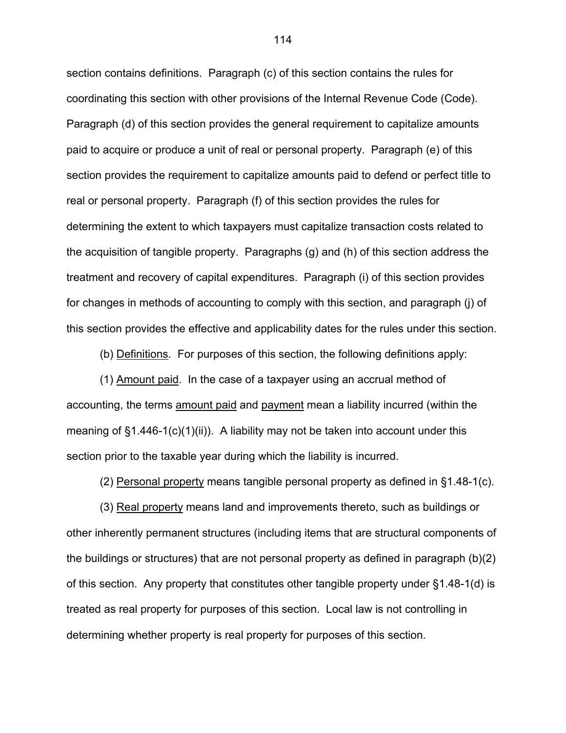section contains definitions. Paragraph (c) of this section contains the rules for coordinating this section with other provisions of the Internal Revenue Code (Code). Paragraph (d) of this section provides the general requirement to capitalize amounts paid to acquire or produce a unit of real or personal property. Paragraph (e) of this section provides the requirement to capitalize amounts paid to defend or perfect title to real or personal property. Paragraph (f) of this section provides the rules for determining the extent to which taxpayers must capitalize transaction costs related to the acquisition of tangible property. Paragraphs (g) and (h) of this section address the treatment and recovery of capital expenditures. Paragraph (i) of this section provides for changes in methods of accounting to comply with this section, and paragraph (j) of this section provides the effective and applicability dates for the rules under this section.

(b) Definitions*.* For purposes of this section, the following definitions apply:

 (1) Amount paid. In the case of a taxpayer using an accrual method of accounting, the terms amount paid and payment mean a liability incurred (within the meaning of  $§1.446-1(c)(1)(ii)$ . A liability may not be taken into account under this section prior to the taxable year during which the liability is incurred.

(2) Personal property means tangible personal property as defined in §1.48-1(c).

 (3) Real property means land and improvements thereto, such as buildings or other inherently permanent structures (including items that are structural components of the buildings or structures) that are not personal property as defined in paragraph (b)(2) of this section. Any property that constitutes other tangible property under §1.48-1(d) is treated as real property for purposes of this section. Local law is not controlling in determining whether property is real property for purposes of this section.

114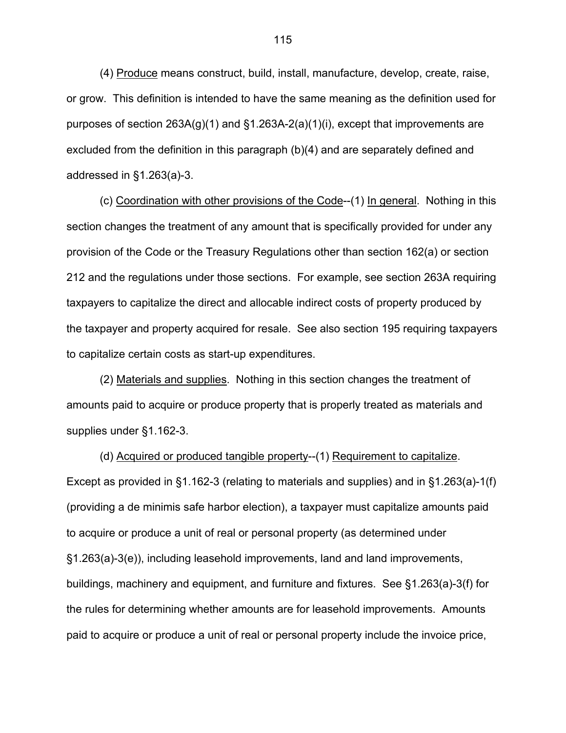(4) Produce means construct, build, install, manufacture, develop, create, raise, or grow. This definition is intended to have the same meaning as the definition used for purposes of section  $263A(q)(1)$  and  $\S1.263A-2(a)(1)(i)$ , except that improvements are excluded from the definition in this paragraph (b)(4) and are separately defined and addressed in §1.263(a)-3.

 (c) Coordination with other provisions of the Code--(1) In general. Nothing in this section changes the treatment of any amount that is specifically provided for under any provision of the Code or the Treasury Regulations other than section 162(a) or section 212 and the regulations under those sections. For example, see section 263A requiring taxpayers to capitalize the direct and allocable indirect costs of property produced by the taxpayer and property acquired for resale. See also section 195 requiring taxpayers to capitalize certain costs as start-up expenditures.

 (2) Materials and supplies. Nothing in this section changes the treatment of amounts paid to acquire or produce property that is properly treated as materials and supplies under §1.162-3.

 (d) Acquired or produced tangible property--(1) Requirement to capitalize. Except as provided in §1.162-3 (relating to materials and supplies) and in §1.263(a)-1(f) (providing a de minimis safe harbor election), a taxpayer must capitalize amounts paid to acquire or produce a unit of real or personal property (as determined under §1.263(a)-3(e)), including leasehold improvements, land and land improvements, buildings, machinery and equipment, and furniture and fixtures. See §1.263(a)-3(f) for the rules for determining whether amounts are for leasehold improvements. Amounts paid to acquire or produce a unit of real or personal property include the invoice price,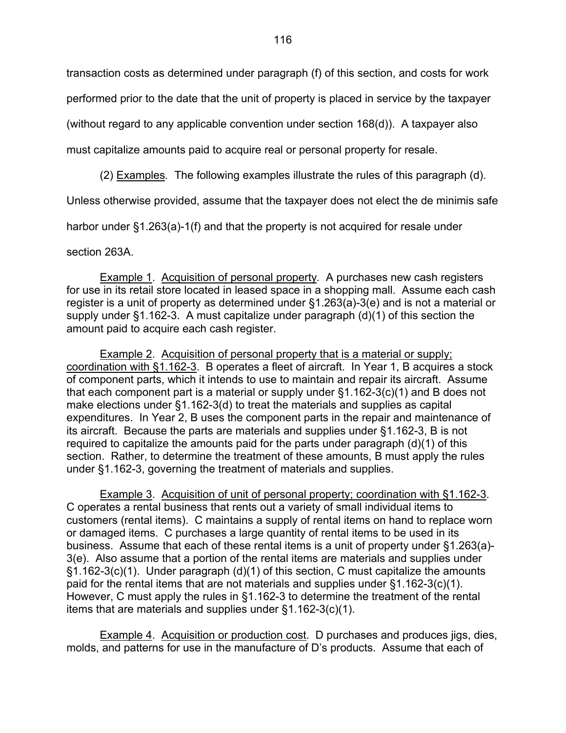transaction costs as determined under paragraph (f) of this section, and costs for work

performed prior to the date that the unit of property is placed in service by the taxpayer

(without regard to any applicable convention under section 168(d)). A taxpayer also

must capitalize amounts paid to acquire real or personal property for resale.

(2) Examples*.* The following examples illustrate the rules of this paragraph (d).

Unless otherwise provided, assume that the taxpayer does not elect the de minimis safe

harbor under §1.263(a)-1(f) and that the property is not acquired for resale under

section 263A.

 Example 1. Acquisition of personal property*.* A purchases new cash registers for use in its retail store located in leased space in a shopping mall. Assume each cash register is a unit of property as determined under §1.263(a)-3(e) and is not a material or supply under §1.162-3. A must capitalize under paragraph (d)(1) of this section the amount paid to acquire each cash register.

Example 2. Acquisition of personal property that is a material or supply; coordination with §1.162-3. B operates a fleet of aircraft. In Year 1, B acquires a stock of component parts, which it intends to use to maintain and repair its aircraft. Assume that each component part is a material or supply under §1.162-3(c)(1) and B does not make elections under §1.162-3(d) to treat the materials and supplies as capital expenditures. In Year 2, B uses the component parts in the repair and maintenance of its aircraft. Because the parts are materials and supplies under §1.162-3, B is not required to capitalize the amounts paid for the parts under paragraph (d)(1) of this section. Rather, to determine the treatment of these amounts, B must apply the rules under §1.162-3, governing the treatment of materials and supplies.

Example 3. Acquisition of unit of personal property; coordination with §1.162-3. C operates a rental business that rents out a variety of small individual items to customers (rental items). C maintains a supply of rental items on hand to replace worn or damaged items. C purchases a large quantity of rental items to be used in its business. Assume that each of these rental items is a unit of property under §1.263(a)- 3(e). Also assume that a portion of the rental items are materials and supplies under §1.162-3(c)(1). Under paragraph (d)(1) of this section, C must capitalize the amounts paid for the rental items that are not materials and supplies under §1.162-3(c)(1). However, C must apply the rules in §1.162-3 to determine the treatment of the rental items that are materials and supplies under §1.162-3(c)(1).

Example 4. Acquisition or production cost. D purchases and produces jigs, dies, molds, and patterns for use in the manufacture of D's products. Assume that each of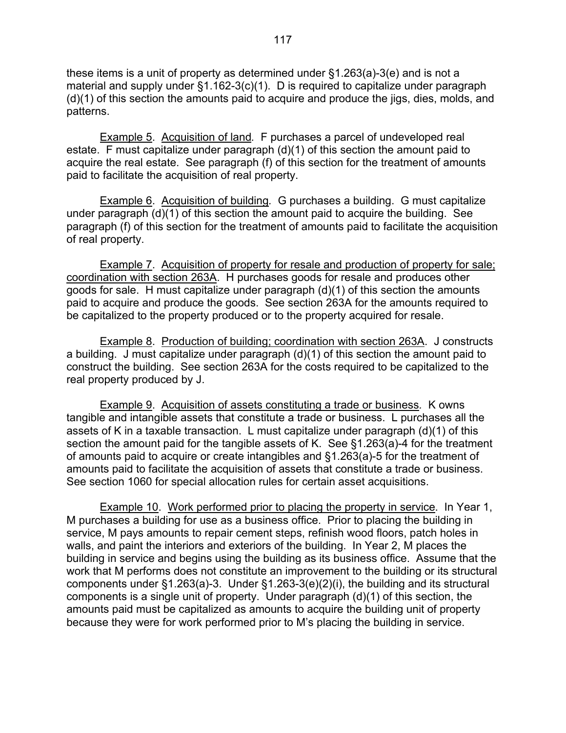these items is a unit of property as determined under §1.263(a)-3(e) and is not a material and supply under §1.162-3(c)(1). D is required to capitalize under paragraph (d)(1) of this section the amounts paid to acquire and produce the jigs, dies, molds, and patterns.

 Example 5. Acquisition of land*.* F purchases a parcel of undeveloped real estate. F must capitalize under paragraph (d)(1) of this section the amount paid to acquire the real estate. See paragraph (f) of this section for the treatment of amounts paid to facilitate the acquisition of real property.

 Example 6. Acquisition of building*.* G purchases a building. G must capitalize under paragraph (d)(1) of this section the amount paid to acquire the building. See paragraph (f) of this section for the treatment of amounts paid to facilitate the acquisition of real property.

Example 7. Acquisition of property for resale and production of property for sale; coordination with section 263A. H purchases goods for resale and produces other goods for sale. H must capitalize under paragraph (d)(1) of this section the amounts paid to acquire and produce the goods. See section 263A for the amounts required to be capitalized to the property produced or to the property acquired for resale.

 Example 8. Production of building; coordination with section 263A. J constructs a building. J must capitalize under paragraph (d)(1) of this section the amount paid to construct the building. See section 263A for the costs required to be capitalized to the real property produced by J.

 Example 9. Acquisition of assets constituting a trade or business*.* K owns tangible and intangible assets that constitute a trade or business. L purchases all the assets of K in a taxable transaction. L must capitalize under paragraph (d)(1) of this section the amount paid for the tangible assets of K. See §1.263(a)-4 for the treatment of amounts paid to acquire or create intangibles and §1.263(a)-5 for the treatment of amounts paid to facilitate the acquisition of assets that constitute a trade or business. See section 1060 for special allocation rules for certain asset acquisitions.

 Example 10. Work performed prior to placing the property in service.In Year 1, M purchases a building for use as a business office. Prior to placing the building in service, M pays amounts to repair cement steps, refinish wood floors, patch holes in walls, and paint the interiors and exteriors of the building. In Year 2, M places the building in service and begins using the building as its business office. Assume that the work that M performs does not constitute an improvement to the building or its structural components under §1.263(a)-3. Under §1.263-3(e)(2)(i), the building and its structural components is a single unit of property. Under paragraph (d)(1) of this section, the amounts paid must be capitalized as amounts to acquire the building unit of property because they were for work performed prior to M's placing the building in service.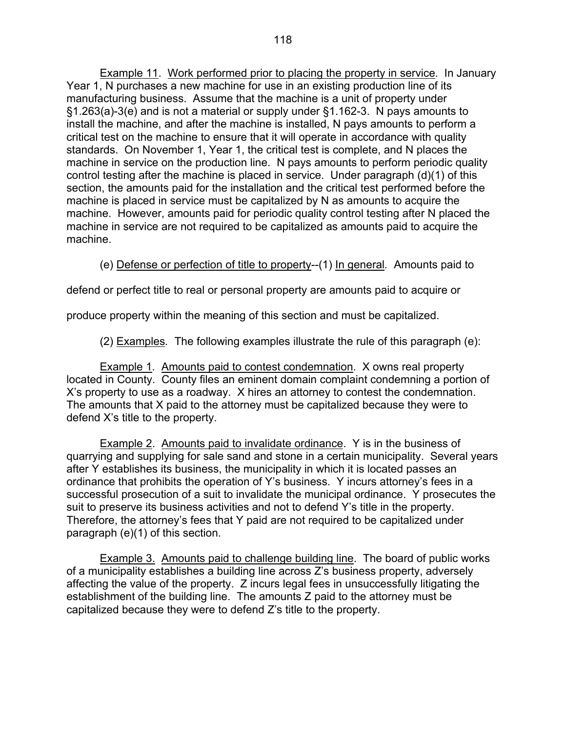Example 11. Work performed prior to placing the property in service. In January Year 1, N purchases a new machine for use in an existing production line of its manufacturing business. Assume that the machine is a unit of property under §1.263(a)-3(e) and is not a material or supply under §1.162-3. N pays amounts to install the machine, and after the machine is installed, N pays amounts to perform a critical test on the machine to ensure that it will operate in accordance with quality standards. On November 1, Year 1, the critical test is complete, and N places the machine in service on the production line. N pays amounts to perform periodic quality control testing after the machine is placed in service. Under paragraph (d)(1) of this section, the amounts paid for the installation and the critical test performed before the machine is placed in service must be capitalized by N as amounts to acquire the machine. However, amounts paid for periodic quality control testing after N placed the machine in service are not required to be capitalized as amounts paid to acquire the machine.

(e) Defense or perfection of title to property--(1) In general*.* Amounts paid to

defend or perfect title to real or personal property are amounts paid to acquire or

produce property within the meaning of this section and must be capitalized.

(2) Examples*.* The following examples illustrate the rule of this paragraph (e):

 Example 1*.* Amounts paid to contest condemnation. X owns real property located in County. County files an eminent domain complaint condemning a portion of X's property to use as a roadway. X hires an attorney to contest the condemnation. The amounts that X paid to the attorney must be capitalized because they were to defend X's title to the property.

 Example 2. Amounts paid to invalidate ordinance. Y is in the business of quarrying and supplying for sale sand and stone in a certain municipality. Several years after Y establishes its business, the municipality in which it is located passes an ordinance that prohibits the operation of Y's business. Y incurs attorney's fees in a successful prosecution of a suit to invalidate the municipal ordinance. Y prosecutes the suit to preserve its business activities and not to defend Y's title in the property. Therefore, the attorney's fees that Y paid are not required to be capitalized under paragraph (e)(1) of this section.

 Example 3. Amounts paid to challenge building line. The board of public works of a municipality establishes a building line across Z's business property, adversely affecting the value of the property. Z incurs legal fees in unsuccessfully litigating the establishment of the building line. The amounts Z paid to the attorney must be capitalized because they were to defend Z's title to the property.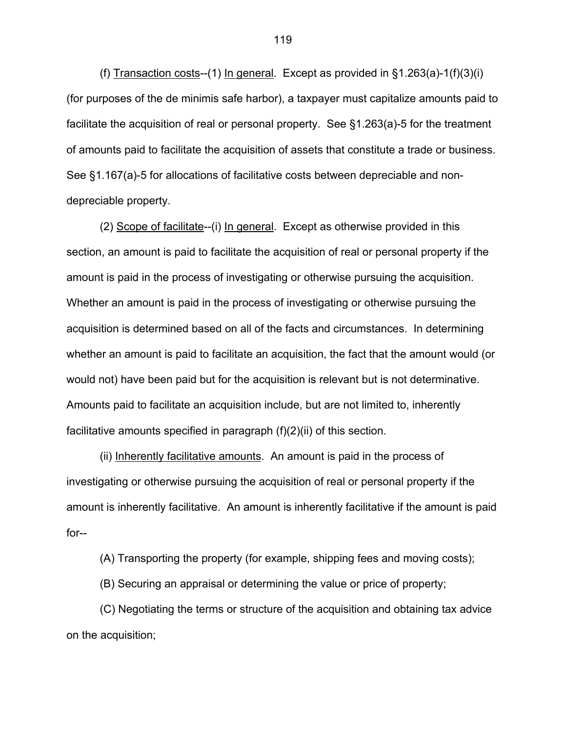(f) Transaction costs--(1) In general. Except as provided in  $\S1.263(a)$ -1(f)(3)(i) (for purposes of the de minimis safe harbor), a taxpayer must capitalize amounts paid to facilitate the acquisition of real or personal property. See §1.263(a)-5 for the treatment of amounts paid to facilitate the acquisition of assets that constitute a trade or business. See §1.167(a)-5 for allocations of facilitative costs between depreciable and nondepreciable property.

 (2) Scope of facilitate--(i) In general. Except as otherwise provided in this section, an amount is paid to facilitate the acquisition of real or personal property if the amount is paid in the process of investigating or otherwise pursuing the acquisition. Whether an amount is paid in the process of investigating or otherwise pursuing the acquisition is determined based on all of the facts and circumstances. In determining whether an amount is paid to facilitate an acquisition, the fact that the amount would (or would not) have been paid but for the acquisition is relevant but is not determinative. Amounts paid to facilitate an acquisition include, but are not limited to, inherently facilitative amounts specified in paragraph (f)(2)(ii) of this section.

(ii) Inherently facilitative amounts. An amount is paid in the process of investigating or otherwise pursuing the acquisition of real or personal property if the amount is inherently facilitative. An amount is inherently facilitative if the amount is paid for--

(A) Transporting the property (for example, shipping fees and moving costs);

(B) Securing an appraisal or determining the value or price of property;

 (C) Negotiating the terms or structure of the acquisition and obtaining tax advice on the acquisition;

119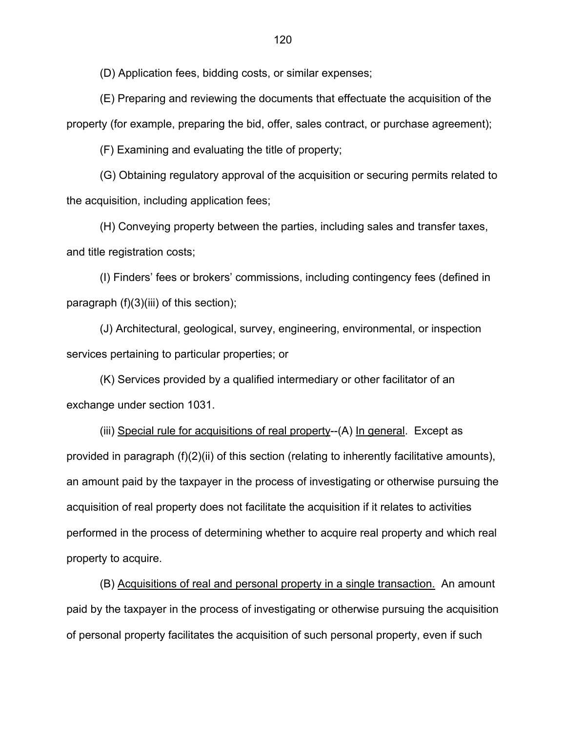(D) Application fees, bidding costs, or similar expenses;

 (E) Preparing and reviewing the documents that effectuate the acquisition of the property (for example, preparing the bid, offer, sales contract, or purchase agreement);

(F) Examining and evaluating the title of property;

 (G) Obtaining regulatory approval of the acquisition or securing permits related to the acquisition, including application fees;

 (H) Conveying property between the parties, including sales and transfer taxes, and title registration costs;

 (I) Finders' fees or brokers' commissions, including contingency fees (defined in paragraph (f)(3)(iii) of this section);

(J) Architectural, geological, survey, engineering, environmental, or inspection services pertaining to particular properties; or

 (K) Services provided by a qualified intermediary or other facilitator of an exchange under section 1031.

(iii) Special rule for acquisitions of real property--(A) In general. Except as provided in paragraph (f)(2)(ii) of this section (relating to inherently facilitative amounts), an amount paid by the taxpayer in the process of investigating or otherwise pursuing the acquisition of real property does not facilitate the acquisition if it relates to activities performed in the process of determining whether to acquire real property and which real property to acquire.

(B) Acquisitions of real and personal property in a single transaction. An amount paid by the taxpayer in the process of investigating or otherwise pursuing the acquisition of personal property facilitates the acquisition of such personal property, even if such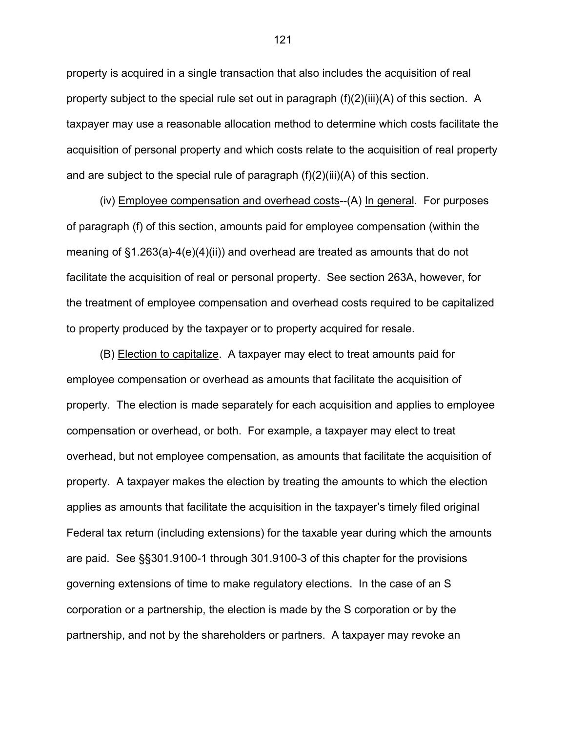property is acquired in a single transaction that also includes the acquisition of real property subject to the special rule set out in paragraph  $(f)(2)(iii)(A)$  of this section. A taxpayer may use a reasonable allocation method to determine which costs facilitate the acquisition of personal property and which costs relate to the acquisition of real property and are subject to the special rule of paragraph  $(f)(2)(iii)(A)$  of this section.

(iv) Employee compensation and overhead costs--(A) In general. For purposes of paragraph (f) of this section, amounts paid for employee compensation (within the meaning of §1.263(a)-4(e)(4)(ii)) and overhead are treated as amounts that do not facilitate the acquisition of real or personal property. See section 263A, however, for the treatment of employee compensation and overhead costs required to be capitalized to property produced by the taxpayer or to property acquired for resale.

(B) Election to capitalize. A taxpayer may elect to treat amounts paid for employee compensation or overhead as amounts that facilitate the acquisition of property. The election is made separately for each acquisition and applies to employee compensation or overhead, or both. For example, a taxpayer may elect to treat overhead, but not employee compensation, as amounts that facilitate the acquisition of property. A taxpayer makes the election by treating the amounts to which the election applies as amounts that facilitate the acquisition in the taxpayer's timely filed original Federal tax return (including extensions) for the taxable year during which the amounts are paid. See §§301.9100-1 through 301.9100-3 of this chapter for the provisions governing extensions of time to make regulatory elections. In the case of an S corporation or a partnership, the election is made by the S corporation or by the partnership, and not by the shareholders or partners. A taxpayer may revoke an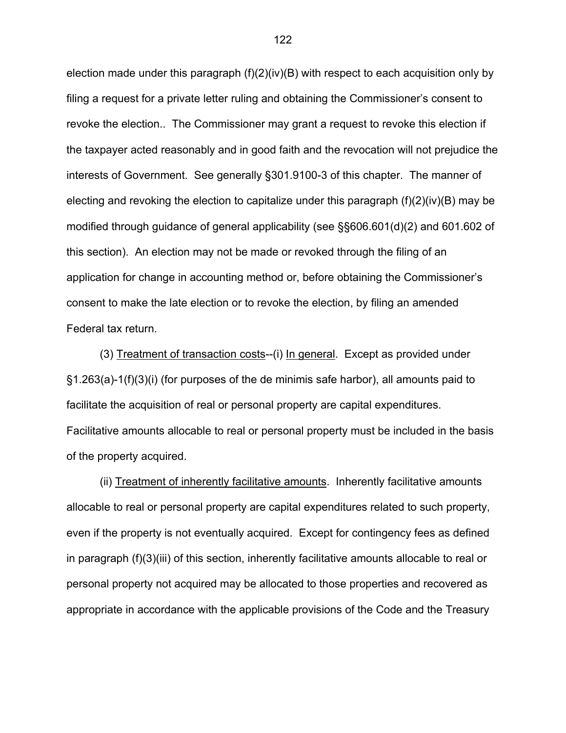election made under this paragraph  $(f)(2)(iv)(B)$  with respect to each acquisition only by filing a request for a private letter ruling and obtaining the Commissioner's consent to revoke the election.. The Commissioner may grant a request to revoke this election if the taxpayer acted reasonably and in good faith and the revocation will not prejudice the interests of Government. See generally §301.9100-3 of this chapter. The manner of electing and revoking the election to capitalize under this paragraph  $(f)(2)(iv)(B)$  may be modified through guidance of general applicability (see §§606.601(d)(2) and 601.602 of this section). An election may not be made or revoked through the filing of an application for change in accounting method or, before obtaining the Commissioner's consent to make the late election or to revoke the election, by filing an amended Federal tax return.

 (3) Treatment of transaction costs--(i) In general. Except as provided under §1.263(a)-1(f)(3)(i) (for purposes of the de minimis safe harbor), all amounts paid to facilitate the acquisition of real or personal property are capital expenditures. Facilitative amounts allocable to real or personal property must be included in the basis of the property acquired.

 (ii) Treatment of inherently facilitative amounts. Inherently facilitative amounts allocable to real or personal property are capital expenditures related to such property, even if the property is not eventually acquired. Except for contingency fees as defined in paragraph (f)(3)(iii) of this section, inherently facilitative amounts allocable to real or personal property not acquired may be allocated to those properties and recovered as appropriate in accordance with the applicable provisions of the Code and the Treasury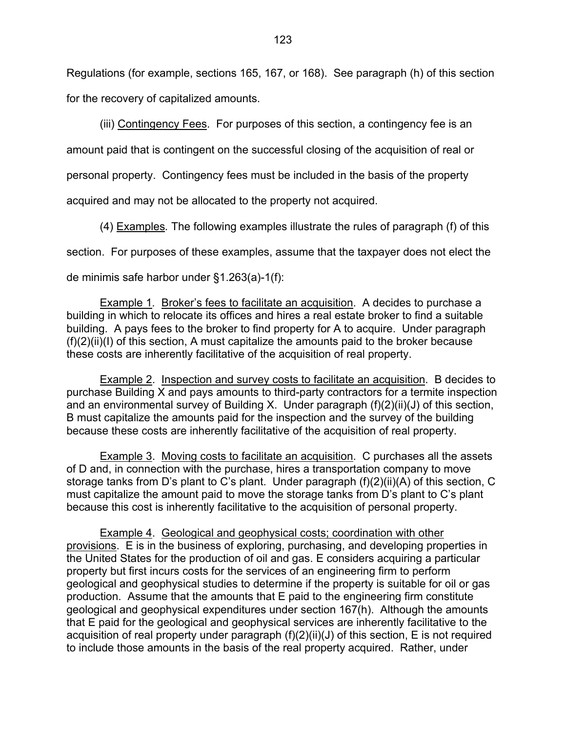Regulations (for example, sections 165, 167, or 168). See paragraph (h) of this section for the recovery of capitalized amounts.

(iii) Contingency Fees. For purposes of this section, a contingency fee is an

amount paid that is contingent on the successful closing of the acquisition of real or

personal property. Contingency fees must be included in the basis of the property

acquired and may not be allocated to the property not acquired.

(4) Examples*.* The following examples illustrate the rules of paragraph (f) of this section. For purposes of these examples, assume that the taxpayer does not elect the de minimis safe harbor under §1.263(a)-1(f):

Example 1*.* Broker's fees to facilitate an acquisition. A decides to purchase a building in which to relocate its offices and hires a real estate broker to find a suitable building. A pays fees to the broker to find property for A to acquire. Under paragraph  $(f)(2)(ii)(I)$  of this section, A must capitalize the amounts paid to the broker because these costs are inherently facilitative of the acquisition of real property.

 Example 2. Inspection and survey costs to facilitate an acquisition. B decides to purchase Building X and pays amounts to third-party contractors for a termite inspection and an environmental survey of Building X. Under paragraph (f)(2)(ii)(J) of this section, B must capitalize the amounts paid for the inspection and the survey of the building because these costs are inherently facilitative of the acquisition of real property.

 Example 3. Moving costs to facilitate an acquisition. C purchases all the assets of D and, in connection with the purchase, hires a transportation company to move storage tanks from D's plant to C's plant. Under paragraph (f)(2)(ii)(A) of this section, C must capitalize the amount paid to move the storage tanks from D's plant to C's plant because this cost is inherently facilitative to the acquisition of personal property.

 Example 4. Geological and geophysical costs; coordination with other provisions. E is in the business of exploring, purchasing, and developing properties in the United States for the production of oil and gas. E considers acquiring a particular property but first incurs costs for the services of an engineering firm to perform geological and geophysical studies to determine if the property is suitable for oil or gas production. Assume that the amounts that E paid to the engineering firm constitute geological and geophysical expenditures under section 167(h). Although the amounts that E paid for the geological and geophysical services are inherently facilitative to the acquisition of real property under paragraph (f)(2)(ii)(J) of this section, E is not required to include those amounts in the basis of the real property acquired. Rather, under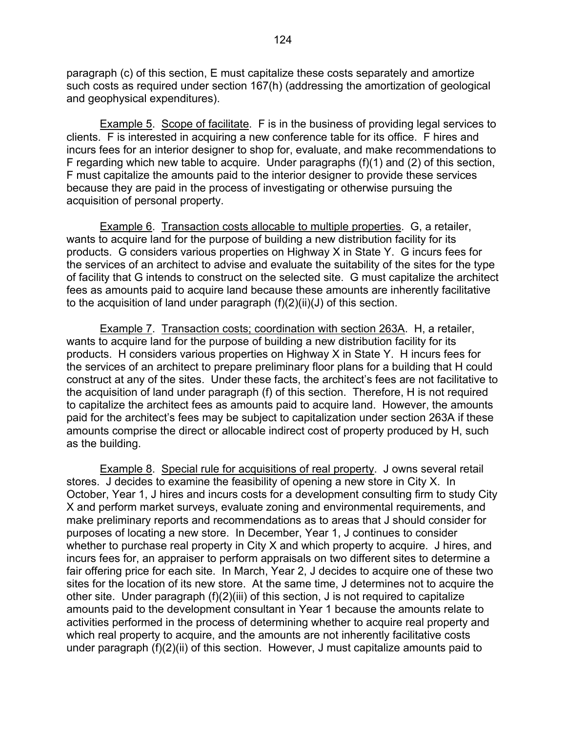paragraph (c) of this section, E must capitalize these costs separately and amortize such costs as required under section 167(h) (addressing the amortization of geological and geophysical expenditures).

 Example 5. Scope of facilitate. F is in the business of providing legal services to clients. F is interested in acquiring a new conference table for its office. F hires and incurs fees for an interior designer to shop for, evaluate, and make recommendations to F regarding which new table to acquire. Under paragraphs (f)(1) and (2) of this section, F must capitalize the amounts paid to the interior designer to provide these services because they are paid in the process of investigating or otherwise pursuing the acquisition of personal property.

Example 6. Transaction costs allocable to multiple properties. G, a retailer, wants to acquire land for the purpose of building a new distribution facility for its products. G considers various properties on Highway X in State Y. G incurs fees for the services of an architect to advise and evaluate the suitability of the sites for the type of facility that G intends to construct on the selected site. G must capitalize the architect fees as amounts paid to acquire land because these amounts are inherently facilitative to the acquisition of land under paragraph  $(f)(2)(ii)(J)$  of this section.

 Example 7. Transaction costs; coordination with section 263A. H, a retailer, wants to acquire land for the purpose of building a new distribution facility for its products. H considers various properties on Highway X in State Y. H incurs fees for the services of an architect to prepare preliminary floor plans for a building that H could construct at any of the sites. Under these facts, the architect's fees are not facilitative to the acquisition of land under paragraph (f) of this section. Therefore, H is not required to capitalize the architect fees as amounts paid to acquire land. However, the amounts paid for the architect's fees may be subject to capitalization under section 263A if these amounts comprise the direct or allocable indirect cost of property produced by H, such as the building.

 Example 8. Special rule for acquisitions of real property. J owns several retail stores. J decides to examine the feasibility of opening a new store in City X. In October, Year 1, J hires and incurs costs for a development consulting firm to study City X and perform market surveys, evaluate zoning and environmental requirements, and make preliminary reports and recommendations as to areas that J should consider for purposes of locating a new store. In December, Year 1, J continues to consider whether to purchase real property in City X and which property to acquire. J hires, and incurs fees for, an appraiser to perform appraisals on two different sites to determine a fair offering price for each site. In March, Year 2, J decides to acquire one of these two sites for the location of its new store. At the same time, J determines not to acquire the other site. Under paragraph (f)(2)(iii) of this section, J is not required to capitalize amounts paid to the development consultant in Year 1 because the amounts relate to activities performed in the process of determining whether to acquire real property and which real property to acquire, and the amounts are not inherently facilitative costs under paragraph (f)(2)(ii) of this section. However, J must capitalize amounts paid to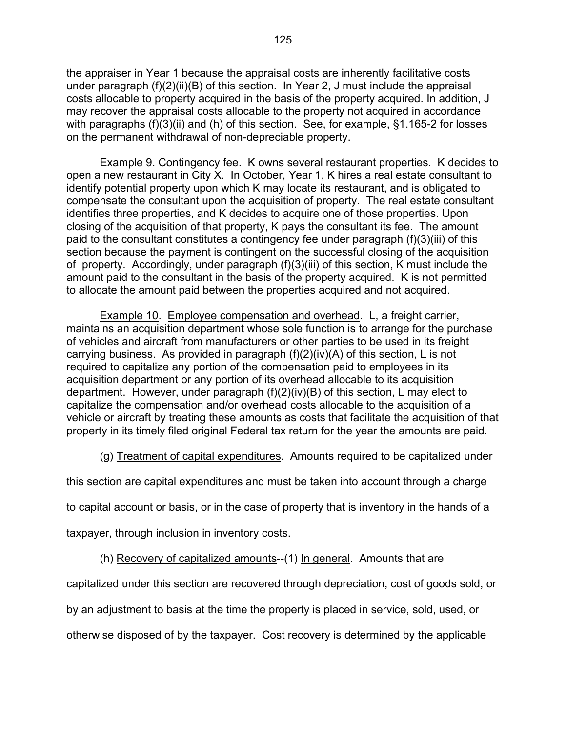the appraiser in Year 1 because the appraisal costs are inherently facilitative costs under paragraph (f)(2)(ii)(B) of this section. In Year 2, J must include the appraisal costs allocable to property acquired in the basis of the property acquired. In addition, J may recover the appraisal costs allocable to the property not acquired in accordance with paragraphs (f)(3)(ii) and (h) of this section. See, for example, §1.165-2 for losses on the permanent withdrawal of non-depreciable property.

 Example 9. Contingency fee. K owns several restaurant properties. K decides to open a new restaurant in City X. In October, Year 1, K hires a real estate consultant to identify potential property upon which K may locate its restaurant, and is obligated to compensate the consultant upon the acquisition of property. The real estate consultant identifies three properties, and K decides to acquire one of those properties. Upon closing of the acquisition of that property, K pays the consultant its fee. The amount paid to the consultant constitutes a contingency fee under paragraph (f)(3)(iii) of this section because the payment is contingent on the successful closing of the acquisition of property. Accordingly, under paragraph (f)(3)(iii) of this section, K must include the amount paid to the consultant in the basis of the property acquired. K is not permitted to allocate the amount paid between the properties acquired and not acquired.

 Example 10. Employee compensation and overhead. L, a freight carrier, maintains an acquisition department whose sole function is to arrange for the purchase of vehicles and aircraft from manufacturers or other parties to be used in its freight carrying business. As provided in paragraph (f)(2)(iv)(A) of this section, L is not required to capitalize any portion of the compensation paid to employees in its acquisition department or any portion of its overhead allocable to its acquisition department. However, under paragraph (f)(2)(iv)(B) of this section, L may elect to capitalize the compensation and/or overhead costs allocable to the acquisition of a vehicle or aircraft by treating these amounts as costs that facilitate the acquisition of that property in its timely filed original Federal tax return for the year the amounts are paid.

(g) Treatment of capital expenditures. Amounts required to be capitalized under

this section are capital expenditures and must be taken into account through a charge

to capital account or basis, or in the case of property that is inventory in the hands of a

taxpayer, through inclusion in inventory costs.

(h) Recovery of capitalized amounts--(1) In general. Amounts that are

capitalized under this section are recovered through depreciation, cost of goods sold, or

by an adjustment to basis at the time the property is placed in service, sold, used, or

otherwise disposed of by the taxpayer. Cost recovery is determined by the applicable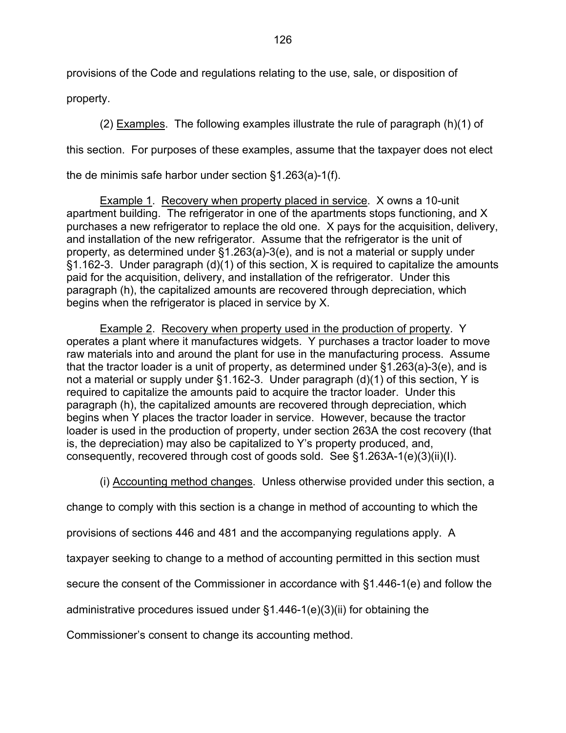provisions of the Code and regulations relating to the use, sale, or disposition of

property.

 (2) Examples. The following examples illustrate the rule of paragraph (h)(1) of this section. For purposes of these examples, assume that the taxpayer does not elect the de minimis safe harbor under section §1.263(a)-1(f).

 Example 1. Recovery when property placed in service. X owns a 10-unit apartment building. The refrigerator in one of the apartments stops functioning, and X purchases a new refrigerator to replace the old one. X pays for the acquisition, delivery, and installation of the new refrigerator. Assume that the refrigerator is the unit of property, as determined under §1.263(a)-3(e), and is not a material or supply under §1.162-3. Under paragraph (d)(1) of this section, X is required to capitalize the amounts paid for the acquisition, delivery, and installation of the refrigerator. Under this paragraph (h), the capitalized amounts are recovered through depreciation, which begins when the refrigerator is placed in service by X.

 Example 2. Recovery when property used in the production of property. Y operates a plant where it manufactures widgets. Y purchases a tractor loader to move raw materials into and around the plant for use in the manufacturing process. Assume that the tractor loader is a unit of property, as determined under §1.263(a)-3(e), and is not a material or supply under §1.162-3. Under paragraph (d)(1) of this section, Y is required to capitalize the amounts paid to acquire the tractor loader. Under this paragraph (h), the capitalized amounts are recovered through depreciation, which begins when Y places the tractor loader in service. However, because the tractor loader is used in the production of property, under section 263A the cost recovery (that is, the depreciation) may also be capitalized to Y's property produced, and, consequently, recovered through cost of goods sold. See §1.263A-1(e)(3)(ii)(I).

(i) Accounting method changes. Unless otherwise provided under this section, a

change to comply with this section is a change in method of accounting to which the

provisions of sections 446 and 481 and the accompanying regulations apply. A

taxpayer seeking to change to a method of accounting permitted in this section must

secure the consent of the Commissioner in accordance with §1.446-1(e) and follow the

administrative procedures issued under §1.446-1(e)(3)(ii) for obtaining the

Commissioner's consent to change its accounting method.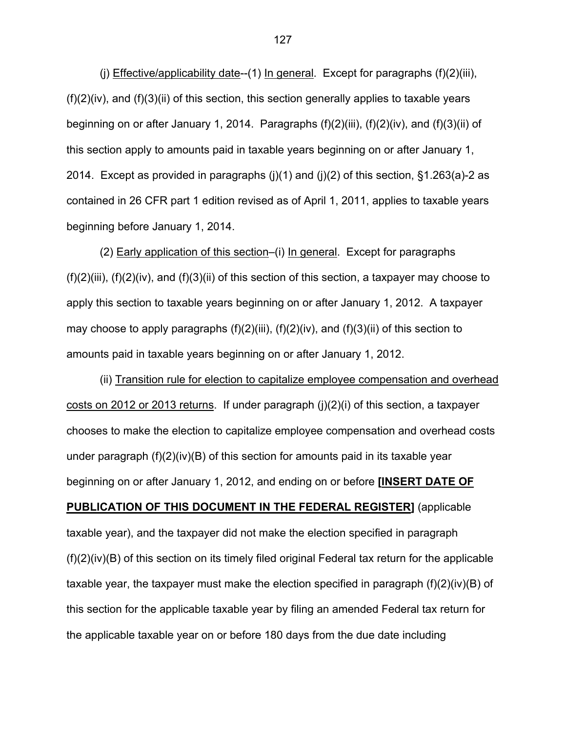(j) Effective/applicability date--(1) In general. Except for paragraphs (f)(2)(iii),  $(f)(2)(iv)$ , and  $(f)(3)(ii)$  of this section, this section generally applies to taxable years beginning on or after January 1, 2014. Paragraphs (f)(2)(iii), (f)(2)(iv), and (f)(3)(ii) of this section apply to amounts paid in taxable years beginning on or after January 1, 2014. Except as provided in paragraphs (j)(1) and (j)(2) of this section,  $\S$ 1.263(a)-2 as contained in 26 CFR part 1 edition revised as of April 1, 2011, applies to taxable years beginning before January 1, 2014.

(2) Early application of this section–(i) In general. Except for paragraphs  $(f)(2)(iii)$ ,  $(f)(2)(iv)$ , and  $(f)(3)(ii)$  of this section of this section, a taxpayer may choose to apply this section to taxable years beginning on or after January 1, 2012. A taxpayer may choose to apply paragraphs (f)(2)(iii), (f)(2)(iv), and (f)(3)(ii) of this section to amounts paid in taxable years beginning on or after January 1, 2012.

(ii) Transition rule for election to capitalize employee compensation and overhead costs on 2012 or 2013 returns. If under paragraph (j)(2)(i) of this section, a taxpayer chooses to make the election to capitalize employee compensation and overhead costs under paragraph  $(f)(2)(iv)(B)$  of this section for amounts paid in its taxable year beginning on or after January 1, 2012, and ending on or before **[INSERT DATE OF PUBLICATION OF THIS DOCUMENT IN THE FEDERAL REGISTER]** (applicable taxable year), and the taxpayer did not make the election specified in paragraph (f)(2)(iv)(B) of this section on its timely filed original Federal tax return for the applicable taxable year, the taxpayer must make the election specified in paragraph  $(f)(2)(iv)(B)$  of this section for the applicable taxable year by filing an amended Federal tax return for the applicable taxable year on or before 180 days from the due date including

127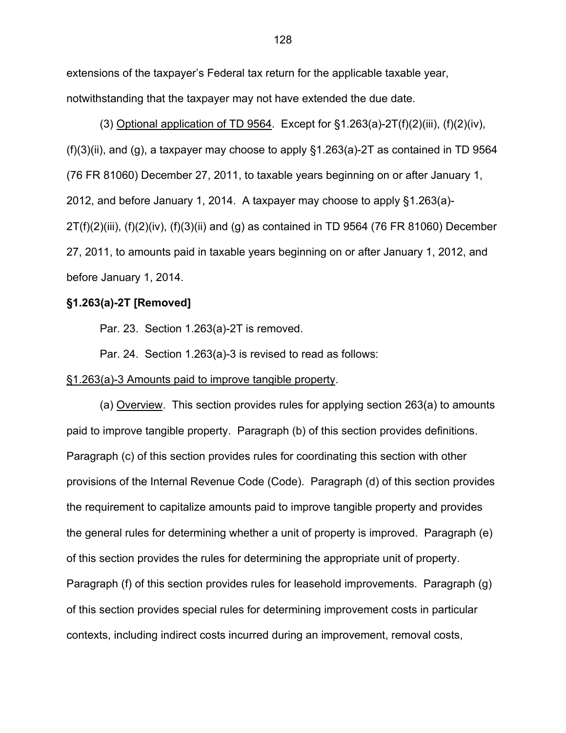extensions of the taxpayer's Federal tax return for the applicable taxable year, notwithstanding that the taxpayer may not have extended the due date.

(3) Optional application of TD 9564. Except for  $\S1.263(a)$ -2T(f)(2)(iii), (f)(2)(iv),  $(f)(3)(ii)$ , and  $(g)$ , a taxpayer may choose to apply  $\S 1.263(a)$ -2T as contained in TD 9564 (76 FR 81060) December 27, 2011, to taxable years beginning on or after January 1, 2012, and before January 1, 2014. A taxpayer may choose to apply §1.263(a)- 2T(f)(2)(iii), (f)(2)(iv), (f)(3)(ii) and (g) as contained in TD 9564 (76 FR 81060) December 27, 2011, to amounts paid in taxable years beginning on or after January 1, 2012, and before January 1, 2014.

## **§1.263(a)-2T [Removed]**

Par. 23. Section 1.263(a)-2T is removed.

Par. 24. Section 1.263(a)-3 is revised to read as follows:

### §1.263(a)-3 Amounts paid to improve tangible property.

 (a) Overview. This section provides rules for applying section 263(a) to amounts paid to improve tangible property. Paragraph (b) of this section provides definitions. Paragraph (c) of this section provides rules for coordinating this section with other provisions of the Internal Revenue Code (Code). Paragraph (d) of this section provides the requirement to capitalize amounts paid to improve tangible property and provides the general rules for determining whether a unit of property is improved. Paragraph (e) of this section provides the rules for determining the appropriate unit of property. Paragraph (f) of this section provides rules for leasehold improvements. Paragraph (g) of this section provides special rules for determining improvement costs in particular contexts, including indirect costs incurred during an improvement, removal costs,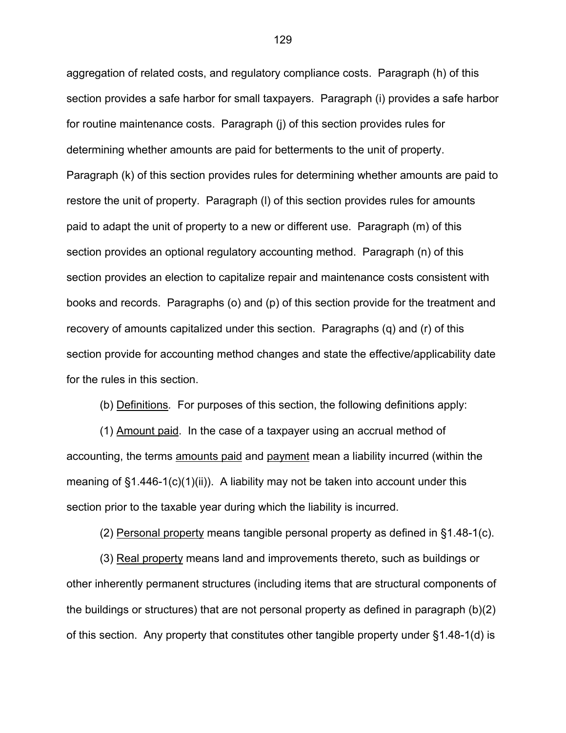aggregation of related costs, and regulatory compliance costs. Paragraph (h) of this section provides a safe harbor for small taxpayers. Paragraph (i) provides a safe harbor for routine maintenance costs. Paragraph (j) of this section provides rules for determining whether amounts are paid for betterments to the unit of property. Paragraph (k) of this section provides rules for determining whether amounts are paid to restore the unit of property. Paragraph (l) of this section provides rules for amounts paid to adapt the unit of property to a new or different use. Paragraph (m) of this section provides an optional regulatory accounting method. Paragraph (n) of this section provides an election to capitalize repair and maintenance costs consistent with books and records. Paragraphs (o) and (p) of this section provide for the treatment and recovery of amounts capitalized under this section. Paragraphs (q) and (r) of this section provide for accounting method changes and state the effective/applicability date for the rules in this section.

(b) Definitions*.* For purposes of this section, the following definitions apply:

 (1) Amount paid. In the case of a taxpayer using an accrual method of accounting, the terms amounts paid and payment mean a liability incurred (within the meaning of  $\S1.446-1(c)(1)(ii)$ . A liability may not be taken into account under this section prior to the taxable year during which the liability is incurred.

(2) Personal property means tangible personal property as defined in §1.48-1(c).

 (3) Real property means land and improvements thereto, such as buildings or other inherently permanent structures (including items that are structural components of the buildings or structures) that are not personal property as defined in paragraph (b)(2) of this section. Any property that constitutes other tangible property under §1.48-1(d) is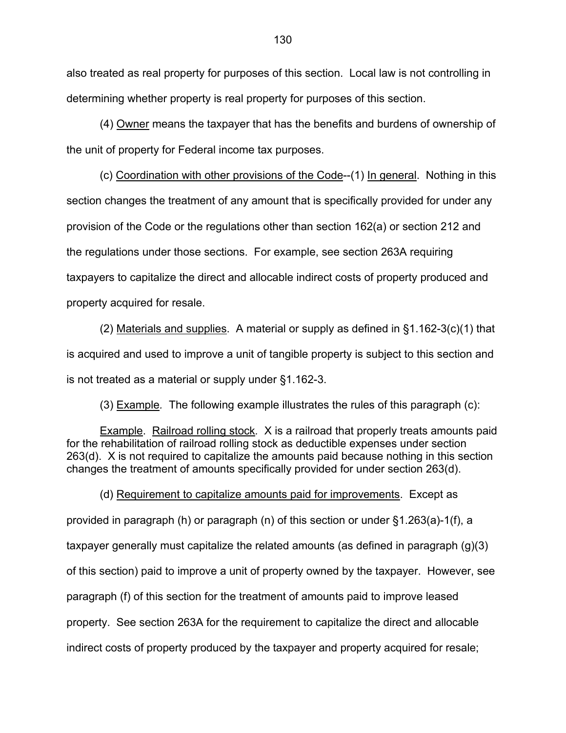also treated as real property for purposes of this section. Local law is not controlling in determining whether property is real property for purposes of this section.

 (4) Owner means the taxpayer that has the benefits and burdens of ownership of the unit of property for Federal income tax purposes.

 (c) Coordination with other provisions of the Code--(1) In general. Nothing in this section changes the treatment of any amount that is specifically provided for under any provision of the Code or the regulations other than section 162(a) or section 212 and the regulations under those sections. For example, see section 263A requiring taxpayers to capitalize the direct and allocable indirect costs of property produced and property acquired for resale.

(2) Materials and supplies. A material or supply as defined in  $\S1.162-3(c)(1)$  that is acquired and used to improve a unit of tangible property is subject to this section and is not treated as a material or supply under §1.162-3.

(3) Example*.* The following example illustrates the rules of this paragraph (c):

 Example. Railroad rolling stock*.* X is a railroad that properly treats amounts paid for the rehabilitation of railroad rolling stock as deductible expenses under section 263(d). X is not required to capitalize the amounts paid because nothing in this section changes the treatment of amounts specifically provided for under section 263(d).

 (d) Requirement to capitalize amounts paid for improvements. Except as provided in paragraph (h) or paragraph (n) of this section or under §1.263(a)-1(f), a taxpayer generally must capitalize the related amounts (as defined in paragraph (g)(3) of this section) paid to improve a unit of property owned by the taxpayer. However, see paragraph (f) of this section for the treatment of amounts paid to improve leased property. See section 263A for the requirement to capitalize the direct and allocable indirect costs of property produced by the taxpayer and property acquired for resale;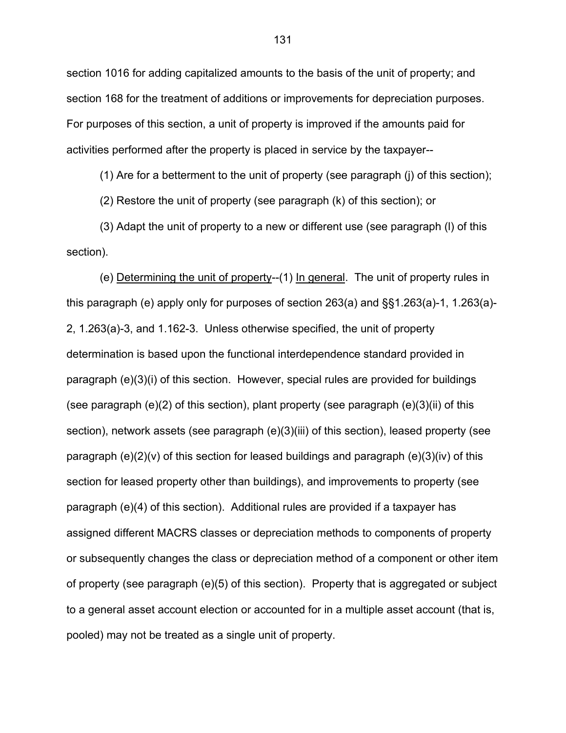section 1016 for adding capitalized amounts to the basis of the unit of property; and section 168 for the treatment of additions or improvements for depreciation purposes. For purposes of this section, a unit of property is improved if the amounts paid for activities performed after the property is placed in service by the taxpayer--

(1) Are for a betterment to the unit of property (see paragraph (j) of this section);

(2) Restore the unit of property (see paragraph (k) of this section); or

 (3) Adapt the unit of property to a new or different use (see paragraph (l) of this section).

 (e) Determining the unit of property--(1) In general. The unit of property rules in this paragraph (e) apply only for purposes of section 263(a) and §§1.263(a)-1, 1.263(a)- 2, 1.263(a)-3, and 1.162-3. Unless otherwise specified, the unit of property determination is based upon the functional interdependence standard provided in paragraph (e)(3)(i) of this section. However, special rules are provided for buildings (see paragraph  $(e)(2)$  of this section), plant property (see paragraph  $(e)(3)(ii)$  of this section), network assets (see paragraph (e)(3)(iii) of this section), leased property (see paragraph (e)(2)(v) of this section for leased buildings and paragraph (e)(3)(iv) of this section for leased property other than buildings), and improvements to property (see paragraph (e)(4) of this section). Additional rules are provided if a taxpayer has assigned different MACRS classes or depreciation methods to components of property or subsequently changes the class or depreciation method of a component or other item of property (see paragraph (e)(5) of this section). Property that is aggregated or subject to a general asset account election or accounted for in a multiple asset account (that is, pooled) may not be treated as a single unit of property.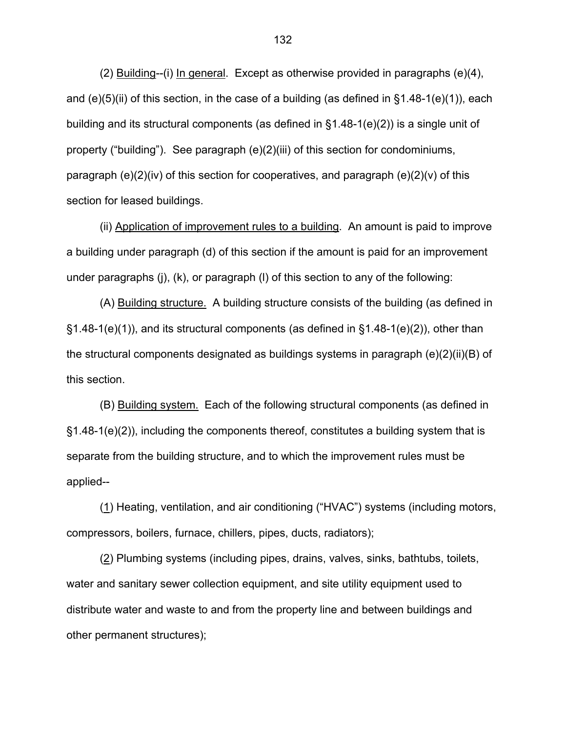(2) Building--(i) In general. Except as otherwise provided in paragraphs (e)(4), and  $(e)(5)(ii)$  of this section, in the case of a building (as defined in  $§1.48-1(e)(1)$ ), each building and its structural components (as defined in §1.48-1(e)(2)) is a single unit of property ("building"). See paragraph (e)(2)(iii) of this section for condominiums, paragraph  $(e)(2)(iv)$  of this section for cooperatives, and paragraph  $(e)(2)(v)$  of this section for leased buildings.

(ii) Application of improvement rules to a building. An amount is paid to improve a building under paragraph (d) of this section if the amount is paid for an improvement under paragraphs (j), (k), or paragraph (l) of this section to any of the following:

 (A) Building structure. A building structure consists of the building (as defined in  $\S1.48-1(e)(1)$ , and its structural components (as defined in  $\S1.48-1(e)(2)$ ), other than the structural components designated as buildings systems in paragraph (e)(2)(ii)(B) of this section.

 (B) Building system. Each of the following structural components (as defined in §1.48-1(e)(2)), including the components thereof, constitutes a building system that is separate from the building structure, and to which the improvement rules must be applied--

 (1) Heating, ventilation, and air conditioning ("HVAC") systems (including motors, compressors, boilers, furnace, chillers, pipes, ducts, radiators);

 (2) Plumbing systems (including pipes, drains, valves, sinks, bathtubs, toilets, water and sanitary sewer collection equipment, and site utility equipment used to distribute water and waste to and from the property line and between buildings and other permanent structures);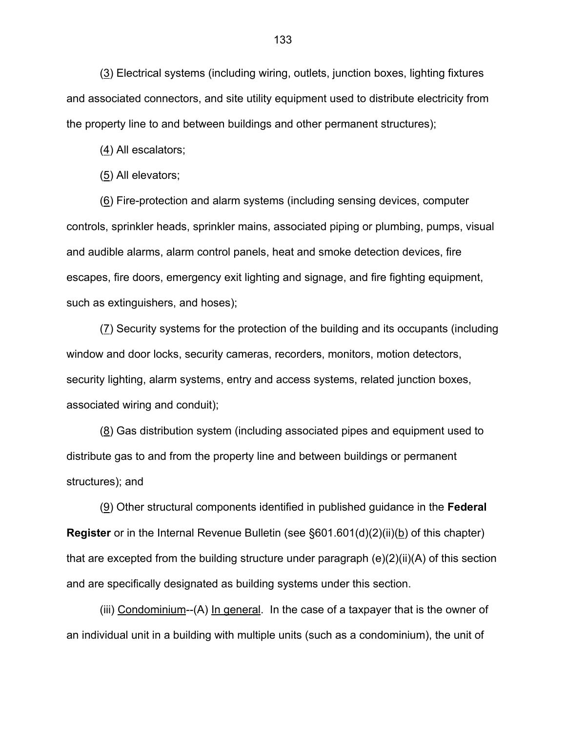(3) Electrical systems (including wiring, outlets, junction boxes, lighting fixtures and associated connectors, and site utility equipment used to distribute electricity from the property line to and between buildings and other permanent structures);

(4) All escalators;

(5) All elevators;

 (6) Fire-protection and alarm systems (including sensing devices, computer controls, sprinkler heads, sprinkler mains, associated piping or plumbing, pumps, visual and audible alarms, alarm control panels, heat and smoke detection devices, fire escapes, fire doors, emergency exit lighting and signage, and fire fighting equipment, such as extinguishers, and hoses);

 (7) Security systems for the protection of the building and its occupants (including window and door locks, security cameras, recorders, monitors, motion detectors, security lighting, alarm systems, entry and access systems, related junction boxes, associated wiring and conduit);

 (8) Gas distribution system (including associated pipes and equipment used to distribute gas to and from the property line and between buildings or permanent structures); and

 (9) Other structural components identified in published guidance in the **Federal Register** or in the Internal Revenue Bulletin (see §601.601(d)(2)(ii)(b) of this chapter) that are excepted from the building structure under paragraph  $(e)(2)(ii)(A)$  of this section and are specifically designated as building systems under this section.

(iii) Condominium--(A) In general. In the case of a taxpayer that is the owner of an individual unit in a building with multiple units (such as a condominium), the unit of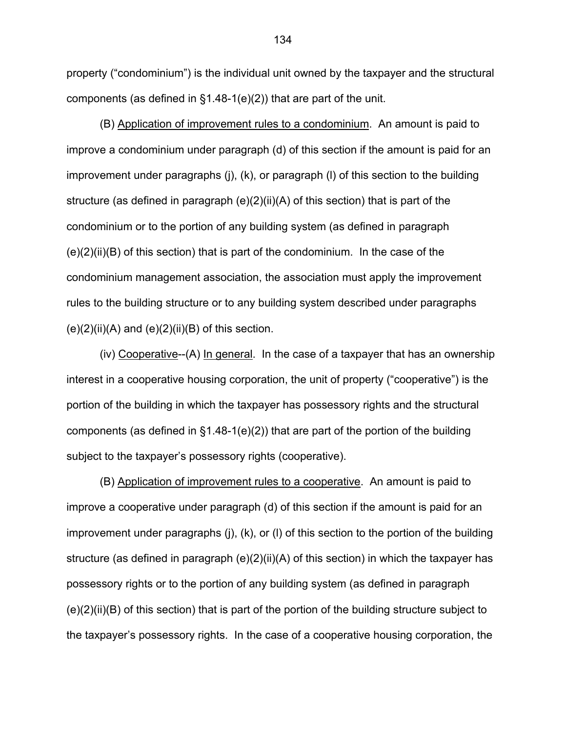property ("condominium") is the individual unit owned by the taxpayer and the structural components (as defined in §1.48-1(e)(2)) that are part of the unit.

 (B) Application of improvement rules to a condominium. An amount is paid to improve a condominium under paragraph (d) of this section if the amount is paid for an improvement under paragraphs (j), (k), or paragraph (l) of this section to the building structure (as defined in paragraph (e)(2)(ii)(A) of this section) that is part of the condominium or to the portion of any building system (as defined in paragraph  $(e)(2)(ii)(B)$  of this section) that is part of the condominium. In the case of the condominium management association, the association must apply the improvement rules to the building structure or to any building system described under paragraphs  $(e)(2)(ii)(A)$  and  $(e)(2)(ii)(B)$  of this section.

 (iv) Cooperative--(A) In general. In the case of a taxpayer that has an ownership interest in a cooperative housing corporation, the unit of property ("cooperative") is the portion of the building in which the taxpayer has possessory rights and the structural components (as defined in  $\S1.48-1(e)(2)$ ) that are part of the portion of the building subject to the taxpayer's possessory rights (cooperative).

 (B) Application of improvement rules to a cooperative. An amount is paid to improve a cooperative under paragraph (d) of this section if the amount is paid for an improvement under paragraphs (j), (k), or (l) of this section to the portion of the building structure (as defined in paragraph  $(e)(2)(ii)(A)$  of this section) in which the taxpayer has possessory rights or to the portion of any building system (as defined in paragraph (e)(2)(ii)(B) of this section) that is part of the portion of the building structure subject to the taxpayer's possessory rights. In the case of a cooperative housing corporation, the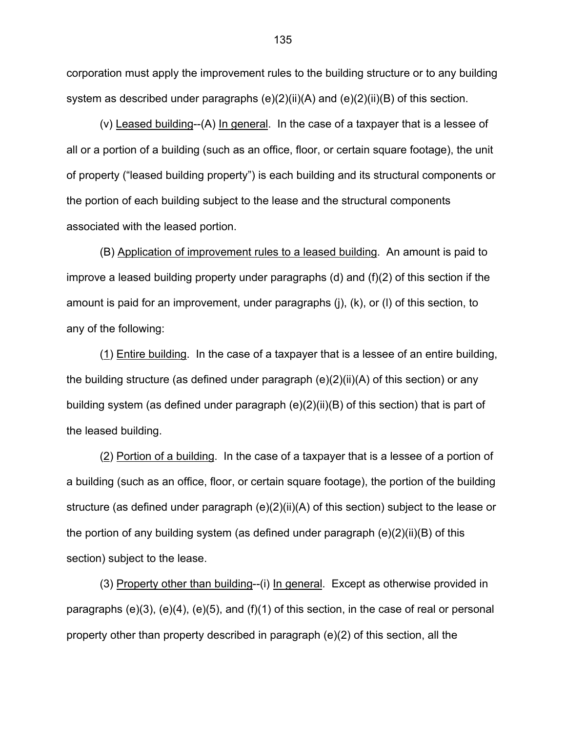corporation must apply the improvement rules to the building structure or to any building system as described under paragraphs (e)(2)(ii)(A) and (e)(2)(ii)(B) of this section.

 (v) Leased building--(A) In general. In the case of a taxpayer that is a lessee of all or a portion of a building (such as an office, floor, or certain square footage), the unit of property ("leased building property") is each building and its structural components or the portion of each building subject to the lease and the structural components associated with the leased portion.

(B) Application of improvement rules to a leased building. An amount is paid to improve a leased building property under paragraphs (d) and (f)(2) of this section if the amount is paid for an improvement, under paragraphs (j), (k), or (l) of this section, to any of the following:

 (1) Entire building. In the case of a taxpayer that is a lessee of an entire building, the building structure (as defined under paragraph (e)(2)(ii)(A) of this section) or any building system (as defined under paragraph (e)(2)(ii)(B) of this section) that is part of the leased building.

 (2) Portion of a building. In the case of a taxpayer that is a lessee of a portion of a building (such as an office, floor, or certain square footage), the portion of the building structure (as defined under paragraph (e)(2)(ii)(A) of this section) subject to the lease or the portion of any building system (as defined under paragraph (e)(2)(ii)(B) of this section) subject to the lease.

 (3) Property other than building--(i) In general. Except as otherwise provided in paragraphs (e)(3), (e)(4), (e)(5), and (f)(1) of this section, in the case of real or personal property other than property described in paragraph (e)(2) of this section, all the

135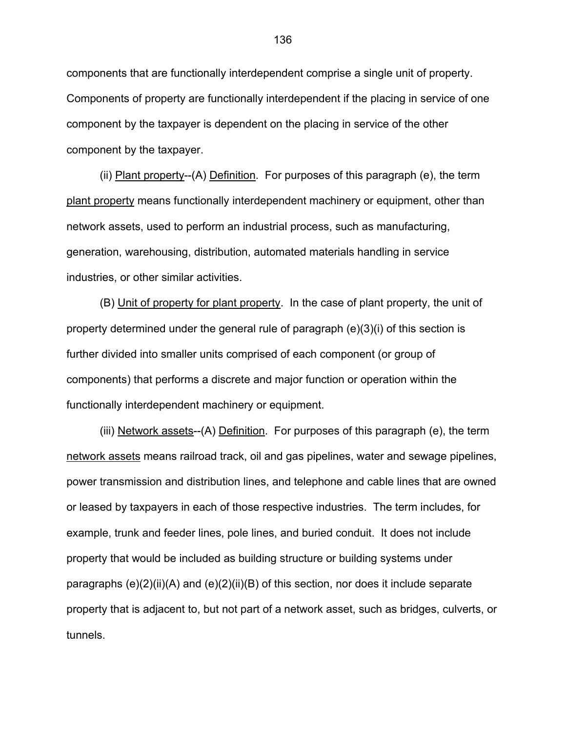components that are functionally interdependent comprise a single unit of property. Components of property are functionally interdependent if the placing in service of one component by the taxpayer is dependent on the placing in service of the other component by the taxpayer.

 (ii) Plant property--(A) Definition. For purposes of this paragraph (e), the term plant property means functionally interdependent machinery or equipment, other than network assets, used to perform an industrial process, such as manufacturing, generation, warehousing, distribution, automated materials handling in service industries, or other similar activities.

 (B) Unit of property for plant property. In the case of plant property, the unit of property determined under the general rule of paragraph (e)(3)(i) of this section is further divided into smaller units comprised of each component (or group of components) that performs a discrete and major function or operation within the functionally interdependent machinery or equipment.

(iii) Network assets--(A) Definition. For purposes of this paragraph (e), the term network assets means railroad track, oil and gas pipelines, water and sewage pipelines, power transmission and distribution lines, and telephone and cable lines that are owned or leased by taxpayers in each of those respective industries. The term includes, for example, trunk and feeder lines, pole lines, and buried conduit. It does not include property that would be included as building structure or building systems under paragraphs  $(e)(2)(ii)(A)$  and  $(e)(2)(ii)(B)$  of this section, nor does it include separate property that is adjacent to, but not part of a network asset, such as bridges, culverts, or tunnels.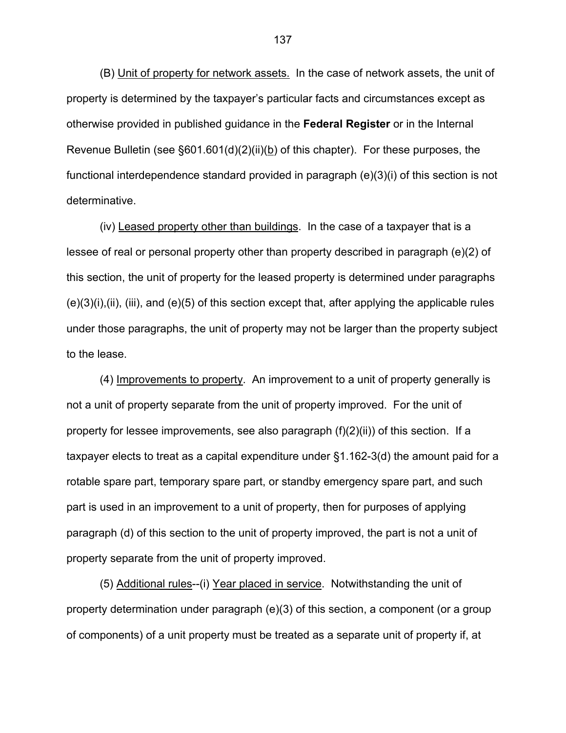(B) Unit of property for network assets. In the case of network assets, the unit of property is determined by the taxpayer's particular facts and circumstances except as otherwise provided in published guidance in the **Federal Register** or in the Internal Revenue Bulletin (see §601.601(d)(2)(ii)(b) of this chapter). For these purposes, the functional interdependence standard provided in paragraph (e)(3)(i) of this section is not determinative.

 (iv) Leased property other than buildings. In the case of a taxpayer that is a lessee of real or personal property other than property described in paragraph (e)(2) of this section, the unit of property for the leased property is determined under paragraphs  $(e)(3)(i), (ii), (iii),$  and  $(e)(5)$  of this section except that, after applying the applicable rules under those paragraphs, the unit of property may not be larger than the property subject to the lease.

 (4) Improvements to property. An improvement to a unit of property generally is not a unit of property separate from the unit of property improved. For the unit of property for lessee improvements, see also paragraph  $(f)(2)(ii)$  of this section. If a taxpayer elects to treat as a capital expenditure under §1.162-3(d) the amount paid for a rotable spare part, temporary spare part, or standby emergency spare part, and such part is used in an improvement to a unit of property, then for purposes of applying paragraph (d) of this section to the unit of property improved, the part is not a unit of property separate from the unit of property improved.

 (5) Additional rules--(i) Year placed in service. Notwithstanding the unit of property determination under paragraph (e)(3) of this section, a component (or a group of components) of a unit property must be treated as a separate unit of property if, at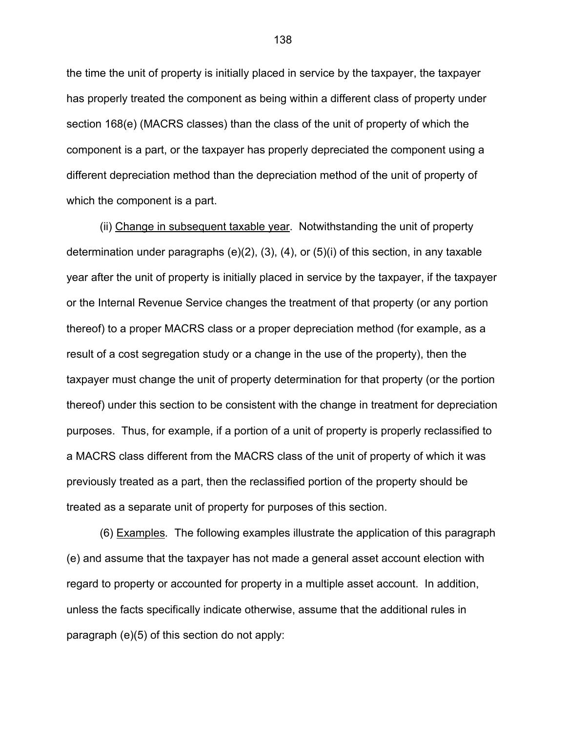the time the unit of property is initially placed in service by the taxpayer, the taxpayer has properly treated the component as being within a different class of property under section 168(e) (MACRS classes) than the class of the unit of property of which the component is a part, or the taxpayer has properly depreciated the component using a different depreciation method than the depreciation method of the unit of property of which the component is a part.

 (ii) Change in subsequent taxable year. Notwithstanding the unit of property determination under paragraphs (e)(2), (3), (4), or (5)(i) of this section, in any taxable year after the unit of property is initially placed in service by the taxpayer, if the taxpayer or the Internal Revenue Service changes the treatment of that property (or any portion thereof) to a proper MACRS class or a proper depreciation method (for example, as a result of a cost segregation study or a change in the use of the property), then the taxpayer must change the unit of property determination for that property (or the portion thereof) under this section to be consistent with the change in treatment for depreciation purposes. Thus, for example, if a portion of a unit of property is properly reclassified to a MACRS class different from the MACRS class of the unit of property of which it was previously treated as a part, then the reclassified portion of the property should be treated as a separate unit of property for purposes of this section.

 (6) Examples*.* The following examples illustrate the application of this paragraph (e) and assume that the taxpayer has not made a general asset account election with regard to property or accounted for property in a multiple asset account. In addition, unless the facts specifically indicate otherwise, assume that the additional rules in paragraph (e)(5) of this section do not apply:

138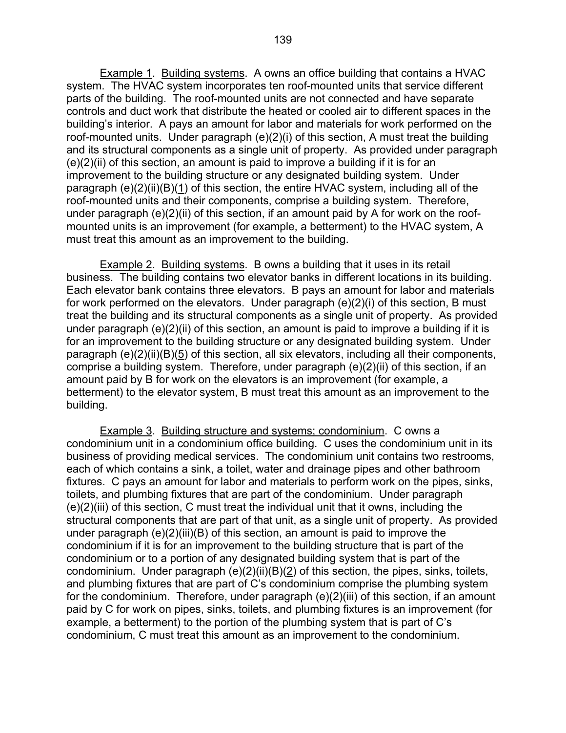Example 1. Building systems. A owns an office building that contains a HVAC system. The HVAC system incorporates ten roof-mounted units that service different parts of the building. The roof-mounted units are not connected and have separate controls and duct work that distribute the heated or cooled air to different spaces in the building's interior. A pays an amount for labor and materials for work performed on the roof-mounted units. Under paragraph (e)(2)(i) of this section, A must treat the building and its structural components as a single unit of property. As provided under paragraph  $(e)(2)(ii)$  of this section, an amount is paid to improve a building if it is for an improvement to the building structure or any designated building system. Under paragraph (e)(2)(ii)(B)(1) of this section, the entire HVAC system, including all of the roof-mounted units and their components, comprise a building system. Therefore, under paragraph (e)(2)(ii) of this section, if an amount paid by A for work on the roofmounted units is an improvement (for example, a betterment) to the HVAC system, A must treat this amount as an improvement to the building.

 Example 2. Building systems. B owns a building that it uses in its retail business. The building contains two elevator banks in different locations in its building. Each elevator bank contains three elevators. B pays an amount for labor and materials for work performed on the elevators. Under paragraph (e)(2)(i) of this section, B must treat the building and its structural components as a single unit of property. As provided under paragraph (e)(2)(ii) of this section, an amount is paid to improve a building if it is for an improvement to the building structure or any designated building system. Under paragraph (e)(2)(ii)(B)(5) of this section, all six elevators, including all their components, comprise a building system. Therefore, under paragraph (e)(2)(ii) of this section, if an amount paid by B for work on the elevators is an improvement (for example, a betterment) to the elevator system, B must treat this amount as an improvement to the building.

 Example 3. Building structure and systems; condominium. C owns a condominium unit in a condominium office building. C uses the condominium unit in its business of providing medical services. The condominium unit contains two restrooms, each of which contains a sink, a toilet, water and drainage pipes and other bathroom fixtures. C pays an amount for labor and materials to perform work on the pipes, sinks, toilets, and plumbing fixtures that are part of the condominium. Under paragraph (e)(2)(iii) of this section, C must treat the individual unit that it owns, including the structural components that are part of that unit, as a single unit of property. As provided under paragraph (e)(2)(iii)(B) of this section, an amount is paid to improve the condominium if it is for an improvement to the building structure that is part of the condominium or to a portion of any designated building system that is part of the condominium. Under paragraph (e)(2)(ii)(B)(2) of this section, the pipes, sinks, toilets, and plumbing fixtures that are part of C's condominium comprise the plumbing system for the condominium. Therefore, under paragraph (e)(2)(iii) of this section, if an amount paid by C for work on pipes, sinks, toilets, and plumbing fixtures is an improvement (for example, a betterment) to the portion of the plumbing system that is part of C's condominium, C must treat this amount as an improvement to the condominium.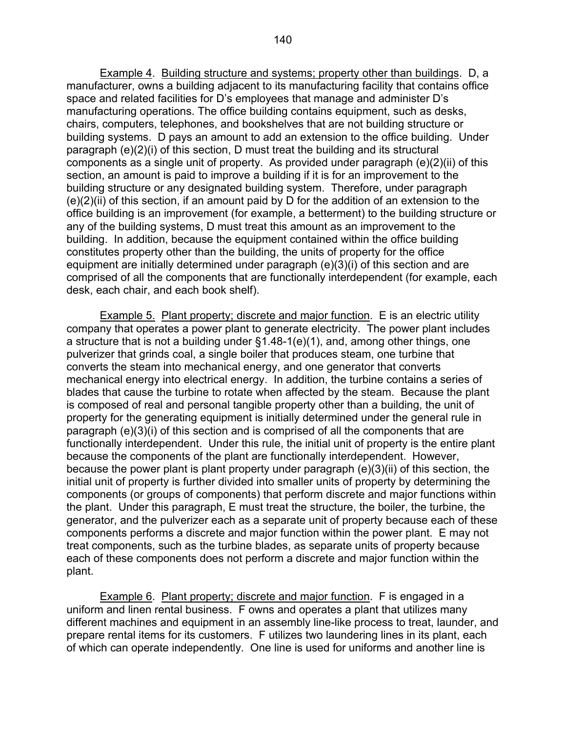Example 4. Building structure and systems; property other than buildings. D, a manufacturer, owns a building adjacent to its manufacturing facility that contains office space and related facilities for D's employees that manage and administer D's manufacturing operations. The office building contains equipment, such as desks, chairs, computers, telephones, and bookshelves that are not building structure or building systems. D pays an amount to add an extension to the office building. Under paragraph (e)(2)(i) of this section, D must treat the building and its structural components as a single unit of property. As provided under paragraph (e)(2)(ii) of this section, an amount is paid to improve a building if it is for an improvement to the building structure or any designated building system. Therefore, under paragraph  $(e)(2)(ii)$  of this section, if an amount paid by D for the addition of an extension to the office building is an improvement (for example, a betterment) to the building structure or any of the building systems, D must treat this amount as an improvement to the building. In addition, because the equipment contained within the office building constitutes property other than the building, the units of property for the office equipment are initially determined under paragraph (e)(3)(i) of this section and are comprised of all the components that are functionally interdependent (for example, each desk, each chair, and each book shelf).

 Example 5. Plant property; discrete and major function.E is an electric utility company that operates a power plant to generate electricity. The power plant includes a structure that is not a building under §1.48-1(e)(1), and, among other things, one pulverizer that grinds coal, a single boiler that produces steam, one turbine that converts the steam into mechanical energy, and one generator that converts mechanical energy into electrical energy. In addition, the turbine contains a series of blades that cause the turbine to rotate when affected by the steam. Because the plant is composed of real and personal tangible property other than a building, the unit of property for the generating equipment is initially determined under the general rule in paragraph (e)(3)(i) of this section and is comprised of all the components that are functionally interdependent. Under this rule, the initial unit of property is the entire plant because the components of the plant are functionally interdependent. However, because the power plant is plant property under paragraph (e)(3)(ii) of this section, the initial unit of property is further divided into smaller units of property by determining the components (or groups of components) that perform discrete and major functions within the plant. Under this paragraph, E must treat the structure, the boiler, the turbine, the generator, and the pulverizer each as a separate unit of property because each of these components performs a discrete and major function within the power plant. E may not treat components, such as the turbine blades, as separate units of property because each of these components does not perform a discrete and major function within the plant.

 Example 6. Plant property; discrete and major function. F is engaged in a uniform and linen rental business. F owns and operates a plant that utilizes many different machines and equipment in an assembly line-like process to treat, launder, and prepare rental items for its customers. F utilizes two laundering lines in its plant, each of which can operate independently. One line is used for uniforms and another line is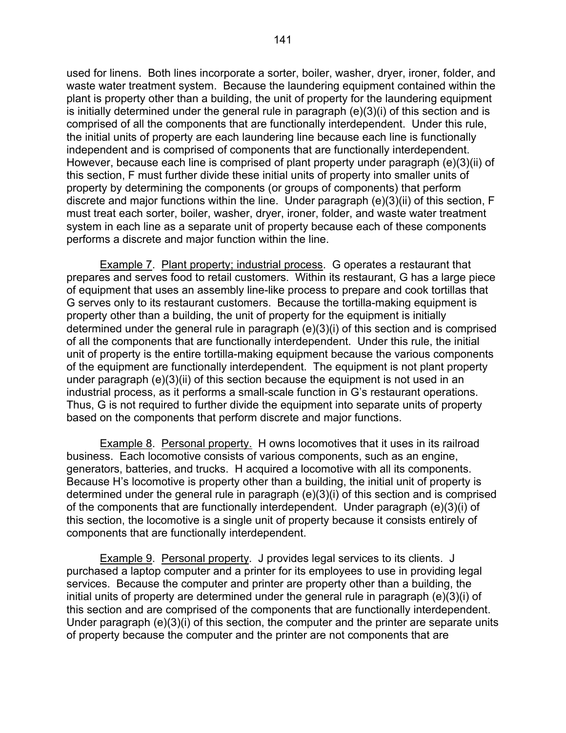used for linens. Both lines incorporate a sorter, boiler, washer, dryer, ironer, folder, and waste water treatment system. Because the laundering equipment contained within the plant is property other than a building, the unit of property for the laundering equipment is initially determined under the general rule in paragraph (e)(3)(i) of this section and is comprised of all the components that are functionally interdependent. Under this rule, the initial units of property are each laundering line because each line is functionally independent and is comprised of components that are functionally interdependent. However, because each line is comprised of plant property under paragraph (e)(3)(ii) of this section, F must further divide these initial units of property into smaller units of property by determining the components (or groups of components) that perform discrete and major functions within the line. Under paragraph (e)(3)(ii) of this section, F must treat each sorter, boiler, washer, dryer, ironer, folder, and waste water treatment system in each line as a separate unit of property because each of these components performs a discrete and major function within the line.

 Example 7. Plant property; industrial process. G operates a restaurant that prepares and serves food to retail customers. Within its restaurant, G has a large piece of equipment that uses an assembly line-like process to prepare and cook tortillas that G serves only to its restaurant customers. Because the tortilla-making equipment is property other than a building, the unit of property for the equipment is initially determined under the general rule in paragraph (e)(3)(i) of this section and is comprised of all the components that are functionally interdependent. Under this rule, the initial unit of property is the entire tortilla-making equipment because the various components of the equipment are functionally interdependent. The equipment is not plant property under paragraph (e)(3)(ii) of this section because the equipment is not used in an industrial process, as it performs a small-scale function in G's restaurant operations. Thus, G is not required to further divide the equipment into separate units of property based on the components that perform discrete and major functions.

 Example 8. Personal property. H owns locomotives that it uses in its railroad business. Each locomotive consists of various components, such as an engine, generators, batteries, and trucks. H acquired a locomotive with all its components. Because H's locomotive is property other than a building, the initial unit of property is determined under the general rule in paragraph (e)(3)(i) of this section and is comprised of the components that are functionally interdependent. Under paragraph (e)(3)(i) of this section, the locomotive is a single unit of property because it consists entirely of components that are functionally interdependent.

 Example 9. Personal property. J provides legal services to its clients. J purchased a laptop computer and a printer for its employees to use in providing legal services. Because the computer and printer are property other than a building, the initial units of property are determined under the general rule in paragraph (e)(3)(i) of this section and are comprised of the components that are functionally interdependent. Under paragraph (e)(3)(i) of this section, the computer and the printer are separate units of property because the computer and the printer are not components that are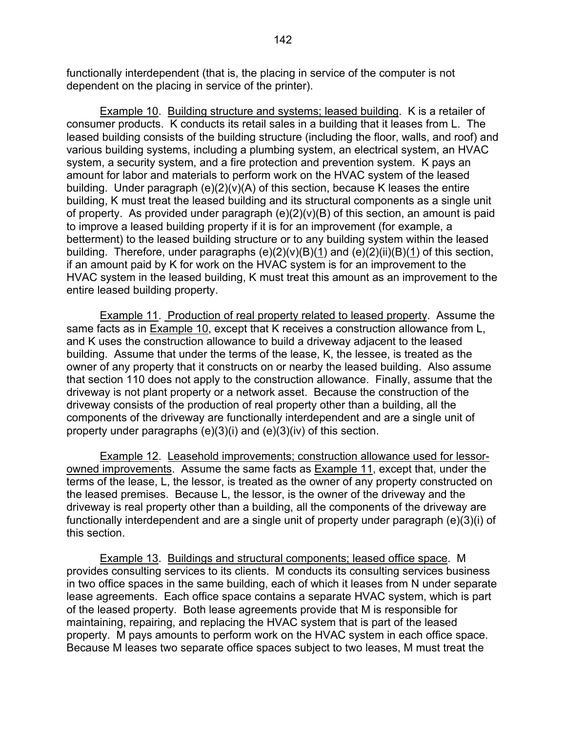functionally interdependent (that is, the placing in service of the computer is not dependent on the placing in service of the printer).

 Example 10. Building structure and systems; leased building. K is a retailer of consumer products. K conducts its retail sales in a building that it leases from L. The leased building consists of the building structure (including the floor, walls, and roof) and various building systems, including a plumbing system, an electrical system, an HVAC system, a security system, and a fire protection and prevention system. K pays an amount for labor and materials to perform work on the HVAC system of the leased building. Under paragraph  $(e)(2)(v)(A)$  of this section, because K leases the entire building, K must treat the leased building and its structural components as a single unit of property. As provided under paragraph  $(e)(2)(v)(B)$  of this section, an amount is paid to improve a leased building property if it is for an improvement (for example, a betterment) to the leased building structure or to any building system within the leased building. Therefore, under paragraphs  $(e)(2)(v)(B)(1)$  and  $(e)(2)(ii)(B)(1)$  of this section, if an amount paid by K for work on the HVAC system is for an improvement to the HVAC system in the leased building, K must treat this amount as an improvement to the entire leased building property.

 Example 11. Production of real property related to leased property. Assume the same facts as in Example 10, except that K receives a construction allowance from L, and K uses the construction allowance to build a driveway adjacent to the leased building. Assume that under the terms of the lease, K, the lessee, is treated as the owner of any property that it constructs on or nearby the leased building. Also assume that section 110 does not apply to the construction allowance. Finally, assume that the driveway is not plant property or a network asset. Because the construction of the driveway consists of the production of real property other than a building, all the components of the driveway are functionally interdependent and are a single unit of property under paragraphs (e)(3)(i) and (e)(3)(iv) of this section.

 Example 12. Leasehold improvements; construction allowance used for lessorowned improvements. Assume the same facts as Example 11, except that, under the terms of the lease, L, the lessor, is treated as the owner of any property constructed on the leased premises. Because L, the lessor, is the owner of the driveway and the driveway is real property other than a building, all the components of the driveway are functionally interdependent and are a single unit of property under paragraph (e)(3)(i) of this section.

 Example 13. Buildings and structural components; leased office space. M provides consulting services to its clients. M conducts its consulting services business in two office spaces in the same building, each of which it leases from N under separate lease agreements. Each office space contains a separate HVAC system, which is part of the leased property. Both lease agreements provide that M is responsible for maintaining, repairing, and replacing the HVAC system that is part of the leased property. M pays amounts to perform work on the HVAC system in each office space. Because M leases two separate office spaces subject to two leases, M must treat the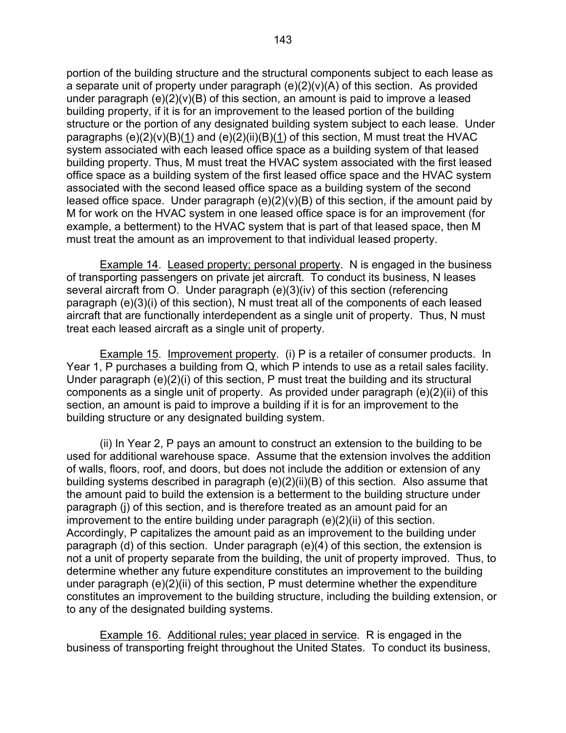portion of the building structure and the structural components subject to each lease as a separate unit of property under paragraph (e)(2)(v)(A) of this section. As provided under paragraph (e)(2)(v)(B) of this section, an amount is paid to improve a leased building property, if it is for an improvement to the leased portion of the building structure or the portion of any designated building system subject to each lease. Under paragraphs  $(e)(2)(v)(B)(1)$  and  $(e)(2)(ii)(B)(1)$  of this section, M must treat the HVAC system associated with each leased office space as a building system of that leased building property. Thus, M must treat the HVAC system associated with the first leased office space as a building system of the first leased office space and the HVAC system associated with the second leased office space as a building system of the second leased office space. Under paragraph  $(e)(2)(v)(B)$  of this section, if the amount paid by M for work on the HVAC system in one leased office space is for an improvement (for example, a betterment) to the HVAC system that is part of that leased space, then M must treat the amount as an improvement to that individual leased property.

 Example 14. Leased property; personal property. N is engaged in the business of transporting passengers on private jet aircraft. To conduct its business, N leases several aircraft from O. Under paragraph (e)(3)(iv) of this section (referencing paragraph (e)(3)(i) of this section), N must treat all of the components of each leased aircraft that are functionally interdependent as a single unit of property. Thus, N must treat each leased aircraft as a single unit of property.

 Example 15. Improvement property. (i) P is a retailer of consumer products. In Year 1, P purchases a building from Q, which P intends to use as a retail sales facility. Under paragraph (e)(2)(i) of this section, P must treat the building and its structural components as a single unit of property. As provided under paragraph (e)(2)(ii) of this section, an amount is paid to improve a building if it is for an improvement to the building structure or any designated building system.

 (ii) In Year 2, P pays an amount to construct an extension to the building to be used for additional warehouse space. Assume that the extension involves the addition of walls, floors, roof, and doors, but does not include the addition or extension of any building systems described in paragraph (e)(2)(ii)(B) of this section. Also assume that the amount paid to build the extension is a betterment to the building structure under paragraph (j) of this section, and is therefore treated as an amount paid for an improvement to the entire building under paragraph (e)(2)(ii) of this section. Accordingly, P capitalizes the amount paid as an improvement to the building under paragraph (d) of this section. Under paragraph (e)(4) of this section, the extension is not a unit of property separate from the building, the unit of property improved. Thus, to determine whether any future expenditure constitutes an improvement to the building under paragraph (e)(2)(ii) of this section, P must determine whether the expenditure constitutes an improvement to the building structure, including the building extension, or to any of the designated building systems.

 Example 16. Additional rules; year placed in service. R is engaged in the business of transporting freight throughout the United States. To conduct its business,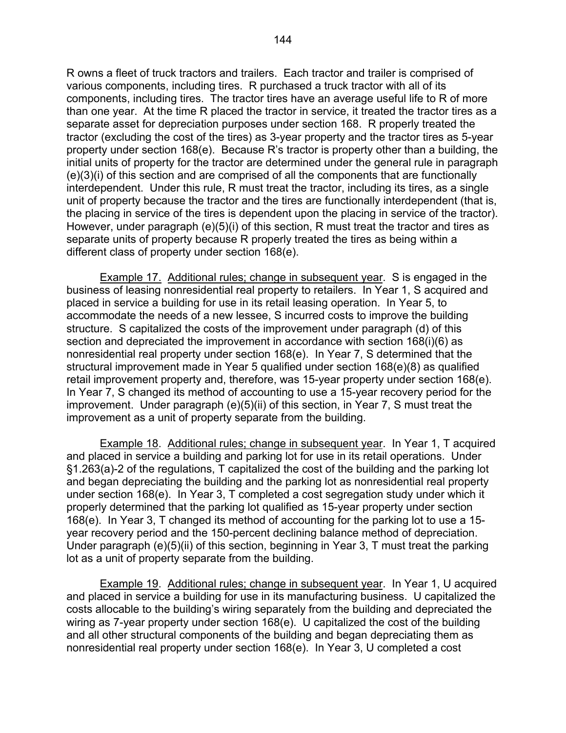R owns a fleet of truck tractors and trailers. Each tractor and trailer is comprised of various components, including tires. R purchased a truck tractor with all of its components, including tires. The tractor tires have an average useful life to R of more than one year. At the time R placed the tractor in service, it treated the tractor tires as a separate asset for depreciation purposes under section 168. R properly treated the tractor (excluding the cost of the tires) as 3-year property and the tractor tires as 5-year property under section 168(e). Because R's tractor is property other than a building, the initial units of property for the tractor are determined under the general rule in paragraph (e)(3)(i) of this section and are comprised of all the components that are functionally interdependent. Under this rule, R must treat the tractor, including its tires, as a single unit of property because the tractor and the tires are functionally interdependent (that is, the placing in service of the tires is dependent upon the placing in service of the tractor). However, under paragraph (e)(5)(i) of this section, R must treat the tractor and tires as separate units of property because R properly treated the tires as being within a different class of property under section 168(e).

 Example 17. Additional rules; change in subsequent year. S is engaged in the business of leasing nonresidential real property to retailers. In Year 1, S acquired and placed in service a building for use in its retail leasing operation. In Year 5, to accommodate the needs of a new lessee, S incurred costs to improve the building structure. S capitalized the costs of the improvement under paragraph (d) of this section and depreciated the improvement in accordance with section 168(i)(6) as nonresidential real property under section 168(e). In Year 7, S determined that the structural improvement made in Year 5 qualified under section 168(e)(8) as qualified retail improvement property and, therefore, was 15-year property under section 168(e). In Year 7, S changed its method of accounting to use a 15-year recovery period for the improvement. Under paragraph (e)(5)(ii) of this section, in Year 7, S must treat the improvement as a unit of property separate from the building.

 Example 18. Additional rules; change in subsequent year. In Year 1, T acquired and placed in service a building and parking lot for use in its retail operations. Under §1.263(a)-2 of the regulations, T capitalized the cost of the building and the parking lot and began depreciating the building and the parking lot as nonresidential real property under section 168(e). In Year 3, T completed a cost segregation study under which it properly determined that the parking lot qualified as 15-year property under section 168(e). In Year 3, T changed its method of accounting for the parking lot to use a 15 year recovery period and the 150-percent declining balance method of depreciation. Under paragraph (e)(5)(ii) of this section, beginning in Year 3, T must treat the parking lot as a unit of property separate from the building.

 Example 19. Additional rules; change in subsequent year. In Year 1, U acquired and placed in service a building for use in its manufacturing business. U capitalized the costs allocable to the building's wiring separately from the building and depreciated the wiring as 7-year property under section 168(e). U capitalized the cost of the building and all other structural components of the building and began depreciating them as nonresidential real property under section 168(e). In Year 3, U completed a cost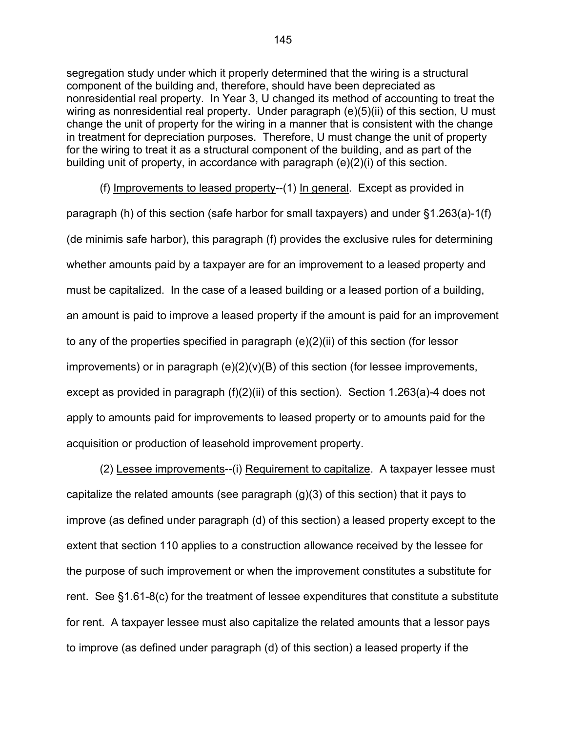segregation study under which it properly determined that the wiring is a structural component of the building and, therefore, should have been depreciated as nonresidential real property. In Year 3, U changed its method of accounting to treat the wiring as nonresidential real property. Under paragraph (e)(5)(ii) of this section, U must change the unit of property for the wiring in a manner that is consistent with the change in treatment for depreciation purposes. Therefore, U must change the unit of property for the wiring to treat it as a structural component of the building, and as part of the building unit of property, in accordance with paragraph (e)(2)(i) of this section.

 (f) Improvements to leased property--(1) In general. Except as provided in paragraph (h) of this section (safe harbor for small taxpayers) and under §1.263(a)-1(f) (de minimis safe harbor), this paragraph (f) provides the exclusive rules for determining whether amounts paid by a taxpayer are for an improvement to a leased property and must be capitalized. In the case of a leased building or a leased portion of a building, an amount is paid to improve a leased property if the amount is paid for an improvement to any of the properties specified in paragraph (e)(2)(ii) of this section (for lessor improvements) or in paragraph (e)(2)(v)(B) of this section (for lessee improvements, except as provided in paragraph (f)(2)(ii) of this section). Section 1.263(a)-4 does not apply to amounts paid for improvements to leased property or to amounts paid for the acquisition or production of leasehold improvement property.

 (2) Lessee improvements--(i) Requirement to capitalize. A taxpayer lessee must capitalize the related amounts (see paragraph (g)(3) of this section) that it pays to improve (as defined under paragraph (d) of this section) a leased property except to the extent that section 110 applies to a construction allowance received by the lessee for the purpose of such improvement or when the improvement constitutes a substitute for rent. See §1.61-8(c) for the treatment of lessee expenditures that constitute a substitute for rent. A taxpayer lessee must also capitalize the related amounts that a lessor pays to improve (as defined under paragraph (d) of this section) a leased property if the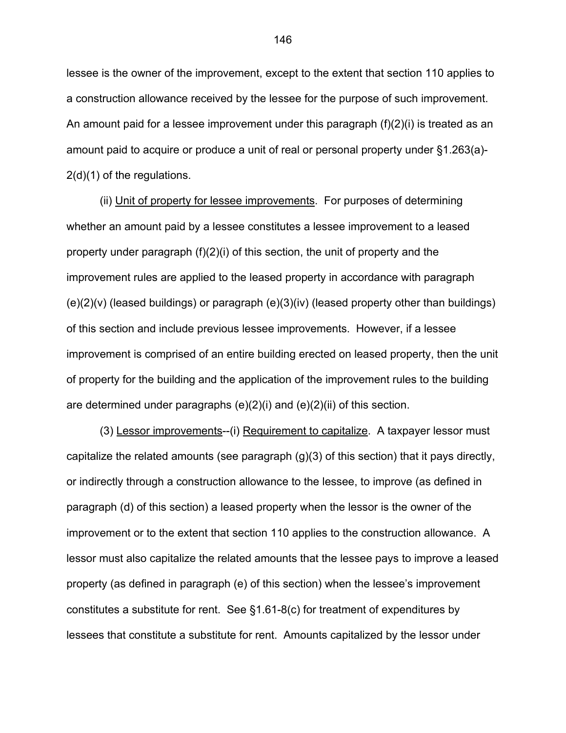lessee is the owner of the improvement, except to the extent that section 110 applies to a construction allowance received by the lessee for the purpose of such improvement. An amount paid for a lessee improvement under this paragraph (f)(2)(i) is treated as an amount paid to acquire or produce a unit of real or personal property under §1.263(a)- 2(d)(1) of the regulations.

 (ii) Unit of property for lessee improvements. For purposes of determining whether an amount paid by a lessee constitutes a lessee improvement to a leased property under paragraph (f)(2)(i) of this section, the unit of property and the improvement rules are applied to the leased property in accordance with paragraph  $(e)(2)(v)$  (leased buildings) or paragraph  $(e)(3)(iv)$  (leased property other than buildings) of this section and include previous lessee improvements. However, if a lessee improvement is comprised of an entire building erected on leased property, then the unit of property for the building and the application of the improvement rules to the building are determined under paragraphs (e)(2)(i) and (e)(2)(ii) of this section.

 (3) Lessor improvements--(i) Requirement to capitalize. A taxpayer lessor must capitalize the related amounts (see paragraph (g)(3) of this section) that it pays directly, or indirectly through a construction allowance to the lessee, to improve (as defined in paragraph (d) of this section) a leased property when the lessor is the owner of the improvement or to the extent that section 110 applies to the construction allowance. A lessor must also capitalize the related amounts that the lessee pays to improve a leased property (as defined in paragraph (e) of this section) when the lessee's improvement constitutes a substitute for rent. See §1.61-8(c) for treatment of expenditures by lessees that constitute a substitute for rent. Amounts capitalized by the lessor under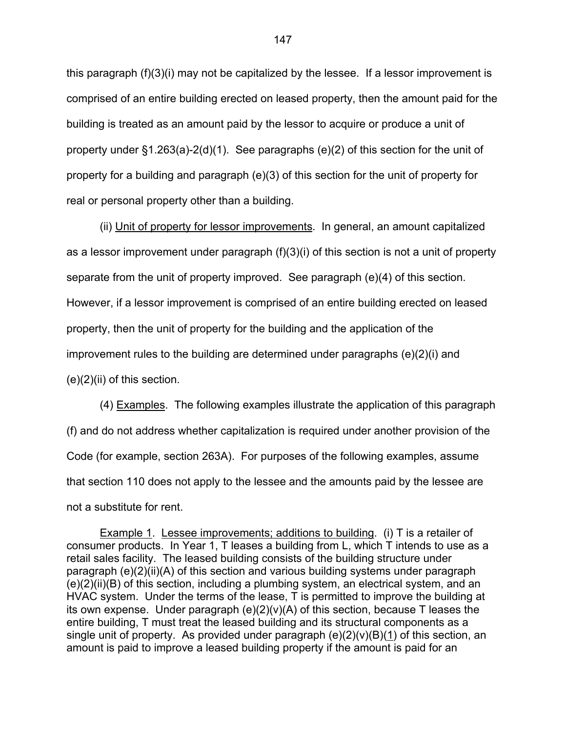this paragraph  $(f)(3)(i)$  may not be capitalized by the lessee. If a lessor improvement is comprised of an entire building erected on leased property, then the amount paid for the building is treated as an amount paid by the lessor to acquire or produce a unit of property under §1.263(a)-2(d)(1). See paragraphs (e)(2) of this section for the unit of property for a building and paragraph (e)(3) of this section for the unit of property for real or personal property other than a building.

 (ii) Unit of property for lessor improvements. In general, an amount capitalized as a lessor improvement under paragraph (f)(3)(i) of this section is not a unit of property separate from the unit of property improved. See paragraph (e)(4) of this section. However, if a lessor improvement is comprised of an entire building erected on leased property, then the unit of property for the building and the application of the improvement rules to the building are determined under paragraphs (e)(2)(i) and (e)(2)(ii) of this section.

 (4) Examples. The following examples illustrate the application of this paragraph (f) and do not address whether capitalization is required under another provision of the Code (for example, section 263A). For purposes of the following examples, assume that section 110 does not apply to the lessee and the amounts paid by the lessee are not a substitute for rent.

 Example 1. Lessee improvements; additions to building. (i) T is a retailer of consumer products. In Year 1, T leases a building from L, which T intends to use as a retail sales facility. The leased building consists of the building structure under paragraph (e)(2)(ii)(A) of this section and various building systems under paragraph (e)(2)(ii)(B) of this section, including a plumbing system, an electrical system, and an HVAC system. Under the terms of the lease, T is permitted to improve the building at its own expense. Under paragraph (e)(2)(v)(A) of this section, because T leases the entire building, T must treat the leased building and its structural components as a single unit of property. As provided under paragraph  $(e)(2)(v)(B)(1)$  of this section, an amount is paid to improve a leased building property if the amount is paid for an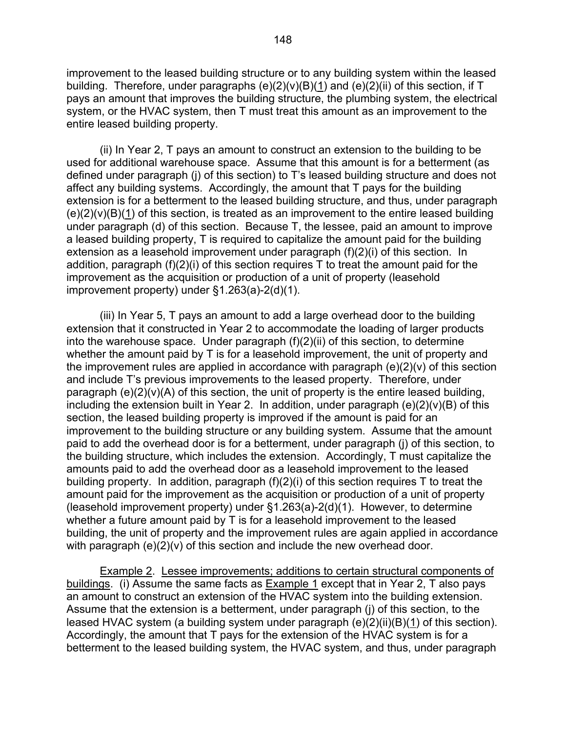improvement to the leased building structure or to any building system within the leased building. Therefore, under paragraphs  $(e)(2)(v)(B)(1)$  and  $(e)(2)(ii)$  of this section, if T pays an amount that improves the building structure, the plumbing system, the electrical system, or the HVAC system, then T must treat this amount as an improvement to the entire leased building property.

 (ii) In Year 2, T pays an amount to construct an extension to the building to be used for additional warehouse space. Assume that this amount is for a betterment (as defined under paragraph (j) of this section) to T's leased building structure and does not affect any building systems. Accordingly, the amount that T pays for the building extension is for a betterment to the leased building structure, and thus, under paragraph  $(e)(2)(v)(B)(1)$  of this section, is treated as an improvement to the entire leased building under paragraph (d) of this section. Because T, the lessee, paid an amount to improve a leased building property, T is required to capitalize the amount paid for the building extension as a leasehold improvement under paragraph (f)(2)(i) of this section. In addition, paragraph (f)(2)(i) of this section requires T to treat the amount paid for the improvement as the acquisition or production of a unit of property (leasehold improvement property) under §1.263(a)-2(d)(1).

 (iii) In Year 5, T pays an amount to add a large overhead door to the building extension that it constructed in Year 2 to accommodate the loading of larger products into the warehouse space. Under paragraph (f)(2)(ii) of this section, to determine whether the amount paid by T is for a leasehold improvement, the unit of property and the improvement rules are applied in accordance with paragraph (e)(2)(v) of this section and include T's previous improvements to the leased property. Therefore, under paragraph (e)(2)(v)(A) of this section, the unit of property is the entire leased building, including the extension built in Year 2. In addition, under paragraph  $(e)(2)(v)(B)$  of this section, the leased building property is improved if the amount is paid for an improvement to the building structure or any building system. Assume that the amount paid to add the overhead door is for a betterment, under paragraph (j) of this section, to the building structure, which includes the extension. Accordingly, T must capitalize the amounts paid to add the overhead door as a leasehold improvement to the leased building property. In addition, paragraph (f)(2)(i) of this section requires T to treat the amount paid for the improvement as the acquisition or production of a unit of property (leasehold improvement property) under §1.263(a)-2(d)(1). However, to determine whether a future amount paid by T is for a leasehold improvement to the leased building, the unit of property and the improvement rules are again applied in accordance with paragraph (e)(2)(v) of this section and include the new overhead door.

 Example 2. Lessee improvements; additions to certain structural components of buildings. (i) Assume the same facts as Example 1 except that in Year 2, T also pays an amount to construct an extension of the HVAC system into the building extension. Assume that the extension is a betterment, under paragraph (j) of this section, to the leased HVAC system (a building system under paragraph (e)(2)(ii)(B)(1) of this section). Accordingly, the amount that T pays for the extension of the HVAC system is for a betterment to the leased building system, the HVAC system, and thus, under paragraph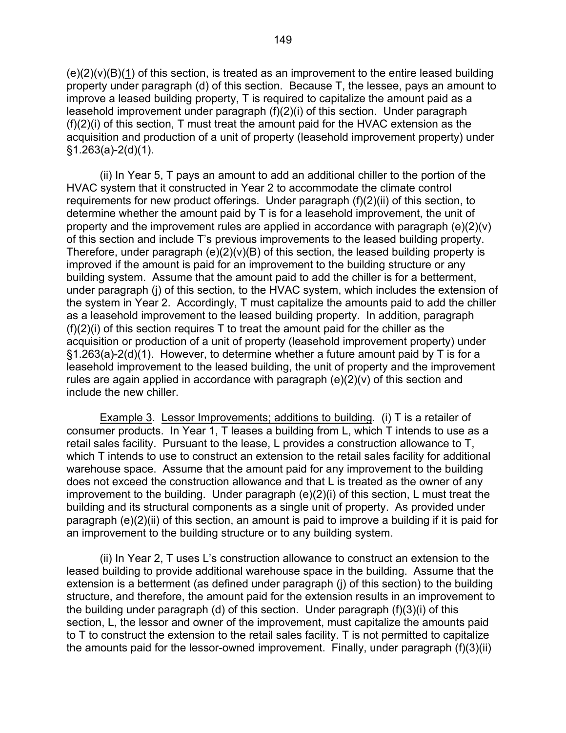$(e)(2)(v)(B)(1)$  of this section, is treated as an improvement to the entire leased building property under paragraph (d) of this section. Because T, the lessee, pays an amount to improve a leased building property, T is required to capitalize the amount paid as a leasehold improvement under paragraph (f)(2)(i) of this section. Under paragraph (f)(2)(i) of this section, T must treat the amount paid for the HVAC extension as the acquisition and production of a unit of property (leasehold improvement property) under  $§1.263(a)-2(d)(1).$ 

 (ii) In Year 5, T pays an amount to add an additional chiller to the portion of the HVAC system that it constructed in Year 2 to accommodate the climate control requirements for new product offerings. Under paragraph (f)(2)(ii) of this section, to determine whether the amount paid by T is for a leasehold improvement, the unit of property and the improvement rules are applied in accordance with paragraph (e)(2)(v) of this section and include T's previous improvements to the leased building property. Therefore, under paragraph  $(e)(2)(v)(B)$  of this section, the leased building property is improved if the amount is paid for an improvement to the building structure or any building system. Assume that the amount paid to add the chiller is for a betterment, under paragraph (j) of this section, to the HVAC system, which includes the extension of the system in Year 2. Accordingly, T must capitalize the amounts paid to add the chiller as a leasehold improvement to the leased building property. In addition, paragraph  $(f)(2)(i)$  of this section requires T to treat the amount paid for the chiller as the acquisition or production of a unit of property (leasehold improvement property) under §1.263(a)-2(d)(1). However, to determine whether a future amount paid by T is for a leasehold improvement to the leased building, the unit of property and the improvement rules are again applied in accordance with paragraph (e)(2)(v) of this section and include the new chiller.

 Example 3. Lessor Improvements; additions to building. (i) T is a retailer of consumer products. In Year 1, T leases a building from L, which T intends to use as a retail sales facility. Pursuant to the lease, L provides a construction allowance to T, which T intends to use to construct an extension to the retail sales facility for additional warehouse space. Assume that the amount paid for any improvement to the building does not exceed the construction allowance and that L is treated as the owner of any improvement to the building. Under paragraph (e)(2)(i) of this section, L must treat the building and its structural components as a single unit of property. As provided under paragraph (e)(2)(ii) of this section, an amount is paid to improve a building if it is paid for an improvement to the building structure or to any building system.

 (ii) In Year 2, T uses L's construction allowance to construct an extension to the leased building to provide additional warehouse space in the building. Assume that the extension is a betterment (as defined under paragraph (j) of this section) to the building structure, and therefore, the amount paid for the extension results in an improvement to the building under paragraph (d) of this section. Under paragraph (f)(3)(i) of this section, L, the lessor and owner of the improvement, must capitalize the amounts paid to T to construct the extension to the retail sales facility. T is not permitted to capitalize the amounts paid for the lessor-owned improvement. Finally, under paragraph (f)(3)(ii)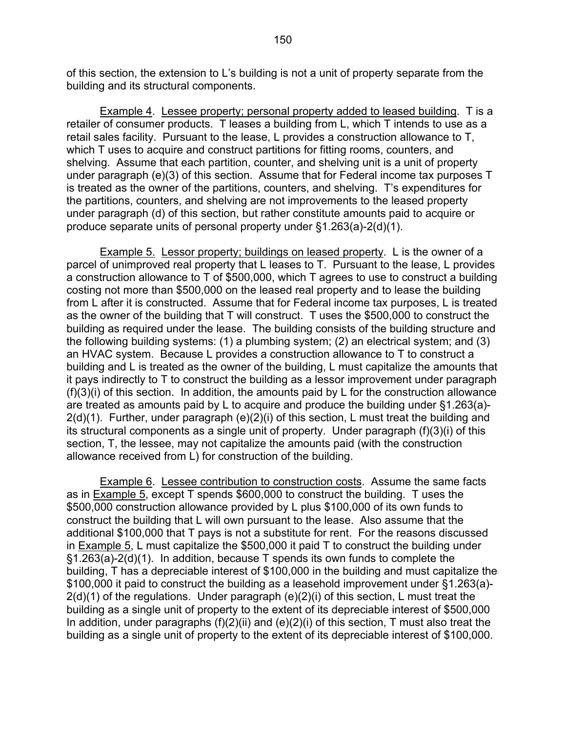of this section, the extension to L's building is not a unit of property separate from the building and its structural components.

 Example 4. Lessee property; personal property added to leased building. T is a retailer of consumer products. T leases a building from L, which T intends to use as a retail sales facility. Pursuant to the lease, L provides a construction allowance to T, which T uses to acquire and construct partitions for fitting rooms, counters, and shelving. Assume that each partition, counter, and shelving unit is a unit of property under paragraph (e)(3) of this section. Assume that for Federal income tax purposes T is treated as the owner of the partitions, counters, and shelving. T's expenditures for the partitions, counters, and shelving are not improvements to the leased property under paragraph (d) of this section, but rather constitute amounts paid to acquire or produce separate units of personal property under §1.263(a)-2(d)(1).

 Example 5. Lessor property; buildings on leased property. L is the owner of a parcel of unimproved real property that L leases to T. Pursuant to the lease, L provides a construction allowance to T of \$500,000, which T agrees to use to construct a building costing not more than \$500,000 on the leased real property and to lease the building from L after it is constructed. Assume that for Federal income tax purposes, L is treated as the owner of the building that T will construct. T uses the \$500,000 to construct the building as required under the lease. The building consists of the building structure and the following building systems: (1) a plumbing system; (2) an electrical system; and (3) an HVAC system. Because L provides a construction allowance to T to construct a building and L is treated as the owner of the building, L must capitalize the amounts that it pays indirectly to T to construct the building as a lessor improvement under paragraph (f)(3)(i) of this section. In addition, the amounts paid by L for the construction allowance are treated as amounts paid by L to acquire and produce the building under §1.263(a)- 2(d)(1). Further, under paragraph (e)(2)(i) of this section, L must treat the building and its structural components as a single unit of property. Under paragraph (f)(3)(i) of this section, T, the lessee, may not capitalize the amounts paid (with the construction allowance received from L) for construction of the building.

 Example 6. Lessee contribution to construction costs. Assume the same facts as in Example 5, except T spends \$600,000 to construct the building. T uses the \$500,000 construction allowance provided by L plus \$100,000 of its own funds to construct the building that L will own pursuant to the lease. Also assume that the additional \$100,000 that T pays is not a substitute for rent. For the reasons discussed in Example 5, L must capitalize the \$500,000 it paid T to construct the building under §1.263(a)-2(d)(1). In addition, because T spends its own funds to complete the building, T has a depreciable interest of \$100,000 in the building and must capitalize the \$100,000 it paid to construct the building as a leasehold improvement under §1.263(a)- 2(d)(1) of the regulations. Under paragraph (e)(2)(i) of this section, L must treat the building as a single unit of property to the extent of its depreciable interest of \$500,000 In addition, under paragraphs  $(f)(2)(ii)$  and  $(e)(2)(i)$  of this section, T must also treat the building as a single unit of property to the extent of its depreciable interest of \$100,000.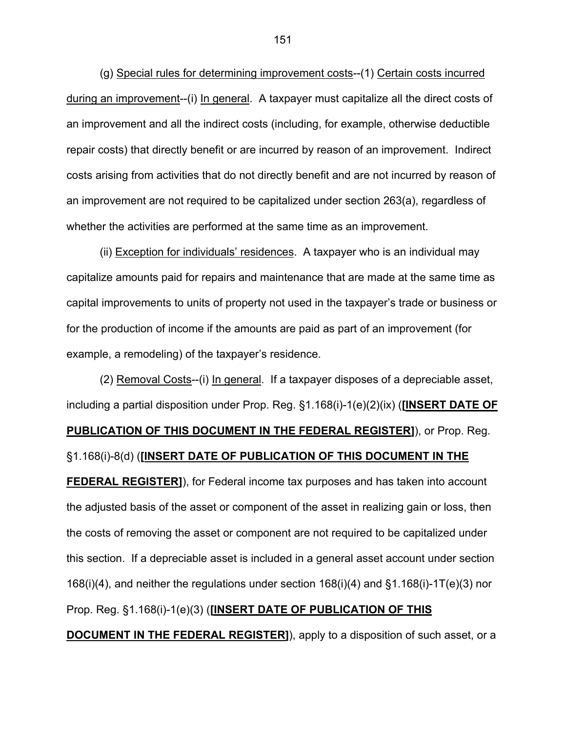(g) Special rules for determining improvement costs--(1) Certain costs incurred during an improvement--(i) In general. A taxpayer must capitalize all the direct costs of an improvement and all the indirect costs (including, for example, otherwise deductible repair costs) that directly benefit or are incurred by reason of an improvement. Indirect costs arising from activities that do not directly benefit and are not incurred by reason of an improvement are not required to be capitalized under section 263(a), regardless of whether the activities are performed at the same time as an improvement.

 (ii) Exception for individuals' residences. A taxpayer who is an individual may capitalize amounts paid for repairs and maintenance that are made at the same time as capital improvements to units of property not used in the taxpayer's trade or business or for the production of income if the amounts are paid as part of an improvement (for example, a remodeling) of the taxpayer's residence.

 (2) Removal Costs--(i) In general. If a taxpayer disposes of a depreciable asset, including a partial disposition under Prop. Reg. §1.168(i)-1(e)(2)(ix) (**[INSERT DATE OF PUBLICATION OF THIS DOCUMENT IN THE FEDERAL REGISTER]**), or Prop. Reg. §1.168(i)-8(d) (**[INSERT DATE OF PUBLICATION OF THIS DOCUMENT IN THE FEDERAL REGISTER]**), for Federal income tax purposes and has taken into account the adjusted basis of the asset or component of the asset in realizing gain or loss, then the costs of removing the asset or component are not required to be capitalized under this section. If a depreciable asset is included in a general asset account under section 168(i)(4), and neither the regulations under section 168(i)(4) and §1.168(i)-1T(e)(3) nor Prop. Reg. §1.168(i)-1(e)(3) (**[INSERT DATE OF PUBLICATION OF THIS DOCUMENT IN THE FEDERAL REGISTER]**), apply to a disposition of such asset, or a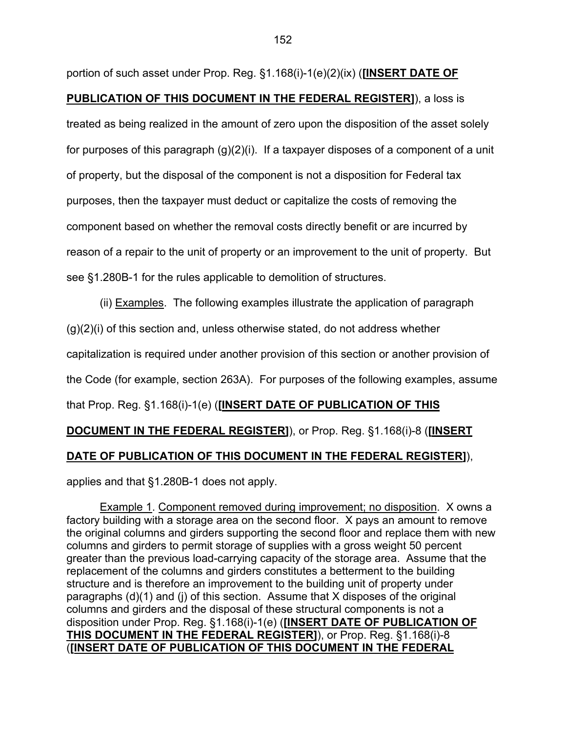portion of such asset under Prop. Reg. §1.168(i)-1(e)(2)(ix) (**[INSERT DATE OF PUBLICATION OF THIS DOCUMENT IN THE FEDERAL REGISTER]**), a loss is treated as being realized in the amount of zero upon the disposition of the asset solely for purposes of this paragraph (g)(2)(i). If a taxpayer disposes of a component of a unit of property, but the disposal of the component is not a disposition for Federal tax purposes, then the taxpayer must deduct or capitalize the costs of removing the component based on whether the removal costs directly benefit or are incurred by reason of a repair to the unit of property or an improvement to the unit of property. But see §1.280B-1 for the rules applicable to demolition of structures.

 (ii) Examples. The following examples illustrate the application of paragraph  $(q)(2)(i)$  of this section and, unless otherwise stated, do not address whether capitalization is required under another provision of this section or another provision of the Code (for example, section 263A). For purposes of the following examples, assume that Prop. Reg. §1.168(i)-1(e) (**[INSERT DATE OF PUBLICATION OF THIS DOCUMENT IN THE FEDERAL REGISTER]**), or Prop. Reg. §1.168(i)-8 (**[INSERT DATE OF PUBLICATION OF THIS DOCUMENT IN THE FEDERAL REGISTER]**),

applies and that §1.280B-1 does not apply.

 Example 1. Component removed during improvement; no disposition. X owns a factory building with a storage area on the second floor. X pays an amount to remove the original columns and girders supporting the second floor and replace them with new columns and girders to permit storage of supplies with a gross weight 50 percent greater than the previous load-carrying capacity of the storage area. Assume that the replacement of the columns and girders constitutes a betterment to the building structure and is therefore an improvement to the building unit of property under paragraphs (d)(1) and (j) of this section. Assume that X disposes of the original columns and girders and the disposal of these structural components is not a disposition under Prop. Reg. §1.168(i)-1(e) (**[INSERT DATE OF PUBLICATION OF THIS DOCUMENT IN THE FEDERAL REGISTER]**), or Prop. Reg. §1.168(i)-8 (**[INSERT DATE OF PUBLICATION OF THIS DOCUMENT IN THE FEDERAL**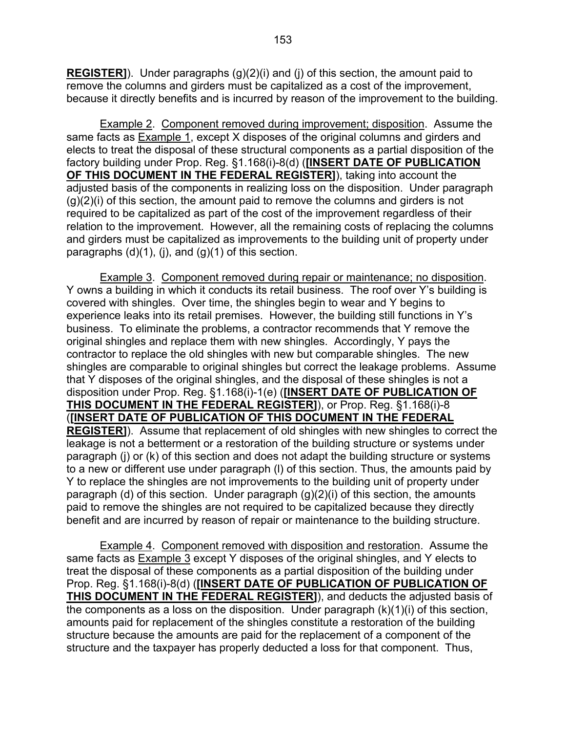**REGISTER]**). Under paragraphs (g)(2)(i) and (j) of this section, the amount paid to remove the columns and girders must be capitalized as a cost of the improvement, because it directly benefits and is incurred by reason of the improvement to the building.

 Example 2. Component removed during improvement; disposition. Assume the same facts as Example 1, except X disposes of the original columns and girders and elects to treat the disposal of these structural components as a partial disposition of the factory building under Prop. Reg. §1.168(i)-8(d) (**[INSERT DATE OF PUBLICATION OF THIS DOCUMENT IN THE FEDERAL REGISTER]**), taking into account the adjusted basis of the components in realizing loss on the disposition. Under paragraph  $(q)(2)(i)$  of this section, the amount paid to remove the columns and girders is not required to be capitalized as part of the cost of the improvement regardless of their relation to the improvement. However, all the remaining costs of replacing the columns and girders must be capitalized as improvements to the building unit of property under paragraphs  $(d)(1)$ ,  $(i)$ , and  $(g)(1)$  of this section.

 Example 3. Component removed during repair or maintenance; no disposition. Y owns a building in which it conducts its retail business. The roof over Y's building is covered with shingles. Over time, the shingles begin to wear and Y begins to experience leaks into its retail premises. However, the building still functions in Y's business. To eliminate the problems, a contractor recommends that Y remove the original shingles and replace them with new shingles. Accordingly, Y pays the contractor to replace the old shingles with new but comparable shingles. The new shingles are comparable to original shingles but correct the leakage problems. Assume that Y disposes of the original shingles, and the disposal of these shingles is not a disposition under Prop. Reg. §1.168(i)-1(e) (**[INSERT DATE OF PUBLICATION OF THIS DOCUMENT IN THE FEDERAL REGISTER]**), or Prop. Reg. §1.168(i)-8 (**[INSERT DATE OF PUBLICATION OF THIS DOCUMENT IN THE FEDERAL REGISTER]**). Assume that replacement of old shingles with new shingles to correct the leakage is not a betterment or a restoration of the building structure or systems under paragraph (j) or (k) of this section and does not adapt the building structure or systems to a new or different use under paragraph (l) of this section. Thus, the amounts paid by Y to replace the shingles are not improvements to the building unit of property under paragraph (d) of this section. Under paragraph (g)(2)(i) of this section, the amounts paid to remove the shingles are not required to be capitalized because they directly benefit and are incurred by reason of repair or maintenance to the building structure.

 Example 4. Component removed with disposition and restoration. Assume the same facts as Example 3 except Y disposes of the original shingles, and Y elects to treat the disposal of these components as a partial disposition of the building under Prop. Reg. §1.168(i)-8(d) (**[INSERT DATE OF PUBLICATION OF PUBLICATION OF THIS DOCUMENT IN THE FEDERAL REGISTER]**), and deducts the adjusted basis of the components as a loss on the disposition. Under paragraph  $(k)(1)(i)$  of this section, amounts paid for replacement of the shingles constitute a restoration of the building structure because the amounts are paid for the replacement of a component of the structure and the taxpayer has properly deducted a loss for that component. Thus,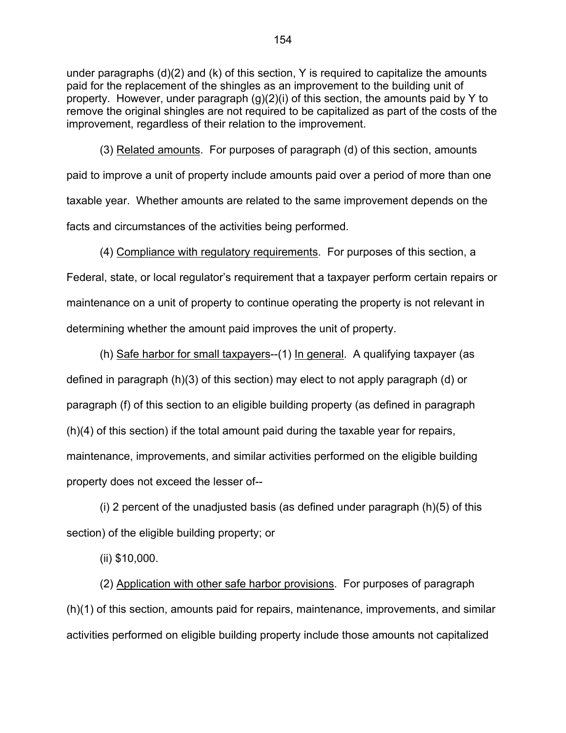under paragraphs (d)(2) and (k) of this section, Y is required to capitalize the amounts paid for the replacement of the shingles as an improvement to the building unit of property. However, under paragraph (g)(2)(i) of this section, the amounts paid by Y to remove the original shingles are not required to be capitalized as part of the costs of the improvement, regardless of their relation to the improvement.

 (3) Related amounts. For purposes of paragraph (d) of this section, amounts paid to improve a unit of property include amounts paid over a period of more than one taxable year. Whether amounts are related to the same improvement depends on the facts and circumstances of the activities being performed.

 (4) Compliance with regulatory requirements. For purposes of this section, a Federal, state, or local regulator's requirement that a taxpayer perform certain repairs or maintenance on a unit of property to continue operating the property is not relevant in determining whether the amount paid improves the unit of property.

 (h) Safe harbor for small taxpayers--(1) In general. A qualifying taxpayer (as defined in paragraph (h)(3) of this section) may elect to not apply paragraph (d) or paragraph (f) of this section to an eligible building property (as defined in paragraph (h)(4) of this section) if the total amount paid during the taxable year for repairs, maintenance, improvements, and similar activities performed on the eligible building property does not exceed the lesser of--

(i) 2 percent of the unadjusted basis (as defined under paragraph  $(h)(5)$  of this section) of the eligible building property; or

(ii) \$10,000.

 (2) Application with other safe harbor provisions. For purposes of paragraph (h)(1) of this section, amounts paid for repairs, maintenance, improvements, and similar activities performed on eligible building property include those amounts not capitalized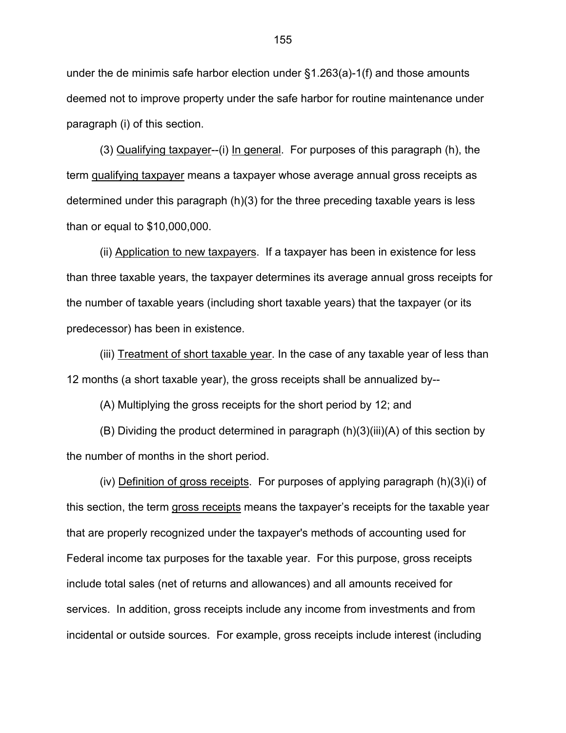under the de minimis safe harbor election under §1.263(a)-1(f) and those amounts deemed not to improve property under the safe harbor for routine maintenance under paragraph (i) of this section.

(3) Qualifying taxpayer--(i) In general. For purposes of this paragraph (h), the term qualifying taxpayer means a taxpayer whose average annual gross receipts as determined under this paragraph (h)(3) for the three preceding taxable years is less than or equal to \$10,000,000.

(ii) Application to new taxpayers. If a taxpayer has been in existence for less than three taxable years, the taxpayer determines its average annual gross receipts for the number of taxable years (including short taxable years) that the taxpayer (or its predecessor) has been in existence.

(iii) Treatment of short taxable year. In the case of any taxable year of less than 12 months (a short taxable year), the gross receipts shall be annualized by--

(A) Multiplying the gross receipts for the short period by 12; and

(B) Dividing the product determined in paragraph (h)(3)(iii)(A) of this section by the number of months in the short period.

(iv) Definition of gross receipts. For purposes of applying paragraph (h)(3)(i) of this section, the term gross receipts means the taxpayer's receipts for the taxable year that are properly recognized under the taxpayer's methods of accounting used for Federal income tax purposes for the taxable year. For this purpose, gross receipts include total sales (net of returns and allowances) and all amounts received for services. In addition, gross receipts include any income from investments and from incidental or outside sources. For example, gross receipts include interest (including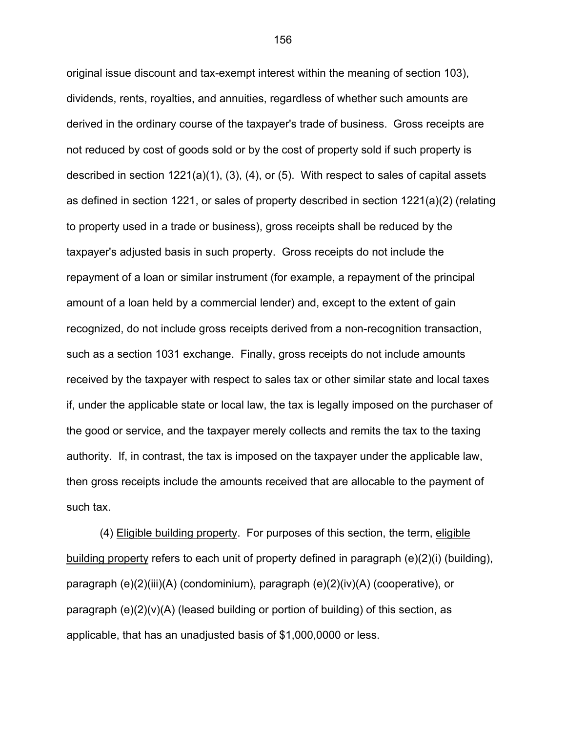original issue discount and tax-exempt interest within the meaning of section 103), dividends, rents, royalties, and annuities, regardless of whether such amounts are derived in the ordinary course of the taxpayer's trade of business. Gross receipts are not reduced by cost of goods sold or by the cost of property sold if such property is described in section 1221(a)(1), (3), (4), or (5). With respect to sales of capital assets as defined in section 1221, or sales of property described in section 1221(a)(2) (relating to property used in a trade or business), gross receipts shall be reduced by the taxpayer's adjusted basis in such property. Gross receipts do not include the repayment of a loan or similar instrument (for example, a repayment of the principal amount of a loan held by a commercial lender) and, except to the extent of gain recognized, do not include gross receipts derived from a non-recognition transaction, such as a section 1031 exchange. Finally, gross receipts do not include amounts received by the taxpayer with respect to sales tax or other similar state and local taxes if, under the applicable state or local law, the tax is legally imposed on the purchaser of the good or service, and the taxpayer merely collects and remits the tax to the taxing authority. If, in contrast, the tax is imposed on the taxpayer under the applicable law, then gross receipts include the amounts received that are allocable to the payment of such tax.

 (4) Eligible building property. For purposes of this section, the term, eligible building property refers to each unit of property defined in paragraph (e)(2)(i) (building), paragraph (e)(2)(iii)(A) (condominium), paragraph (e)(2)(iv)(A) (cooperative), or paragraph (e)(2)(v)(A) (leased building or portion of building) of this section, as applicable, that has an unadjusted basis of \$1,000,0000 or less.

156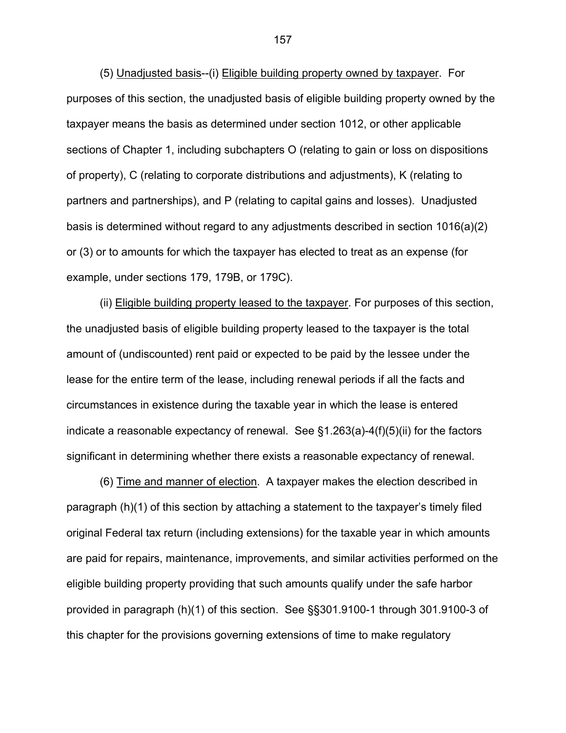(5) Unadjusted basis--(i) Eligible building property owned by taxpayer. For purposes of this section, the unadjusted basis of eligible building property owned by the taxpayer means the basis as determined under section 1012, or other applicable sections of Chapter 1, including subchapters O (relating to gain or loss on dispositions of property), C (relating to corporate distributions and adjustments), K (relating to partners and partnerships), and P (relating to capital gains and losses). Unadjusted basis is determined without regard to any adjustments described in section 1016(a)(2) or (3) or to amounts for which the taxpayer has elected to treat as an expense (for example, under sections 179, 179B, or 179C).

 (ii) Eligible building property leased to the taxpayer. For purposes of this section, the unadjusted basis of eligible building property leased to the taxpayer is the total amount of (undiscounted) rent paid or expected to be paid by the lessee under the lease for the entire term of the lease, including renewal periods if all the facts and circumstances in existence during the taxable year in which the lease is entered indicate a reasonable expectancy of renewal. See §1.263(a)-4(f)(5)(ii) for the factors significant in determining whether there exists a reasonable expectancy of renewal.

 (6) Time and manner of election. A taxpayer makes the election described in paragraph (h)(1) of this section by attaching a statement to the taxpayer's timely filed original Federal tax return (including extensions) for the taxable year in which amounts are paid for repairs, maintenance, improvements, and similar activities performed on the eligible building property providing that such amounts qualify under the safe harbor provided in paragraph (h)(1) of this section. See §§301.9100-1 through 301.9100-3 of this chapter for the provisions governing extensions of time to make regulatory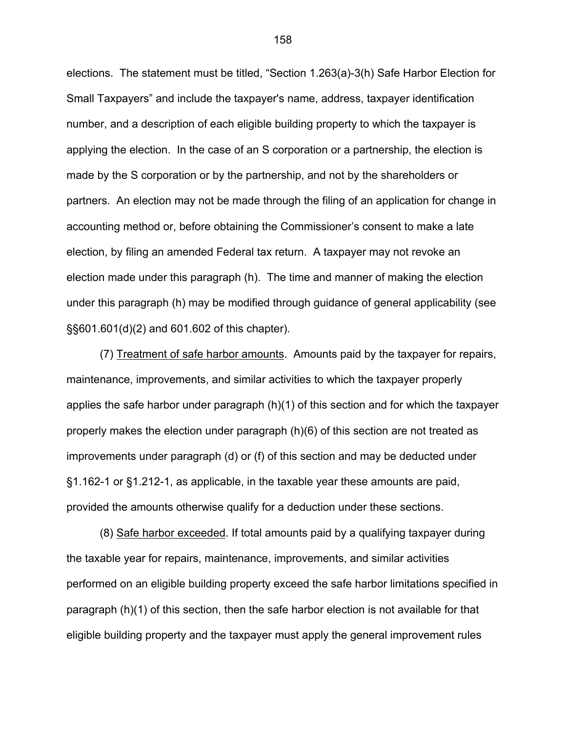elections. The statement must be titled, "Section 1.263(a)-3(h) Safe Harbor Election for Small Taxpayers" and include the taxpayer's name, address, taxpayer identification number, and a description of each eligible building property to which the taxpayer is applying the election. In the case of an S corporation or a partnership, the election is made by the S corporation or by the partnership, and not by the shareholders or partners. An election may not be made through the filing of an application for change in accounting method or, before obtaining the Commissioner's consent to make a late election, by filing an amended Federal tax return. A taxpayer may not revoke an election made under this paragraph (h). The time and manner of making the election under this paragraph (h) may be modified through guidance of general applicability (see §§601.601(d)(2) and 601.602 of this chapter).

 (7) Treatment of safe harbor amounts. Amounts paid by the taxpayer for repairs, maintenance, improvements, and similar activities to which the taxpayer properly applies the safe harbor under paragraph (h)(1) of this section and for which the taxpayer properly makes the election under paragraph (h)(6) of this section are not treated as improvements under paragraph (d) or (f) of this section and may be deducted under §1.162-1 or §1.212-1, as applicable, in the taxable year these amounts are paid, provided the amounts otherwise qualify for a deduction under these sections.

 (8) Safe harbor exceeded. If total amounts paid by a qualifying taxpayer during the taxable year for repairs, maintenance, improvements, and similar activities performed on an eligible building property exceed the safe harbor limitations specified in paragraph (h)(1) of this section, then the safe harbor election is not available for that eligible building property and the taxpayer must apply the general improvement rules

158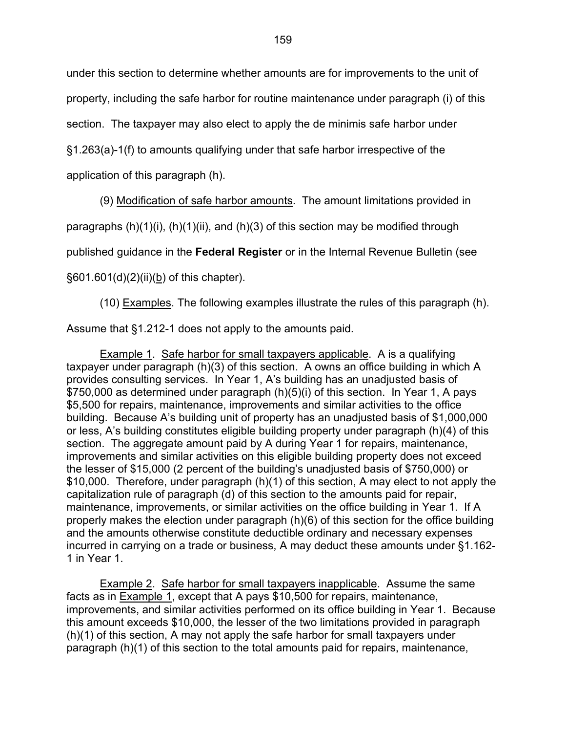under this section to determine whether amounts are for improvements to the unit of

property, including the safe harbor for routine maintenance under paragraph (i) of this

section. The taxpayer may also elect to apply the de minimis safe harbor under

§1.263(a)-1(f) to amounts qualifying under that safe harbor irrespective of the

application of this paragraph (h).

(9) Modification of safe harbor amounts. The amount limitations provided in

paragraphs  $(h)(1)(i)$ ,  $(h)(1)(ii)$ , and  $(h)(3)$  of this section may be modified through

published guidance in the **Federal Register** or in the Internal Revenue Bulletin (see

§601.601(d)(2)(ii)(b) of this chapter).

(10) Examples. The following examples illustrate the rules of this paragraph (h).

Assume that §1.212-1 does not apply to the amounts paid.

Example 1. Safe harbor for small taxpayers applicable. A is a qualifying taxpayer under paragraph (h)(3) of this section. A owns an office building in which A provides consulting services. In Year 1, A's building has an unadjusted basis of \$750,000 as determined under paragraph (h)(5)(i) of this section. In Year 1, A pays \$5,500 for repairs, maintenance, improvements and similar activities to the office building. Because A's building unit of property has an unadjusted basis of \$1,000,000 or less, A's building constitutes eligible building property under paragraph (h)(4) of this section. The aggregate amount paid by A during Year 1 for repairs, maintenance, improvements and similar activities on this eligible building property does not exceed the lesser of \$15,000 (2 percent of the building's unadjusted basis of \$750,000) or \$10,000. Therefore, under paragraph (h)(1) of this section, A may elect to not apply the capitalization rule of paragraph (d) of this section to the amounts paid for repair, maintenance, improvements, or similar activities on the office building in Year 1. If A properly makes the election under paragraph (h)(6) of this section for the office building and the amounts otherwise constitute deductible ordinary and necessary expenses incurred in carrying on a trade or business, A may deduct these amounts under §1.162- 1 in Year 1.

Example 2. Safe harbor for small taxpayers inapplicable. Assume the same facts as in Example 1, except that A pays \$10,500 for repairs, maintenance, improvements, and similar activities performed on its office building in Year 1. Because this amount exceeds \$10,000, the lesser of the two limitations provided in paragraph (h)(1) of this section, A may not apply the safe harbor for small taxpayers under paragraph (h)(1) of this section to the total amounts paid for repairs, maintenance,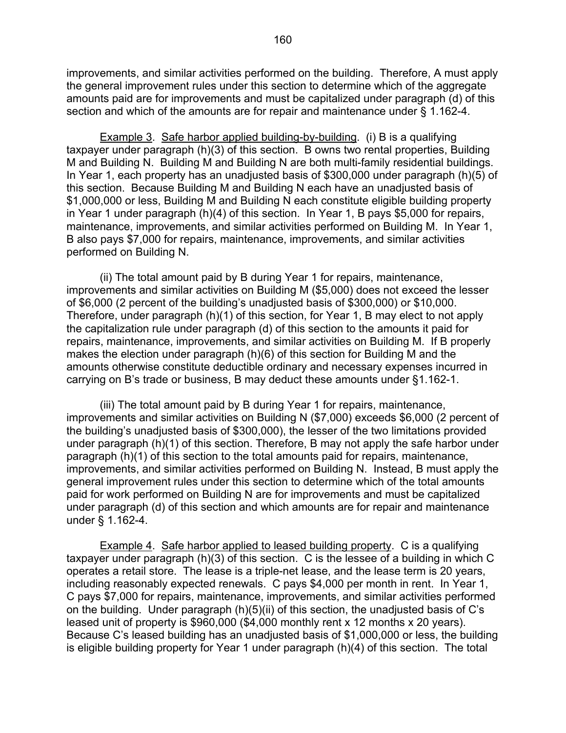improvements, and similar activities performed on the building. Therefore, A must apply the general improvement rules under this section to determine which of the aggregate amounts paid are for improvements and must be capitalized under paragraph (d) of this section and which of the amounts are for repair and maintenance under § 1.162-4.

Example 3. Safe harbor applied building-by-building. (i) B is a qualifying taxpayer under paragraph (h)(3) of this section. B owns two rental properties, Building M and Building N. Building M and Building N are both multi-family residential buildings. In Year 1, each property has an unadjusted basis of \$300,000 under paragraph (h)(5) of this section. Because Building M and Building N each have an unadjusted basis of \$1,000,000 or less, Building M and Building N each constitute eligible building property in Year 1 under paragraph (h)(4) of this section. In Year 1, B pays \$5,000 for repairs, maintenance, improvements, and similar activities performed on Building M. In Year 1, B also pays \$7,000 for repairs, maintenance, improvements, and similar activities performed on Building N.

 (ii) The total amount paid by B during Year 1 for repairs, maintenance, improvements and similar activities on Building M (\$5,000) does not exceed the lesser of \$6,000 (2 percent of the building's unadjusted basis of \$300,000) or \$10,000. Therefore, under paragraph (h)(1) of this section, for Year 1, B may elect to not apply the capitalization rule under paragraph (d) of this section to the amounts it paid for repairs, maintenance, improvements, and similar activities on Building M. If B properly makes the election under paragraph (h)(6) of this section for Building M and the amounts otherwise constitute deductible ordinary and necessary expenses incurred in carrying on B's trade or business, B may deduct these amounts under §1.162-1.

 (iii) The total amount paid by B during Year 1 for repairs, maintenance, improvements and similar activities on Building N (\$7,000) exceeds \$6,000 (2 percent of the building's unadjusted basis of \$300,000), the lesser of the two limitations provided under paragraph (h)(1) of this section. Therefore, B may not apply the safe harbor under paragraph (h)(1) of this section to the total amounts paid for repairs, maintenance, improvements, and similar activities performed on Building N. Instead, B must apply the general improvement rules under this section to determine which of the total amounts paid for work performed on Building N are for improvements and must be capitalized under paragraph (d) of this section and which amounts are for repair and maintenance under § 1.162-4.

 Example 4. Safe harbor applied to leased building property. C is a qualifying taxpayer under paragraph (h)(3) of this section. C is the lessee of a building in which C operates a retail store. The lease is a triple-net lease, and the lease term is 20 years, including reasonably expected renewals. C pays \$4,000 per month in rent. In Year 1, C pays \$7,000 for repairs, maintenance, improvements, and similar activities performed on the building. Under paragraph (h)(5)(ii) of this section, the unadjusted basis of C's leased unit of property is \$960,000 (\$4,000 monthly rent x 12 months x 20 years). Because C's leased building has an unadjusted basis of \$1,000,000 or less, the building is eligible building property for Year 1 under paragraph (h)(4) of this section. The total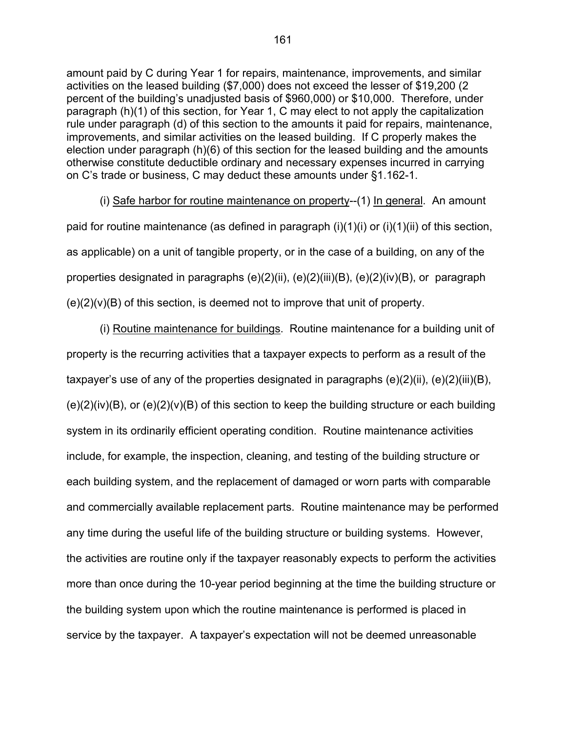amount paid by C during Year 1 for repairs, maintenance, improvements, and similar activities on the leased building (\$7,000) does not exceed the lesser of \$19,200 (2 percent of the building's unadjusted basis of \$960,000) or \$10,000. Therefore, under paragraph (h)(1) of this section, for Year 1, C may elect to not apply the capitalization rule under paragraph (d) of this section to the amounts it paid for repairs, maintenance, improvements, and similar activities on the leased building. If C properly makes the election under paragraph (h)(6) of this section for the leased building and the amounts otherwise constitute deductible ordinary and necessary expenses incurred in carrying on C's trade or business, C may deduct these amounts under §1.162-1.

 (i) Safe harbor for routine maintenance on property--(1) In general. An amount paid for routine maintenance (as defined in paragraph  $(i)(1)(i)$  or  $(i)(1)(ii)$  of this section, as applicable) on a unit of tangible property, or in the case of a building, on any of the properties designated in paragraphs (e)(2)(ii), (e)(2)(iii)(B), (e)(2)(iv)(B), or paragraph  $(e)(2)(v)(B)$  of this section, is deemed not to improve that unit of property.

 (i) Routine maintenance for buildings. Routine maintenance for a building unit of property is the recurring activities that a taxpayer expects to perform as a result of the taxpayer's use of any of the properties designated in paragraphs (e)(2)(ii), (e)(2)(iii)(B),  $(e)(2)(iv)(B)$ , or  $(e)(2)(v)(B)$  of this section to keep the building structure or each building system in its ordinarily efficient operating condition. Routine maintenance activities include, for example, the inspection, cleaning, and testing of the building structure or each building system, and the replacement of damaged or worn parts with comparable and commercially available replacement parts. Routine maintenance may be performed any time during the useful life of the building structure or building systems. However, the activities are routine only if the taxpayer reasonably expects to perform the activities more than once during the 10-year period beginning at the time the building structure or the building system upon which the routine maintenance is performed is placed in service by the taxpayer. A taxpayer's expectation will not be deemed unreasonable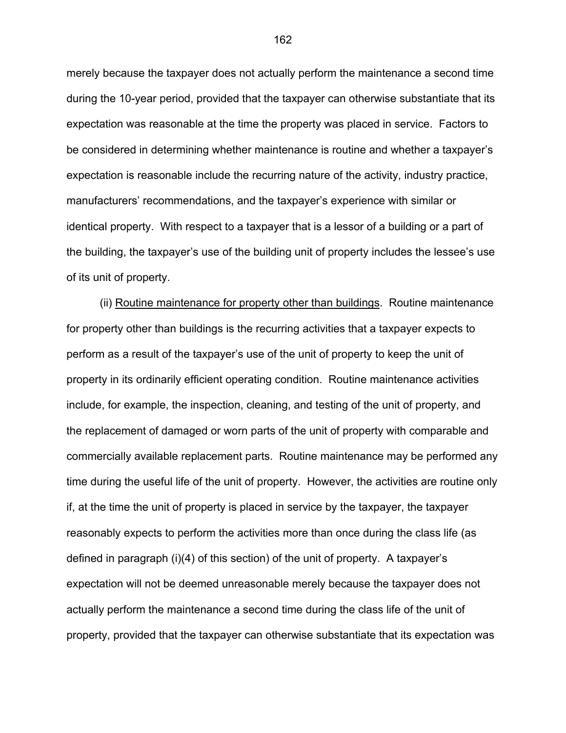merely because the taxpayer does not actually perform the maintenance a second time during the 10-year period, provided that the taxpayer can otherwise substantiate that its expectation was reasonable at the time the property was placed in service. Factors to be considered in determining whether maintenance is routine and whether a taxpayer's expectation is reasonable include the recurring nature of the activity, industry practice, manufacturers' recommendations, and the taxpayer's experience with similar or identical property. With respect to a taxpayer that is a lessor of a building or a part of the building, the taxpayer's use of the building unit of property includes the lessee's use of its unit of property.

 (ii) Routine maintenance for property other than buildings. Routine maintenance for property other than buildings is the recurring activities that a taxpayer expects to perform as a result of the taxpayer's use of the unit of property to keep the unit of property in its ordinarily efficient operating condition. Routine maintenance activities include, for example, the inspection, cleaning, and testing of the unit of property, and the replacement of damaged or worn parts of the unit of property with comparable and commercially available replacement parts. Routine maintenance may be performed any time during the useful life of the unit of property. However, the activities are routine only if, at the time the unit of property is placed in service by the taxpayer, the taxpayer reasonably expects to perform the activities more than once during the class life (as defined in paragraph (i)(4) of this section) of the unit of property. A taxpayer's expectation will not be deemed unreasonable merely because the taxpayer does not actually perform the maintenance a second time during the class life of the unit of property, provided that the taxpayer can otherwise substantiate that its expectation was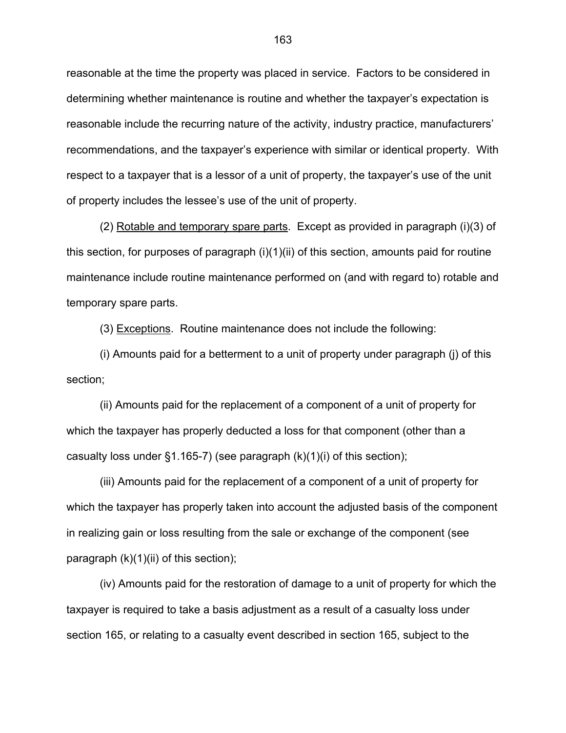reasonable at the time the property was placed in service. Factors to be considered in determining whether maintenance is routine and whether the taxpayer's expectation is reasonable include the recurring nature of the activity, industry practice, manufacturers' recommendations, and the taxpayer's experience with similar or identical property. With respect to a taxpayer that is a lessor of a unit of property, the taxpayer's use of the unit of property includes the lessee's use of the unit of property.

 (2) Rotable and temporary spare parts. Except as provided in paragraph (i)(3) of this section, for purposes of paragraph (i)(1)(ii) of this section, amounts paid for routine maintenance include routine maintenance performed on (and with regard to) rotable and temporary spare parts.

(3) Exceptions. Routine maintenance does not include the following:

 (i) Amounts paid for a betterment to a unit of property under paragraph (j) of this section;

 (ii) Amounts paid for the replacement of a component of a unit of property for which the taxpayer has properly deducted a loss for that component (other than a casualty loss under  $\S1.165$ -7) (see paragraph  $(k)(1)(i)$  of this section);

 (iii) Amounts paid for the replacement of a component of a unit of property for which the taxpayer has properly taken into account the adjusted basis of the component in realizing gain or loss resulting from the sale or exchange of the component (see paragraph  $(k)(1)(ii)$  of this section);

 (iv) Amounts paid for the restoration of damage to a unit of property for which the taxpayer is required to take a basis adjustment as a result of a casualty loss under section 165, or relating to a casualty event described in section 165, subject to the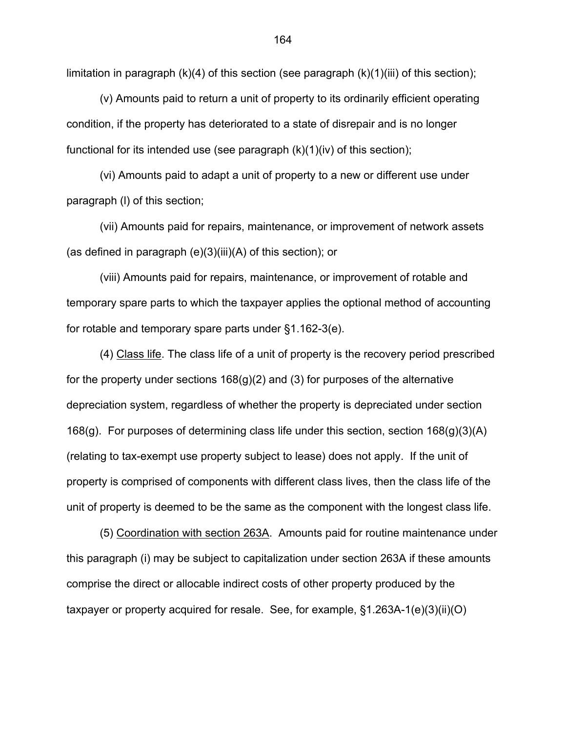limitation in paragraph  $(k)(4)$  of this section (see paragraph  $(k)(1)(iii)$  of this section);

 (v) Amounts paid to return a unit of property to its ordinarily efficient operating condition, if the property has deteriorated to a state of disrepair and is no longer functional for its intended use (see paragraph  $(k)(1)(iv)$  of this section);

 (vi) Amounts paid to adapt a unit of property to a new or different use under paragraph (l) of this section;

 (vii) Amounts paid for repairs, maintenance, or improvement of network assets (as defined in paragraph (e)(3)(iii)(A) of this section); or

 (viii) Amounts paid for repairs, maintenance, or improvement of rotable and temporary spare parts to which the taxpayer applies the optional method of accounting for rotable and temporary spare parts under §1.162-3(e).

 (4) Class life. The class life of a unit of property is the recovery period prescribed for the property under sections  $168(g)(2)$  and (3) for purposes of the alternative depreciation system, regardless of whether the property is depreciated under section 168(g). For purposes of determining class life under this section, section 168(g)(3)(A) (relating to tax-exempt use property subject to lease) does not apply. If the unit of property is comprised of components with different class lives, then the class life of the unit of property is deemed to be the same as the component with the longest class life.

 (5) Coordination with section 263A. Amounts paid for routine maintenance under this paragraph (i) may be subject to capitalization under section 263A if these amounts comprise the direct or allocable indirect costs of other property produced by the taxpayer or property acquired for resale. See, for example, §1.263A-1(e)(3)(ii)(O)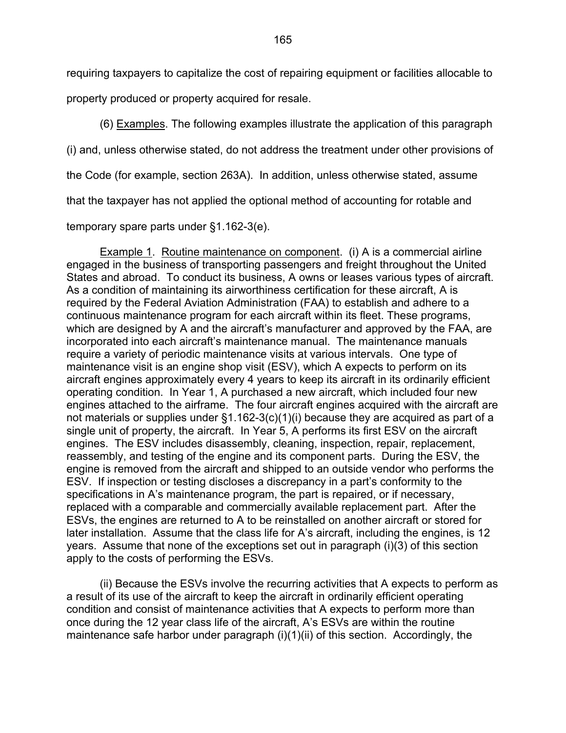requiring taxpayers to capitalize the cost of repairing equipment or facilities allocable to

property produced or property acquired for resale.

(6) Examples. The following examples illustrate the application of this paragraph

(i) and, unless otherwise stated, do not address the treatment under other provisions of

the Code (for example, section 263A). In addition, unless otherwise stated, assume

that the taxpayer has not applied the optional method of accounting for rotable and

temporary spare parts under §1.162-3(e).

 Example 1. Routine maintenance on component. (i) A is a commercial airline engaged in the business of transporting passengers and freight throughout the United States and abroad. To conduct its business, A owns or leases various types of aircraft. As a condition of maintaining its airworthiness certification for these aircraft, A is required by the Federal Aviation Administration (FAA) to establish and adhere to a continuous maintenance program for each aircraft within its fleet. These programs, which are designed by A and the aircraft's manufacturer and approved by the FAA, are incorporated into each aircraft's maintenance manual. The maintenance manuals require a variety of periodic maintenance visits at various intervals. One type of maintenance visit is an engine shop visit (ESV), which A expects to perform on its aircraft engines approximately every 4 years to keep its aircraft in its ordinarily efficient operating condition. In Year 1, A purchased a new aircraft, which included four new engines attached to the airframe. The four aircraft engines acquired with the aircraft are not materials or supplies under §1.162-3(c)(1)(i) because they are acquired as part of a single unit of property, the aircraft. In Year 5, A performs its first ESV on the aircraft engines. The ESV includes disassembly, cleaning, inspection, repair, replacement, reassembly, and testing of the engine and its component parts. During the ESV, the engine is removed from the aircraft and shipped to an outside vendor who performs the ESV. If inspection or testing discloses a discrepancy in a part's conformity to the specifications in A's maintenance program, the part is repaired, or if necessary, replaced with a comparable and commercially available replacement part. After the ESVs, the engines are returned to A to be reinstalled on another aircraft or stored for later installation. Assume that the class life for A's aircraft, including the engines, is 12 years. Assume that none of the exceptions set out in paragraph (i)(3) of this section apply to the costs of performing the ESVs.

 (ii) Because the ESVs involve the recurring activities that A expects to perform as a result of its use of the aircraft to keep the aircraft in ordinarily efficient operating condition and consist of maintenance activities that A expects to perform more than once during the 12 year class life of the aircraft, A's ESVs are within the routine maintenance safe harbor under paragraph (i)(1)(ii) of this section. Accordingly, the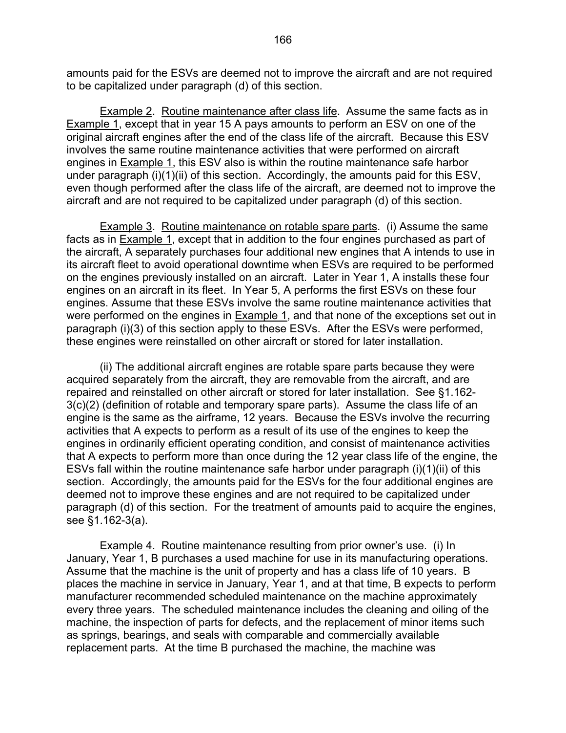amounts paid for the ESVs are deemed not to improve the aircraft and are not required to be capitalized under paragraph (d) of this section.

Example 2. Routine maintenance after class life. Assume the same facts as in Example 1, except that in year 15 A pays amounts to perform an ESV on one of the original aircraft engines after the end of the class life of the aircraft. Because this ESV involves the same routine maintenance activities that were performed on aircraft engines in Example 1, this ESV also is within the routine maintenance safe harbor under paragraph (i)(1)(ii) of this section. Accordingly, the amounts paid for this ESV, even though performed after the class life of the aircraft, are deemed not to improve the aircraft and are not required to be capitalized under paragraph (d) of this section.

 Example 3. Routine maintenance on rotable spare parts. (i) Assume the same facts as in Example 1, except that in addition to the four engines purchased as part of the aircraft, A separately purchases four additional new engines that A intends to use in its aircraft fleet to avoid operational downtime when ESVs are required to be performed on the engines previously installed on an aircraft. Later in Year 1, A installs these four engines on an aircraft in its fleet. In Year 5, A performs the first ESVs on these four engines. Assume that these ESVs involve the same routine maintenance activities that were performed on the engines in Example 1, and that none of the exceptions set out in paragraph (i)(3) of this section apply to these ESVs. After the ESVs were performed, these engines were reinstalled on other aircraft or stored for later installation.

 (ii) The additional aircraft engines are rotable spare parts because they were acquired separately from the aircraft, they are removable from the aircraft, and are repaired and reinstalled on other aircraft or stored for later installation. See §1.162- 3(c)(2) (definition of rotable and temporary spare parts). Assume the class life of an engine is the same as the airframe, 12 years. Because the ESVs involve the recurring activities that A expects to perform as a result of its use of the engines to keep the engines in ordinarily efficient operating condition, and consist of maintenance activities that A expects to perform more than once during the 12 year class life of the engine, the ESVs fall within the routine maintenance safe harbor under paragraph (i)(1)(ii) of this section. Accordingly, the amounts paid for the ESVs for the four additional engines are deemed not to improve these engines and are not required to be capitalized under paragraph (d) of this section. For the treatment of amounts paid to acquire the engines, see §1.162-3(a).

 Example 4. Routine maintenance resulting from prior owner's use. (i) In January, Year 1, B purchases a used machine for use in its manufacturing operations. Assume that the machine is the unit of property and has a class life of 10 years. B places the machine in service in January, Year 1, and at that time, B expects to perform manufacturer recommended scheduled maintenance on the machine approximately every three years. The scheduled maintenance includes the cleaning and oiling of the machine, the inspection of parts for defects, and the replacement of minor items such as springs, bearings, and seals with comparable and commercially available replacement parts. At the time B purchased the machine, the machine was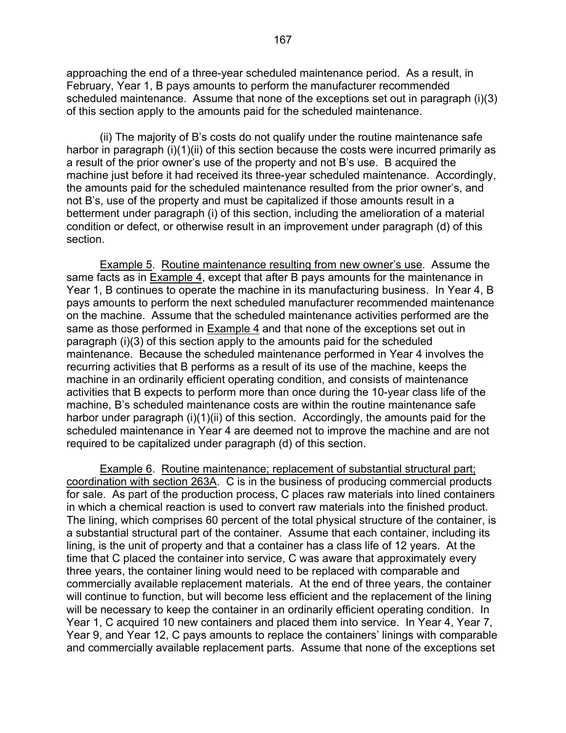approaching the end of a three-year scheduled maintenance period. As a result, in February, Year 1, B pays amounts to perform the manufacturer recommended scheduled maintenance. Assume that none of the exceptions set out in paragraph (i)(3) of this section apply to the amounts paid for the scheduled maintenance.

(ii) The majority of B's costs do not qualify under the routine maintenance safe harbor in paragraph (i)(1)(ii) of this section because the costs were incurred primarily as a result of the prior owner's use of the property and not B's use. B acquired the machine just before it had received its three-year scheduled maintenance. Accordingly, the amounts paid for the scheduled maintenance resulted from the prior owner's, and not B's, use of the property and must be capitalized if those amounts result in a betterment under paragraph (i) of this section, including the amelioration of a material condition or defect, or otherwise result in an improvement under paragraph (d) of this section.

 Example 5. Routine maintenance resulting from new owner's use. Assume the same facts as in **Example 4**, except that after B pays amounts for the maintenance in Year 1, B continues to operate the machine in its manufacturing business. In Year 4, B pays amounts to perform the next scheduled manufacturer recommended maintenance on the machine. Assume that the scheduled maintenance activities performed are the same as those performed in Example 4 and that none of the exceptions set out in paragraph (i)(3) of this section apply to the amounts paid for the scheduled maintenance. Because the scheduled maintenance performed in Year 4 involves the recurring activities that B performs as a result of its use of the machine, keeps the machine in an ordinarily efficient operating condition, and consists of maintenance activities that B expects to perform more than once during the 10-year class life of the machine, B's scheduled maintenance costs are within the routine maintenance safe harbor under paragraph (i)(1)(ii) of this section. Accordingly, the amounts paid for the scheduled maintenance in Year 4 are deemed not to improve the machine and are not required to be capitalized under paragraph (d) of this section.

Example 6. Routine maintenance; replacement of substantial structural part; coordination with section 263A. C is in the business of producing commercial products for sale. As part of the production process, C places raw materials into lined containers in which a chemical reaction is used to convert raw materials into the finished product. The lining, which comprises 60 percent of the total physical structure of the container, is a substantial structural part of the container. Assume that each container, including its lining, is the unit of property and that a container has a class life of 12 years. At the time that C placed the container into service, C was aware that approximately every three years, the container lining would need to be replaced with comparable and commercially available replacement materials. At the end of three years, the container will continue to function, but will become less efficient and the replacement of the lining will be necessary to keep the container in an ordinarily efficient operating condition. In Year 1, C acquired 10 new containers and placed them into service. In Year 4, Year 7, Year 9, and Year 12, C pays amounts to replace the containers' linings with comparable and commercially available replacement parts. Assume that none of the exceptions set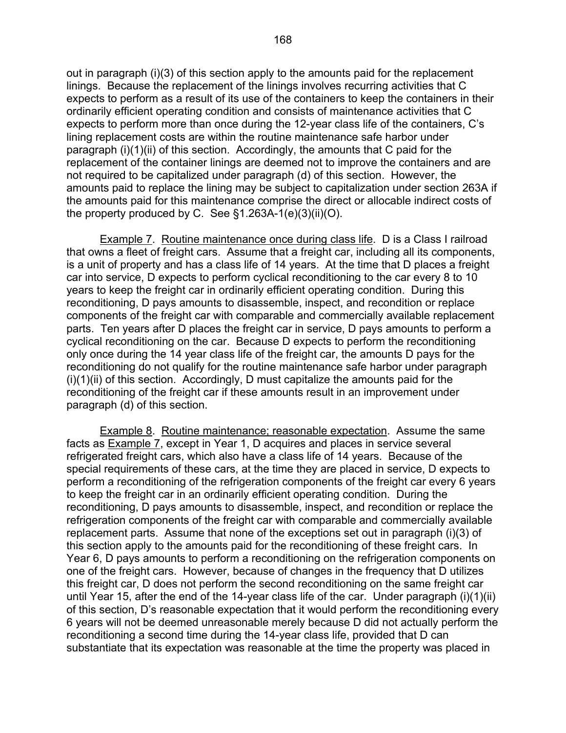out in paragraph (i)(3) of this section apply to the amounts paid for the replacement linings. Because the replacement of the linings involves recurring activities that C expects to perform as a result of its use of the containers to keep the containers in their ordinarily efficient operating condition and consists of maintenance activities that C expects to perform more than once during the 12-year class life of the containers, C's lining replacement costs are within the routine maintenance safe harbor under paragraph  $(i)(1)(ii)$  of this section. Accordingly, the amounts that C paid for the replacement of the container linings are deemed not to improve the containers and are not required to be capitalized under paragraph (d) of this section. However, the amounts paid to replace the lining may be subject to capitalization under section 263A if the amounts paid for this maintenance comprise the direct or allocable indirect costs of the property produced by C. See §1.263A-1(e)(3)(ii)(O).

Example 7. Routine maintenance once during class life. D is a Class I railroad that owns a fleet of freight cars. Assume that a freight car, including all its components, is a unit of property and has a class life of 14 years. At the time that D places a freight car into service, D expects to perform cyclical reconditioning to the car every 8 to 10 years to keep the freight car in ordinarily efficient operating condition. During this reconditioning, D pays amounts to disassemble, inspect, and recondition or replace components of the freight car with comparable and commercially available replacement parts. Ten years after D places the freight car in service, D pays amounts to perform a cyclical reconditioning on the car. Because D expects to perform the reconditioning only once during the 14 year class life of the freight car, the amounts D pays for the reconditioning do not qualify for the routine maintenance safe harbor under paragraph  $(i)(1)(ii)$  of this section. Accordingly, D must capitalize the amounts paid for the reconditioning of the freight car if these amounts result in an improvement under paragraph (d) of this section.

Example 8. Routine maintenance; reasonable expectation. Assume the same facts as Example 7, except in Year 1, D acquires and places in service several refrigerated freight cars, which also have a class life of 14 years. Because of the special requirements of these cars, at the time they are placed in service, D expects to perform a reconditioning of the refrigeration components of the freight car every 6 years to keep the freight car in an ordinarily efficient operating condition. During the reconditioning, D pays amounts to disassemble, inspect, and recondition or replace the refrigeration components of the freight car with comparable and commercially available replacement parts. Assume that none of the exceptions set out in paragraph (i)(3) of this section apply to the amounts paid for the reconditioning of these freight cars. In Year 6, D pays amounts to perform a reconditioning on the refrigeration components on one of the freight cars. However, because of changes in the frequency that D utilizes this freight car, D does not perform the second reconditioning on the same freight car until Year 15, after the end of the 14-year class life of the car. Under paragraph (i)(1)(ii) of this section, D's reasonable expectation that it would perform the reconditioning every 6 years will not be deemed unreasonable merely because D did not actually perform the reconditioning a second time during the 14-year class life, provided that D can substantiate that its expectation was reasonable at the time the property was placed in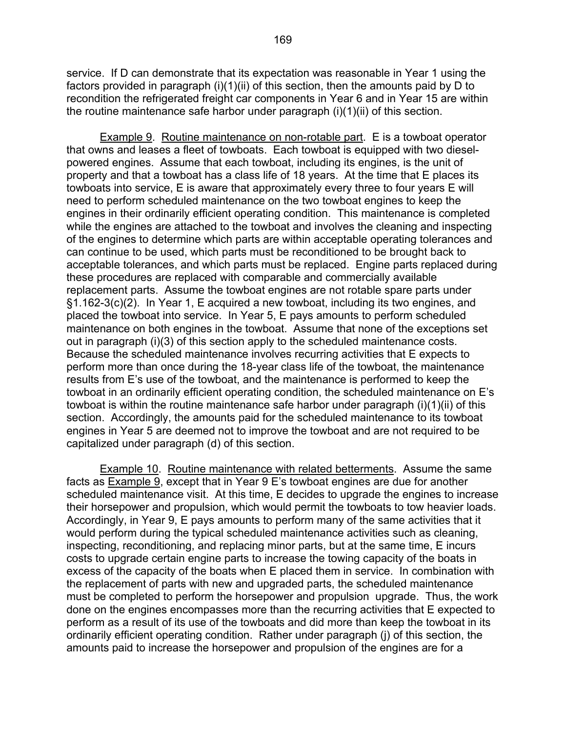service. If D can demonstrate that its expectation was reasonable in Year 1 using the factors provided in paragraph (i)(1)(ii) of this section, then the amounts paid by D to recondition the refrigerated freight car components in Year 6 and in Year 15 are within the routine maintenance safe harbor under paragraph (i)(1)(ii) of this section.

Example 9. Routine maintenance on non-rotable part. E is a towboat operator that owns and leases a fleet of towboats. Each towboat is equipped with two dieselpowered engines. Assume that each towboat, including its engines, is the unit of property and that a towboat has a class life of 18 years. At the time that E places its towboats into service, E is aware that approximately every three to four years E will need to perform scheduled maintenance on the two towboat engines to keep the engines in their ordinarily efficient operating condition. This maintenance is completed while the engines are attached to the towboat and involves the cleaning and inspecting of the engines to determine which parts are within acceptable operating tolerances and can continue to be used, which parts must be reconditioned to be brought back to acceptable tolerances, and which parts must be replaced. Engine parts replaced during these procedures are replaced with comparable and commercially available replacement parts. Assume the towboat engines are not rotable spare parts under §1.162-3(c)(2). In Year 1, E acquired a new towboat, including its two engines, and placed the towboat into service. In Year 5, E pays amounts to perform scheduled maintenance on both engines in the towboat. Assume that none of the exceptions set out in paragraph (i)(3) of this section apply to the scheduled maintenance costs. Because the scheduled maintenance involves recurring activities that E expects to perform more than once during the 18-year class life of the towboat, the maintenance results from E's use of the towboat, and the maintenance is performed to keep the towboat in an ordinarily efficient operating condition, the scheduled maintenance on E's towboat is within the routine maintenance safe harbor under paragraph (i)(1)(ii) of this section. Accordingly, the amounts paid for the scheduled maintenance to its towboat engines in Year 5 are deemed not to improve the towboat and are not required to be capitalized under paragraph (d) of this section.

Example 10. Routine maintenance with related betterments. Assume the same facts as Example 9, except that in Year 9 E's towboat engines are due for another scheduled maintenance visit. At this time, E decides to upgrade the engines to increase their horsepower and propulsion, which would permit the towboats to tow heavier loads. Accordingly, in Year 9, E pays amounts to perform many of the same activities that it would perform during the typical scheduled maintenance activities such as cleaning, inspecting, reconditioning, and replacing minor parts, but at the same time, E incurs costs to upgrade certain engine parts to increase the towing capacity of the boats in excess of the capacity of the boats when E placed them in service. In combination with the replacement of parts with new and upgraded parts, the scheduled maintenance must be completed to perform the horsepower and propulsion upgrade. Thus, the work done on the engines encompasses more than the recurring activities that E expected to perform as a result of its use of the towboats and did more than keep the towboat in its ordinarily efficient operating condition. Rather under paragraph (j) of this section, the amounts paid to increase the horsepower and propulsion of the engines are for a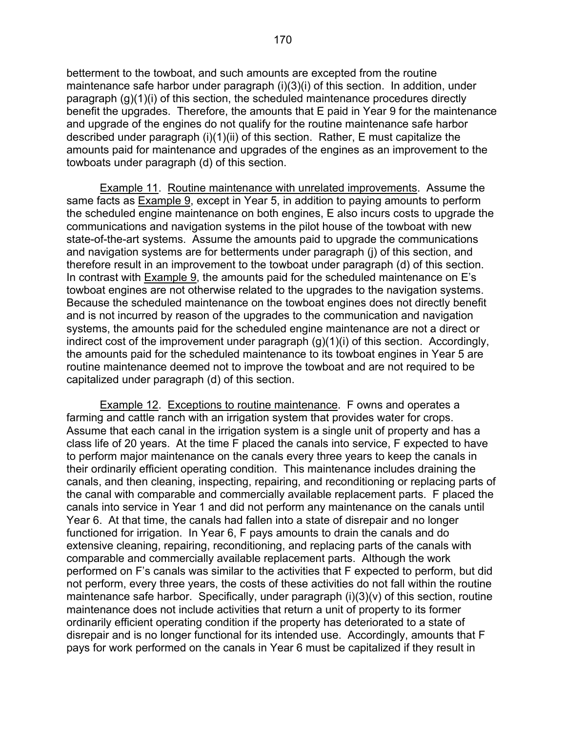betterment to the towboat, and such amounts are excepted from the routine maintenance safe harbor under paragraph (i)(3)(i) of this section. In addition, under paragraph (g)(1)(i) of this section, the scheduled maintenance procedures directly benefit the upgrades. Therefore, the amounts that E paid in Year 9 for the maintenance and upgrade of the engines do not qualify for the routine maintenance safe harbor described under paragraph (i)(1)(ii) of this section. Rather, E must capitalize the amounts paid for maintenance and upgrades of the engines as an improvement to the towboats under paragraph (d) of this section.

 Example 11. Routine maintenance with unrelated improvements. Assume the same facts as Example 9, except in Year 5, in addition to paying amounts to perform the scheduled engine maintenance on both engines, E also incurs costs to upgrade the communications and navigation systems in the pilot house of the towboat with new state-of-the-art systems. Assume the amounts paid to upgrade the communications and navigation systems are for betterments under paragraph (j) of this section, and therefore result in an improvement to the towboat under paragraph (d) of this section. In contrast with Example 9, the amounts paid for the scheduled maintenance on E's towboat engines are not otherwise related to the upgrades to the navigation systems. Because the scheduled maintenance on the towboat engines does not directly benefit and is not incurred by reason of the upgrades to the communication and navigation systems, the amounts paid for the scheduled engine maintenance are not a direct or indirect cost of the improvement under paragraph (g)(1)(i) of this section. Accordingly, the amounts paid for the scheduled maintenance to its towboat engines in Year 5 are routine maintenance deemed not to improve the towboat and are not required to be capitalized under paragraph (d) of this section.

 Example 12. Exceptions to routine maintenance. F owns and operates a farming and cattle ranch with an irrigation system that provides water for crops. Assume that each canal in the irrigation system is a single unit of property and has a class life of 20 years. At the time F placed the canals into service, F expected to have to perform major maintenance on the canals every three years to keep the canals in their ordinarily efficient operating condition. This maintenance includes draining the canals, and then cleaning, inspecting, repairing, and reconditioning or replacing parts of the canal with comparable and commercially available replacement parts. F placed the canals into service in Year 1 and did not perform any maintenance on the canals until Year 6. At that time, the canals had fallen into a state of disrepair and no longer functioned for irrigation. In Year 6, F pays amounts to drain the canals and do extensive cleaning, repairing, reconditioning, and replacing parts of the canals with comparable and commercially available replacement parts. Although the work performed on F's canals was similar to the activities that F expected to perform, but did not perform, every three years, the costs of these activities do not fall within the routine maintenance safe harbor. Specifically, under paragraph (i)(3)(v) of this section, routine maintenance does not include activities that return a unit of property to its former ordinarily efficient operating condition if the property has deteriorated to a state of disrepair and is no longer functional for its intended use. Accordingly, amounts that F pays for work performed on the canals in Year 6 must be capitalized if they result in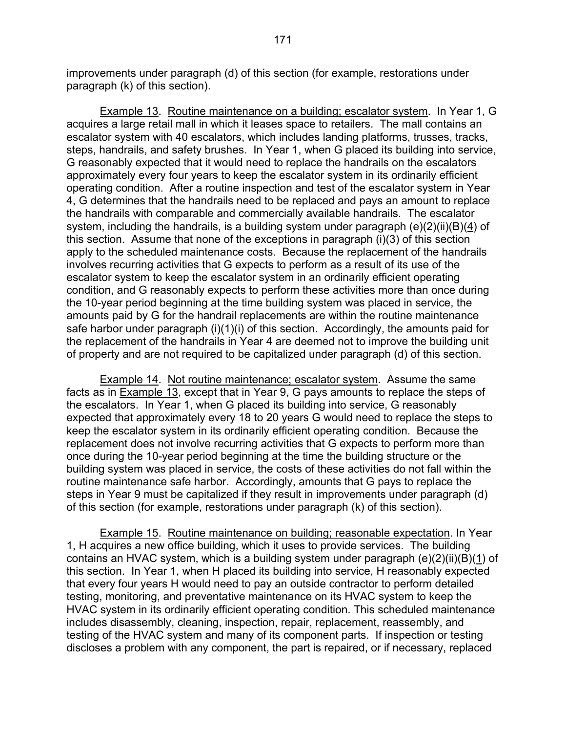improvements under paragraph (d) of this section (for example, restorations under paragraph (k) of this section).

Example 13. Routine maintenance on a building; escalator system. In Year 1, G acquires a large retail mall in which it leases space to retailers. The mall contains an escalator system with 40 escalators, which includes landing platforms, trusses, tracks, steps, handrails, and safety brushes. In Year 1, when G placed its building into service, G reasonably expected that it would need to replace the handrails on the escalators approximately every four years to keep the escalator system in its ordinarily efficient operating condition. After a routine inspection and test of the escalator system in Year 4, G determines that the handrails need to be replaced and pays an amount to replace the handrails with comparable and commercially available handrails. The escalator system, including the handrails, is a building system under paragraph (e)(2)(ii)(B)(4) of this section. Assume that none of the exceptions in paragraph (i)(3) of this section apply to the scheduled maintenance costs. Because the replacement of the handrails involves recurring activities that G expects to perform as a result of its use of the escalator system to keep the escalator system in an ordinarily efficient operating condition, and G reasonably expects to perform these activities more than once during the 10-year period beginning at the time building system was placed in service, the amounts paid by G for the handrail replacements are within the routine maintenance safe harbor under paragraph (i)(1)(i) of this section. Accordingly, the amounts paid for the replacement of the handrails in Year 4 are deemed not to improve the building unit of property and are not required to be capitalized under paragraph (d) of this section.

 Example 14. Not routine maintenance; escalator system. Assume the same facts as in Example 13, except that in Year 9, G pays amounts to replace the steps of the escalators. In Year 1, when G placed its building into service, G reasonably expected that approximately every 18 to 20 years G would need to replace the steps to keep the escalator system in its ordinarily efficient operating condition. Because the replacement does not involve recurring activities that G expects to perform more than once during the 10-year period beginning at the time the building structure or the building system was placed in service, the costs of these activities do not fall within the routine maintenance safe harbor. Accordingly, amounts that G pays to replace the steps in Year 9 must be capitalized if they result in improvements under paragraph (d) of this section (for example, restorations under paragraph (k) of this section).

Example 15. Routine maintenance on building; reasonable expectation. In Year 1, H acquires a new office building, which it uses to provide services. The building contains an HVAC system, which is a building system under paragraph (e)(2)(ii)(B)(1) of this section. In Year 1, when H placed its building into service, H reasonably expected that every four years H would need to pay an outside contractor to perform detailed testing, monitoring, and preventative maintenance on its HVAC system to keep the HVAC system in its ordinarily efficient operating condition. This scheduled maintenance includes disassembly, cleaning, inspection, repair, replacement, reassembly, and testing of the HVAC system and many of its component parts. If inspection or testing discloses a problem with any component, the part is repaired, or if necessary, replaced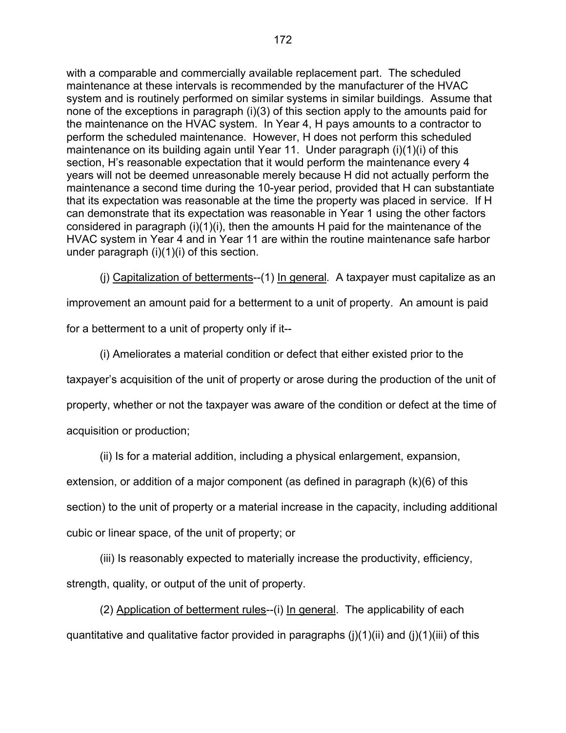with a comparable and commercially available replacement part. The scheduled maintenance at these intervals is recommended by the manufacturer of the HVAC system and is routinely performed on similar systems in similar buildings. Assume that none of the exceptions in paragraph (i)(3) of this section apply to the amounts paid for the maintenance on the HVAC system. In Year 4, H pays amounts to a contractor to perform the scheduled maintenance. However, H does not perform this scheduled maintenance on its building again until Year 11. Under paragraph (i)(1)(i) of this section, H's reasonable expectation that it would perform the maintenance every 4 years will not be deemed unreasonable merely because H did not actually perform the maintenance a second time during the 10-year period, provided that H can substantiate that its expectation was reasonable at the time the property was placed in service. If H can demonstrate that its expectation was reasonable in Year 1 using the other factors considered in paragraph (i)(1)(i), then the amounts H paid for the maintenance of the HVAC system in Year 4 and in Year 11 are within the routine maintenance safe harbor under paragraph (i)(1)(i) of this section.

(j) Capitalization of betterments--(1) In general*.* A taxpayer must capitalize as an

improvement an amount paid for a betterment to a unit of property. An amount is paid

for a betterment to a unit of property only if it--

(i) Ameliorates a material condition or defect that either existed prior to the

taxpayer's acquisition of the unit of property or arose during the production of the unit of

property, whether or not the taxpayer was aware of the condition or defect at the time of

acquisition or production;

(ii) Is for a material addition, including a physical enlargement, expansion,

extension, or addition of a major component (as defined in paragraph (k)(6) of this

section) to the unit of property or a material increase in the capacity, including additional

cubic or linear space, of the unit of property; or

(iii) Is reasonably expected to materially increase the productivity, efficiency, strength, quality, or output of the unit of property.

(2) Application of betterment rules--(i) In general. The applicability of each quantitative and qualitative factor provided in paragraphs (i)(1)(ii) and (i)(1)(iii) of this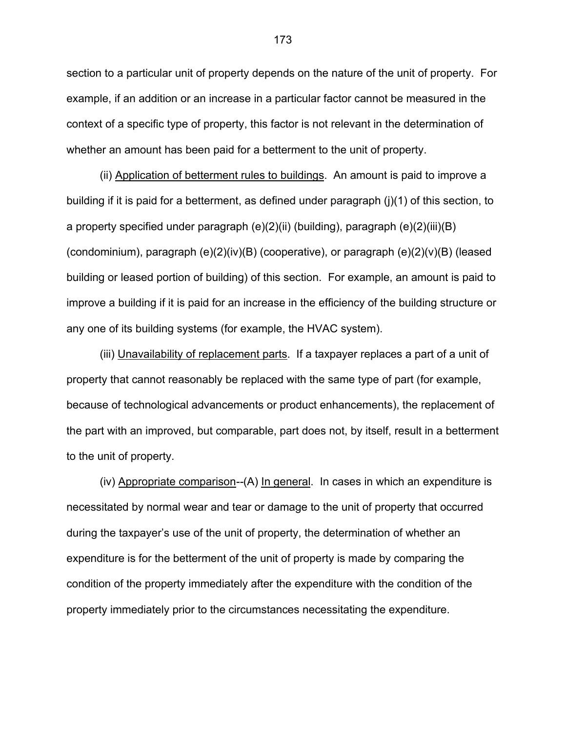section to a particular unit of property depends on the nature of the unit of property. For example, if an addition or an increase in a particular factor cannot be measured in the context of a specific type of property, this factor is not relevant in the determination of whether an amount has been paid for a betterment to the unit of property.

 (ii) Application of betterment rules to buildings. An amount is paid to improve a building if it is paid for a betterment, as defined under paragraph (j)(1) of this section, to a property specified under paragraph (e)(2)(ii) (building), paragraph (e)(2)(iii)(B) (condominium), paragraph (e)(2)(iv)(B) (cooperative), or paragraph (e)(2)(v)(B) (leased building or leased portion of building) of this section. For example, an amount is paid to improve a building if it is paid for an increase in the efficiency of the building structure or any one of its building systems (for example, the HVAC system).

 (iii) Unavailability of replacement parts. If a taxpayer replaces a part of a unit of property that cannot reasonably be replaced with the same type of part (for example, because of technological advancements or product enhancements), the replacement of the part with an improved, but comparable, part does not, by itself, result in a betterment to the unit of property.

 (iv) Appropriate comparison*--*(A) In general. In cases in which an expenditure is necessitated by normal wear and tear or damage to the unit of property that occurred during the taxpayer's use of the unit of property, the determination of whether an expenditure is for the betterment of the unit of property is made by comparing the condition of the property immediately after the expenditure with the condition of the property immediately prior to the circumstances necessitating the expenditure.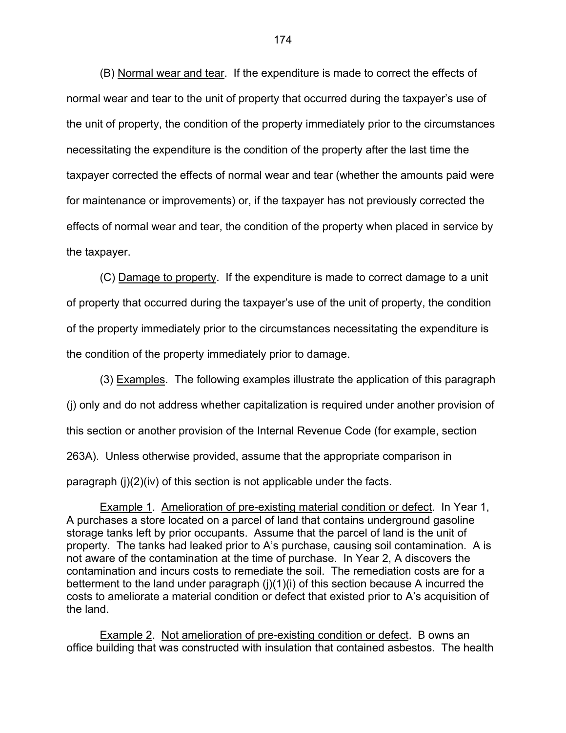(B) Normal wear and tear. If the expenditure is made to correct the effects of normal wear and tear to the unit of property that occurred during the taxpayer's use of the unit of property, the condition of the property immediately prior to the circumstances necessitating the expenditure is the condition of the property after the last time the taxpayer corrected the effects of normal wear and tear (whether the amounts paid were for maintenance or improvements) or, if the taxpayer has not previously corrected the effects of normal wear and tear, the condition of the property when placed in service by the taxpayer.

 (C) Damage to property. If the expenditure is made to correct damage to a unit of property that occurred during the taxpayer's use of the unit of property, the condition of the property immediately prior to the circumstances necessitating the expenditure is the condition of the property immediately prior to damage.

(3) Examples.The following examples illustrate the application of this paragraph (j) only and do not address whether capitalization is required under another provision of this section or another provision of the Internal Revenue Code (for example, section 263A). Unless otherwise provided, assume that the appropriate comparison in paragraph (j)(2)(iv) of this section is not applicable under the facts.

 Example 1. Amelioration of pre-existing material condition or defect. In Year 1, A purchases a store located on a parcel of land that contains underground gasoline storage tanks left by prior occupants. Assume that the parcel of land is the unit of property. The tanks had leaked prior to A's purchase, causing soil contamination. A is not aware of the contamination at the time of purchase. In Year 2, A discovers the contamination and incurs costs to remediate the soil. The remediation costs are for a betterment to the land under paragraph (j)(1)(i) of this section because A incurred the costs to ameliorate a material condition or defect that existed prior to A's acquisition of the land.

 Example 2. Not amelioration of pre-existing condition or defect. B owns an office building that was constructed with insulation that contained asbestos. The health

174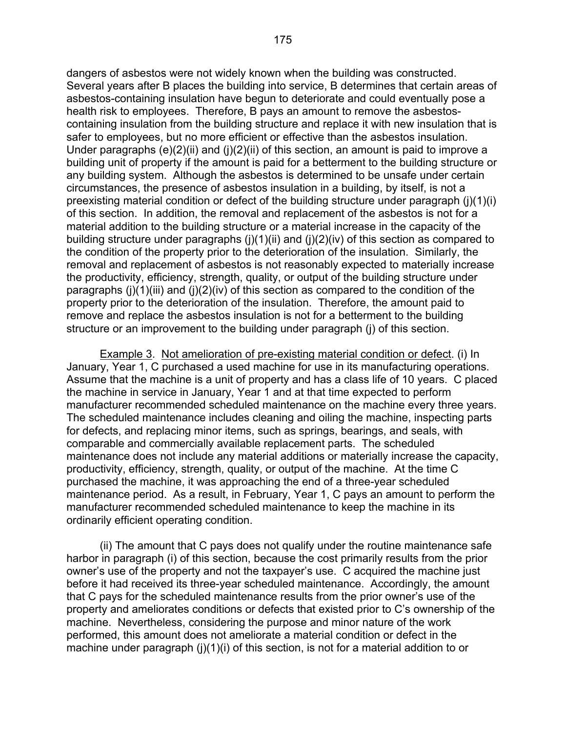dangers of asbestos were not widely known when the building was constructed. Several years after B places the building into service, B determines that certain areas of asbestos-containing insulation have begun to deteriorate and could eventually pose a health risk to employees. Therefore, B pays an amount to remove the asbestoscontaining insulation from the building structure and replace it with new insulation that is safer to employees, but no more efficient or effective than the asbestos insulation. Under paragraphs  $(e)(2)(ii)$  and  $(i)(2)(ii)$  of this section, an amount is paid to improve a building unit of property if the amount is paid for a betterment to the building structure or any building system. Although the asbestos is determined to be unsafe under certain circumstances, the presence of asbestos insulation in a building, by itself, is not a preexisting material condition or defect of the building structure under paragraph (j)(1)(i) of this section. In addition, the removal and replacement of the asbestos is not for a material addition to the building structure or a material increase in the capacity of the building structure under paragraphs  $(i)(1)(ii)$  and  $(i)(2)(iv)$  of this section as compared to the condition of the property prior to the deterioration of the insulation. Similarly, the removal and replacement of asbestos is not reasonably expected to materially increase the productivity, efficiency, strength, quality, or output of the building structure under paragraphs  $(i)(1)(iii)$  and  $(i)(2)(iv)$  of this section as compared to the condition of the property prior to the deterioration of the insulation. Therefore, the amount paid to remove and replace the asbestos insulation is not for a betterment to the building structure or an improvement to the building under paragraph (j) of this section.

 Example 3. Not amelioration of pre-existing material condition or defect. (i) In January, Year 1, C purchased a used machine for use in its manufacturing operations. Assume that the machine is a unit of property and has a class life of 10 years. C placed the machine in service in January, Year 1 and at that time expected to perform manufacturer recommended scheduled maintenance on the machine every three years. The scheduled maintenance includes cleaning and oiling the machine, inspecting parts for defects, and replacing minor items, such as springs, bearings, and seals, with comparable and commercially available replacement parts. The scheduled maintenance does not include any material additions or materially increase the capacity, productivity, efficiency, strength, quality, or output of the machine. At the time C purchased the machine, it was approaching the end of a three-year scheduled maintenance period. As a result, in February, Year 1, C pays an amount to perform the manufacturer recommended scheduled maintenance to keep the machine in its ordinarily efficient operating condition.

 (ii) The amount that C pays does not qualify under the routine maintenance safe harbor in paragraph (i) of this section, because the cost primarily results from the prior owner's use of the property and not the taxpayer's use. C acquired the machine just before it had received its three-year scheduled maintenance. Accordingly, the amount that C pays for the scheduled maintenance results from the prior owner's use of the property and ameliorates conditions or defects that existed prior to C's ownership of the machine. Nevertheless, considering the purpose and minor nature of the work performed, this amount does not ameliorate a material condition or defect in the machine under paragraph (j)(1)(i) of this section, is not for a material addition to or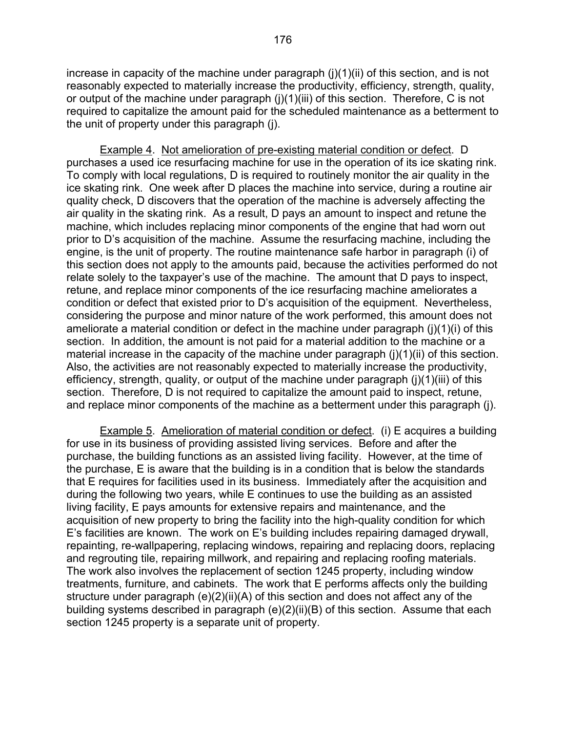increase in capacity of the machine under paragraph  $(i)(1)(ii)$  of this section, and is not reasonably expected to materially increase the productivity, efficiency, strength, quality, or output of the machine under paragraph (j)(1)(iii) of this section. Therefore, C is not required to capitalize the amount paid for the scheduled maintenance as a betterment to the unit of property under this paragraph (j).

 Example 4. Not amelioration of pre-existing material condition or defect. D purchases a used ice resurfacing machine for use in the operation of its ice skating rink. To comply with local regulations, D is required to routinely monitor the air quality in the ice skating rink. One week after D places the machine into service, during a routine air quality check, D discovers that the operation of the machine is adversely affecting the air quality in the skating rink. As a result, D pays an amount to inspect and retune the machine, which includes replacing minor components of the engine that had worn out prior to D's acquisition of the machine. Assume the resurfacing machine, including the engine, is the unit of property. The routine maintenance safe harbor in paragraph (i) of this section does not apply to the amounts paid, because the activities performed do not relate solely to the taxpayer's use of the machine. The amount that D pays to inspect, retune, and replace minor components of the ice resurfacing machine ameliorates a condition or defect that existed prior to D's acquisition of the equipment. Nevertheless, considering the purpose and minor nature of the work performed, this amount does not ameliorate a material condition or defect in the machine under paragraph (j)(1)(i) of this section. In addition, the amount is not paid for a material addition to the machine or a material increase in the capacity of the machine under paragraph (j)(1)(ii) of this section. Also, the activities are not reasonably expected to materially increase the productivity, efficiency, strength, quality, or output of the machine under paragraph (j)(1)(iii) of this section. Therefore, D is not required to capitalize the amount paid to inspect, retune, and replace minor components of the machine as a betterment under this paragraph (j).

 Example 5. Amelioration of material condition or defect. (i) E acquires a building for use in its business of providing assisted living services. Before and after the purchase, the building functions as an assisted living facility. However, at the time of the purchase, E is aware that the building is in a condition that is below the standards that E requires for facilities used in its business. Immediately after the acquisition and during the following two years, while E continues to use the building as an assisted living facility, E pays amounts for extensive repairs and maintenance, and the acquisition of new property to bring the facility into the high-quality condition for which E's facilities are known. The work on E's building includes repairing damaged drywall, repainting, re-wallpapering, replacing windows, repairing and replacing doors, replacing and regrouting tile, repairing millwork, and repairing and replacing roofing materials. The work also involves the replacement of section 1245 property, including window treatments, furniture, and cabinets. The work that E performs affects only the building structure under paragraph (e)(2)(ii)(A) of this section and does not affect any of the building systems described in paragraph (e)(2)(ii)(B) of this section. Assume that each section 1245 property is a separate unit of property.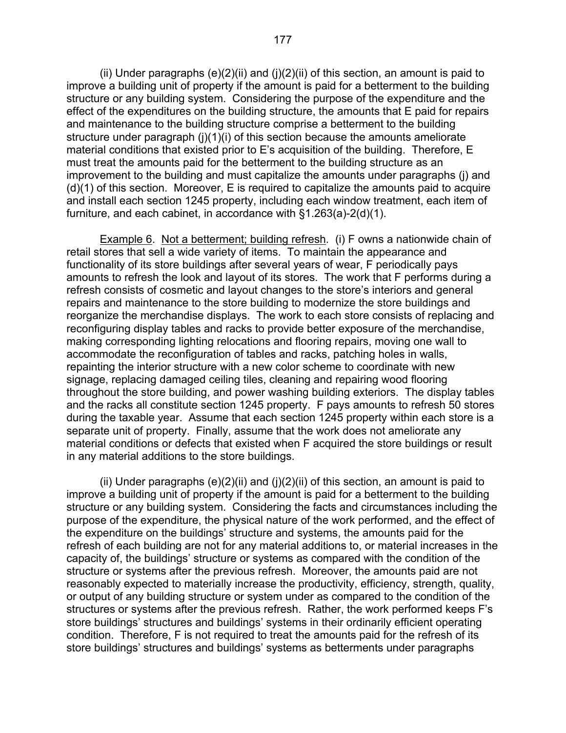(ii) Under paragraphs  $(e)(2)(ii)$  and  $(i)(2)(ii)$  of this section, an amount is paid to improve a building unit of property if the amount is paid for a betterment to the building structure or any building system. Considering the purpose of the expenditure and the effect of the expenditures on the building structure, the amounts that E paid for repairs and maintenance to the building structure comprise a betterment to the building structure under paragraph (j)(1)(i) of this section because the amounts ameliorate material conditions that existed prior to E's acquisition of the building. Therefore, E must treat the amounts paid for the betterment to the building structure as an improvement to the building and must capitalize the amounts under paragraphs (j) and (d)(1) of this section. Moreover, E is required to capitalize the amounts paid to acquire and install each section 1245 property, including each window treatment, each item of furniture, and each cabinet, in accordance with §1.263(a)-2(d)(1).

Example 6. Not a betterment; building refresh. (i) F owns a nationwide chain of retail stores that sell a wide variety of items. To maintain the appearance and functionality of its store buildings after several years of wear, F periodically pays amounts to refresh the look and layout of its stores. The work that F performs during a refresh consists of cosmetic and layout changes to the store's interiors and general repairs and maintenance to the store building to modernize the store buildings and reorganize the merchandise displays. The work to each store consists of replacing and reconfiguring display tables and racks to provide better exposure of the merchandise, making corresponding lighting relocations and flooring repairs, moving one wall to accommodate the reconfiguration of tables and racks, patching holes in walls, repainting the interior structure with a new color scheme to coordinate with new signage, replacing damaged ceiling tiles, cleaning and repairing wood flooring throughout the store building, and power washing building exteriors. The display tables and the racks all constitute section 1245 property. F pays amounts to refresh 50 stores during the taxable year. Assume that each section 1245 property within each store is a separate unit of property. Finally, assume that the work does not ameliorate any material conditions or defects that existed when F acquired the store buildings or result in any material additions to the store buildings.

(ii) Under paragraphs  $(e)(2)(ii)$  and  $(j)(2)(ii)$  of this section, an amount is paid to improve a building unit of property if the amount is paid for a betterment to the building structure or any building system. Considering the facts and circumstances including the purpose of the expenditure, the physical nature of the work performed, and the effect of the expenditure on the buildings' structure and systems, the amounts paid for the refresh of each building are not for any material additions to, or material increases in the capacity of, the buildings' structure or systems as compared with the condition of the structure or systems after the previous refresh. Moreover, the amounts paid are not reasonably expected to materially increase the productivity, efficiency, strength, quality, or output of any building structure or system under as compared to the condition of the structures or systems after the previous refresh. Rather, the work performed keeps F's store buildings' structures and buildings' systems in their ordinarily efficient operating condition. Therefore, F is not required to treat the amounts paid for the refresh of its store buildings' structures and buildings' systems as betterments under paragraphs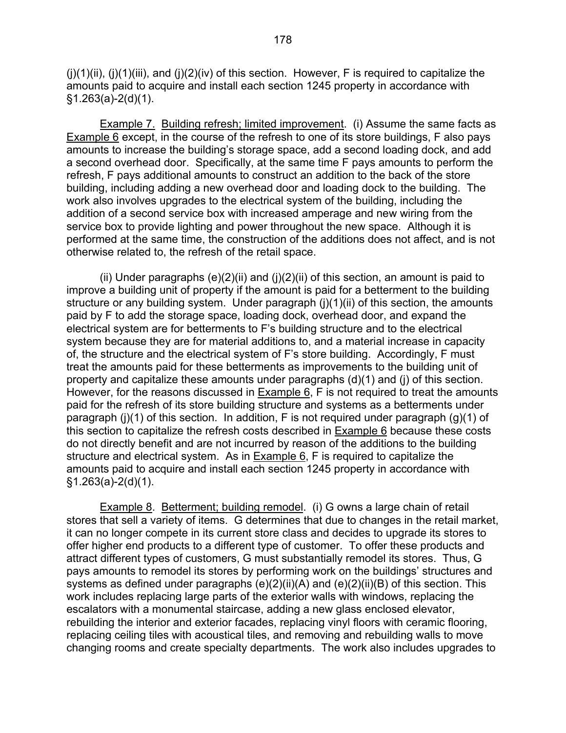$(i)(1)(ii)$ ,  $(i)(1)(iii)$ , and  $(i)(2)(iv)$  of this section. However, F is required to capitalize the amounts paid to acquire and install each section 1245 property in accordance with  $§1.263(a)-2(d)(1).$ 

 Example 7. Building refresh; limited improvement. (i) Assume the same facts as Example 6 except, in the course of the refresh to one of its store buildings, F also pays amounts to increase the building's storage space, add a second loading dock, and add a second overhead door. Specifically, at the same time F pays amounts to perform the refresh, F pays additional amounts to construct an addition to the back of the store building, including adding a new overhead door and loading dock to the building. The work also involves upgrades to the electrical system of the building, including the addition of a second service box with increased amperage and new wiring from the service box to provide lighting and power throughout the new space. Although it is performed at the same time, the construction of the additions does not affect, and is not otherwise related to, the refresh of the retail space.

(ii) Under paragraphs  $(e)(2)(ii)$  and  $(i)(2)(ii)$  of this section, an amount is paid to improve a building unit of property if the amount is paid for a betterment to the building structure or any building system. Under paragraph (j)(1)(ii) of this section, the amounts paid by F to add the storage space, loading dock, overhead door, and expand the electrical system are for betterments to F's building structure and to the electrical system because they are for material additions to, and a material increase in capacity of, the structure and the electrical system of F's store building. Accordingly, F must treat the amounts paid for these betterments as improvements to the building unit of property and capitalize these amounts under paragraphs (d)(1) and (j) of this section. However, for the reasons discussed in Example 6, F is not required to treat the amounts paid for the refresh of its store building structure and systems as a betterments under paragraph (j)(1) of this section. In addition, F is not required under paragraph (g)(1) of this section to capitalize the refresh costs described in Example 6 because these costs do not directly benefit and are not incurred by reason of the additions to the building structure and electrical system. As in Example 6, F is required to capitalize the amounts paid to acquire and install each section 1245 property in accordance with  $§1.263(a)-2(d)(1).$ 

 Example 8. Betterment; building remodel. (i) G owns a large chain of retail stores that sell a variety of items. G determines that due to changes in the retail market, it can no longer compete in its current store class and decides to upgrade its stores to offer higher end products to a different type of customer. To offer these products and attract different types of customers, G must substantially remodel its stores. Thus, G pays amounts to remodel its stores by performing work on the buildings' structures and systems as defined under paragraphs (e)(2)(ii)(A) and (e)(2)(ii)(B) of this section. This work includes replacing large parts of the exterior walls with windows, replacing the escalators with a monumental staircase, adding a new glass enclosed elevator, rebuilding the interior and exterior facades, replacing vinyl floors with ceramic flooring, replacing ceiling tiles with acoustical tiles, and removing and rebuilding walls to move changing rooms and create specialty departments. The work also includes upgrades to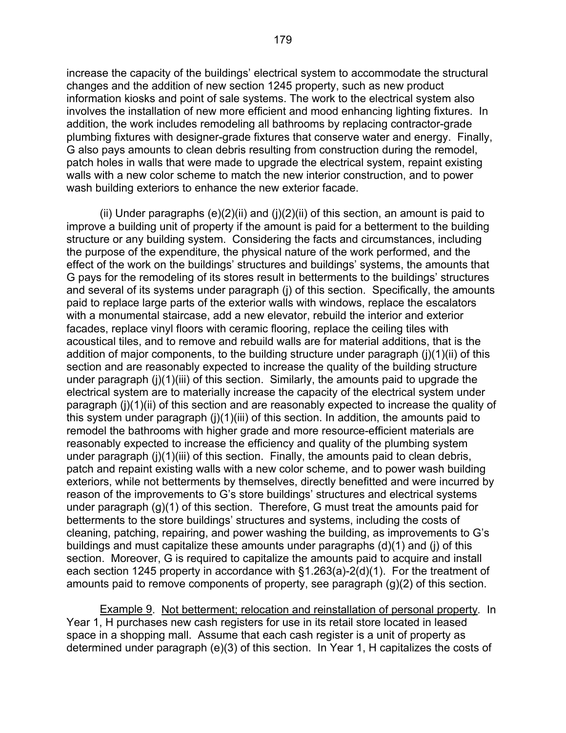increase the capacity of the buildings' electrical system to accommodate the structural changes and the addition of new section 1245 property, such as new product information kiosks and point of sale systems. The work to the electrical system also involves the installation of new more efficient and mood enhancing lighting fixtures. In addition, the work includes remodeling all bathrooms by replacing contractor-grade plumbing fixtures with designer-grade fixtures that conserve water and energy. Finally, G also pays amounts to clean debris resulting from construction during the remodel, patch holes in walls that were made to upgrade the electrical system, repaint existing walls with a new color scheme to match the new interior construction, and to power wash building exteriors to enhance the new exterior facade.

(ii) Under paragraphs  $(e)(2)(ii)$  and  $(i)(2)(ii)$  of this section, an amount is paid to improve a building unit of property if the amount is paid for a betterment to the building structure or any building system. Considering the facts and circumstances, including the purpose of the expenditure, the physical nature of the work performed, and the effect of the work on the buildings' structures and buildings' systems, the amounts that G pays for the remodeling of its stores result in betterments to the buildings' structures and several of its systems under paragraph (j) of this section. Specifically, the amounts paid to replace large parts of the exterior walls with windows, replace the escalators with a monumental staircase, add a new elevator, rebuild the interior and exterior facades, replace vinyl floors with ceramic flooring, replace the ceiling tiles with acoustical tiles, and to remove and rebuild walls are for material additions, that is the addition of major components, to the building structure under paragraph (j)(1)(ii) of this section and are reasonably expected to increase the quality of the building structure under paragraph (j)(1)(iii) of this section. Similarly, the amounts paid to upgrade the electrical system are to materially increase the capacity of the electrical system under paragraph (j)(1)(ii) of this section and are reasonably expected to increase the quality of this system under paragraph (j)(1)(iii) of this section. In addition, the amounts paid to remodel the bathrooms with higher grade and more resource-efficient materials are reasonably expected to increase the efficiency and quality of the plumbing system under paragraph (j)(1)(iii) of this section. Finally, the amounts paid to clean debris, patch and repaint existing walls with a new color scheme, and to power wash building exteriors, while not betterments by themselves, directly benefitted and were incurred by reason of the improvements to G's store buildings' structures and electrical systems under paragraph (g)(1) of this section. Therefore, G must treat the amounts paid for betterments to the store buildings' structures and systems, including the costs of cleaning, patching, repairing, and power washing the building, as improvements to G's buildings and must capitalize these amounts under paragraphs (d)(1) and (j) of this section. Moreover, G is required to capitalize the amounts paid to acquire and install each section 1245 property in accordance with §1.263(a)-2(d)(1). For the treatment of amounts paid to remove components of property, see paragraph (g)(2) of this section.

 Example 9. Not betterment; relocation and reinstallation of personal property*.* In Year 1, H purchases new cash registers for use in its retail store located in leased space in a shopping mall. Assume that each cash register is a unit of property as determined under paragraph (e)(3) of this section. In Year 1, H capitalizes the costs of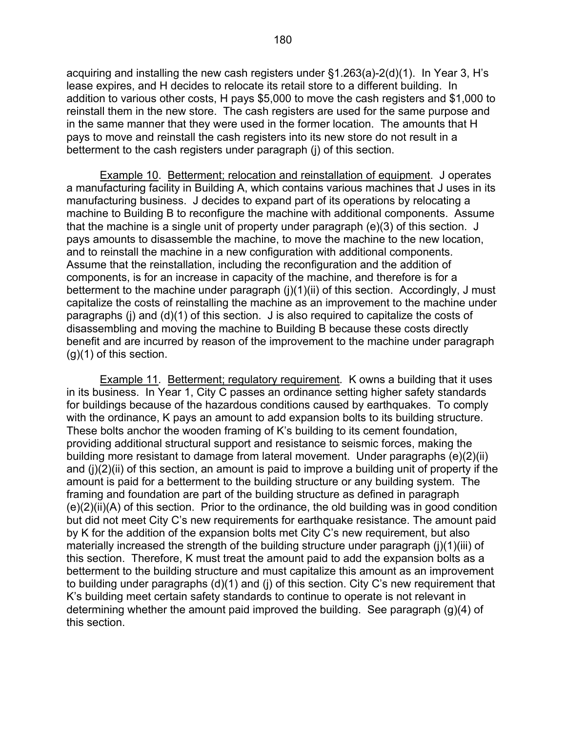acquiring and installing the new cash registers under §1.263(a)-2(d)(1). In Year 3, H's lease expires, and H decides to relocate its retail store to a different building. In addition to various other costs, H pays \$5,000 to move the cash registers and \$1,000 to reinstall them in the new store. The cash registers are used for the same purpose and in the same manner that they were used in the former location. The amounts that H pays to move and reinstall the cash registers into its new store do not result in a betterment to the cash registers under paragraph (j) of this section.

 Example 10. Betterment; relocation and reinstallation of equipment. J operates a manufacturing facility in Building A, which contains various machines that J uses in its manufacturing business. J decides to expand part of its operations by relocating a machine to Building B to reconfigure the machine with additional components. Assume that the machine is a single unit of property under paragraph (e)(3) of this section. J pays amounts to disassemble the machine, to move the machine to the new location, and to reinstall the machine in a new configuration with additional components. Assume that the reinstallation, including the reconfiguration and the addition of components, is for an increase in capacity of the machine, and therefore is for a betterment to the machine under paragraph (j)(1)(ii) of this section. Accordingly, J must capitalize the costs of reinstalling the machine as an improvement to the machine under paragraphs (j) and (d)(1) of this section. J is also required to capitalize the costs of disassembling and moving the machine to Building B because these costs directly benefit and are incurred by reason of the improvement to the machine under paragraph (g)(1) of this section.

 Example 11*.* Betterment; regulatory requirement*.* K owns a building that it uses in its business. In Year 1, City C passes an ordinance setting higher safety standards for buildings because of the hazardous conditions caused by earthquakes. To comply with the ordinance, K pays an amount to add expansion bolts to its building structure. These bolts anchor the wooden framing of K's building to its cement foundation, providing additional structural support and resistance to seismic forces, making the building more resistant to damage from lateral movement. Under paragraphs (e)(2)(ii) and (j)(2)(ii) of this section, an amount is paid to improve a building unit of property if the amount is paid for a betterment to the building structure or any building system. The framing and foundation are part of the building structure as defined in paragraph (e)(2)(ii)(A) of this section. Prior to the ordinance, the old building was in good condition but did not meet City C's new requirements for earthquake resistance. The amount paid by K for the addition of the expansion bolts met City C's new requirement, but also materially increased the strength of the building structure under paragraph (j)(1)(iii) of this section. Therefore, K must treat the amount paid to add the expansion bolts as a betterment to the building structure and must capitalize this amount as an improvement to building under paragraphs (d)(1) and (j) of this section. City C's new requirement that K's building meet certain safety standards to continue to operate is not relevant in determining whether the amount paid improved the building. See paragraph (g)(4) of this section.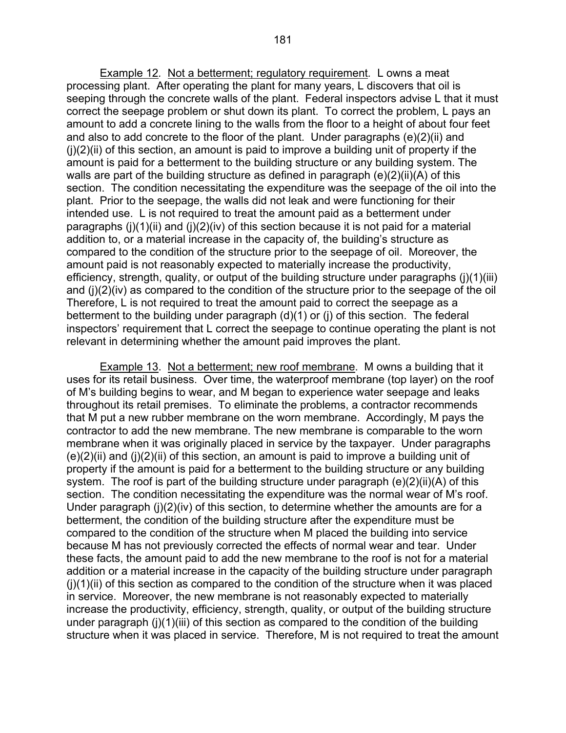Example 12*.* Not a betterment; regulatory requirement*.* L owns a meat processing plant. After operating the plant for many years, L discovers that oil is seeping through the concrete walls of the plant. Federal inspectors advise L that it must correct the seepage problem or shut down its plant. To correct the problem, L pays an amount to add a concrete lining to the walls from the floor to a height of about four feet and also to add concrete to the floor of the plant. Under paragraphs (e)(2)(ii) and  $(i)(2)(ii)$  of this section, an amount is paid to improve a building unit of property if the amount is paid for a betterment to the building structure or any building system. The walls are part of the building structure as defined in paragraph (e)(2)(ii)(A) of this section. The condition necessitating the expenditure was the seepage of the oil into the plant. Prior to the seepage, the walls did not leak and were functioning for their intended use. L is not required to treat the amount paid as a betterment under paragraphs  $(i)(1)(ii)$  and  $(i)(2)(iv)$  of this section because it is not paid for a material addition to, or a material increase in the capacity of, the building's structure as compared to the condition of the structure prior to the seepage of oil. Moreover, the amount paid is not reasonably expected to materially increase the productivity, efficiency, strength, quality, or output of the building structure under paragraphs (j)(1)(iii) and (j)(2)(iv) as compared to the condition of the structure prior to the seepage of the oil Therefore, L is not required to treat the amount paid to correct the seepage as a betterment to the building under paragraph (d)(1) or (j) of this section. The federal inspectors' requirement that L correct the seepage to continue operating the plant is not relevant in determining whether the amount paid improves the plant.

Example 13. Not a betterment; new roof membrane. M owns a building that it uses for its retail business. Over time, the waterproof membrane (top layer) on the roof of M's building begins to wear, and M began to experience water seepage and leaks throughout its retail premises. To eliminate the problems, a contractor recommends that M put a new rubber membrane on the worn membrane. Accordingly, M pays the contractor to add the new membrane. The new membrane is comparable to the worn membrane when it was originally placed in service by the taxpayer. Under paragraphs  $(e)(2)(ii)$  and  $(i)(2)(ii)$  of this section, an amount is paid to improve a building unit of property if the amount is paid for a betterment to the building structure or any building system. The roof is part of the building structure under paragraph (e)(2)(ii)(A) of this section. The condition necessitating the expenditure was the normal wear of M's roof. Under paragraph (j)(2)(iv) of this section, to determine whether the amounts are for a betterment, the condition of the building structure after the expenditure must be compared to the condition of the structure when M placed the building into service because M has not previously corrected the effects of normal wear and tear. Under these facts, the amount paid to add the new membrane to the roof is not for a material addition or a material increase in the capacity of the building structure under paragraph  $(i)(1)(ii)$  of this section as compared to the condition of the structure when it was placed in service. Moreover, the new membrane is not reasonably expected to materially increase the productivity, efficiency, strength, quality, or output of the building structure under paragraph (j)(1)(iii) of this section as compared to the condition of the building structure when it was placed in service. Therefore, M is not required to treat the amount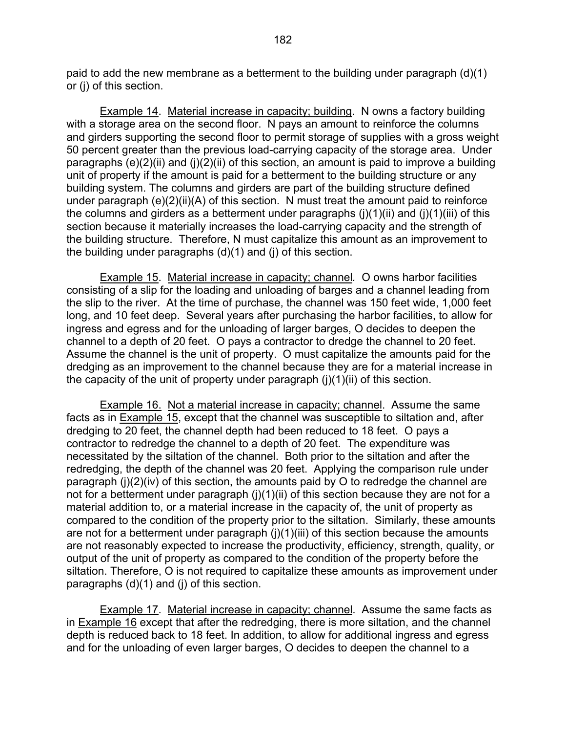paid to add the new membrane as a betterment to the building under paragraph (d)(1) or (j) of this section.

 Example 14. Material increase in capacity; building. N owns a factory building with a storage area on the second floor. N pays an amount to reinforce the columns and girders supporting the second floor to permit storage of supplies with a gross weight 50 percent greater than the previous load-carrying capacity of the storage area. Under paragraphs  $(e)(2)(ii)$  and  $(i)(2)(ii)$  of this section, an amount is paid to improve a building unit of property if the amount is paid for a betterment to the building structure or any building system. The columns and girders are part of the building structure defined under paragraph (e)(2)(ii)(A) of this section. N must treat the amount paid to reinforce the columns and girders as a betterment under paragraphs  $(i)(1)(ii)$  and  $(i)(1)(iii)$  of this section because it materially increases the load-carrying capacity and the strength of the building structure. Therefore, N must capitalize this amount as an improvement to the building under paragraphs (d)(1) and (j) of this section.

 Example 15. Material increase in capacity; channel*.* O owns harbor facilities consisting of a slip for the loading and unloading of barges and a channel leading from the slip to the river. At the time of purchase, the channel was 150 feet wide, 1,000 feet long, and 10 feet deep. Several years after purchasing the harbor facilities, to allow for ingress and egress and for the unloading of larger barges, O decides to deepen the channel to a depth of 20 feet. O pays a contractor to dredge the channel to 20 feet. Assume the channel is the unit of property. O must capitalize the amounts paid for the dredging as an improvement to the channel because they are for a material increase in the capacity of the unit of property under paragraph  $(i)(1)(ii)$  of this section.

 Example 16. Not a material increase in capacity; channel. Assume the same facts as in Example 15, except that the channel was susceptible to siltation and, after dredging to 20 feet, the channel depth had been reduced to 18 feet. O pays a contractor to redredge the channel to a depth of 20 feet. The expenditure was necessitated by the siltation of the channel. Both prior to the siltation and after the redredging, the depth of the channel was 20 feet. Applying the comparison rule under paragraph (j)(2)(iv) of this section, the amounts paid by O to redredge the channel are not for a betterment under paragraph (i)(1)(ii) of this section because they are not for a material addition to, or a material increase in the capacity of, the unit of property as compared to the condition of the property prior to the siltation. Similarly, these amounts are not for a betterment under paragraph (j)(1)(iii) of this section because the amounts are not reasonably expected to increase the productivity, efficiency, strength, quality, or output of the unit of property as compared to the condition of the property before the siltation. Therefore, O is not required to capitalize these amounts as improvement under paragraphs (d)(1) and (j) of this section.

 Example 17. Material increase in capacity; channel. Assume the same facts as in Example 16 except that after the redredging, there is more siltation, and the channel depth is reduced back to 18 feet. In addition, to allow for additional ingress and egress and for the unloading of even larger barges, O decides to deepen the channel to a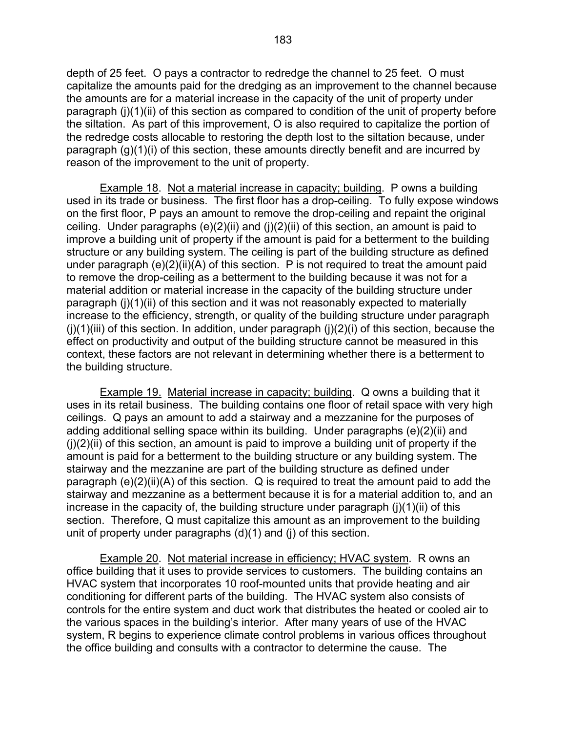depth of 25 feet. O pays a contractor to redredge the channel to 25 feet. O must capitalize the amounts paid for the dredging as an improvement to the channel because the amounts are for a material increase in the capacity of the unit of property under paragraph (j)(1)(ii) of this section as compared to condition of the unit of property before the siltation. As part of this improvement, O is also required to capitalize the portion of the redredge costs allocable to restoring the depth lost to the siltation because, under paragraph (g)(1)(i) of this section, these amounts directly benefit and are incurred by reason of the improvement to the unit of property.

 Example 18. Not a material increase in capacity; building. P owns a building used in its trade or business. The first floor has a drop-ceiling. To fully expose windows on the first floor, P pays an amount to remove the drop-ceiling and repaint the original ceiling. Under paragraphs (e)(2)(ii) and (j)(2)(ii) of this section, an amount is paid to improve a building unit of property if the amount is paid for a betterment to the building structure or any building system. The ceiling is part of the building structure as defined under paragraph (e)(2)(ii)(A) of this section. P is not required to treat the amount paid to remove the drop-ceiling as a betterment to the building because it was not for a material addition or material increase in the capacity of the building structure under paragraph (j)(1)(ii) of this section and it was not reasonably expected to materially increase to the efficiency, strength, or quality of the building structure under paragraph  $(i)(1)(iii)$  of this section. In addition, under paragraph  $(i)(2)(i)$  of this section, because the effect on productivity and output of the building structure cannot be measured in this context, these factors are not relevant in determining whether there is a betterment to the building structure.

 Example 19. Material increase in capacity; building. Q owns a building that it uses in its retail business. The building contains one floor of retail space with very high ceilings. Q pays an amount to add a stairway and a mezzanine for the purposes of adding additional selling space within its building. Under paragraphs (e)(2)(ii) and  $(i)(2)(ii)$  of this section, an amount is paid to improve a building unit of property if the amount is paid for a betterment to the building structure or any building system. The stairway and the mezzanine are part of the building structure as defined under paragraph (e)(2)(ii)(A) of this section. Q is required to treat the amount paid to add the stairway and mezzanine as a betterment because it is for a material addition to, and an increase in the capacity of, the building structure under paragraph  $(i)(1)(ii)$  of this section. Therefore, Q must capitalize this amount as an improvement to the building unit of property under paragraphs (d)(1) and (j) of this section.

 Example 20. Not material increase in efficiency; HVAC system. R owns an office building that it uses to provide services to customers. The building contains an HVAC system that incorporates 10 roof-mounted units that provide heating and air conditioning for different parts of the building. The HVAC system also consists of controls for the entire system and duct work that distributes the heated or cooled air to the various spaces in the building's interior. After many years of use of the HVAC system, R begins to experience climate control problems in various offices throughout the office building and consults with a contractor to determine the cause. The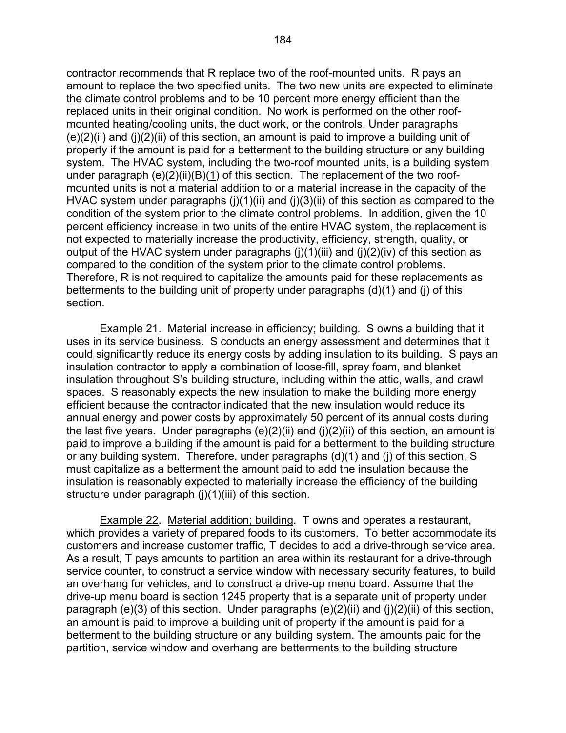contractor recommends that R replace two of the roof-mounted units. R pays an amount to replace the two specified units. The two new units are expected to eliminate the climate control problems and to be 10 percent more energy efficient than the replaced units in their original condition. No work is performed on the other roofmounted heating/cooling units, the duct work, or the controls. Under paragraphs  $(e)(2)(ii)$  and  $(i)(2)(ii)$  of this section, an amount is paid to improve a building unit of property if the amount is paid for a betterment to the building structure or any building system. The HVAC system, including the two-roof mounted units, is a building system under paragraph  $(e)(2)(ii)(B)(1)$  of this section. The replacement of the two roofmounted units is not a material addition to or a material increase in the capacity of the HVAC system under paragraphs  $(i)(1)(ii)$  and  $(i)(3)(ii)$  of this section as compared to the condition of the system prior to the climate control problems. In addition, given the 10 percent efficiency increase in two units of the entire HVAC system, the replacement is not expected to materially increase the productivity, efficiency, strength, quality, or output of the HVAC system under paragraphs  $(i)(1)(iii)$  and  $(i)(2)(iv)$  of this section as compared to the condition of the system prior to the climate control problems. Therefore, R is not required to capitalize the amounts paid for these replacements as betterments to the building unit of property under paragraphs (d)(1) and (j) of this section.

 Example 21. Material increase in efficiency; building. S owns a building that it uses in its service business. S conducts an energy assessment and determines that it could significantly reduce its energy costs by adding insulation to its building. S pays an insulation contractor to apply a combination of loose-fill, spray foam, and blanket insulation throughout S's building structure, including within the attic, walls, and crawl spaces. S reasonably expects the new insulation to make the building more energy efficient because the contractor indicated that the new insulation would reduce its annual energy and power costs by approximately 50 percent of its annual costs during the last five years. Under paragraphs  $(e)(2)(ii)$  and  $(j)(2)(ii)$  of this section, an amount is paid to improve a building if the amount is paid for a betterment to the building structure or any building system. Therefore, under paragraphs (d)(1) and (j) of this section, S must capitalize as a betterment the amount paid to add the insulation because the insulation is reasonably expected to materially increase the efficiency of the building structure under paragraph (j)(1)(iii) of this section.

 Example 22. Material addition; building. T owns and operates a restaurant, which provides a variety of prepared foods to its customers. To better accommodate its customers and increase customer traffic, T decides to add a drive-through service area. As a result, T pays amounts to partition an area within its restaurant for a drive-through service counter, to construct a service window with necessary security features, to build an overhang for vehicles, and to construct a drive-up menu board. Assume that the drive-up menu board is section 1245 property that is a separate unit of property under paragraph (e)(3) of this section. Under paragraphs  $(e)(2)(ii)$  and  $(i)(2)(ii)$  of this section, an amount is paid to improve a building unit of property if the amount is paid for a betterment to the building structure or any building system. The amounts paid for the partition, service window and overhang are betterments to the building structure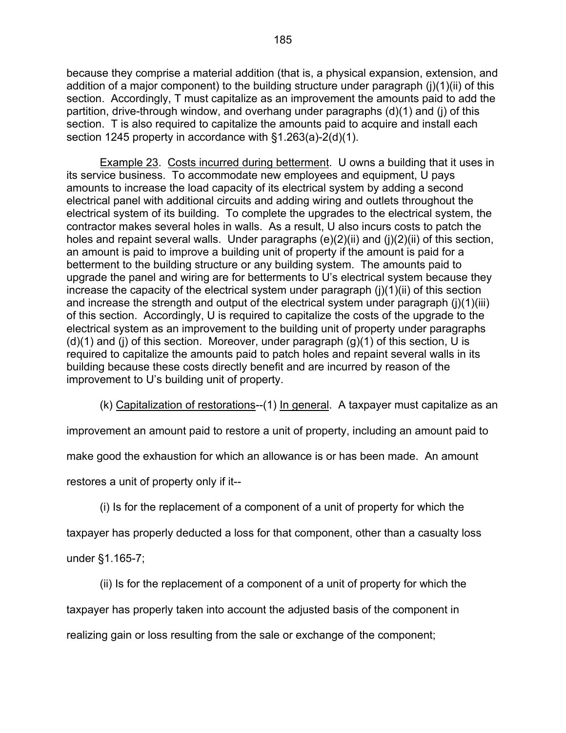because they comprise a material addition (that is, a physical expansion, extension, and addition of a major component) to the building structure under paragraph (j)(1)(ii) of this section. Accordingly, T must capitalize as an improvement the amounts paid to add the partition, drive-through window, and overhang under paragraphs (d)(1) and (j) of this section. T is also required to capitalize the amounts paid to acquire and install each section 1245 property in accordance with §1.263(a)-2(d)(1).

 Example 23. Costs incurred during betterment. U owns a building that it uses in its service business. To accommodate new employees and equipment, U pays amounts to increase the load capacity of its electrical system by adding a second electrical panel with additional circuits and adding wiring and outlets throughout the electrical system of its building. To complete the upgrades to the electrical system, the contractor makes several holes in walls. As a result, U also incurs costs to patch the holes and repaint several walls. Under paragraphs (e)(2)(ii) and (j)(2)(ii) of this section, an amount is paid to improve a building unit of property if the amount is paid for a betterment to the building structure or any building system. The amounts paid to upgrade the panel and wiring are for betterments to U's electrical system because they increase the capacity of the electrical system under paragraph  $(i)(1)(ii)$  of this section and increase the strength and output of the electrical system under paragraph (j)(1)(iii) of this section. Accordingly, U is required to capitalize the costs of the upgrade to the electrical system as an improvement to the building unit of property under paragraphs  $(d)(1)$  and (i) of this section. Moreover, under paragraph  $(q)(1)$  of this section, U is required to capitalize the amounts paid to patch holes and repaint several walls in its building because these costs directly benefit and are incurred by reason of the improvement to U's building unit of property.

(k) Capitalization of restorations--(1) In general. A taxpayer must capitalize as an

improvement an amount paid to restore a unit of property, including an amount paid to

make good the exhaustion for which an allowance is or has been made. An amount

restores a unit of property only if it--

(i) Is for the replacement of a component of a unit of property for which the

taxpayer has properly deducted a loss for that component, other than a casualty loss

under §1.165-7;

(ii) Is for the replacement of a component of a unit of property for which the

taxpayer has properly taken into account the adjusted basis of the component in

realizing gain or loss resulting from the sale or exchange of the component;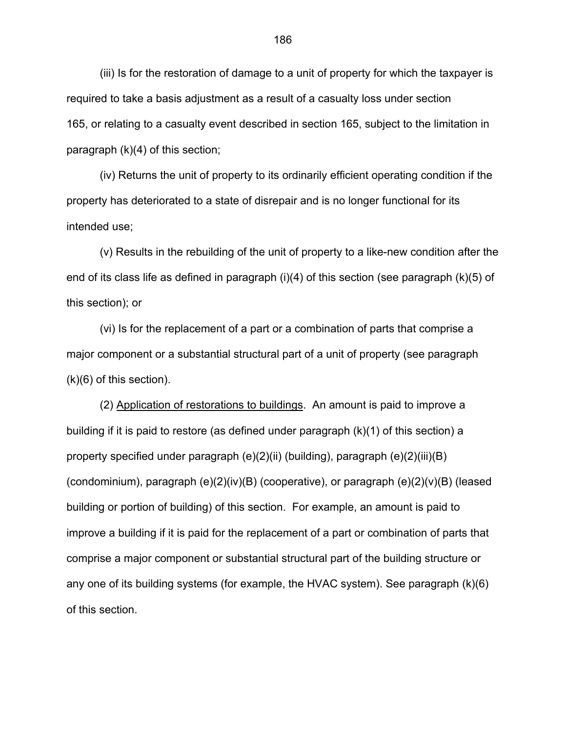(iii) Is for the restoration of damage to a unit of property for which the taxpayer is required to take a basis adjustment as a result of a casualty loss under section 165, or relating to a casualty event described in section 165, subject to the limitation in paragraph (k)(4) of this section;

 (iv) Returns the unit of property to its ordinarily efficient operating condition if the property has deteriorated to a state of disrepair and is no longer functional for its intended use;

(v) Results in the rebuilding of the unit of property to a like-new condition after the end of its class life as defined in paragraph (i)(4) of this section (see paragraph (k)(5) of this section); or

 (vi) Is for the replacement of a part or a combination of parts that comprise a major component or a substantial structural part of a unit of property (see paragraph (k)(6) of this section).

 (2) Application of restorations to buildings. An amount is paid to improve a building if it is paid to restore (as defined under paragraph (k)(1) of this section) a property specified under paragraph (e)(2)(ii) (building), paragraph (e)(2)(iii)(B) (condominium), paragraph (e)(2)(iv)(B) (cooperative), or paragraph (e)(2)(v)(B) (leased building or portion of building) of this section. For example, an amount is paid to improve a building if it is paid for the replacement of a part or combination of parts that comprise a major component or substantial structural part of the building structure or any one of its building systems (for example, the HVAC system). See paragraph (k)(6) of this section.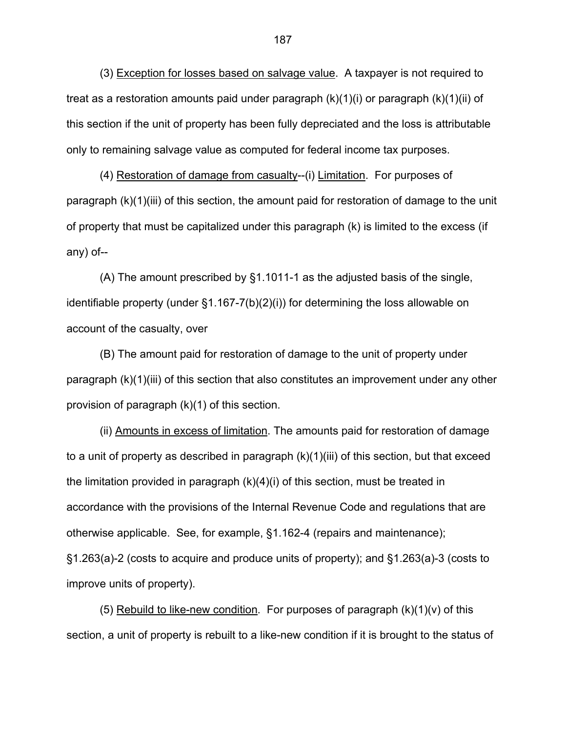(3) Exception for losses based on salvage value. A taxpayer is not required to treat as a restoration amounts paid under paragraph (k)(1)(i) or paragraph (k)(1)(ii) of this section if the unit of property has been fully depreciated and the loss is attributable only to remaining salvage value as computed for federal income tax purposes.

 (4) Restoration of damage from casualty--(i) Limitation. For purposes of paragraph (k)(1)(iii) of this section, the amount paid for restoration of damage to the unit of property that must be capitalized under this paragraph (k) is limited to the excess (if any) of--

 (A) The amount prescribed by §1.1011-1 as the adjusted basis of the single, identifiable property (under §1.167-7(b)(2)(i)) for determining the loss allowable on account of the casualty, over

(B) The amount paid for restoration of damage to the unit of property under paragraph (k)(1)(iii) of this section that also constitutes an improvement under any other provision of paragraph (k)(1) of this section.

(ii) Amounts in excess of limitation. The amounts paid for restoration of damage to a unit of property as described in paragraph (k)(1)(iii) of this section, but that exceed the limitation provided in paragraph  $(k)(4)(i)$  of this section, must be treated in accordance with the provisions of the Internal Revenue Code and regulations that are otherwise applicable. See, for example, §1.162-4 (repairs and maintenance); §1.263(a)-2 (costs to acquire and produce units of property); and §1.263(a)-3 (costs to improve units of property).

(5) Rebuild to like-new condition. For purposes of paragraph  $(k)(1)(v)$  of this section, a unit of property is rebuilt to a like-new condition if it is brought to the status of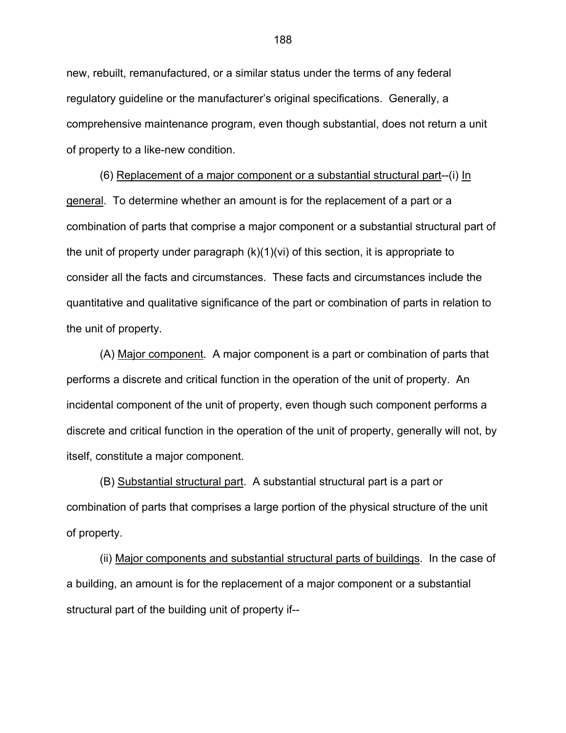new, rebuilt, remanufactured, or a similar status under the terms of any federal regulatory guideline or the manufacturer's original specifications. Generally, a comprehensive maintenance program, even though substantial, does not return a unit of property to a like-new condition.

(6) Replacement of a major component or a substantial structural part--(i) In general. To determine whether an amount is for the replacement of a part or a combination of parts that comprise a major component or a substantial structural part of the unit of property under paragraph (k)(1)(vi) of this section, it is appropriate to consider all the facts and circumstances. These facts and circumstances include the quantitative and qualitative significance of the part or combination of parts in relation to the unit of property.

(A) Major component. A major component is a part or combination of parts that performs a discrete and critical function in the operation of the unit of property. An incidental component of the unit of property, even though such component performs a discrete and critical function in the operation of the unit of property, generally will not, by itself, constitute a major component.

(B) Substantial structural part. A substantial structural part is a part or combination of parts that comprises a large portion of the physical structure of the unit of property.

(ii) Major components and substantial structural parts of buildings. In the case of a building, an amount is for the replacement of a major component or a substantial structural part of the building unit of property if--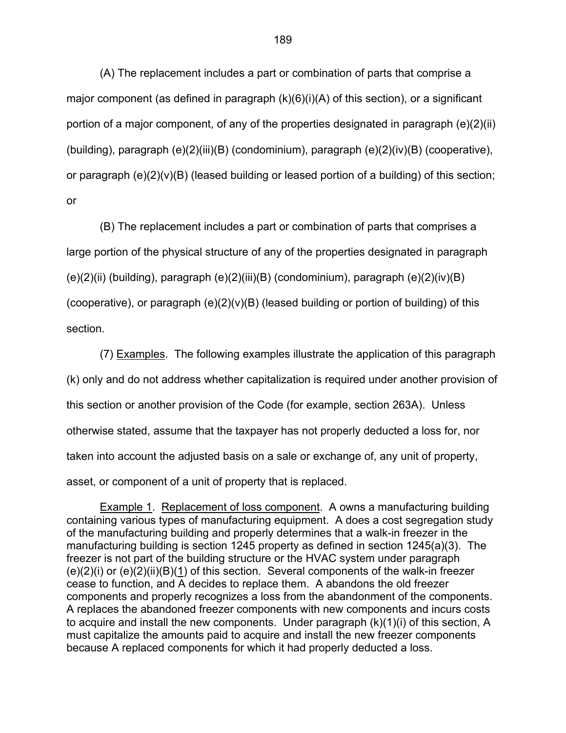(A) The replacement includes a part or combination of parts that comprise a major component (as defined in paragraph (k)(6)(i)(A) of this section), or a significant portion of a major component, of any of the properties designated in paragraph (e)(2)(ii) (building), paragraph (e)(2)(iii)(B) (condominium), paragraph (e)(2)(iv)(B) (cooperative), or paragraph  $(e)(2)(v)(B)$  (leased building or leased portion of a building) of this section; or

(B) The replacement includes a part or combination of parts that comprises a large portion of the physical structure of any of the properties designated in paragraph (e)(2)(ii) (building), paragraph (e)(2)(iii)(B) (condominium), paragraph (e)(2)(iv)(B) (cooperative), or paragraph  $(e)(2)(v)(B)$  (leased building or portion of building) of this section.

(7) Examples. The following examples illustrate the application of this paragraph (k) only and do not address whether capitalization is required under another provision of this section or another provision of the Code (for example, section 263A). Unless otherwise stated, assume that the taxpayer has not properly deducted a loss for, nor taken into account the adjusted basis on a sale or exchange of, any unit of property, asset, or component of a unit of property that is replaced.

Example 1. Replacement of loss component. A owns a manufacturing building containing various types of manufacturing equipment. A does a cost segregation study of the manufacturing building and properly determines that a walk-in freezer in the manufacturing building is section 1245 property as defined in section 1245(a)(3). The freezer is not part of the building structure or the HVAC system under paragraph  $(e)(2)(i)$  or  $(e)(2)(ii)(B)(1)$  of this section. Several components of the walk-in freezer cease to function, and A decides to replace them. A abandons the old freezer components and properly recognizes a loss from the abandonment of the components. A replaces the abandoned freezer components with new components and incurs costs to acquire and install the new components. Under paragraph (k)(1)(i) of this section, A must capitalize the amounts paid to acquire and install the new freezer components because A replaced components for which it had properly deducted a loss.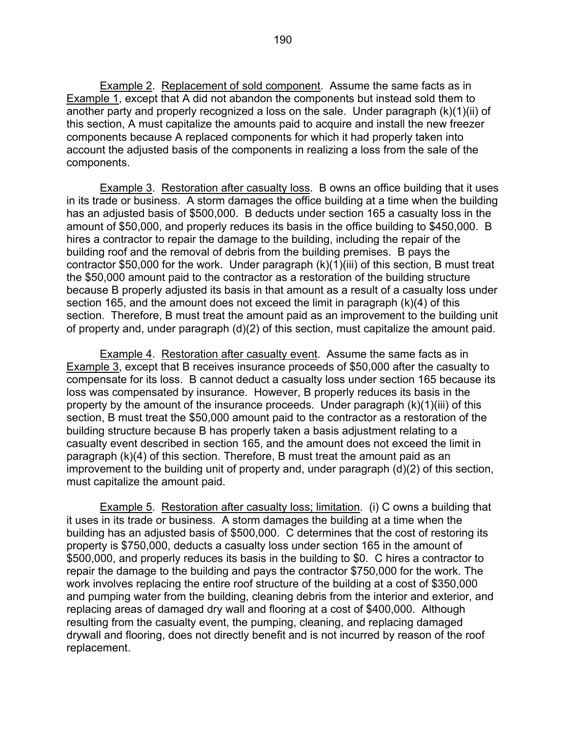**Example 2. Replacement of sold component.** Assume the same facts as in Example 1, except that A did not abandon the components but instead sold them to another party and properly recognized a loss on the sale. Under paragraph (k)(1)(ii) of this section, A must capitalize the amounts paid to acquire and install the new freezer components because A replaced components for which it had properly taken into account the adjusted basis of the components in realizing a loss from the sale of the components.

Example 3. Restoration after casualty loss. B owns an office building that it uses in its trade or business. A storm damages the office building at a time when the building has an adjusted basis of \$500,000. B deducts under section 165 a casualty loss in the amount of \$50,000, and properly reduces its basis in the office building to \$450,000. B hires a contractor to repair the damage to the building, including the repair of the building roof and the removal of debris from the building premises. B pays the contractor \$50,000 for the work. Under paragraph (k)(1)(iii) of this section, B must treat the \$50,000 amount paid to the contractor as a restoration of the building structure because B properly adjusted its basis in that amount as a result of a casualty loss under section 165, and the amount does not exceed the limit in paragraph (k)(4) of this section. Therefore, B must treat the amount paid as an improvement to the building unit of property and, under paragraph (d)(2) of this section, must capitalize the amount paid.

Example 4. Restoration after casualty event. Assume the same facts as in Example 3, except that B receives insurance proceeds of \$50,000 after the casualty to compensate for its loss. B cannot deduct a casualty loss under section 165 because its loss was compensated by insurance. However, B properly reduces its basis in the property by the amount of the insurance proceeds. Under paragraph (k)(1)(iii) of this section, B must treat the \$50,000 amount paid to the contractor as a restoration of the building structure because B has properly taken a basis adjustment relating to a casualty event described in section 165, and the amount does not exceed the limit in paragraph (k)(4) of this section. Therefore, B must treat the amount paid as an improvement to the building unit of property and, under paragraph (d)(2) of this section, must capitalize the amount paid.

Example 5. Restoration after casualty loss; limitation. (i) C owns a building that it uses in its trade or business. A storm damages the building at a time when the building has an adjusted basis of \$500,000. C determines that the cost of restoring its property is \$750,000, deducts a casualty loss under section 165 in the amount of \$500,000, and properly reduces its basis in the building to \$0. C hires a contractor to repair the damage to the building and pays the contractor \$750,000 for the work. The work involves replacing the entire roof structure of the building at a cost of \$350,000 and pumping water from the building, cleaning debris from the interior and exterior, and replacing areas of damaged dry wall and flooring at a cost of \$400,000. Although resulting from the casualty event, the pumping, cleaning, and replacing damaged drywall and flooring, does not directly benefit and is not incurred by reason of the roof replacement.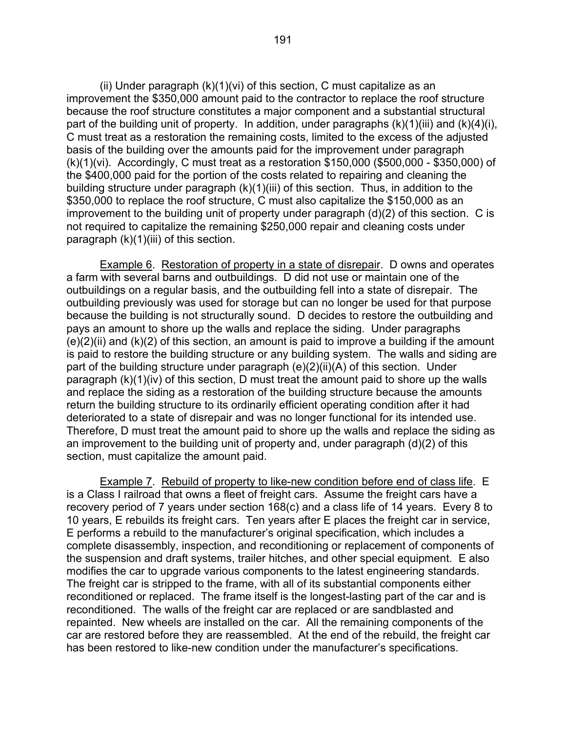(ii) Under paragraph (k)(1)(vi) of this section, C must capitalize as an improvement the \$350,000 amount paid to the contractor to replace the roof structure because the roof structure constitutes a major component and a substantial structural part of the building unit of property. In addition, under paragraphs  $(k)(1)(iii)$  and  $(k)(4)(i)$ , C must treat as a restoration the remaining costs, limited to the excess of the adjusted basis of the building over the amounts paid for the improvement under paragraph (k)(1)(vi). Accordingly, C must treat as a restoration \$150,000 (\$500,000 - \$350,000) of the \$400,000 paid for the portion of the costs related to repairing and cleaning the building structure under paragraph (k)(1)(iii) of this section. Thus, in addition to the \$350,000 to replace the roof structure, C must also capitalize the \$150,000 as an improvement to the building unit of property under paragraph (d)(2) of this section. C is not required to capitalize the remaining \$250,000 repair and cleaning costs under paragraph (k)(1)(iii) of this section.

Example 6. Restoration of property in a state of disrepair. D owns and operates a farm with several barns and outbuildings. D did not use or maintain one of the outbuildings on a regular basis, and the outbuilding fell into a state of disrepair. The outbuilding previously was used for storage but can no longer be used for that purpose because the building is not structurally sound. D decides to restore the outbuilding and pays an amount to shore up the walls and replace the siding. Under paragraphs  $(e)(2)(ii)$  and  $(k)(2)$  of this section, an amount is paid to improve a building if the amount is paid to restore the building structure or any building system. The walls and siding are part of the building structure under paragraph (e)(2)(ii)(A) of this section. Under paragraph (k)(1)(iv) of this section, D must treat the amount paid to shore up the walls and replace the siding as a restoration of the building structure because the amounts return the building structure to its ordinarily efficient operating condition after it had deteriorated to a state of disrepair and was no longer functional for its intended use. Therefore, D must treat the amount paid to shore up the walls and replace the siding as an improvement to the building unit of property and, under paragraph (d)(2) of this section, must capitalize the amount paid.

Example 7. Rebuild of property to like-new condition before end of class life. E is a Class I railroad that owns a fleet of freight cars. Assume the freight cars have a recovery period of 7 years under section 168(c) and a class life of 14 years. Every 8 to 10 years, E rebuilds its freight cars. Ten years after E places the freight car in service, E performs a rebuild to the manufacturer's original specification, which includes a complete disassembly, inspection, and reconditioning or replacement of components of the suspension and draft systems, trailer hitches, and other special equipment. E also modifies the car to upgrade various components to the latest engineering standards. The freight car is stripped to the frame, with all of its substantial components either reconditioned or replaced. The frame itself is the longest-lasting part of the car and is reconditioned. The walls of the freight car are replaced or are sandblasted and repainted. New wheels are installed on the car. All the remaining components of the car are restored before they are reassembled. At the end of the rebuild, the freight car has been restored to like-new condition under the manufacturer's specifications.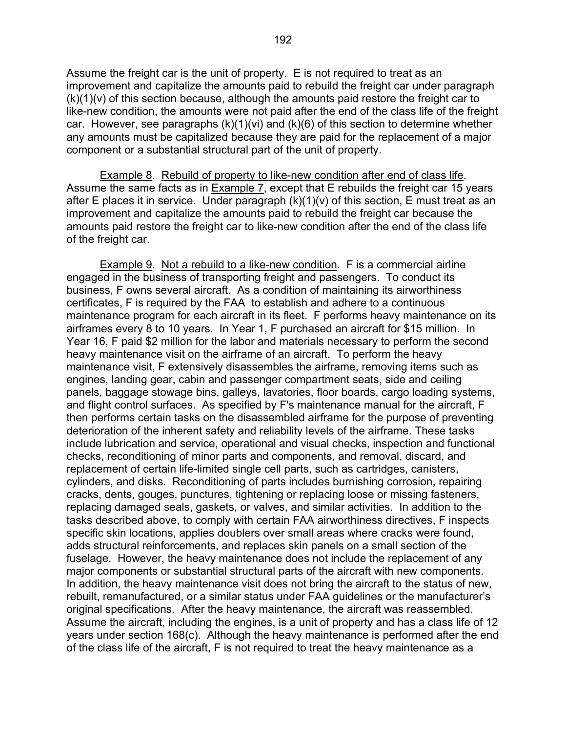Assume the freight car is the unit of property. E is not required to treat as an improvement and capitalize the amounts paid to rebuild the freight car under paragraph  $(k)(1)(v)$  of this section because, although the amounts paid restore the freight car to like-new condition, the amounts were not paid after the end of the class life of the freight car. However, see paragraphs (k)(1)(vi) and (k)(6) of this section to determine whether any amounts must be capitalized because they are paid for the replacement of a major component or a substantial structural part of the unit of property.

Example 8. Rebuild of property to like-new condition after end of class life. Assume the same facts as in Example 7, except that E rebuilds the freight car 15 years after E places it in service. Under paragraph  $(k)(1)(v)$  of this section, E must treat as an improvement and capitalize the amounts paid to rebuild the freight car because the amounts paid restore the freight car to like-new condition after the end of the class life of the freight car.

Example 9. Not a rebuild to a like-new condition. F is a commercial airline engaged in the business of transporting freight and passengers. To conduct its business, F owns several aircraft. As a condition of maintaining its airworthiness certificates, F is required by the FAA to establish and adhere to a continuous maintenance program for each aircraft in its fleet. F performs heavy maintenance on its airframes every 8 to 10 years. In Year 1, F purchased an aircraft for \$15 million. In Year 16, F paid \$2 million for the labor and materials necessary to perform the second heavy maintenance visit on the airframe of an aircraft. To perform the heavy maintenance visit, F extensively disassembles the airframe, removing items such as engines, landing gear, cabin and passenger compartment seats, side and ceiling panels, baggage stowage bins, galleys, lavatories, floor boards, cargo loading systems, and flight control surfaces. As specified by F's maintenance manual for the aircraft, F then performs certain tasks on the disassembled airframe for the purpose of preventing deterioration of the inherent safety and reliability levels of the airframe. These tasks include lubrication and service, operational and visual checks, inspection and functional checks, reconditioning of minor parts and components, and removal, discard, and replacement of certain life-limited single cell parts, such as cartridges, canisters, cylinders, and disks. Reconditioning of parts includes burnishing corrosion, repairing cracks, dents, gouges, punctures, tightening or replacing loose or missing fasteners, replacing damaged seals, gaskets, or valves, and similar activities. In addition to the tasks described above, to comply with certain FAA airworthiness directives, F inspects specific skin locations, applies doublers over small areas where cracks were found, adds structural reinforcements, and replaces skin panels on a small section of the fuselage. However, the heavy maintenance does not include the replacement of any major components or substantial structural parts of the aircraft with new components. In addition, the heavy maintenance visit does not bring the aircraft to the status of new, rebuilt, remanufactured, or a similar status under FAA guidelines or the manufacturer's original specifications. After the heavy maintenance, the aircraft was reassembled. Assume the aircraft, including the engines, is a unit of property and has a class life of 12 years under section 168(c). Although the heavy maintenance is performed after the end of the class life of the aircraft, F is not required to treat the heavy maintenance as a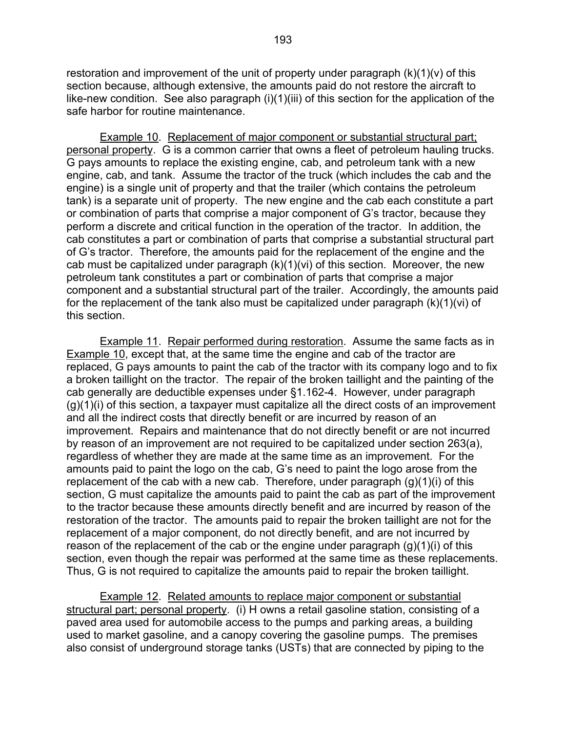restoration and improvement of the unit of property under paragraph (k)(1)(v) of this section because, although extensive, the amounts paid do not restore the aircraft to like-new condition. See also paragraph (i)(1)(iii) of this section for the application of the safe harbor for routine maintenance.

Example 10. Replacement of major component or substantial structural part; personal property. G is a common carrier that owns a fleet of petroleum hauling trucks. G pays amounts to replace the existing engine, cab, and petroleum tank with a new engine, cab, and tank. Assume the tractor of the truck (which includes the cab and the engine) is a single unit of property and that the trailer (which contains the petroleum tank) is a separate unit of property. The new engine and the cab each constitute a part or combination of parts that comprise a major component of G's tractor, because they perform a discrete and critical function in the operation of the tractor. In addition, the cab constitutes a part or combination of parts that comprise a substantial structural part of G's tractor. Therefore, the amounts paid for the replacement of the engine and the cab must be capitalized under paragraph (k)(1)(vi) of this section. Moreover, the new petroleum tank constitutes a part or combination of parts that comprise a major component and a substantial structural part of the trailer. Accordingly, the amounts paid for the replacement of the tank also must be capitalized under paragraph (k)(1)(vi) of this section.

 Example 11. Repair performed during restoration. Assume the same facts as in Example 10, except that, at the same time the engine and cab of the tractor are replaced, G pays amounts to paint the cab of the tractor with its company logo and to fix a broken taillight on the tractor. The repair of the broken taillight and the painting of the cab generally are deductible expenses under §1.162-4. However, under paragraph (g)(1)(i) of this section, a taxpayer must capitalize all the direct costs of an improvement and all the indirect costs that directly benefit or are incurred by reason of an improvement. Repairs and maintenance that do not directly benefit or are not incurred by reason of an improvement are not required to be capitalized under section 263(a), regardless of whether they are made at the same time as an improvement. For the amounts paid to paint the logo on the cab, G's need to paint the logo arose from the replacement of the cab with a new cab. Therefore, under paragraph (g)(1)(i) of this section, G must capitalize the amounts paid to paint the cab as part of the improvement to the tractor because these amounts directly benefit and are incurred by reason of the restoration of the tractor. The amounts paid to repair the broken taillight are not for the replacement of a major component, do not directly benefit, and are not incurred by reason of the replacement of the cab or the engine under paragraph (g)(1)(i) of this section, even though the repair was performed at the same time as these replacements. Thus, G is not required to capitalize the amounts paid to repair the broken taillight.

 Example 12. Related amounts to replace major component or substantial structural part; personal property. (i) H owns a retail gasoline station, consisting of a paved area used for automobile access to the pumps and parking areas, a building used to market gasoline, and a canopy covering the gasoline pumps. The premises also consist of underground storage tanks (USTs) that are connected by piping to the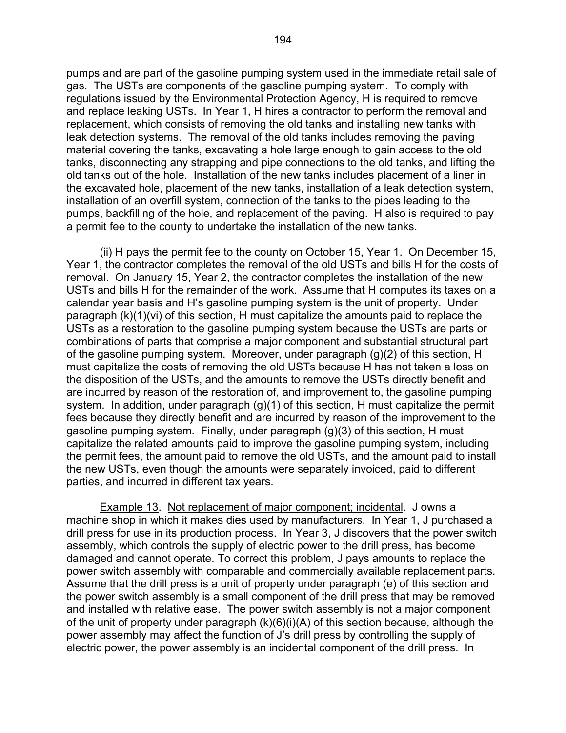pumps and are part of the gasoline pumping system used in the immediate retail sale of gas. The USTs are components of the gasoline pumping system. To comply with regulations issued by the Environmental Protection Agency, H is required to remove and replace leaking USTs. In Year 1, H hires a contractor to perform the removal and replacement, which consists of removing the old tanks and installing new tanks with leak detection systems. The removal of the old tanks includes removing the paving material covering the tanks, excavating a hole large enough to gain access to the old tanks, disconnecting any strapping and pipe connections to the old tanks, and lifting the old tanks out of the hole. Installation of the new tanks includes placement of a liner in the excavated hole, placement of the new tanks, installation of a leak detection system, installation of an overfill system, connection of the tanks to the pipes leading to the pumps, backfilling of the hole, and replacement of the paving. H also is required to pay a permit fee to the county to undertake the installation of the new tanks.

 (ii) H pays the permit fee to the county on October 15, Year 1. On December 15, Year 1, the contractor completes the removal of the old USTs and bills H for the costs of removal. On January 15, Year 2, the contractor completes the installation of the new USTs and bills H for the remainder of the work. Assume that H computes its taxes on a calendar year basis and H's gasoline pumping system is the unit of property. Under paragraph (k)(1)(vi) of this section, H must capitalize the amounts paid to replace the USTs as a restoration to the gasoline pumping system because the USTs are parts or combinations of parts that comprise a major component and substantial structural part of the gasoline pumping system. Moreover, under paragraph (g)(2) of this section, H must capitalize the costs of removing the old USTs because H has not taken a loss on the disposition of the USTs, and the amounts to remove the USTs directly benefit and are incurred by reason of the restoration of, and improvement to, the gasoline pumping system. In addition, under paragraph (g)(1) of this section, H must capitalize the permit fees because they directly benefit and are incurred by reason of the improvement to the gasoline pumping system. Finally, under paragraph (g)(3) of this section, H must capitalize the related amounts paid to improve the gasoline pumping system, including the permit fees, the amount paid to remove the old USTs, and the amount paid to install the new USTs, even though the amounts were separately invoiced, paid to different parties, and incurred in different tax years.

 Example 13. Not replacement of major component; incidental. J owns a machine shop in which it makes dies used by manufacturers. In Year 1, J purchased a drill press for use in its production process. In Year 3, J discovers that the power switch assembly, which controls the supply of electric power to the drill press, has become damaged and cannot operate. To correct this problem, J pays amounts to replace the power switch assembly with comparable and commercially available replacement parts. Assume that the drill press is a unit of property under paragraph (e) of this section and the power switch assembly is a small component of the drill press that may be removed and installed with relative ease. The power switch assembly is not a major component of the unit of property under paragraph (k)(6)(i)(A) of this section because, although the power assembly may affect the function of J's drill press by controlling the supply of electric power, the power assembly is an incidental component of the drill press. In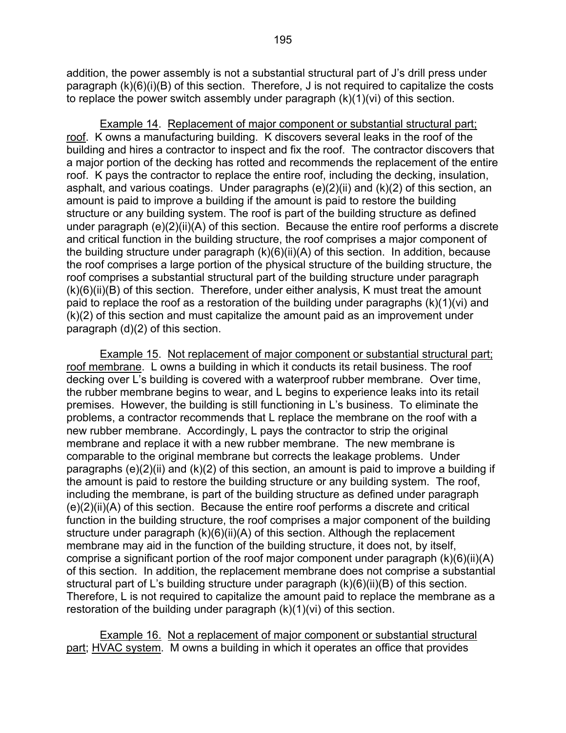addition, the power assembly is not a substantial structural part of J's drill press under paragraph (k)(6)(i)(B) of this section. Therefore, J is not required to capitalize the costs to replace the power switch assembly under paragraph (k)(1)(vi) of this section.

 Example 14. Replacement of major component or substantial structural part; roof. K owns a manufacturing building. K discovers several leaks in the roof of the building and hires a contractor to inspect and fix the roof. The contractor discovers that a major portion of the decking has rotted and recommends the replacement of the entire roof. K pays the contractor to replace the entire roof, including the decking, insulation, asphalt, and various coatings. Under paragraphs  $(e)(2)(ii)$  and  $(k)(2)$  of this section, an amount is paid to improve a building if the amount is paid to restore the building structure or any building system. The roof is part of the building structure as defined under paragraph  $(e)(2)(ii)(A)$  of this section. Because the entire roof performs a discrete and critical function in the building structure, the roof comprises a major component of the building structure under paragraph (k)(6)(ii)(A) of this section. In addition, because the roof comprises a large portion of the physical structure of the building structure, the roof comprises a substantial structural part of the building structure under paragraph  $(k)(6)(ii)(B)$  of this section. Therefore, under either analysis, K must treat the amount paid to replace the roof as a restoration of the building under paragraphs (k)(1)(vi) and (k)(2) of this section and must capitalize the amount paid as an improvement under paragraph (d)(2) of this section.

 Example 15. Not replacement of major component or substantial structural part; roof membrane. L owns a building in which it conducts its retail business. The roof decking over L's building is covered with a waterproof rubber membrane. Over time, the rubber membrane begins to wear, and L begins to experience leaks into its retail premises. However, the building is still functioning in L's business. To eliminate the problems, a contractor recommends that L replace the membrane on the roof with a new rubber membrane. Accordingly, L pays the contractor to strip the original membrane and replace it with a new rubber membrane. The new membrane is comparable to the original membrane but corrects the leakage problems. Under paragraphs  $(e)(2)(ii)$  and  $(k)(2)$  of this section, an amount is paid to improve a building if the amount is paid to restore the building structure or any building system. The roof, including the membrane, is part of the building structure as defined under paragraph (e)(2)(ii)(A) of this section. Because the entire roof performs a discrete and critical function in the building structure, the roof comprises a major component of the building structure under paragraph (k)(6)(ii)(A) of this section. Although the replacement membrane may aid in the function of the building structure, it does not, by itself, comprise a significant portion of the roof major component under paragraph (k)(6)(ii)(A) of this section. In addition, the replacement membrane does not comprise a substantial structural part of L's building structure under paragraph (k)(6)(ii)(B) of this section. Therefore, L is not required to capitalize the amount paid to replace the membrane as a restoration of the building under paragraph (k)(1)(vi) of this section.

Example 16. Not a replacement of major component or substantial structural part; HVAC system. M owns a building in which it operates an office that provides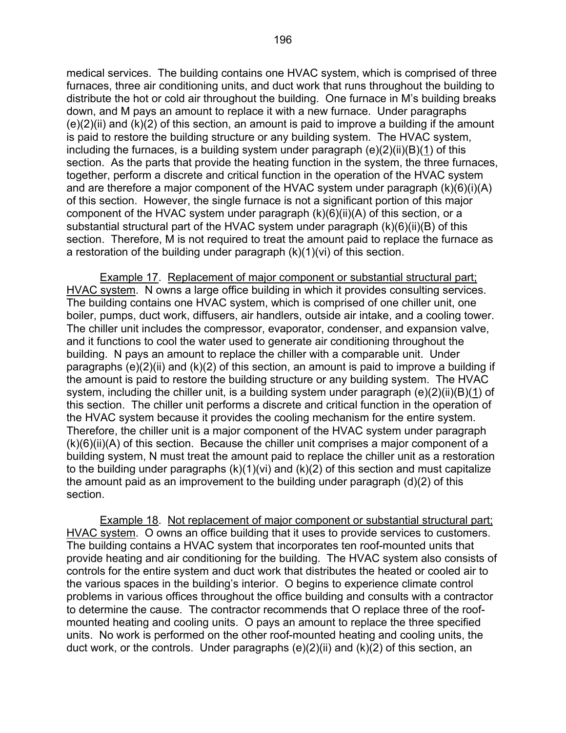medical services. The building contains one HVAC system, which is comprised of three furnaces, three air conditioning units, and duct work that runs throughout the building to distribute the hot or cold air throughout the building. One furnace in M's building breaks down, and M pays an amount to replace it with a new furnace. Under paragraphs  $(e)(2)(ii)$  and  $(k)(2)$  of this section, an amount is paid to improve a building if the amount is paid to restore the building structure or any building system. The HVAC system, including the furnaces, is a building system under paragraph  $(e)(2)(ii)(B)(1)$  of this section. As the parts that provide the heating function in the system, the three furnaces, together, perform a discrete and critical function in the operation of the HVAC system and are therefore a major component of the HVAC system under paragraph (k)(6)(i)(A) of this section. However, the single furnace is not a significant portion of this major component of the HVAC system under paragraph (k)(6)(ii)(A) of this section, or a substantial structural part of the HVAC system under paragraph (k)(6)(ii)(B) of this section. Therefore, M is not required to treat the amount paid to replace the furnace as a restoration of the building under paragraph (k)(1)(vi) of this section.

 Example 17. Replacement of major component or substantial structural part; HVAC system. N owns a large office building in which it provides consulting services. The building contains one HVAC system, which is comprised of one chiller unit, one boiler, pumps, duct work, diffusers, air handlers, outside air intake, and a cooling tower. The chiller unit includes the compressor, evaporator, condenser, and expansion valve, and it functions to cool the water used to generate air conditioning throughout the building. N pays an amount to replace the chiller with a comparable unit. Under paragraphs  $(e)(2)(ii)$  and  $(k)(2)$  of this section, an amount is paid to improve a building if the amount is paid to restore the building structure or any building system. The HVAC system, including the chiller unit, is a building system under paragraph (e)(2)(ii)(B)(1) of this section. The chiller unit performs a discrete and critical function in the operation of the HVAC system because it provides the cooling mechanism for the entire system. Therefore, the chiller unit is a major component of the HVAC system under paragraph (k)(6)(ii)(A) of this section. Because the chiller unit comprises a major component of a building system, N must treat the amount paid to replace the chiller unit as a restoration to the building under paragraphs (k)(1)(vi) and (k)(2) of this section and must capitalize the amount paid as an improvement to the building under paragraph (d)(2) of this section.

 Example 18. Not replacement of major component or substantial structural part; HVAC system. O owns an office building that it uses to provide services to customers. The building contains a HVAC system that incorporates ten roof-mounted units that provide heating and air conditioning for the building. The HVAC system also consists of controls for the entire system and duct work that distributes the heated or cooled air to the various spaces in the building's interior. O begins to experience climate control problems in various offices throughout the office building and consults with a contractor to determine the cause. The contractor recommends that O replace three of the roofmounted heating and cooling units. O pays an amount to replace the three specified units. No work is performed on the other roof-mounted heating and cooling units, the duct work, or the controls. Under paragraphs  $(e)(2)(ii)$  and  $(k)(2)$  of this section, an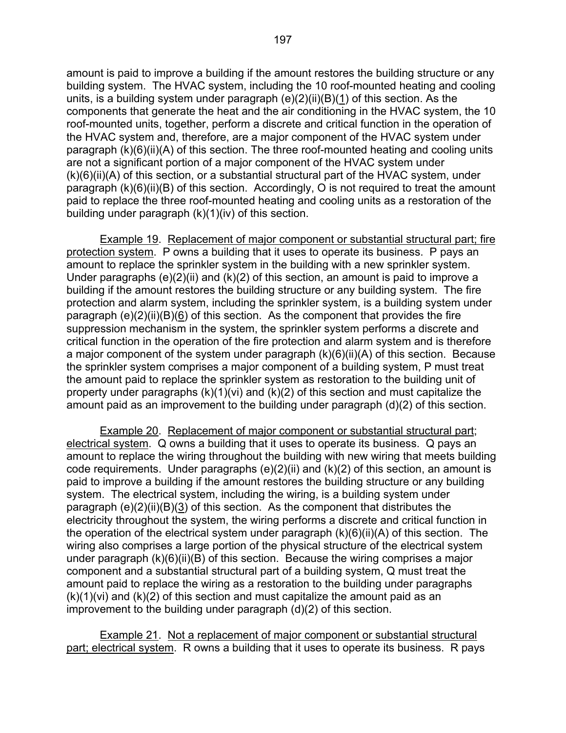amount is paid to improve a building if the amount restores the building structure or any building system. The HVAC system, including the 10 roof-mounted heating and cooling units, is a building system under paragraph  $(e)(2)(ii)(B)(1)$  of this section. As the components that generate the heat and the air conditioning in the HVAC system, the 10 roof-mounted units, together, perform a discrete and critical function in the operation of the HVAC system and, therefore, are a major component of the HVAC system under paragraph (k)(6)(ii)(A) of this section. The three roof-mounted heating and cooling units are not a significant portion of a major component of the HVAC system under  $(k)(6)(ii)(A)$  of this section, or a substantial structural part of the HVAC system, under paragraph (k)(6)(ii)(B) of this section. Accordingly, O is not required to treat the amount paid to replace the three roof-mounted heating and cooling units as a restoration of the building under paragraph (k)(1)(iv) of this section.

 Example 19. Replacement of major component or substantial structural part; fire protection system. P owns a building that it uses to operate its business. P pays an amount to replace the sprinkler system in the building with a new sprinkler system. Under paragraphs  $(e)(2)(ii)$  and  $(k)(2)$  of this section, an amount is paid to improve a building if the amount restores the building structure or any building system. The fire protection and alarm system, including the sprinkler system, is a building system under paragraph (e)(2)(ii)(B)(6) of this section. As the component that provides the fire suppression mechanism in the system, the sprinkler system performs a discrete and critical function in the operation of the fire protection and alarm system and is therefore a major component of the system under paragraph (k)(6)(ii)(A) of this section. Because the sprinkler system comprises a major component of a building system, P must treat the amount paid to replace the sprinkler system as restoration to the building unit of property under paragraphs (k)(1)(vi) and (k)(2) of this section and must capitalize the amount paid as an improvement to the building under paragraph (d)(2) of this section.

 Example 20. Replacement of major component or substantial structural part; electrical system. Q owns a building that it uses to operate its business. Q pays an amount to replace the wiring throughout the building with new wiring that meets building code requirements. Under paragraphs (e)(2)(ii) and (k)(2) of this section, an amount is paid to improve a building if the amount restores the building structure or any building system. The electrical system, including the wiring, is a building system under paragraph (e)(2)(ii)(B)(3) of this section. As the component that distributes the electricity throughout the system, the wiring performs a discrete and critical function in the operation of the electrical system under paragraph (k)(6)(ii)(A) of this section. The wiring also comprises a large portion of the physical structure of the electrical system under paragraph (k)(6)(ii)(B) of this section. Because the wiring comprises a major component and a substantial structural part of a building system, Q must treat the amount paid to replace the wiring as a restoration to the building under paragraphs  $(k)(1)(vi)$  and  $(k)(2)$  of this section and must capitalize the amount paid as an improvement to the building under paragraph (d)(2) of this section.

 Example 21. Not a replacement of major component or substantial structural part; electrical system. R owns a building that it uses to operate its business. R pays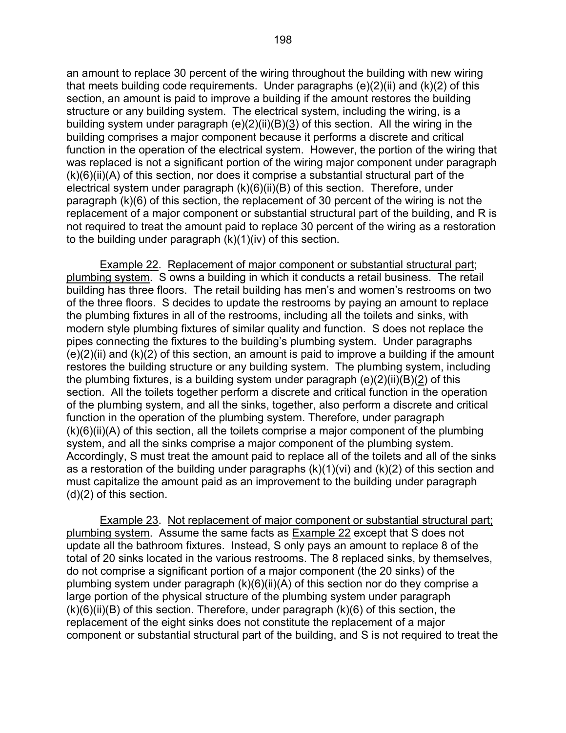an amount to replace 30 percent of the wiring throughout the building with new wiring that meets building code requirements. Under paragraphs  $(e)(2)(ii)$  and  $(k)(2)$  of this section, an amount is paid to improve a building if the amount restores the building structure or any building system. The electrical system, including the wiring, is a building system under paragraph (e)(2)(ii)(B)(3) of this section. All the wiring in the building comprises a major component because it performs a discrete and critical function in the operation of the electrical system. However, the portion of the wiring that was replaced is not a significant portion of the wiring major component under paragraph  $(k)(6)(ii)(A)$  of this section, nor does it comprise a substantial structural part of the electrical system under paragraph (k)(6)(ii)(B) of this section. Therefore, under paragraph (k)(6) of this section, the replacement of 30 percent of the wiring is not the replacement of a major component or substantial structural part of the building, and R is not required to treat the amount paid to replace 30 percent of the wiring as a restoration to the building under paragraph (k)(1)(iv) of this section.

 Example 22. Replacement of major component or substantial structural part; plumbing system. S owns a building in which it conducts a retail business. The retail building has three floors. The retail building has men's and women's restrooms on two of the three floors. S decides to update the restrooms by paying an amount to replace the plumbing fixtures in all of the restrooms, including all the toilets and sinks, with modern style plumbing fixtures of similar quality and function. S does not replace the pipes connecting the fixtures to the building's plumbing system. Under paragraphs  $(e)(2)(ii)$  and  $(k)(2)$  of this section, an amount is paid to improve a building if the amount restores the building structure or any building system. The plumbing system, including the plumbing fixtures, is a building system under paragraph  $(e)(2)(ii)(B)(2)$  of this section. All the toilets together perform a discrete and critical function in the operation of the plumbing system, and all the sinks, together, also perform a discrete and critical function in the operation of the plumbing system. Therefore, under paragraph  $(k)(6)(ii)(A)$  of this section, all the toilets comprise a major component of the plumbing system, and all the sinks comprise a major component of the plumbing system. Accordingly, S must treat the amount paid to replace all of the toilets and all of the sinks as a restoration of the building under paragraphs  $(k)(1)(vi)$  and  $(k)(2)$  of this section and must capitalize the amount paid as an improvement to the building under paragraph (d)(2) of this section.

 Example 23. Not replacement of major component or substantial structural part; plumbing system. Assume the same facts as Example 22 except that S does not update all the bathroom fixtures. Instead, S only pays an amount to replace 8 of the total of 20 sinks located in the various restrooms. The 8 replaced sinks, by themselves, do not comprise a significant portion of a major component (the 20 sinks) of the plumbing system under paragraph (k)(6)(ii)(A) of this section nor do they comprise a large portion of the physical structure of the plumbing system under paragraph  $(k)(6)(ii)(B)$  of this section. Therefore, under paragraph  $(k)(6)$  of this section, the replacement of the eight sinks does not constitute the replacement of a major component or substantial structural part of the building, and S is not required to treat the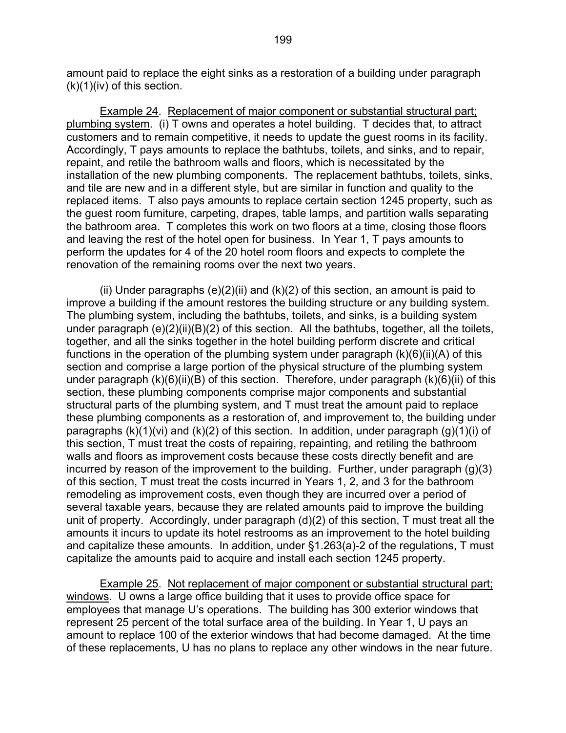amount paid to replace the eight sinks as a restoration of a building under paragraph  $(k)(1)(iv)$  of this section.

 Example 24. Replacement of major component or substantial structural part; plumbing system. (i) T owns and operates a hotel building. T decides that, to attract customers and to remain competitive, it needs to update the guest rooms in its facility. Accordingly, T pays amounts to replace the bathtubs, toilets, and sinks, and to repair, repaint, and retile the bathroom walls and floors, which is necessitated by the installation of the new plumbing components. The replacement bathtubs, toilets, sinks, and tile are new and in a different style, but are similar in function and quality to the replaced items. T also pays amounts to replace certain section 1245 property, such as the guest room furniture, carpeting, drapes, table lamps, and partition walls separating the bathroom area. T completes this work on two floors at a time, closing those floors and leaving the rest of the hotel open for business. In Year 1, T pays amounts to perform the updates for 4 of the 20 hotel room floors and expects to complete the renovation of the remaining rooms over the next two years.

(ii) Under paragraphs  $(e)(2)(ii)$  and  $(k)(2)$  of this section, an amount is paid to improve a building if the amount restores the building structure or any building system. The plumbing system, including the bathtubs, toilets, and sinks, is a building system under paragraph (e)(2)(ii)(B)(2) of this section. All the bathtubs, together, all the toilets, together, and all the sinks together in the hotel building perform discrete and critical functions in the operation of the plumbing system under paragraph  $(k)(6)(ii)(A)$  of this section and comprise a large portion of the physical structure of the plumbing system under paragraph (k)(6)(ii)(B) of this section. Therefore, under paragraph (k)(6)(ii) of this section, these plumbing components comprise major components and substantial structural parts of the plumbing system, and T must treat the amount paid to replace these plumbing components as a restoration of, and improvement to, the building under paragraphs  $(k)(1)(vi)$  and  $(k)(2)$  of this section. In addition, under paragraph  $(g)(1)(i)$  of this section, T must treat the costs of repairing, repainting, and retiling the bathroom walls and floors as improvement costs because these costs directly benefit and are incurred by reason of the improvement to the building. Further, under paragraph (g)(3) of this section, T must treat the costs incurred in Years 1, 2, and 3 for the bathroom remodeling as improvement costs, even though they are incurred over a period of several taxable years, because they are related amounts paid to improve the building unit of property. Accordingly, under paragraph (d)(2) of this section, T must treat all the amounts it incurs to update its hotel restrooms as an improvement to the hotel building and capitalize these amounts. In addition, under §1.263(a)-2 of the regulations, T must capitalize the amounts paid to acquire and install each section 1245 property.

Example 25. Not replacement of major component or substantial structural part; windows. U owns a large office building that it uses to provide office space for employees that manage U's operations. The building has 300 exterior windows that represent 25 percent of the total surface area of the building. In Year 1, U pays an amount to replace 100 of the exterior windows that had become damaged. At the time of these replacements, U has no plans to replace any other windows in the near future.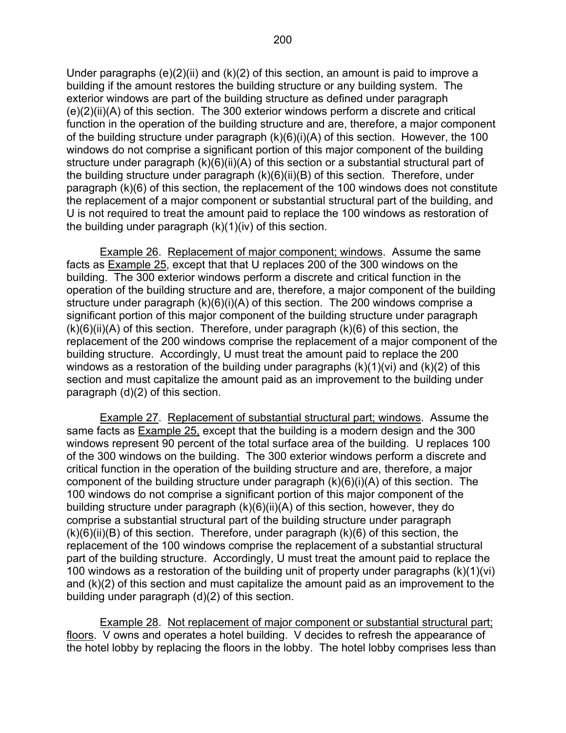Under paragraphs  $(e)(2)(ii)$  and  $(k)(2)$  of this section, an amount is paid to improve a building if the amount restores the building structure or any building system. The exterior windows are part of the building structure as defined under paragraph (e)(2)(ii)(A) of this section. The 300 exterior windows perform a discrete and critical function in the operation of the building structure and are, therefore, a major component of the building structure under paragraph (k)(6)(i)(A) of this section. However, the 100 windows do not comprise a significant portion of this major component of the building structure under paragraph (k)(6)(ii)(A) of this section or a substantial structural part of the building structure under paragraph (k)(6)(ii)(B) of this section. Therefore, under paragraph (k)(6) of this section, the replacement of the 100 windows does not constitute the replacement of a major component or substantial structural part of the building, and U is not required to treat the amount paid to replace the 100 windows as restoration of the building under paragraph (k)(1)(iv) of this section.

 Example 26. Replacement of major component; windows. Assume the same facts as Example 25, except that that U replaces 200 of the 300 windows on the building. The 300 exterior windows perform a discrete and critical function in the operation of the building structure and are, therefore, a major component of the building structure under paragraph (k)(6)(i)(A) of this section. The 200 windows comprise a significant portion of this major component of the building structure under paragraph  $(k)(6)(ii)(A)$  of this section. Therefore, under paragraph  $(k)(6)$  of this section, the replacement of the 200 windows comprise the replacement of a major component of the building structure. Accordingly, U must treat the amount paid to replace the 200 windows as a restoration of the building under paragraphs  $(k)(1)(vi)$  and  $(k)(2)$  of this section and must capitalize the amount paid as an improvement to the building under paragraph (d)(2) of this section.

Example 27. Replacement of substantial structural part; windows. Assume the same facts as **Example 25**, except that the building is a modern design and the 300 windows represent 90 percent of the total surface area of the building. U replaces 100 of the 300 windows on the building. The 300 exterior windows perform a discrete and critical function in the operation of the building structure and are, therefore, a major component of the building structure under paragraph (k)(6)(i)(A) of this section. The 100 windows do not comprise a significant portion of this major component of the building structure under paragraph (k)(6)(ii)(A) of this section, however, they do comprise a substantial structural part of the building structure under paragraph  $(k)(6)(ii)(B)$  of this section. Therefore, under paragraph  $(k)(6)$  of this section, the replacement of the 100 windows comprise the replacement of a substantial structural part of the building structure. Accordingly, U must treat the amount paid to replace the 100 windows as a restoration of the building unit of property under paragraphs (k)(1)(vi) and (k)(2) of this section and must capitalize the amount paid as an improvement to the building under paragraph (d)(2) of this section.

 Example 28. Not replacement of major component or substantial structural part; floors. V owns and operates a hotel building. V decides to refresh the appearance of the hotel lobby by replacing the floors in the lobby. The hotel lobby comprises less than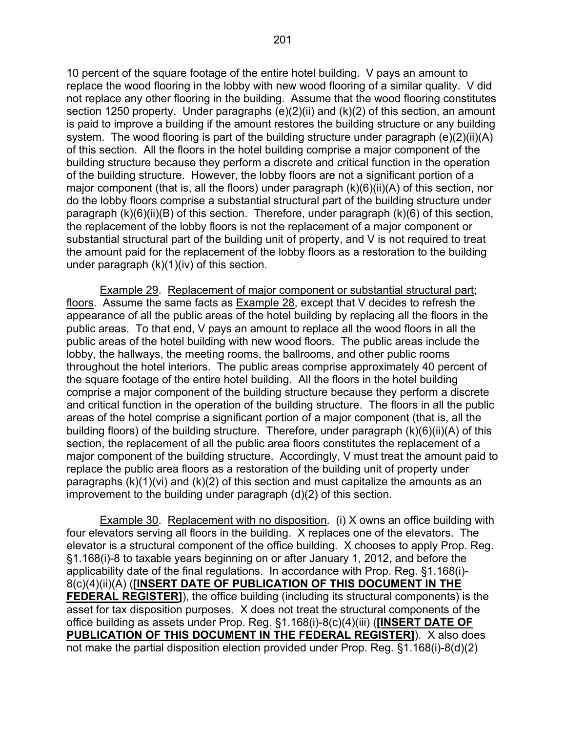10 percent of the square footage of the entire hotel building. V pays an amount to replace the wood flooring in the lobby with new wood flooring of a similar quality. V did not replace any other flooring in the building. Assume that the wood flooring constitutes section 1250 property. Under paragraphs (e)(2)(ii) and (k)(2) of this section, an amount is paid to improve a building if the amount restores the building structure or any building system. The wood flooring is part of the building structure under paragraph (e)(2)(ii)(A) of this section. All the floors in the hotel building comprise a major component of the building structure because they perform a discrete and critical function in the operation of the building structure. However, the lobby floors are not a significant portion of a major component (that is, all the floors) under paragraph (k)(6)(ii)(A) of this section, nor do the lobby floors comprise a substantial structural part of the building structure under paragraph (k)(6)(ii)(B) of this section. Therefore, under paragraph (k)(6) of this section, the replacement of the lobby floors is not the replacement of a major component or substantial structural part of the building unit of property, and V is not required to treat the amount paid for the replacement of the lobby floors as a restoration to the building under paragraph (k)(1)(iv) of this section.

 Example 29. Replacement of major component or substantial structural part; floors. Assume the same facts as Example 28, except that V decides to refresh the appearance of all the public areas of the hotel building by replacing all the floors in the public areas. To that end, V pays an amount to replace all the wood floors in all the public areas of the hotel building with new wood floors. The public areas include the lobby, the hallways, the meeting rooms, the ballrooms, and other public rooms throughout the hotel interiors. The public areas comprise approximately 40 percent of the square footage of the entire hotel building. All the floors in the hotel building comprise a major component of the building structure because they perform a discrete and critical function in the operation of the building structure. The floors in all the public areas of the hotel comprise a significant portion of a major component (that is, all the building floors) of the building structure. Therefore, under paragraph (k)(6)(ii)(A) of this section, the replacement of all the public area floors constitutes the replacement of a major component of the building structure. Accordingly, V must treat the amount paid to replace the public area floors as a restoration of the building unit of property under paragraphs  $(k)(1)(vi)$  and  $(k)(2)$  of this section and must capitalize the amounts as an improvement to the building under paragraph (d)(2) of this section.

Example 30. Replacement with no disposition. (i) X owns an office building with four elevators serving all floors in the building. X replaces one of the elevators. The elevator is a structural component of the office building. X chooses to apply Prop. Reg. §1.168(i)-8 to taxable years beginning on or after January 1, 2012, and before the applicability date of the final regulations. In accordance with Prop. Reg. §1.168(i)- 8(c)(4)(ii)(A) (**[INSERT DATE OF PUBLICATION OF THIS DOCUMENT IN THE FEDERAL REGISTER]**), the office building (including its structural components) is the asset for tax disposition purposes. X does not treat the structural components of the office building as assets under Prop. Reg. §1.168(i)-8(c)(4)(iii) (**[INSERT DATE OF PUBLICATION OF THIS DOCUMENT IN THE FEDERAL REGISTER]**). X also does not make the partial disposition election provided under Prop. Reg. §1.168(i)-8(d)(2)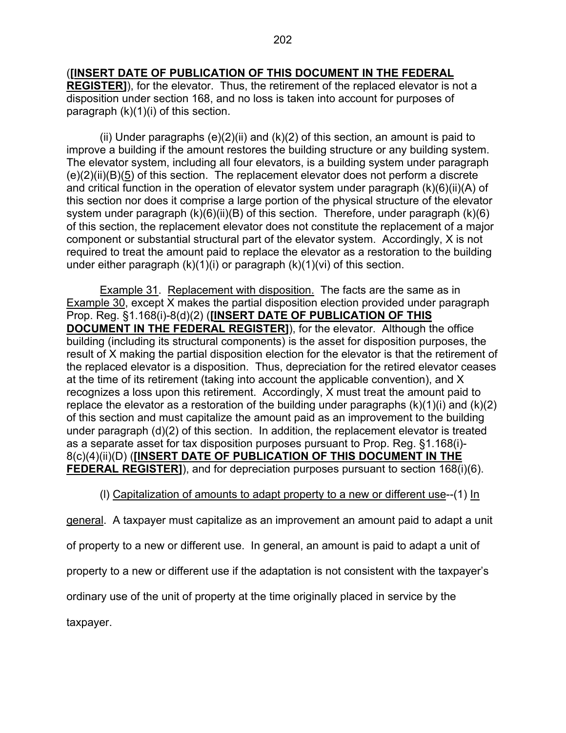# (**[INSERT DATE OF PUBLICATION OF THIS DOCUMENT IN THE FEDERAL**

**REGISTER]**), for the elevator. Thus, the retirement of the replaced elevator is not a disposition under section 168, and no loss is taken into account for purposes of paragraph  $(k)(1)(i)$  of this section.

(ii) Under paragraphs  $(e)(2)(ii)$  and  $(k)(2)$  of this section, an amount is paid to improve a building if the amount restores the building structure or any building system. The elevator system, including all four elevators, is a building system under paragraph  $(e)(2)(ii)(B)(5)$  of this section. The replacement elevator does not perform a discrete and critical function in the operation of elevator system under paragraph (k)(6)(ii)(A) of this section nor does it comprise a large portion of the physical structure of the elevator system under paragraph  $(k)(6)(ii)(B)$  of this section. Therefore, under paragraph  $(k)(6)$ of this section, the replacement elevator does not constitute the replacement of a major component or substantial structural part of the elevator system. Accordingly, X is not required to treat the amount paid to replace the elevator as a restoration to the building under either paragraph (k)(1)(i) or paragraph (k)(1)(vi) of this section.

Example 31. Replacement with disposition. The facts are the same as in Example 30, except X makes the partial disposition election provided under paragraph Prop. Reg. §1.168(i)-8(d)(2) (**[INSERT DATE OF PUBLICATION OF THIS DOCUMENT IN THE FEDERAL REGISTER]**), for the elevator. Although the office building (including its structural components) is the asset for disposition purposes, the result of X making the partial disposition election for the elevator is that the retirement of the replaced elevator is a disposition. Thus, depreciation for the retired elevator ceases at the time of its retirement (taking into account the applicable convention), and X recognizes a loss upon this retirement. Accordingly, X must treat the amount paid to replace the elevator as a restoration of the building under paragraphs  $(k)(1)(i)$  and  $(k)(2)$ of this section and must capitalize the amount paid as an improvement to the building under paragraph (d)(2) of this section. In addition, the replacement elevator is treated as a separate asset for tax disposition purposes pursuant to Prop. Reg. §1.168(i)- 8(c)(4)(ii)(D) (**[INSERT DATE OF PUBLICATION OF THIS DOCUMENT IN THE FEDERAL REGISTER]**), and for depreciation purposes pursuant to section 168(i)(6).

# (l) Capitalization of amounts to adapt property to a new or different use--(1) In

general. A taxpayer must capitalize as an improvement an amount paid to adapt a unit of property to a new or different use. In general, an amount is paid to adapt a unit of property to a new or different use if the adaptation is not consistent with the taxpayer's ordinary use of the unit of property at the time originally placed in service by the

taxpayer.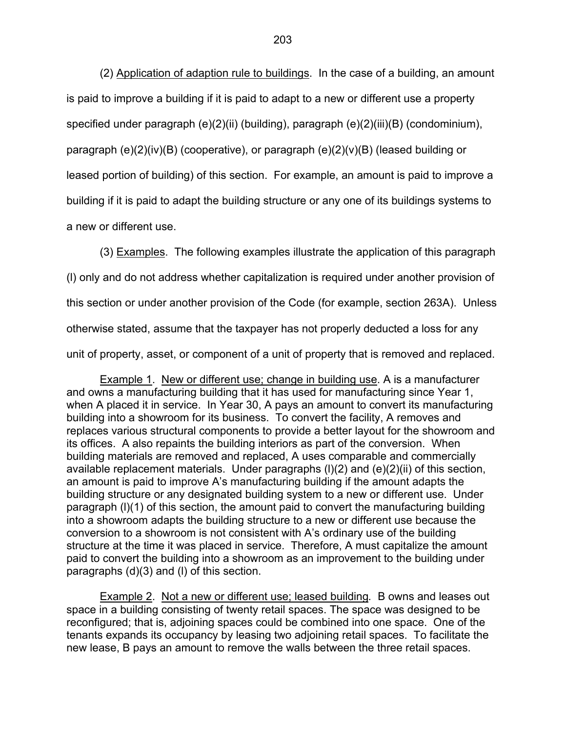(2) Application of adaption rule to buildings. In the case of a building, an amount is paid to improve a building if it is paid to adapt to a new or different use a property specified under paragraph (e)(2)(ii) (building), paragraph (e)(2)(iii)(B) (condominium), paragraph (e)(2)(iv)(B) (cooperative), or paragraph (e)(2)(v)(B) (leased building or leased portion of building) of this section. For example, an amount is paid to improve a building if it is paid to adapt the building structure or any one of its buildings systems to a new or different use.

 (3) Examples. The following examples illustrate the application of this paragraph (l) only and do not address whether capitalization is required under another provision of this section or under another provision of the Code (for example, section 263A). Unless otherwise stated, assume that the taxpayer has not properly deducted a loss for any unit of property, asset, or component of a unit of property that is removed and replaced.

 Example 1. New or different use; change in building use. A is a manufacturer and owns a manufacturing building that it has used for manufacturing since Year 1, when A placed it in service. In Year 30, A pays an amount to convert its manufacturing building into a showroom for its business. To convert the facility, A removes and replaces various structural components to provide a better layout for the showroom and its offices. A also repaints the building interiors as part of the conversion. When building materials are removed and replaced, A uses comparable and commercially available replacement materials. Under paragraphs (l)(2) and (e)(2)(ii) of this section, an amount is paid to improve A's manufacturing building if the amount adapts the building structure or any designated building system to a new or different use. Under paragraph (l)(1) of this section, the amount paid to convert the manufacturing building into a showroom adapts the building structure to a new or different use because the conversion to a showroom is not consistent with A's ordinary use of the building structure at the time it was placed in service. Therefore, A must capitalize the amount paid to convert the building into a showroom as an improvement to the building under paragraphs (d)(3) and (l) of this section.

 Example 2. Not a new or different use; leased building*.* B owns and leases out space in a building consisting of twenty retail spaces. The space was designed to be reconfigured; that is, adjoining spaces could be combined into one space. One of the tenants expands its occupancy by leasing two adjoining retail spaces. To facilitate the new lease, B pays an amount to remove the walls between the three retail spaces.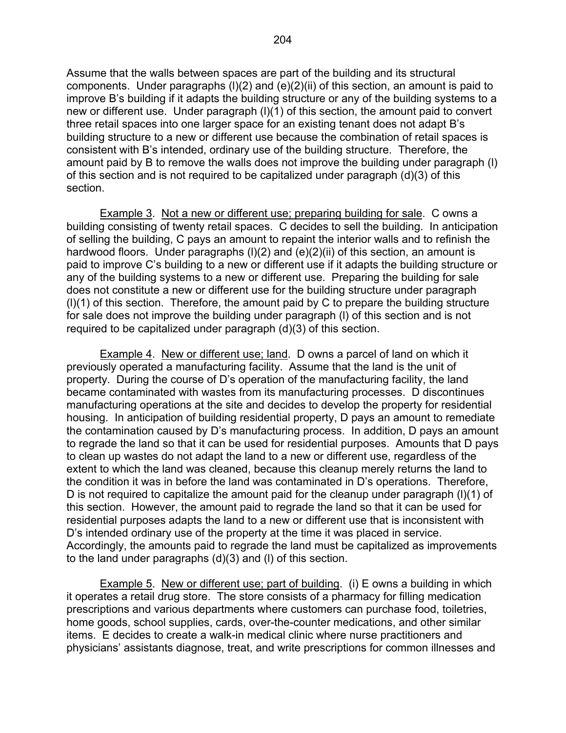Assume that the walls between spaces are part of the building and its structural components. Under paragraphs (l)(2) and (e)(2)(ii) of this section, an amount is paid to improve B's building if it adapts the building structure or any of the building systems to a new or different use. Under paragraph (l)(1) of this section, the amount paid to convert three retail spaces into one larger space for an existing tenant does not adapt B's building structure to a new or different use because the combination of retail spaces is consistent with B's intended, ordinary use of the building structure. Therefore, the amount paid by B to remove the walls does not improve the building under paragraph (l) of this section and is not required to be capitalized under paragraph (d)(3) of this section.

Example 3. Not a new or different use; preparing building for sale. C owns a building consisting of twenty retail spaces. C decides to sell the building. In anticipation of selling the building, C pays an amount to repaint the interior walls and to refinish the hardwood floors. Under paragraphs (I)(2) and (e)(2)(ii) of this section, an amount is paid to improve C's building to a new or different use if it adapts the building structure or any of the building systems to a new or different use. Preparing the building for sale does not constitute a new or different use for the building structure under paragraph (l)(1) of this section. Therefore, the amount paid by C to prepare the building structure for sale does not improve the building under paragraph (l) of this section and is not required to be capitalized under paragraph (d)(3) of this section.

 Example 4. New or different use; land. D owns a parcel of land on which it previously operated a manufacturing facility. Assume that the land is the unit of property. During the course of D's operation of the manufacturing facility, the land became contaminated with wastes from its manufacturing processes. D discontinues manufacturing operations at the site and decides to develop the property for residential housing. In anticipation of building residential property, D pays an amount to remediate the contamination caused by D's manufacturing process. In addition, D pays an amount to regrade the land so that it can be used for residential purposes. Amounts that D pays to clean up wastes do not adapt the land to a new or different use, regardless of the extent to which the land was cleaned, because this cleanup merely returns the land to the condition it was in before the land was contaminated in D's operations. Therefore, D is not required to capitalize the amount paid for the cleanup under paragraph (l)(1) of this section. However, the amount paid to regrade the land so that it can be used for residential purposes adapts the land to a new or different use that is inconsistent with D's intended ordinary use of the property at the time it was placed in service. Accordingly, the amounts paid to regrade the land must be capitalized as improvements to the land under paragraphs (d)(3) and (l) of this section.

Example 5. New or different use; part of building. (i) E owns a building in which it operates a retail drug store. The store consists of a pharmacy for filling medication prescriptions and various departments where customers can purchase food, toiletries, home goods, school supplies, cards, over-the-counter medications, and other similar items. E decides to create a walk-in medical clinic where nurse practitioners and physicians' assistants diagnose, treat, and write prescriptions for common illnesses and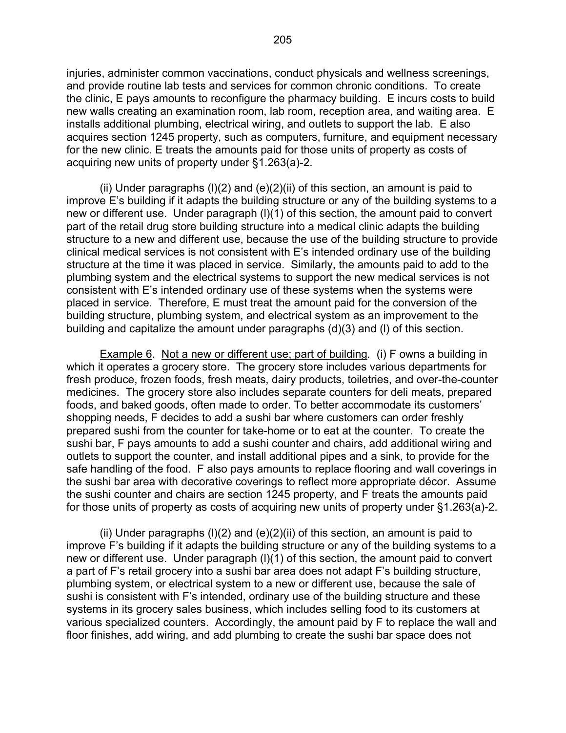injuries, administer common vaccinations, conduct physicals and wellness screenings, and provide routine lab tests and services for common chronic conditions. To create the clinic, E pays amounts to reconfigure the pharmacy building. E incurs costs to build new walls creating an examination room, lab room, reception area, and waiting area. E installs additional plumbing, electrical wiring, and outlets to support the lab. E also acquires section 1245 property, such as computers, furniture, and equipment necessary for the new clinic. E treats the amounts paid for those units of property as costs of acquiring new units of property under §1.263(a)-2.

(ii) Under paragraphs  $(l)(2)$  and  $(e)(2)(ii)$  of this section, an amount is paid to improve E's building if it adapts the building structure or any of the building systems to a new or different use. Under paragraph (l)(1) of this section, the amount paid to convert part of the retail drug store building structure into a medical clinic adapts the building structure to a new and different use, because the use of the building structure to provide clinical medical services is not consistent with E's intended ordinary use of the building structure at the time it was placed in service. Similarly, the amounts paid to add to the plumbing system and the electrical systems to support the new medical services is not consistent with E's intended ordinary use of these systems when the systems were placed in service. Therefore, E must treat the amount paid for the conversion of the building structure, plumbing system, and electrical system as an improvement to the building and capitalize the amount under paragraphs (d)(3) and (l) of this section.

 Example 6. Not a new or different use; part of building*.* (i) F owns a building in which it operates a grocery store. The grocery store includes various departments for fresh produce, frozen foods, fresh meats, dairy products, toiletries, and over-the-counter medicines. The grocery store also includes separate counters for deli meats, prepared foods, and baked goods, often made to order. To better accommodate its customers' shopping needs, F decides to add a sushi bar where customers can order freshly prepared sushi from the counter for take-home or to eat at the counter. To create the sushi bar, F pays amounts to add a sushi counter and chairs, add additional wiring and outlets to support the counter, and install additional pipes and a sink, to provide for the safe handling of the food. F also pays amounts to replace flooring and wall coverings in the sushi bar area with decorative coverings to reflect more appropriate décor. Assume the sushi counter and chairs are section 1245 property, and F treats the amounts paid for those units of property as costs of acquiring new units of property under §1.263(a)-2.

(ii) Under paragraphs  $(l)(2)$  and  $(e)(2)(ii)$  of this section, an amount is paid to improve F's building if it adapts the building structure or any of the building systems to a new or different use. Under paragraph (l)(1) of this section, the amount paid to convert a part of F's retail grocery into a sushi bar area does not adapt F's building structure, plumbing system, or electrical system to a new or different use, because the sale of sushi is consistent with F's intended, ordinary use of the building structure and these systems in its grocery sales business, which includes selling food to its customers at various specialized counters. Accordingly, the amount paid by F to replace the wall and floor finishes, add wiring, and add plumbing to create the sushi bar space does not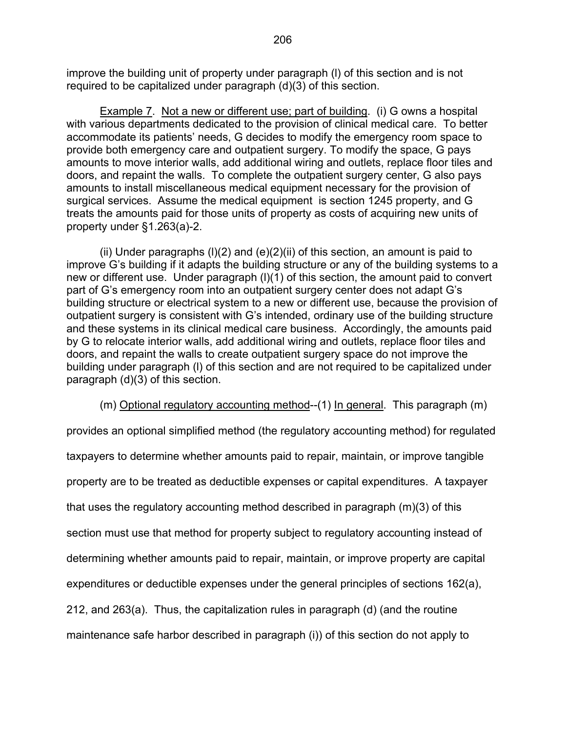improve the building unit of property under paragraph (l) of this section and is not required to be capitalized under paragraph (d)(3) of this section.

 Example 7. Not a new or different use; part of building. (i) G owns a hospital with various departments dedicated to the provision of clinical medical care. To better accommodate its patients' needs, G decides to modify the emergency room space to provide both emergency care and outpatient surgery. To modify the space, G pays amounts to move interior walls, add additional wiring and outlets, replace floor tiles and doors, and repaint the walls. To complete the outpatient surgery center, G also pays amounts to install miscellaneous medical equipment necessary for the provision of surgical services. Assume the medical equipment is section 1245 property, and G treats the amounts paid for those units of property as costs of acquiring new units of property under §1.263(a)-2.

(ii) Under paragraphs  $(l)(2)$  and  $(e)(2)(ii)$  of this section, an amount is paid to improve G's building if it adapts the building structure or any of the building systems to a new or different use. Under paragraph (l)(1) of this section, the amount paid to convert part of G's emergency room into an outpatient surgery center does not adapt G's building structure or electrical system to a new or different use, because the provision of outpatient surgery is consistent with G's intended, ordinary use of the building structure and these systems in its clinical medical care business. Accordingly, the amounts paid by G to relocate interior walls, add additional wiring and outlets, replace floor tiles and doors, and repaint the walls to create outpatient surgery space do not improve the building under paragraph (l) of this section and are not required to be capitalized under paragraph (d)(3) of this section.

(m) Optional regulatory accounting method--(1) In general. This paragraph (m)

provides an optional simplified method (the regulatory accounting method) for regulated taxpayers to determine whether amounts paid to repair, maintain, or improve tangible property are to be treated as deductible expenses or capital expenditures. A taxpayer that uses the regulatory accounting method described in paragraph (m)(3) of this section must use that method for property subject to regulatory accounting instead of determining whether amounts paid to repair, maintain, or improve property are capital expenditures or deductible expenses under the general principles of sections 162(a), 212, and 263(a). Thus, the capitalization rules in paragraph (d) (and the routine maintenance safe harbor described in paragraph (i)) of this section do not apply to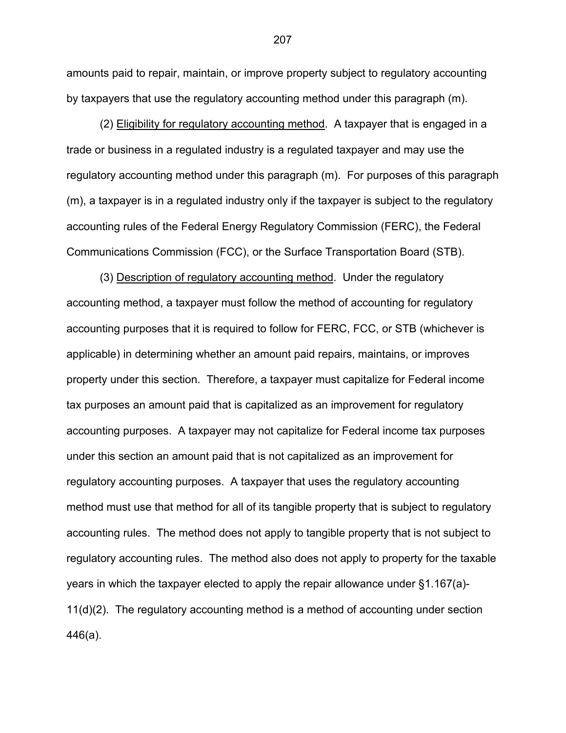amounts paid to repair, maintain, or improve property subject to regulatory accounting by taxpayers that use the regulatory accounting method under this paragraph (m).

 (2) Eligibility for regulatory accounting method. A taxpayer that is engaged in a trade or business in a regulated industry is a regulated taxpayer and may use the regulatory accounting method under this paragraph (m). For purposes of this paragraph (m), a taxpayer is in a regulated industry only if the taxpayer is subject to the regulatory accounting rules of the Federal Energy Regulatory Commission (FERC), the Federal Communications Commission (FCC), or the Surface Transportation Board (STB).

 (3) Description of regulatory accounting method. Under the regulatory accounting method, a taxpayer must follow the method of accounting for regulatory accounting purposes that it is required to follow for FERC, FCC, or STB (whichever is applicable) in determining whether an amount paid repairs, maintains, or improves property under this section. Therefore, a taxpayer must capitalize for Federal income tax purposes an amount paid that is capitalized as an improvement for regulatory accounting purposes. A taxpayer may not capitalize for Federal income tax purposes under this section an amount paid that is not capitalized as an improvement for regulatory accounting purposes. A taxpayer that uses the regulatory accounting method must use that method for all of its tangible property that is subject to regulatory accounting rules. The method does not apply to tangible property that is not subject to regulatory accounting rules. The method also does not apply to property for the taxable years in which the taxpayer elected to apply the repair allowance under §1.167(a)- 11(d)(2). The regulatory accounting method is a method of accounting under section 446(a).

207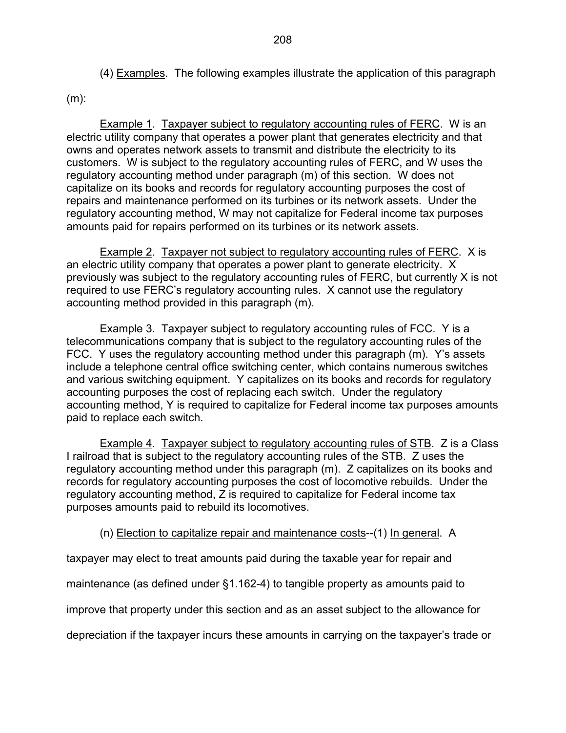(4) Examples. The following examples illustrate the application of this paragraph

(m):

Example 1. Taxpayer subject to regulatory accounting rules of FERC. W is an electric utility company that operates a power plant that generates electricity and that owns and operates network assets to transmit and distribute the electricity to its customers. W is subject to the regulatory accounting rules of FERC, and W uses the regulatory accounting method under paragraph (m) of this section. W does not capitalize on its books and records for regulatory accounting purposes the cost of repairs and maintenance performed on its turbines or its network assets. Under the regulatory accounting method, W may not capitalize for Federal income tax purposes amounts paid for repairs performed on its turbines or its network assets.

Example 2. Taxpayer not subject to regulatory accounting rules of FERC. X is an electric utility company that operates a power plant to generate electricity. X previously was subject to the regulatory accounting rules of FERC, but currently X is not required to use FERC's regulatory accounting rules. X cannot use the regulatory accounting method provided in this paragraph (m).

Example 3. Taxpayer subject to regulatory accounting rules of FCC. Y is a telecommunications company that is subject to the regulatory accounting rules of the FCC. Y uses the regulatory accounting method under this paragraph (m). Y's assets include a telephone central office switching center, which contains numerous switches and various switching equipment. Y capitalizes on its books and records for regulatory accounting purposes the cost of replacing each switch. Under the regulatory accounting method, Y is required to capitalize for Federal income tax purposes amounts paid to replace each switch.

Example 4. Taxpayer subject to regulatory accounting rules of STB. Z is a Class I railroad that is subject to the regulatory accounting rules of the STB. Z uses the regulatory accounting method under this paragraph (m). Z capitalizes on its books and records for regulatory accounting purposes the cost of locomotive rebuilds. Under the regulatory accounting method, Z is required to capitalize for Federal income tax purposes amounts paid to rebuild its locomotives.

(n) Election to capitalize repair and maintenance costs--(1) In general. A

taxpayer may elect to treat amounts paid during the taxable year for repair and

maintenance (as defined under §1.162-4) to tangible property as amounts paid to

improve that property under this section and as an asset subject to the allowance for

depreciation if the taxpayer incurs these amounts in carrying on the taxpayer's trade or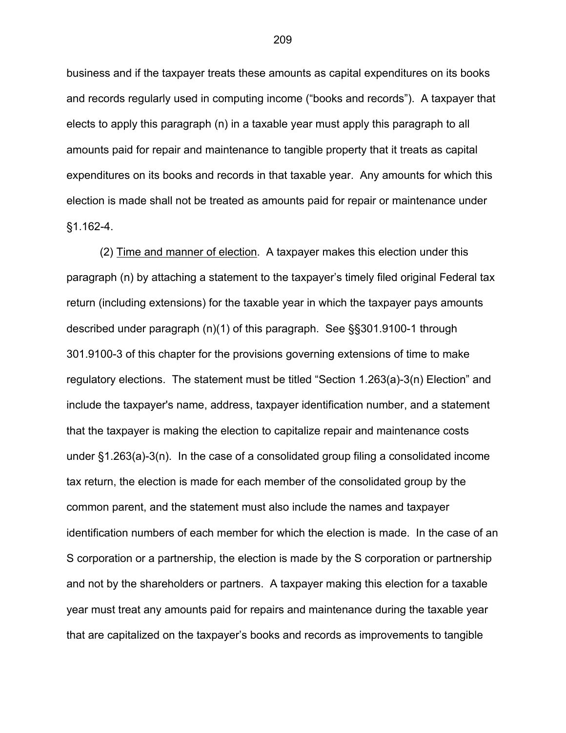business and if the taxpayer treats these amounts as capital expenditures on its books and records regularly used in computing income ("books and records"). A taxpayer that elects to apply this paragraph (n) in a taxable year must apply this paragraph to all amounts paid for repair and maintenance to tangible property that it treats as capital expenditures on its books and records in that taxable year. Any amounts for which this election is made shall not be treated as amounts paid for repair or maintenance under §1.162-4.

 (2) Time and manner of election. A taxpayer makes this election under this paragraph (n) by attaching a statement to the taxpayer's timely filed original Federal tax return (including extensions) for the taxable year in which the taxpayer pays amounts described under paragraph (n)(1) of this paragraph. See §§301.9100-1 through 301.9100-3 of this chapter for the provisions governing extensions of time to make regulatory elections. The statement must be titled "Section 1.263(a)-3(n) Election" and include the taxpayer's name, address, taxpayer identification number, and a statement that the taxpayer is making the election to capitalize repair and maintenance costs under §1.263(a)-3(n). In the case of a consolidated group filing a consolidated income tax return, the election is made for each member of the consolidated group by the common parent, and the statement must also include the names and taxpayer identification numbers of each member for which the election is made. In the case of an S corporation or a partnership, the election is made by the S corporation or partnership and not by the shareholders or partners. A taxpayer making this election for a taxable year must treat any amounts paid for repairs and maintenance during the taxable year that are capitalized on the taxpayer's books and records as improvements to tangible

209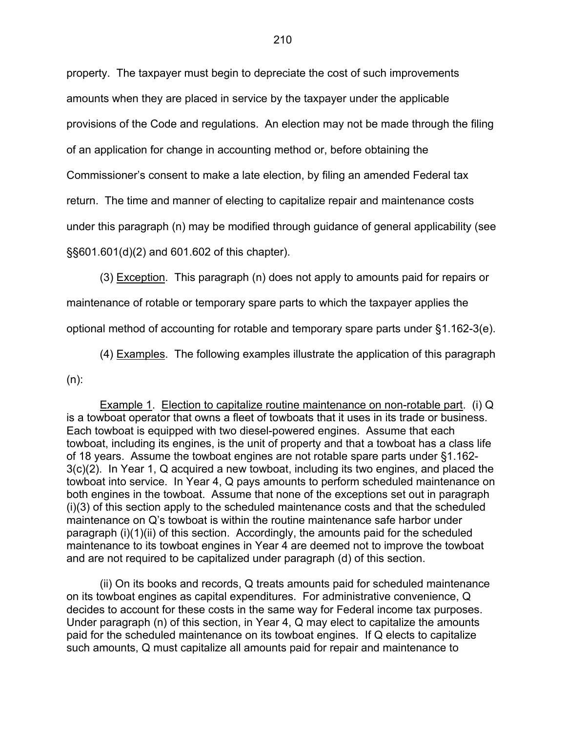property. The taxpayer must begin to depreciate the cost of such improvements amounts when they are placed in service by the taxpayer under the applicable provisions of the Code and regulations. An election may not be made through the filing of an application for change in accounting method or, before obtaining the Commissioner's consent to make a late election, by filing an amended Federal tax return. The time and manner of electing to capitalize repair and maintenance costs under this paragraph (n) may be modified through guidance of general applicability (see §§601.601(d)(2) and 601.602 of this chapter).

(3) Exception. This paragraph (n) does not apply to amounts paid for repairs or

maintenance of rotable or temporary spare parts to which the taxpayer applies the

optional method of accounting for rotable and temporary spare parts under §1.162-3(e).

(4) Examples. The following examples illustrate the application of this paragraph

 $(n)$ :

 Example 1. Election to capitalize routine maintenance on non-rotable part. (i) Q is a towboat operator that owns a fleet of towboats that it uses in its trade or business. Each towboat is equipped with two diesel-powered engines. Assume that each towboat, including its engines, is the unit of property and that a towboat has a class life of 18 years. Assume the towboat engines are not rotable spare parts under §1.162- 3(c)(2). In Year 1, Q acquired a new towboat, including its two engines, and placed the towboat into service. In Year 4, Q pays amounts to perform scheduled maintenance on both engines in the towboat. Assume that none of the exceptions set out in paragraph (i)(3) of this section apply to the scheduled maintenance costs and that the scheduled maintenance on Q's towboat is within the routine maintenance safe harbor under paragraph (i)(1)(ii) of this section. Accordingly, the amounts paid for the scheduled maintenance to its towboat engines in Year 4 are deemed not to improve the towboat and are not required to be capitalized under paragraph (d) of this section.

(ii) On its books and records, Q treats amounts paid for scheduled maintenance on its towboat engines as capital expenditures. For administrative convenience, Q decides to account for these costs in the same way for Federal income tax purposes. Under paragraph (n) of this section, in Year 4, Q may elect to capitalize the amounts paid for the scheduled maintenance on its towboat engines. If Q elects to capitalize such amounts, Q must capitalize all amounts paid for repair and maintenance to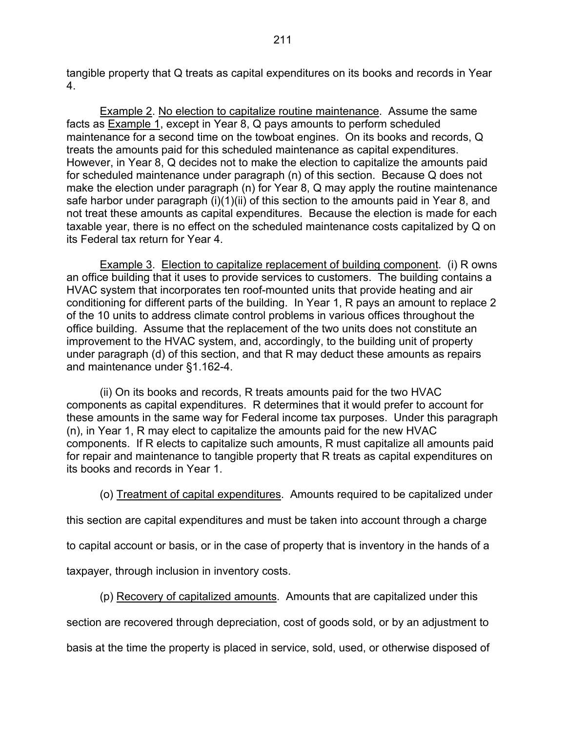tangible property that Q treats as capital expenditures on its books and records in Year 4.

Example 2. No election to capitalize routine maintenance. Assume the same facts as Example 1, except in Year 8, Q pays amounts to perform scheduled maintenance for a second time on the towboat engines. On its books and records, Q treats the amounts paid for this scheduled maintenance as capital expenditures. However, in Year 8, Q decides not to make the election to capitalize the amounts paid for scheduled maintenance under paragraph (n) of this section. Because Q does not make the election under paragraph (n) for Year 8, Q may apply the routine maintenance safe harbor under paragraph (i)(1)(ii) of this section to the amounts paid in Year 8, and not treat these amounts as capital expenditures. Because the election is made for each taxable year, there is no effect on the scheduled maintenance costs capitalized by Q on its Federal tax return for Year 4.

 Example 3. Election to capitalize replacement of building component. (i) R owns an office building that it uses to provide services to customers. The building contains a HVAC system that incorporates ten roof-mounted units that provide heating and air conditioning for different parts of the building. In Year 1, R pays an amount to replace 2 of the 10 units to address climate control problems in various offices throughout the office building. Assume that the replacement of the two units does not constitute an improvement to the HVAC system, and, accordingly, to the building unit of property under paragraph (d) of this section, and that R may deduct these amounts as repairs and maintenance under §1.162-4.

 (ii) On its books and records, R treats amounts paid for the two HVAC components as capital expenditures. R determines that it would prefer to account for these amounts in the same way for Federal income tax purposes. Under this paragraph (n), in Year 1, R may elect to capitalize the amounts paid for the new HVAC components. If R elects to capitalize such amounts, R must capitalize all amounts paid for repair and maintenance to tangible property that R treats as capital expenditures on its books and records in Year 1.

(o) Treatment of capital expenditures. Amounts required to be capitalized under

this section are capital expenditures and must be taken into account through a charge

to capital account or basis, or in the case of property that is inventory in the hands of a

taxpayer, through inclusion in inventory costs.

(p) Recovery of capitalized amounts. Amounts that are capitalized under this

section are recovered through depreciation, cost of goods sold, or by an adjustment to

basis at the time the property is placed in service, sold, used, or otherwise disposed of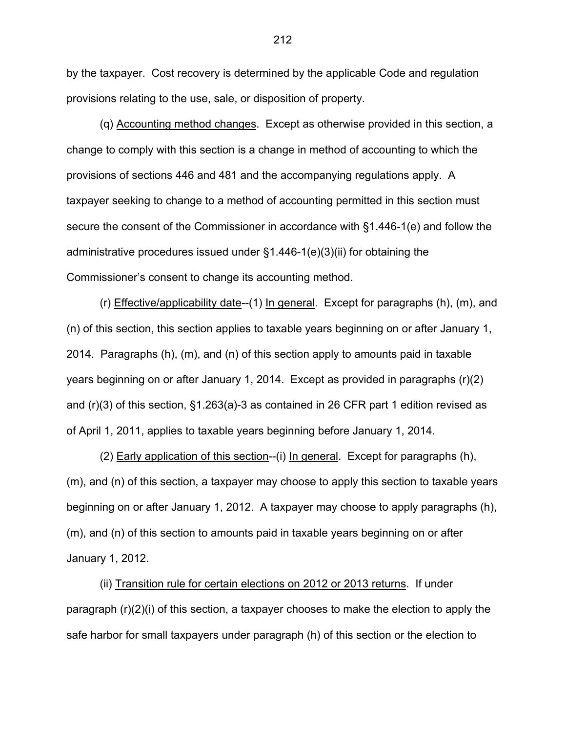by the taxpayer. Cost recovery is determined by the applicable Code and regulation provisions relating to the use, sale, or disposition of property.

 (q) Accounting method changes. Except as otherwise provided in this section, a change to comply with this section is a change in method of accounting to which the provisions of sections 446 and 481 and the accompanying regulations apply. A taxpayer seeking to change to a method of accounting permitted in this section must secure the consent of the Commissioner in accordance with §1.446-1(e) and follow the administrative procedures issued under §1.446-1(e)(3)(ii) for obtaining the Commissioner's consent to change its accounting method.

(r) Effective/applicability date--(1) In general. Except for paragraphs (h), (m), and (n) of this section, this section applies to taxable years beginning on or after January 1, 2014. Paragraphs (h), (m), and (n) of this section apply to amounts paid in taxable years beginning on or after January 1, 2014. Except as provided in paragraphs (r)(2) and (r)(3) of this section, §1.263(a)-3 as contained in 26 CFR part 1 edition revised as of April 1, 2011, applies to taxable years beginning before January 1, 2014.

(2) Early application of this section--(i) In general. Except for paragraphs (h), (m), and (n) of this section, a taxpayer may choose to apply this section to taxable years beginning on or after January 1, 2012. A taxpayer may choose to apply paragraphs (h), (m), and (n) of this section to amounts paid in taxable years beginning on or after January 1, 2012.

(ii) Transition rule for certain elections on 2012 or 2013 returns. If under paragraph (r)(2)(i) of this section, a taxpayer chooses to make the election to apply the safe harbor for small taxpayers under paragraph (h) of this section or the election to

212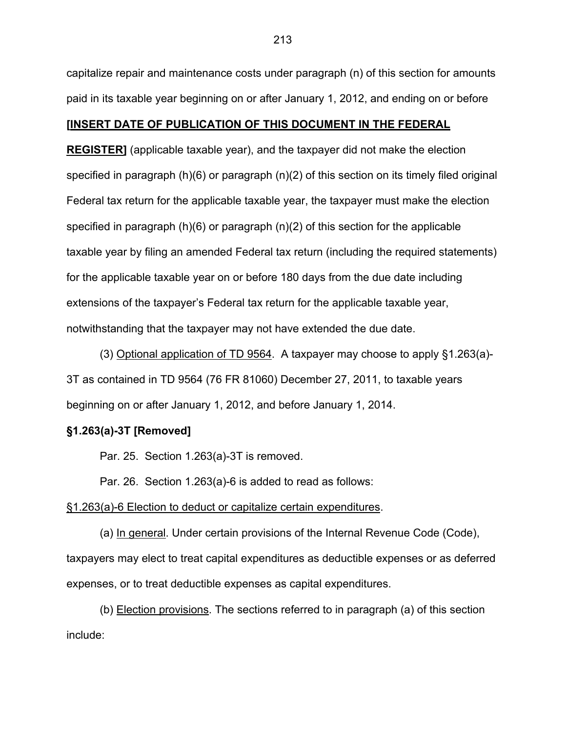capitalize repair and maintenance costs under paragraph (n) of this section for amounts paid in its taxable year beginning on or after January 1, 2012, and ending on or before

### **[INSERT DATE OF PUBLICATION OF THIS DOCUMENT IN THE FEDERAL**

**REGISTER]** (applicable taxable year), and the taxpayer did not make the election specified in paragraph (h)(6) or paragraph (n)(2) of this section on its timely filed original Federal tax return for the applicable taxable year, the taxpayer must make the election specified in paragraph (h)(6) or paragraph (n)(2) of this section for the applicable taxable year by filing an amended Federal tax return (including the required statements) for the applicable taxable year on or before 180 days from the due date including extensions of the taxpayer's Federal tax return for the applicable taxable year, notwithstanding that the taxpayer may not have extended the due date.

(3) Optional application of TD 9564. A taxpayer may choose to apply §1.263(a)- 3T as contained in TD 9564 (76 FR 81060) December 27, 2011, to taxable years beginning on or after January 1, 2012, and before January 1, 2014.

#### **§1.263(a)-3T [Removed]**

Par. 25. Section 1.263(a)-3T is removed.

Par. 26. Section 1.263(a)-6 is added to read as follows:

#### §1.263(a)-6 Election to deduct or capitalize certain expenditures.

(a) In general. Under certain provisions of the Internal Revenue Code (Code), taxpayers may elect to treat capital expenditures as deductible expenses or as deferred expenses, or to treat deductible expenses as capital expenditures.

 (b) Election provisions. The sections referred to in paragraph (a) of this section include: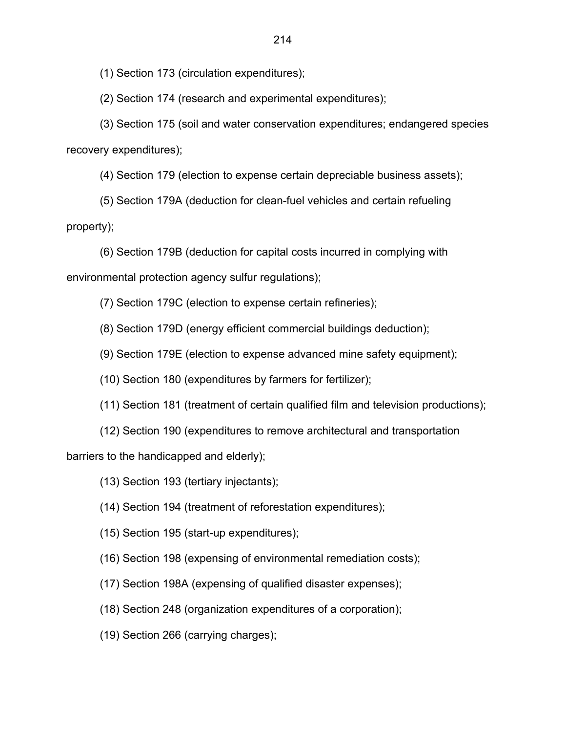(1) Section 173 (circulation expenditures);

(2) Section 174 (research and experimental expenditures);

 (3) Section 175 (soil and water conservation expenditures; endangered species recovery expenditures);

(4) Section 179 (election to expense certain depreciable business assets);

 (5) Section 179A (deduction for clean-fuel vehicles and certain refueling property);

 (6) Section 179B (deduction for capital costs incurred in complying with environmental protection agency sulfur regulations);

(7) Section 179C (election to expense certain refineries);

(8) Section 179D (energy efficient commercial buildings deduction);

(9) Section 179E (election to expense advanced mine safety equipment);

(10) Section 180 (expenditures by farmers for fertilizer);

(11) Section 181 (treatment of certain qualified film and television productions);

(12) Section 190 (expenditures to remove architectural and transportation

barriers to the handicapped and elderly);

(13) Section 193 (tertiary injectants);

(14) Section 194 (treatment of reforestation expenditures);

(15) Section 195 (start-up expenditures);

(16) Section 198 (expensing of environmental remediation costs);

(17) Section 198A (expensing of qualified disaster expenses);

(18) Section 248 (organization expenditures of a corporation);

(19) Section 266 (carrying charges);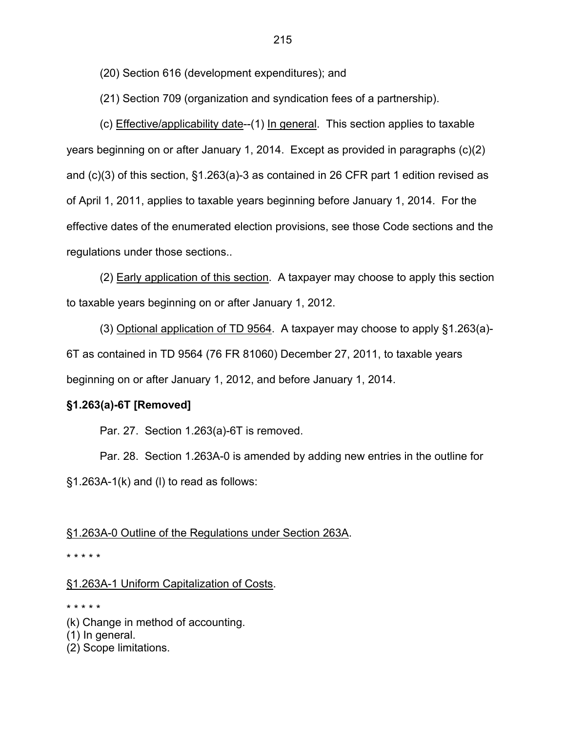(20) Section 616 (development expenditures); and

(21) Section 709 (organization and syndication fees of a partnership).

(c) Effective/applicability date--(1) In general. This section applies to taxable years beginning on or after January 1, 2014. Except as provided in paragraphs (c)(2) and (c)(3) of this section, §1.263(a)-3 as contained in 26 CFR part 1 edition revised as of April 1, 2011, applies to taxable years beginning before January 1, 2014. For the effective dates of the enumerated election provisions, see those Code sections and the regulations under those sections..

(2) Early application of this section. A taxpayer may choose to apply this section to taxable years beginning on or after January 1, 2012.

(3) Optional application of TD 9564. A taxpayer may choose to apply §1.263(a)- 6T as contained in TD 9564 (76 FR 81060) December 27, 2011, to taxable years beginning on or after January 1, 2012, and before January 1, 2014.

# **§1.263(a)-6T [Removed]**

Par. 27. Section 1.263(a)-6T is removed.

 Par. 28. Section 1.263A-0 is amended by adding new entries in the outline for §1.263A-1(k) and (l) to read as follows:

#### §1.263A-0 Outline of the Regulations under Section 263A.

\* \* \* \* \*

# §1.263A-1 Uniform Capitalization of Costs.

#### \* \* \* \* \*

- (k) Change in method of accounting.
- (1) In general.
- (2) Scope limitations.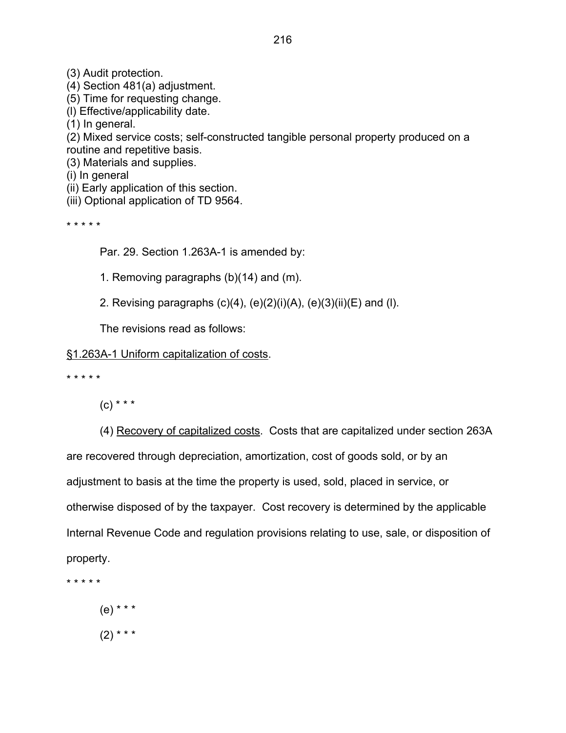(3) Audit protection.

(4) Section 481(a) adjustment.

(5) Time for requesting change.

(l) Effective/applicability date.

(1) In general.

(2) Mixed service costs; self-constructed tangible personal property produced on a routine and repetitive basis.

(3) Materials and supplies.

(i) In general

(ii) Early application of this section.

(iii) Optional application of TD 9564.

\* \* \* \* \*

Par. 29. Section 1.263A-1 is amended by:

1. Removing paragraphs (b)(14) and (m).

2. Revising paragraphs  $(c)(4)$ ,  $(e)(2)(i)(A)$ ,  $(e)(3)(ii)(E)$  and  $(I)$ .

The revisions read as follows:

# §1.263A-1 Uniform capitalization of costs.

\* \* \* \* \*

 $(C)$  \* \* \*

 (4) Recovery of capitalized costs. Costs that are capitalized under section 263A are recovered through depreciation, amortization, cost of goods sold, or by an adjustment to basis at the time the property is used, sold, placed in service, or otherwise disposed of by the taxpayer. Cost recovery is determined by the applicable Internal Revenue Code and regulation provisions relating to use, sale, or disposition of property.

\* \* \* \* \*

 (e) \* \* \*  $(2)$  \* \* \*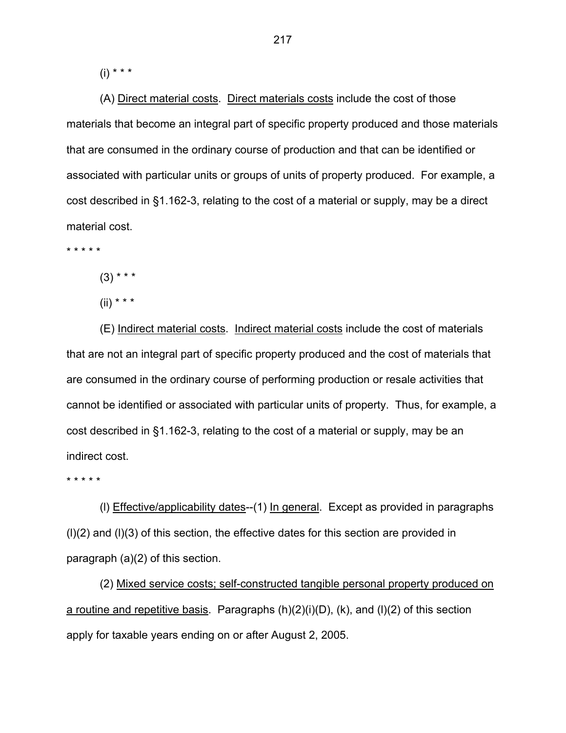$(i) * * * *$ 

 (A) Direct material costs. Direct materials costs include the cost of those materials that become an integral part of specific property produced and those materials that are consumed in the ordinary course of production and that can be identified or associated with particular units or groups of units of property produced. For example, a cost described in §1.162-3, relating to the cost of a material or supply, may be a direct material cost.

\* \* \* \* \*

 $(3)$  \* \* \*

 $(ii)$  \* \* \*

 (E) Indirect material costs. Indirect material costs include the cost of materials that are not an integral part of specific property produced and the cost of materials that are consumed in the ordinary course of performing production or resale activities that cannot be identified or associated with particular units of property. Thus, for example, a cost described in §1.162-3, relating to the cost of a material or supply, may be an indirect cost.

\* \* \* \* \*

 (l) Effective/applicability dates--(1) In general. Except as provided in paragraphs (l)(2) and (l)(3) of this section, the effective dates for this section are provided in paragraph (a)(2) of this section.

 (2) Mixed service costs; self-constructed tangible personal property produced on a routine and repetitive basis. Paragraphs (h)(2)(i)(D), (k), and (l)(2) of this section apply for taxable years ending on or after August 2, 2005.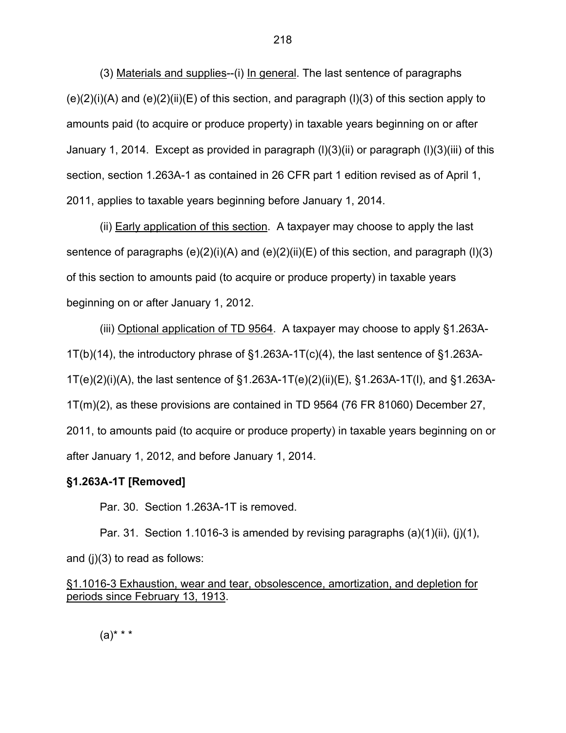(3) Materials and supplies--(i) In general. The last sentence of paragraphs  $(e)(2)(i)(A)$  and  $(e)(2)(ii)(E)$  of this section, and paragraph  $(l)(3)$  of this section apply to amounts paid (to acquire or produce property) in taxable years beginning on or after January 1, 2014. Except as provided in paragraph (l)(3)(ii) or paragraph (l)(3)(iii) of this section, section 1.263A-1 as contained in 26 CFR part 1 edition revised as of April 1, 2011, applies to taxable years beginning before January 1, 2014.

(ii) Early application of this section. A taxpayer may choose to apply the last sentence of paragraphs  $(e)(2)(i)(A)$  and  $(e)(2)(ii)(E)$  of this section, and paragraph  $(l)(3)$ of this section to amounts paid (to acquire or produce property) in taxable years beginning on or after January 1, 2012.

(iii) Optional application of TD 9564. A taxpayer may choose to apply §1.263A-1T(b)(14), the introductory phrase of  $\S1.263A-1T(c)(4)$ , the last sentence of  $\S1.263A-$ 1T(e)(2)(i)(A), the last sentence of §1.263A-1T(e)(2)(ii)(E), §1.263A-1T(l), and §1.263A-1T(m)(2), as these provisions are contained in TD 9564 (76 FR 81060) December 27, 2011, to amounts paid (to acquire or produce property) in taxable years beginning on or after January 1, 2012, and before January 1, 2014.

## **§1.263A-1T [Removed]**

Par. 30. Section 1.263A-1T is removed.

Par. 31. Section 1.1016-3 is amended by revising paragraphs (a)(1)(ii), (j)(1), and (j)(3) to read as follows:

§1.1016-3 Exhaustion, wear and tear, obsolescence, amortization, and depletion for periods since February 13, 1913.

 $(a)$ \* \* \*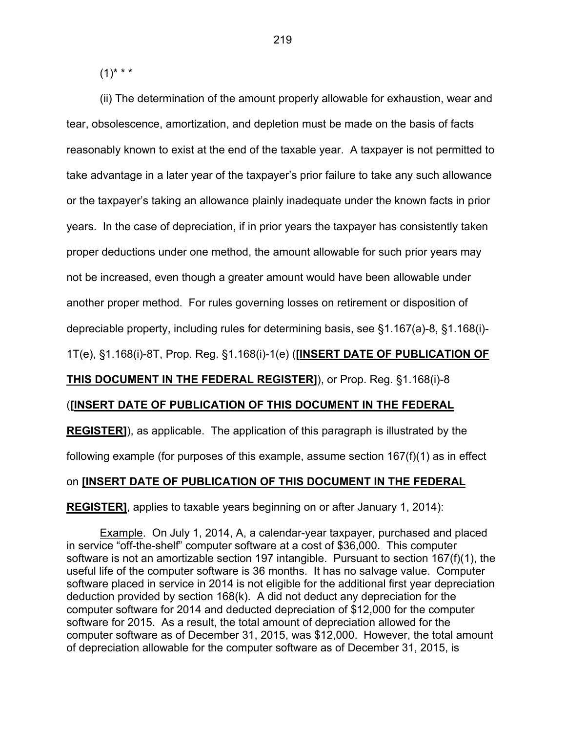$(1)$ \* \* \*

(ii) The determination of the amount properly allowable for exhaustion, wear and tear, obsolescence, amortization, and depletion must be made on the basis of facts reasonably known to exist at the end of the taxable year. A taxpayer is not permitted to take advantage in a later year of the taxpayer's prior failure to take any such allowance or the taxpayer's taking an allowance plainly inadequate under the known facts in prior years. In the case of depreciation, if in prior years the taxpayer has consistently taken proper deductions under one method, the amount allowable for such prior years may not be increased, even though a greater amount would have been allowable under another proper method. For rules governing losses on retirement or disposition of

depreciable property, including rules for determining basis, see §1.167(a)-8, §1.168(i)-

1T(e), §1.168(i)-8T, Prop. Reg. §1.168(i)-1(e) (**[INSERT DATE OF PUBLICATION OF** 

## **THIS DOCUMENT IN THE FEDERAL REGISTER]**), or Prop. Reg. §1.168(i)-8

#### (**[INSERT DATE OF PUBLICATION OF THIS DOCUMENT IN THE FEDERAL**

**REGISTER]**), as applicable. The application of this paragraph is illustrated by the following example (for purposes of this example, assume section 167(f)(1) as in effect

## on **[INSERT DATE OF PUBLICATION OF THIS DOCUMENT IN THE FEDERAL**

**REGISTER]**, applies to taxable years beginning on or after January 1, 2014):

 Example. On July 1, 2014, A, a calendar-year taxpayer, purchased and placed in service "off-the-shelf" computer software at a cost of \$36,000. This computer software is not an amortizable section 197 intangible. Pursuant to section 167(f)(1), the useful life of the computer software is 36 months. It has no salvage value. Computer software placed in service in 2014 is not eligible for the additional first year depreciation deduction provided by section 168(k). A did not deduct any depreciation for the computer software for 2014 and deducted depreciation of \$12,000 for the computer software for 2015. As a result, the total amount of depreciation allowed for the computer software as of December 31, 2015, was \$12,000. However, the total amount of depreciation allowable for the computer software as of December 31, 2015, is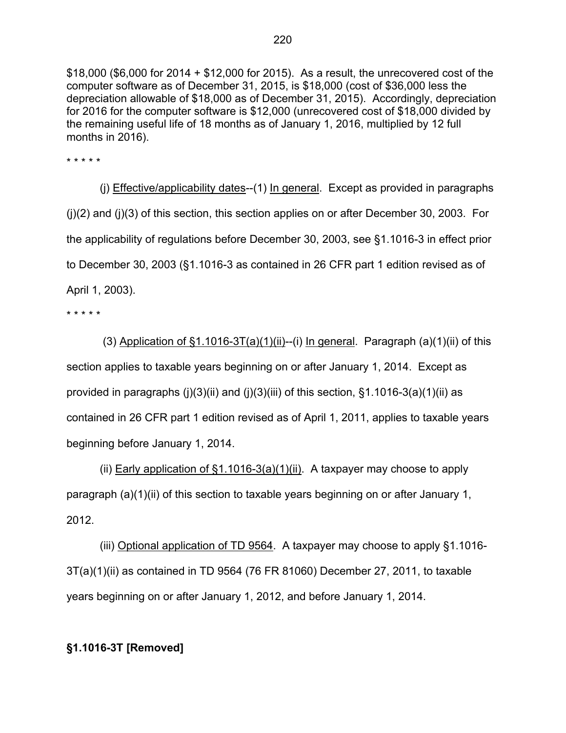\$18,000 (\$6,000 for 2014 + \$12,000 for 2015). As a result, the unrecovered cost of the computer software as of December 31, 2015, is \$18,000 (cost of \$36,000 less the depreciation allowable of \$18,000 as of December 31, 2015). Accordingly, depreciation for 2016 for the computer software is \$12,000 (unrecovered cost of \$18,000 divided by the remaining useful life of 18 months as of January 1, 2016, multiplied by 12 full months in 2016).

\* \* \* \* \*

(j) Effective/applicability dates--(1) In general. Except as provided in paragraphs (j)(2) and (j)(3) of this section, this section applies on or after December 30, 2003. For the applicability of regulations before December 30, 2003, see §1.1016-3 in effect prior to December 30, 2003 (§1.1016-3 as contained in 26 CFR part 1 edition revised as of April 1, 2003).

\* \* \* \* \*

(3) Application of  $\S1.1016-3T(a)(1)(ii)$ --(i) In general. Paragraph (a)(1)(ii) of this section applies to taxable years beginning on or after January 1, 2014. Except as provided in paragraphs (j)(3)(ii) and (j)(3)(iii) of this section,  $\S$ 1.1016-3(a)(1)(ii) as contained in 26 CFR part 1 edition revised as of April 1, 2011, applies to taxable years beginning before January 1, 2014.

(ii) Early application of  $\S1.1016-3(a)(1)(ii)$ . A taxpayer may choose to apply paragraph (a)(1)(ii) of this section to taxable years beginning on or after January 1, 2012.

(iii) Optional application of TD 9564. A taxpayer may choose to apply §1.1016- 3T(a)(1)(ii) as contained in TD 9564 (76 FR 81060) December 27, 2011, to taxable years beginning on or after January 1, 2012, and before January 1, 2014.

# **§1.1016-3T [Removed]**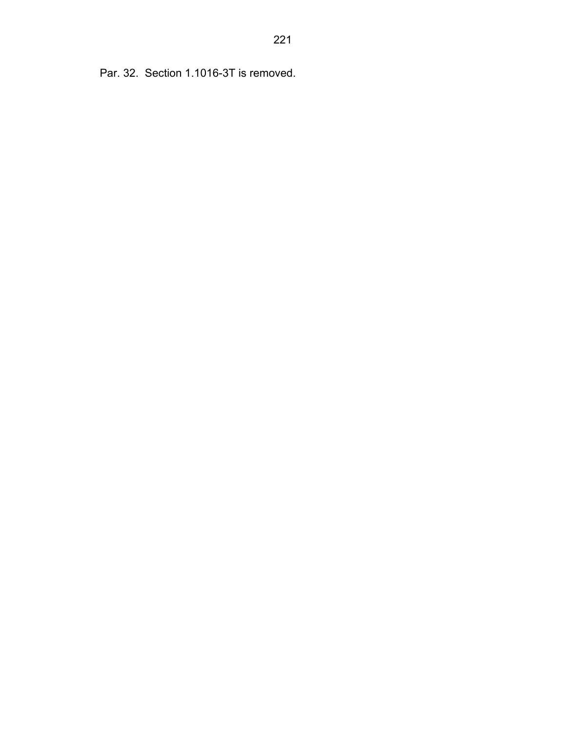Par. 32. Section 1.1016-3T is removed.